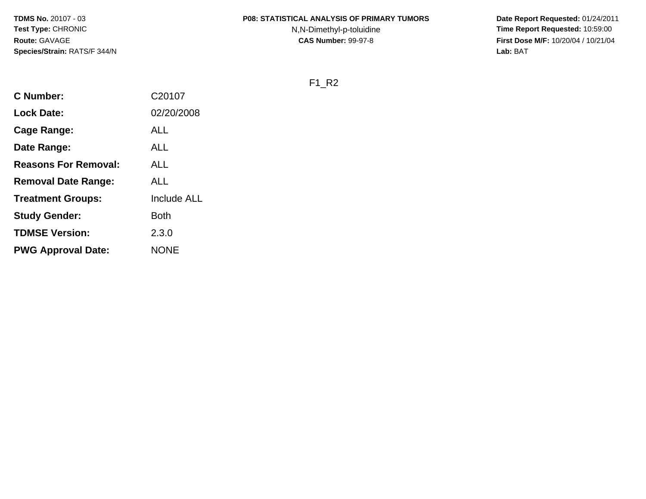N,N-Dimethyl-p-toluidine

 **Date Report Requested:** 01/24/2011 **Time Report Requested:** 10:59:00 **First Dose M/F:** 10/20/04 / 10/21/04<br>**Lab:** BAT **Lab:** BAT

F1\_R2

| <b>C</b> Number:            | C20107             |
|-----------------------------|--------------------|
| <b>Lock Date:</b>           | 02/20/2008         |
| Cage Range:                 | ALL                |
| Date Range:                 | <b>ALL</b>         |
| <b>Reasons For Removal:</b> | ALL                |
| <b>Removal Date Range:</b>  | ALL                |
| <b>Treatment Groups:</b>    | <b>Include ALL</b> |
| <b>Study Gender:</b>        | Both               |
| <b>TDMSE Version:</b>       | 2.3.0              |
| <b>PWG Approval Date:</b>   | <b>NONE</b>        |
|                             |                    |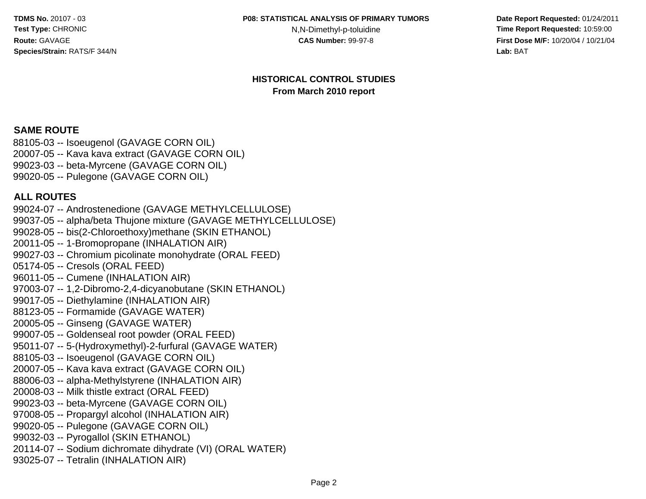N, N-Dimethyl-p-toluidine<br>CAS Number: 99-97-8

 **Date Report Requested:** 01/24/2011 **Time Report Requested:** 10:59:00 **First Dose M/F:** 10/20/04 / 10/21/04<br>**Lab:** BAT **Lab:** BAT

#### **HISTORICAL CONTROL STUDIESFrom March 2010 report**

#### **SAME ROUTE**

 88105-03 -- Isoeugenol (GAVAGE CORN OIL) 20007-05 -- Kava kava extract (GAVAGE CORN OIL)99023-03 -- beta-Myrcene (GAVAGE CORN OIL)99020-05 -- Pulegone (GAVAGE CORN OIL)

#### **ALL ROUTES**

 99024-07 -- Androstenedione (GAVAGE METHYLCELLULOSE) 99037-05 -- alpha/beta Thujone mixture (GAVAGE METHYLCELLULOSE)99028-05 -- bis(2-Chloroethoxy)methane (SKIN ETHANOL)20011-05 -- 1-Bromopropane (INHALATION AIR) 99027-03 -- Chromium picolinate monohydrate (ORAL FEED)05174-05 -- Cresols (ORAL FEED) 96011-05 -- Cumene (INHALATION AIR) 97003-07 -- 1,2-Dibromo-2,4-dicyanobutane (SKIN ETHANOL)99017-05 -- Diethylamine (INHALATION AIR)88123-05 -- Formamide (GAVAGE WATER)20005-05 -- Ginseng (GAVAGE WATER) 99007-05 -- Goldenseal root powder (ORAL FEED) 95011-07 -- 5-(Hydroxymethyl)-2-furfural (GAVAGE WATER)88105-03 -- Isoeugenol (GAVAGE CORN OIL) 20007-05 -- Kava kava extract (GAVAGE CORN OIL) 88006-03 -- alpha-Methylstyrene (INHALATION AIR)20008-03 -- Milk thistle extract (ORAL FEED) 99023-03 -- beta-Myrcene (GAVAGE CORN OIL) 97008-05 -- Propargyl alcohol (INHALATION AIR)99020-05 -- Pulegone (GAVAGE CORN OIL)99032-03 -- Pyrogallol (SKIN ETHANOL) 20114-07 -- Sodium dichromate dihydrate (VI) (ORAL WATER)93025-07 -- Tetralin (INHALATION AIR)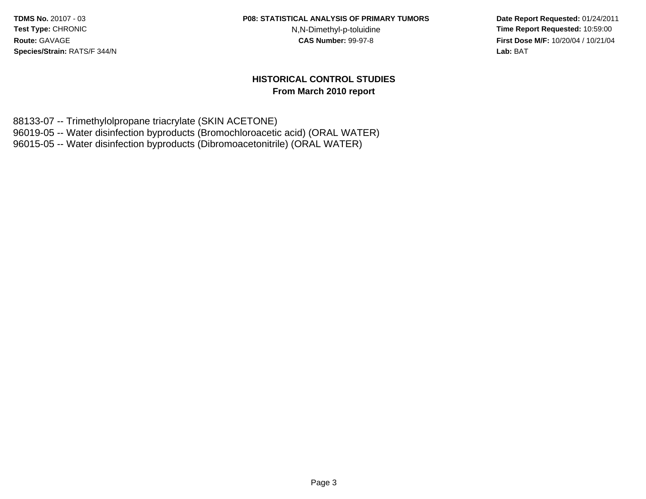**P08: STATISTICAL ANALYSIS OF PRIMARY TUMORS**

N,N-Dimethyl-p-toluidine

 **Date Report Requested:** 01/24/2011 **Time Report Requested:** 10:59:00 **First Dose M/F:** 10/20/04 / 10/21/04 Lab: BAT **Lab:** BAT

#### **HISTORICAL CONTROL STUDIESFrom March 2010 report**

88133-07 -- Trimethylolpropane triacrylate (SKIN ACETONE) 96019-05 -- Water disinfection byproducts (Bromochloroacetic acid) (ORAL WATER)96015-05 -- Water disinfection byproducts (Dibromoacetonitrile) (ORAL WATER)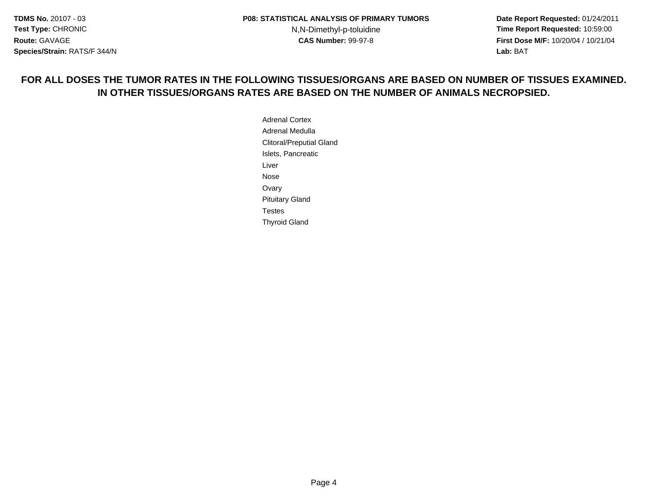**Date Report Requested:** 01/24/2011 **Time Report Requested:** 10:59:00 **First Dose M/F:** 10/20/04 / 10/21/04<br>**Lab:** BAT **Lab:** BAT

## **FOR ALL DOSES THE TUMOR RATES IN THE FOLLOWING TISSUES/ORGANS ARE BASED ON NUMBER OF TISSUES EXAMINED.IN OTHER TISSUES/ORGANS RATES ARE BASED ON THE NUMBER OF ANIMALS NECROPSIED.**

Adrenal Cortex Adrenal Medulla Clitoral/Preputial GlandIslets, PancreaticLiverNose Ovary Pituitary GlandTestesThyroid Gland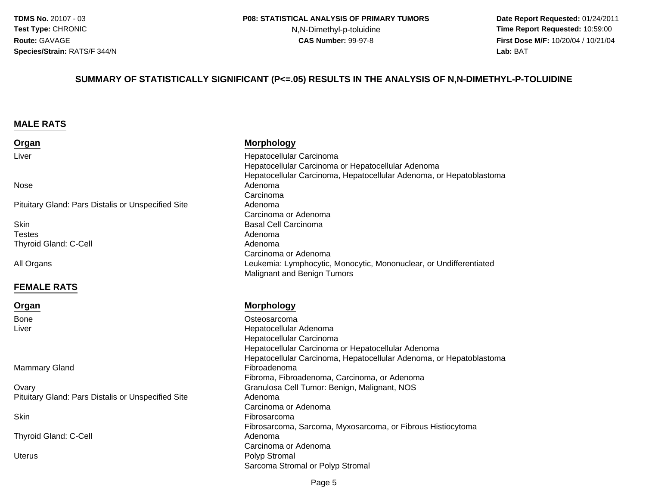N,N-Dimethyl-p-toluidine

 **Date Report Requested:** 01/24/2011 **Time Report Requested:** 10:59:00 **First Dose M/F:** 10/20/04 / 10/21/04<br>**Lab:** BAT **Lab:** BAT

#### **SUMMARY OF STATISTICALLY SIGNIFICANT (P<=.05) RESULTS IN THE ANALYSIS OF N,N-DIMETHYL-P-TOLUIDINE**

#### **MALE RATS**

#### **Organ**Liver

Nose

Pituitary Gland: Pars Distalis or Unspecified Site

Skin**Testes** s Adenoma Thyroid Gland: C-Cell

All Organs

#### **FEMALE RATS**

#### **Organ**

BoneLiver

#### Mammary Gland

**Ovary** Pituitary Gland: Pars Distalis or Unspecified Site

**Skin** 

Thyroid Gland: C-Cell

Uterus

#### **Morphology**

 Hepatocellular Carcinoma Hepatocellular Carcinoma or Hepatocellular Adenoma Hepatocellular Carcinoma, Hepatocellular Adenoma, or Hepatoblastomae Adenoma e Adenoma e Adenoma e Adenoma e Adenoma e Adenoma e Adenoma e Adenoma e Adenoma e Adenoma e Adenoma Carcinoma Adenoma Carcinoma or Adenoma Basal Cell Carcinoma l and a strong of the control of the Adenoma Carcinoma or Adenoma Leukemia: Lymphocytic, Monocytic, Mononuclear, or UndifferentiatedMalignant and Benign Tumors

#### **Morphology**

**Osteosarcoma**  Hepatocellular Adenoma Hepatocellular Carcinoma Hepatocellular Carcinoma or Hepatocellular Adenoma Hepatocellular Carcinoma, Hepatocellular Adenoma, or Hepatoblastoma Fibroadenoma Fibroma, Fibroadenoma, Carcinoma, or Adenoma Granulosa Cell Tumor: Benign, Malignant, NOS Adenoma Carcinoma or Adenoma Fibrosarcoma Fibrosarcoma, Sarcoma, Myxosarcoma, or Fibrous Histiocytoma Adenoma Carcinoma or Adenoma Polyp Stromal Sarcoma Stromal or Polyp Stromal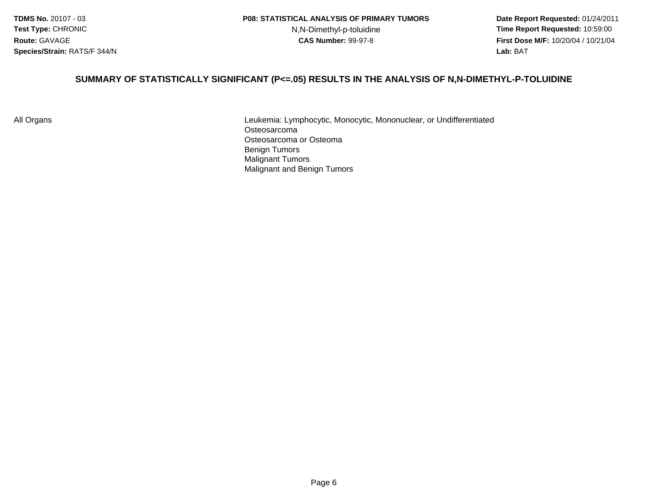N,N-Dimethyl-p-toluidine

 **Date Report Requested:** 01/24/2011 **Time Report Requested:** 10:59:00 **First Dose M/F:** 10/20/04 / 10/21/04 Lab: BAT **Lab:** BAT

#### **SUMMARY OF STATISTICALLY SIGNIFICANT (P<=.05) RESULTS IN THE ANALYSIS OF N,N-DIMETHYL-P-TOLUIDINE**

All Organs

 Leukemia: Lymphocytic, Monocytic, Mononuclear, or UndifferentiatedOsteosarcoma Osteosarcoma or OsteomaBenign Tumors Malignant TumorsMalignant and Benign Tumors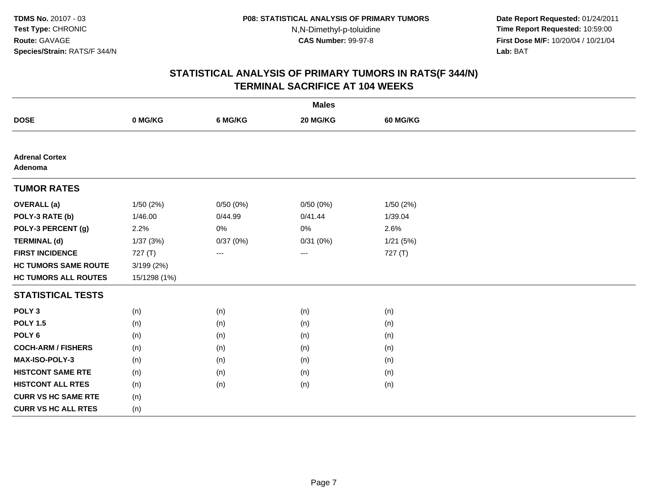**Date Report Requested:** 01/24/2011 **Time Report Requested:** 10:59:00 **First Dose M/F:** 10/20/04 / 10/21/04<br>**Lab:** BAT **Lab:** BAT

|                                  |              |          | <b>Males</b> |                 |  |
|----------------------------------|--------------|----------|--------------|-----------------|--|
| <b>DOSE</b>                      | 0 MG/KG      | 6 MG/KG  | 20 MG/KG     | <b>60 MG/KG</b> |  |
|                                  |              |          |              |                 |  |
| <b>Adrenal Cortex</b><br>Adenoma |              |          |              |                 |  |
| <b>TUMOR RATES</b>               |              |          |              |                 |  |
| <b>OVERALL</b> (a)               | 1/50(2%)     | 0/50(0%) | 0/50(0%)     | 1/50(2%)        |  |
| POLY-3 RATE (b)                  | 1/46.00      | 0/44.99  | 0/41.44      | 1/39.04         |  |
| POLY-3 PERCENT (g)               | 2.2%         | 0%       | 0%           | 2.6%            |  |
| <b>TERMINAL (d)</b>              | 1/37(3%)     | 0/37(0%) | 0/31(0%)     | 1/21(5%)        |  |
| <b>FIRST INCIDENCE</b>           | 727(T)       | ---      | $--$         | 727(T)          |  |
| <b>HC TUMORS SAME ROUTE</b>      | 3/199(2%)    |          |              |                 |  |
| <b>HC TUMORS ALL ROUTES</b>      | 15/1298 (1%) |          |              |                 |  |
| <b>STATISTICAL TESTS</b>         |              |          |              |                 |  |
| POLY <sub>3</sub>                | (n)          | (n)      | (n)          | (n)             |  |
| <b>POLY 1.5</b>                  | (n)          | (n)      | (n)          | (n)             |  |
| POLY <sub>6</sub>                | (n)          | (n)      | (n)          | (n)             |  |
| <b>COCH-ARM / FISHERS</b>        | (n)          | (n)      | (n)          | (n)             |  |
| <b>MAX-ISO-POLY-3</b>            | (n)          | (n)      | (n)          | (n)             |  |
| <b>HISTCONT SAME RTE</b>         | (n)          | (n)      | (n)          | (n)             |  |
| <b>HISTCONT ALL RTES</b>         | (n)          | (n)      | (n)          | (n)             |  |
| <b>CURR VS HC SAME RTE</b>       | (n)          |          |              |                 |  |
| <b>CURR VS HC ALL RTES</b>       | (n)          |          |              |                 |  |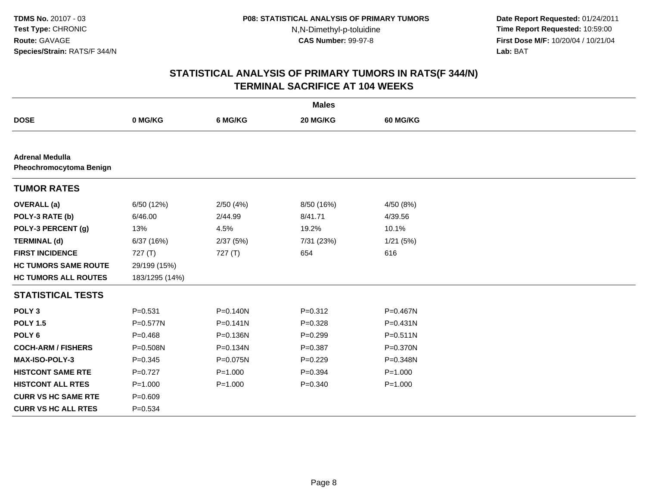**Date Report Requested:** 01/24/2011 **Time Report Requested:** 10:59:00 **First Dose M/F:** 10/20/04 / 10/21/04<br>**Lab:** BAT **Lab:** BAT

|                                                   |                |              | <b>Males</b> |                 |
|---------------------------------------------------|----------------|--------------|--------------|-----------------|
| <b>DOSE</b>                                       | 0 MG/KG        | 6 MG/KG      | 20 MG/KG     | <b>60 MG/KG</b> |
|                                                   |                |              |              |                 |
| <b>Adrenal Medulla</b><br>Pheochromocytoma Benign |                |              |              |                 |
| <b>TUMOR RATES</b>                                |                |              |              |                 |
| <b>OVERALL</b> (a)                                | 6/50 (12%)     | 2/50(4%)     | 8/50 (16%)   | 4/50 (8%)       |
| POLY-3 RATE (b)                                   | 6/46.00        | 2/44.99      | 8/41.71      | 4/39.56         |
| POLY-3 PERCENT (g)                                | 13%            | 4.5%         | 19.2%        | 10.1%           |
| <b>TERMINAL (d)</b>                               | 6/37 (16%)     | 2/37(5%)     | 7/31 (23%)   | 1/21(5%)        |
| <b>FIRST INCIDENCE</b>                            | 727(T)         | 727(T)       | 654          | 616             |
| <b>HC TUMORS SAME ROUTE</b>                       | 29/199 (15%)   |              |              |                 |
| <b>HC TUMORS ALL ROUTES</b>                       | 183/1295 (14%) |              |              |                 |
| <b>STATISTICAL TESTS</b>                          |                |              |              |                 |
| POLY <sub>3</sub>                                 | $P = 0.531$    | $P = 0.140N$ | $P = 0.312$  | P=0.467N        |
| <b>POLY 1.5</b>                                   | $P = 0.577N$   | $P = 0.141N$ | $P = 0.328$  | $P = 0.431N$    |
| POLY <sub>6</sub>                                 | $P = 0.468$    | P=0.136N     | $P = 0.299$  | $P = 0.511N$    |
| <b>COCH-ARM / FISHERS</b>                         | P=0.508N       | $P = 0.134N$ | $P = 0.387$  | P=0.370N        |
| <b>MAX-ISO-POLY-3</b>                             | $P = 0.345$    | P=0.075N     | $P=0.229$    | P=0.348N        |
| <b>HISTCONT SAME RTE</b>                          | $P=0.727$      | $P = 1.000$  | $P = 0.394$  | $P = 1.000$     |
| <b>HISTCONT ALL RTES</b>                          | $P = 1.000$    | $P = 1.000$  | $P = 0.340$  | $P = 1.000$     |
| <b>CURR VS HC SAME RTE</b>                        | $P = 0.609$    |              |              |                 |
| <b>CURR VS HC ALL RTES</b>                        | $P = 0.534$    |              |              |                 |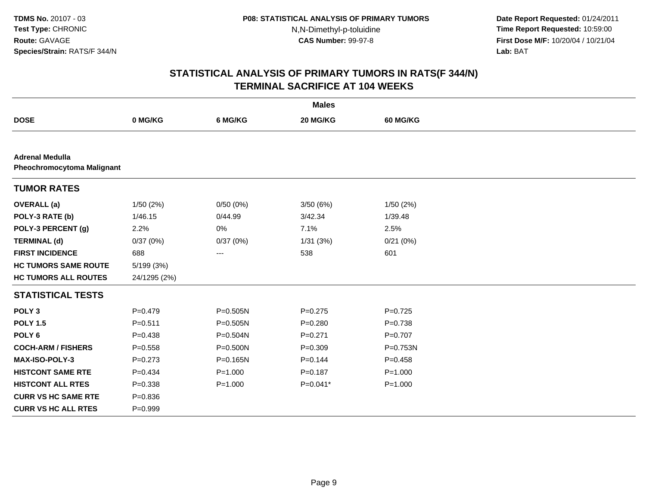**Date Report Requested:** 01/24/2011 **Time Report Requested:** 10:59:00 **First Dose M/F:** 10/20/04 / 10/21/04<br>**Lab:** BAT **Lab:** BAT

|                                                             |              |              | <b>Males</b> |             |
|-------------------------------------------------------------|--------------|--------------|--------------|-------------|
| <b>DOSE</b>                                                 | 0 MG/KG      | 6 MG/KG      | 20 MG/KG     | 60 MG/KG    |
|                                                             |              |              |              |             |
| <b>Adrenal Medulla</b><br><b>Pheochromocytoma Malignant</b> |              |              |              |             |
| <b>TUMOR RATES</b>                                          |              |              |              |             |
| <b>OVERALL</b> (a)                                          | 1/50(2%)     | 0/50(0%)     | 3/50(6%)     | 1/50(2%)    |
| POLY-3 RATE (b)                                             | 1/46.15      | 0/44.99      | 3/42.34      | 1/39.48     |
| POLY-3 PERCENT (g)                                          | 2.2%         | 0%           | 7.1%         | 2.5%        |
| <b>TERMINAL (d)</b>                                         | 0/37(0%)     | 0/37(0%)     | 1/31(3%)     | 0/21(0%)    |
| <b>FIRST INCIDENCE</b>                                      | 688          | ---          | 538          | 601         |
| <b>HC TUMORS SAME ROUTE</b>                                 | 5/199 (3%)   |              |              |             |
| <b>HC TUMORS ALL ROUTES</b>                                 | 24/1295 (2%) |              |              |             |
| <b>STATISTICAL TESTS</b>                                    |              |              |              |             |
| POLY <sub>3</sub>                                           | $P=0.479$    | $P = 0.505N$ | $P=0.275$    | $P=0.725$   |
| <b>POLY 1.5</b>                                             | $P = 0.511$  | $P = 0.505N$ | $P = 0.280$  | $P = 0.738$ |
| POLY <sub>6</sub>                                           | $P = 0.438$  | P=0.504N     | $P = 0.271$  | $P=0.707$   |
| <b>COCH-ARM / FISHERS</b>                                   | $P = 0.558$  | P=0.500N     | $P = 0.309$  | P=0.753N    |
| <b>MAX-ISO-POLY-3</b>                                       | $P=0.273$    | $P = 0.165N$ | $P = 0.144$  | $P = 0.458$ |
| <b>HISTCONT SAME RTE</b>                                    | $P = 0.434$  | $P = 1.000$  | $P = 0.187$  | $P = 1.000$ |
| <b>HISTCONT ALL RTES</b>                                    | $P = 0.338$  | $P = 1.000$  | $P=0.041*$   | $P = 1.000$ |
| <b>CURR VS HC SAME RTE</b>                                  | $P = 0.836$  |              |              |             |
| <b>CURR VS HC ALL RTES</b>                                  | $P=0.999$    |              |              |             |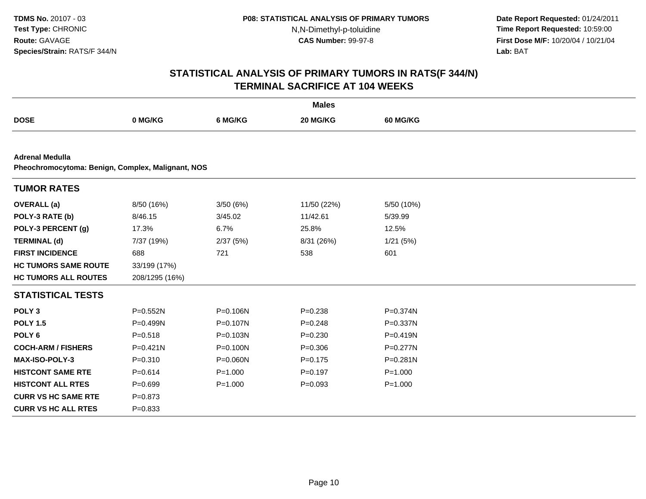**Date Report Requested:** 01/24/2011 **Time Report Requested:** 10:59:00 **First Dose M/F:** 10/20/04 / 10/21/04<br>**Lab:** BAT **Lab:** BAT

|                                                   |                |              | <b>Males</b> |                 |  |
|---------------------------------------------------|----------------|--------------|--------------|-----------------|--|
| <b>DOSE</b>                                       | 0 MG/KG        | 6 MG/KG      | 20 MG/KG     | <b>60 MG/KG</b> |  |
|                                                   |                |              |              |                 |  |
| <b>Adrenal Medulla</b>                            |                |              |              |                 |  |
| Pheochromocytoma: Benign, Complex, Malignant, NOS |                |              |              |                 |  |
| <b>TUMOR RATES</b>                                |                |              |              |                 |  |
| <b>OVERALL</b> (a)                                | 8/50 (16%)     | 3/50(6%)     | 11/50 (22%)  | 5/50 (10%)      |  |
| POLY-3 RATE (b)                                   | 8/46.15        | 3/45.02      | 11/42.61     | 5/39.99         |  |
| POLY-3 PERCENT (g)                                | 17.3%          | 6.7%         | 25.8%        | 12.5%           |  |
| <b>TERMINAL (d)</b>                               | 7/37 (19%)     | 2/37(5%)     | 8/31 (26%)   | 1/21(5%)        |  |
| <b>FIRST INCIDENCE</b>                            | 688            | 721          | 538          | 601             |  |
| <b>HC TUMORS SAME ROUTE</b>                       | 33/199 (17%)   |              |              |                 |  |
| <b>HC TUMORS ALL ROUTES</b>                       | 208/1295 (16%) |              |              |                 |  |
| <b>STATISTICAL TESTS</b>                          |                |              |              |                 |  |
| POLY <sub>3</sub>                                 | $P = 0.552N$   | P=0.106N     | $P = 0.238$  | $P = 0.374N$    |  |
| <b>POLY 1.5</b>                                   | P=0.499N       | P=0.107N     | $P = 0.248$  | P=0.337N        |  |
| POLY <sub>6</sub>                                 | $P = 0.518$    | P=0.103N     | $P = 0.230$  | $P = 0.419N$    |  |
| <b>COCH-ARM / FISHERS</b>                         | $P = 0.421N$   | $P = 0.100N$ | $P = 0.306$  | $P = 0.277N$    |  |
| MAX-ISO-POLY-3                                    | $P = 0.310$    | P=0.060N     | $P = 0.175$  | $P = 0.281N$    |  |
| <b>HISTCONT SAME RTE</b>                          | $P = 0.614$    | $P = 1.000$  | $P=0.197$    | $P = 1.000$     |  |
| <b>HISTCONT ALL RTES</b>                          | $P=0.699$      | $P = 1.000$  | $P = 0.093$  | $P = 1.000$     |  |
| <b>CURR VS HC SAME RTE</b>                        | $P = 0.873$    |              |              |                 |  |
| <b>CURR VS HC ALL RTES</b>                        | $P = 0.833$    |              |              |                 |  |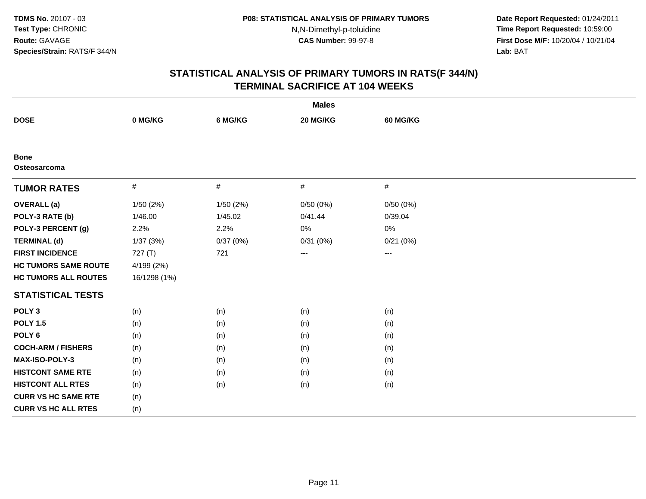**Date Report Requested:** 01/24/2011 **Time Report Requested:** 10:59:00 **First Dose M/F:** 10/20/04 / 10/21/04<br>**Lab:** BAT **Lab:** BAT

|                             |              |           | <b>Males</b> |                   |  |
|-----------------------------|--------------|-----------|--------------|-------------------|--|
| <b>DOSE</b>                 | 0 MG/KG      | 6 MG/KG   | 20 MG/KG     | <b>60 MG/KG</b>   |  |
|                             |              |           |              |                   |  |
| <b>Bone</b><br>Osteosarcoma |              |           |              |                   |  |
| <b>TUMOR RATES</b>          | $\#$         | $\#$      | $\#$         | $\#$              |  |
| <b>OVERALL</b> (a)          | 1/50 (2%)    | 1/50 (2%) | 0/50(0%)     | 0/50(0%)          |  |
| POLY-3 RATE (b)             | 1/46.00      | 1/45.02   | 0/41.44      | 0/39.04           |  |
| POLY-3 PERCENT (g)          | 2.2%         | 2.2%      | 0%           | 0%                |  |
| <b>TERMINAL (d)</b>         | 1/37(3%)     | 0/37(0%)  | 0/31(0%)     | 0/21(0%)          |  |
| <b>FIRST INCIDENCE</b>      | 727(T)       | 721       | $\cdots$     | $\qquad \qquad -$ |  |
| <b>HC TUMORS SAME ROUTE</b> | 4/199 (2%)   |           |              |                   |  |
| <b>HC TUMORS ALL ROUTES</b> | 16/1298 (1%) |           |              |                   |  |
| <b>STATISTICAL TESTS</b>    |              |           |              |                   |  |
| POLY <sub>3</sub>           | (n)          | (n)       | (n)          | (n)               |  |
| <b>POLY 1.5</b>             | (n)          | (n)       | (n)          | (n)               |  |
| POLY <sub>6</sub>           | (n)          | (n)       | (n)          | (n)               |  |
| <b>COCH-ARM / FISHERS</b>   | (n)          | (n)       | (n)          | (n)               |  |
| <b>MAX-ISO-POLY-3</b>       | (n)          | (n)       | (n)          | (n)               |  |
| <b>HISTCONT SAME RTE</b>    | (n)          | (n)       | (n)          | (n)               |  |
| <b>HISTCONT ALL RTES</b>    | (n)          | (n)       | (n)          | (n)               |  |
| <b>CURR VS HC SAME RTE</b>  | (n)          |           |              |                   |  |
| <b>CURR VS HC ALL RTES</b>  | (n)          |           |              |                   |  |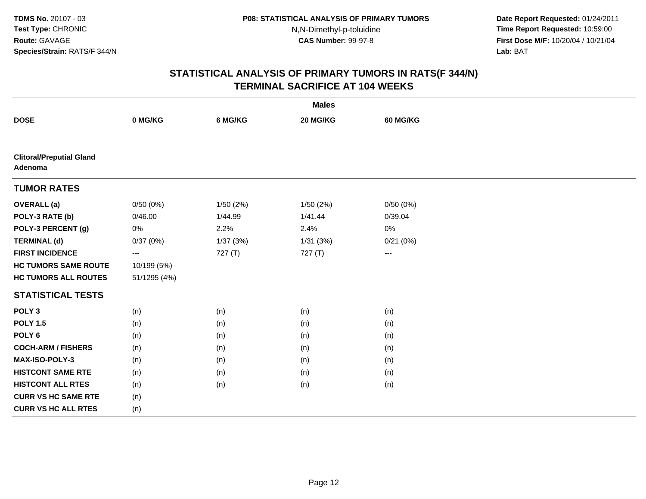**Date Report Requested:** 01/24/2011 **Time Report Requested:** 10:59:00 **First Dose M/F:** 10/20/04 / 10/21/04<br>**Lab:** BAT **Lab:** BAT

|                                            |                          |          | <b>Males</b> |          |  |
|--------------------------------------------|--------------------------|----------|--------------|----------|--|
| <b>DOSE</b>                                | 0 MG/KG                  | 6 MG/KG  | 20 MG/KG     | 60 MG/KG |  |
|                                            |                          |          |              |          |  |
| <b>Clitoral/Preputial Gland</b><br>Adenoma |                          |          |              |          |  |
| <b>TUMOR RATES</b>                         |                          |          |              |          |  |
| <b>OVERALL</b> (a)                         | 0/50(0%)                 | 1/50(2%) | 1/50(2%)     | 0/50(0%) |  |
| POLY-3 RATE (b)                            | 0/46.00                  | 1/44.99  | 1/41.44      | 0/39.04  |  |
| POLY-3 PERCENT (g)                         | 0%                       | 2.2%     | 2.4%         | 0%       |  |
| <b>TERMINAL (d)</b>                        | 0/37(0%)                 | 1/37(3%) | 1/31(3%)     | 0/21(0%) |  |
| <b>FIRST INCIDENCE</b>                     | $\hspace{0.05cm} \ldots$ | 727(T)   | 727(T)       | $--$     |  |
| <b>HC TUMORS SAME ROUTE</b>                | 10/199 (5%)              |          |              |          |  |
| <b>HC TUMORS ALL ROUTES</b>                | 51/1295 (4%)             |          |              |          |  |
| <b>STATISTICAL TESTS</b>                   |                          |          |              |          |  |
| POLY <sub>3</sub>                          | (n)                      | (n)      | (n)          | (n)      |  |
| <b>POLY 1.5</b>                            | (n)                      | (n)      | (n)          | (n)      |  |
| POLY <sub>6</sub>                          | (n)                      | (n)      | (n)          | (n)      |  |
| <b>COCH-ARM / FISHERS</b>                  | (n)                      | (n)      | (n)          | (n)      |  |
| MAX-ISO-POLY-3                             | (n)                      | (n)      | (n)          | (n)      |  |
| <b>HISTCONT SAME RTE</b>                   | (n)                      | (n)      | (n)          | (n)      |  |
| <b>HISTCONT ALL RTES</b>                   | (n)                      | (n)      | (n)          | (n)      |  |
| <b>CURR VS HC SAME RTE</b>                 | (n)                      |          |              |          |  |
| <b>CURR VS HC ALL RTES</b>                 | (n)                      |          |              |          |  |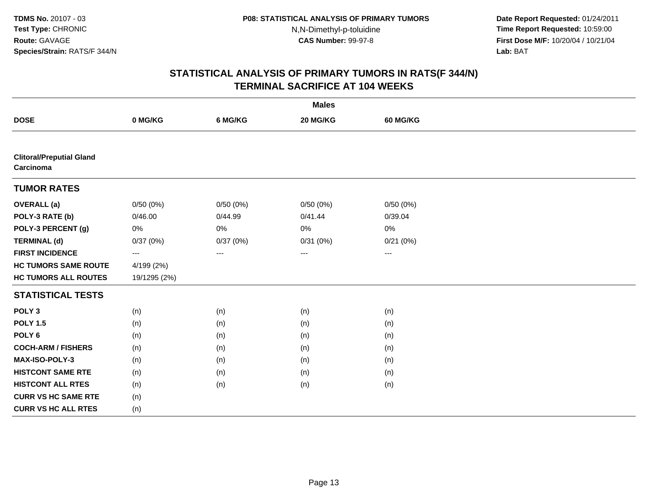**Date Report Requested:** 01/24/2011 **Time Report Requested:** 10:59:00 **First Dose M/F:** 10/20/04 / 10/21/04<br>**Lab:** BAT **Lab:** BAT

|                                              |                          |          | <b>Males</b> |          |  |
|----------------------------------------------|--------------------------|----------|--------------|----------|--|
| <b>DOSE</b>                                  | 0 MG/KG                  | 6 MG/KG  | 20 MG/KG     | 60 MG/KG |  |
|                                              |                          |          |              |          |  |
| <b>Clitoral/Preputial Gland</b><br>Carcinoma |                          |          |              |          |  |
| <b>TUMOR RATES</b>                           |                          |          |              |          |  |
| <b>OVERALL</b> (a)                           | 0/50(0%)                 | 0/50(0%) | 0/50(0%)     | 0/50(0%) |  |
| POLY-3 RATE (b)                              | 0/46.00                  | 0/44.99  | 0/41.44      | 0/39.04  |  |
| POLY-3 PERCENT (g)                           | 0%                       | 0%       | 0%           | 0%       |  |
| <b>TERMINAL (d)</b>                          | 0/37(0%)                 | 0/37(0%) | 0/31(0%)     | 0/21(0%) |  |
| <b>FIRST INCIDENCE</b>                       | $\hspace{0.05cm} \ldots$ | ---      | ---          | $--$     |  |
| <b>HC TUMORS SAME ROUTE</b>                  | 4/199 (2%)               |          |              |          |  |
| <b>HC TUMORS ALL ROUTES</b>                  | 19/1295 (2%)             |          |              |          |  |
| <b>STATISTICAL TESTS</b>                     |                          |          |              |          |  |
| POLY <sub>3</sub>                            | (n)                      | (n)      | (n)          | (n)      |  |
| <b>POLY 1.5</b>                              | (n)                      | (n)      | (n)          | (n)      |  |
| POLY <sub>6</sub>                            | (n)                      | (n)      | (n)          | (n)      |  |
| <b>COCH-ARM / FISHERS</b>                    | (n)                      | (n)      | (n)          | (n)      |  |
| MAX-ISO-POLY-3                               | (n)                      | (n)      | (n)          | (n)      |  |
| <b>HISTCONT SAME RTE</b>                     | (n)                      | (n)      | (n)          | (n)      |  |
| <b>HISTCONT ALL RTES</b>                     | (n)                      | (n)      | (n)          | (n)      |  |
| <b>CURR VS HC SAME RTE</b>                   | (n)                      |          |              |          |  |
| <b>CURR VS HC ALL RTES</b>                   | (n)                      |          |              |          |  |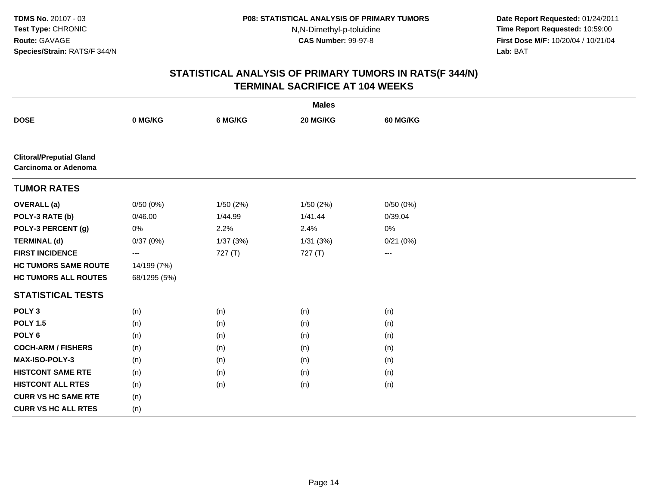**Date Report Requested:** 01/24/2011 **Time Report Requested:** 10:59:00 **First Dose M/F:** 10/20/04 / 10/21/04<br>**Lab:** BAT **Lab:** BAT

|                                                                |                   |           | <b>Males</b> |                     |  |
|----------------------------------------------------------------|-------------------|-----------|--------------|---------------------|--|
| <b>DOSE</b>                                                    | 0 MG/KG           | 6 MG/KG   | 20 MG/KG     | <b>60 MG/KG</b>     |  |
|                                                                |                   |           |              |                     |  |
| <b>Clitoral/Preputial Gland</b><br><b>Carcinoma or Adenoma</b> |                   |           |              |                     |  |
| <b>TUMOR RATES</b>                                             |                   |           |              |                     |  |
| <b>OVERALL</b> (a)                                             | 0/50(0%)          | 1/50 (2%) | 1/50(2%)     | 0/50(0%)            |  |
| POLY-3 RATE (b)                                                | 0/46.00           | 1/44.99   | 1/41.44      | 0/39.04             |  |
| POLY-3 PERCENT (g)                                             | $0\%$             | 2.2%      | 2.4%         | 0%                  |  |
| <b>TERMINAL (d)</b>                                            | 0/37(0%)          | 1/37(3%)  | 1/31(3%)     | 0/21(0%)            |  |
| <b>FIRST INCIDENCE</b>                                         | $\qquad \qquad -$ | 727(T)    | 727(T)       | $\qquad \qquad - -$ |  |
| <b>HC TUMORS SAME ROUTE</b>                                    | 14/199 (7%)       |           |              |                     |  |
| <b>HC TUMORS ALL ROUTES</b>                                    | 68/1295 (5%)      |           |              |                     |  |
| <b>STATISTICAL TESTS</b>                                       |                   |           |              |                     |  |
| POLY <sub>3</sub>                                              | (n)               | (n)       | (n)          | (n)                 |  |
| <b>POLY 1.5</b>                                                | (n)               | (n)       | (n)          | (n)                 |  |
| POLY <sub>6</sub>                                              | (n)               | (n)       | (n)          | (n)                 |  |
| <b>COCH-ARM / FISHERS</b>                                      | (n)               | (n)       | (n)          | (n)                 |  |
| MAX-ISO-POLY-3                                                 | (n)               | (n)       | (n)          | (n)                 |  |
| <b>HISTCONT SAME RTE</b>                                       | (n)               | (n)       | (n)          | (n)                 |  |
| <b>HISTCONT ALL RTES</b>                                       | (n)               | (n)       | (n)          | (n)                 |  |
| <b>CURR VS HC SAME RTE</b>                                     | (n)               |           |              |                     |  |
| <b>CURR VS HC ALL RTES</b>                                     | (n)               |           |              |                     |  |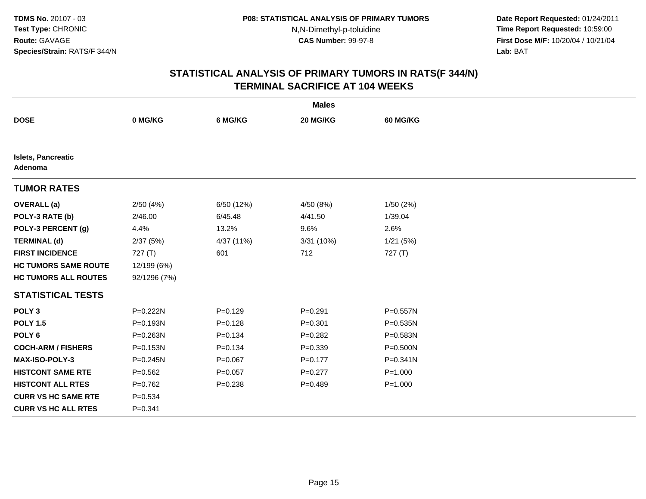**Date Report Requested:** 01/24/2011 **Time Report Requested:** 10:59:00 **First Dose M/F:** 10/20/04 / 10/21/04<br>**Lab:** BAT **Lab:** BAT

|                                      |              |             | <b>Males</b> |              |  |
|--------------------------------------|--------------|-------------|--------------|--------------|--|
| <b>DOSE</b>                          | 0 MG/KG      | 6 MG/KG     | 20 MG/KG     | 60 MG/KG     |  |
|                                      |              |             |              |              |  |
| <b>Islets, Pancreatic</b><br>Adenoma |              |             |              |              |  |
| <b>TUMOR RATES</b>                   |              |             |              |              |  |
| <b>OVERALL</b> (a)                   | 2/50(4%)     | 6/50 (12%)  | 4/50 (8%)    | 1/50(2%)     |  |
| POLY-3 RATE (b)                      | 2/46.00      | 6/45.48     | 4/41.50      | 1/39.04      |  |
| POLY-3 PERCENT (g)                   | 4.4%         | 13.2%       | 9.6%         | 2.6%         |  |
| <b>TERMINAL (d)</b>                  | 2/37(5%)     | 4/37 (11%)  | 3/31 (10%)   | 1/21(5%)     |  |
| <b>FIRST INCIDENCE</b>               | 727(T)       | 601         | 712          | 727 (T)      |  |
| <b>HC TUMORS SAME ROUTE</b>          | 12/199 (6%)  |             |              |              |  |
| <b>HC TUMORS ALL ROUTES</b>          | 92/1296 (7%) |             |              |              |  |
| <b>STATISTICAL TESTS</b>             |              |             |              |              |  |
| POLY <sub>3</sub>                    | P=0.222N     | $P = 0.129$ | $P = 0.291$  | P=0.557N     |  |
| <b>POLY 1.5</b>                      | P=0.193N     | $P = 0.128$ | $P = 0.301$  | $P = 0.535N$ |  |
| POLY <sub>6</sub>                    | P=0.263N     | $P = 0.134$ | $P = 0.282$  | P=0.583N     |  |
| <b>COCH-ARM / FISHERS</b>            | $P = 0.153N$ | $P = 0.134$ | $P = 0.339$  | $P = 0.500N$ |  |
| <b>MAX-ISO-POLY-3</b>                | $P = 0.245N$ | $P = 0.067$ | $P=0.177$    | $P = 0.341N$ |  |
| <b>HISTCONT SAME RTE</b>             | $P=0.562$    | $P = 0.057$ | $P=0.277$    | $P = 1.000$  |  |
| <b>HISTCONT ALL RTES</b>             | $P=0.762$    | $P = 0.238$ | $P=0.489$    | $P = 1.000$  |  |
| <b>CURR VS HC SAME RTE</b>           | $P = 0.534$  |             |              |              |  |
| <b>CURR VS HC ALL RTES</b>           | $P = 0.341$  |             |              |              |  |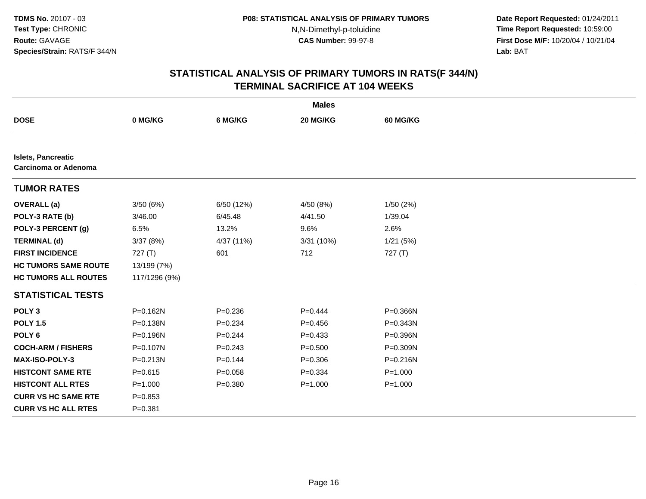**Date Report Requested:** 01/24/2011 **Time Report Requested:** 10:59:00 **First Dose M/F:** 10/20/04 / 10/21/04<br>**Lab:** BAT **Lab:** BAT

|                                                   |               |             | <b>Males</b> |                 |
|---------------------------------------------------|---------------|-------------|--------------|-----------------|
| <b>DOSE</b>                                       | 0 MG/KG       | 6 MG/KG     | 20 MG/KG     | <b>60 MG/KG</b> |
|                                                   |               |             |              |                 |
| <b>Islets, Pancreatic</b><br>Carcinoma or Adenoma |               |             |              |                 |
| <b>TUMOR RATES</b>                                |               |             |              |                 |
| <b>OVERALL</b> (a)                                | 3/50(6%)      | 6/50 (12%)  | 4/50(8%)     | 1/50(2%)        |
| POLY-3 RATE (b)                                   | 3/46.00       | 6/45.48     | 4/41.50      | 1/39.04         |
| POLY-3 PERCENT (g)                                | 6.5%          | 13.2%       | 9.6%         | 2.6%            |
| <b>TERMINAL (d)</b>                               | 3/37(8%)      | 4/37 (11%)  | 3/31 (10%)   | 1/21(5%)        |
| <b>FIRST INCIDENCE</b>                            | 727(T)        | 601         | 712          | 727(T)          |
| <b>HC TUMORS SAME ROUTE</b>                       | 13/199 (7%)   |             |              |                 |
| <b>HC TUMORS ALL ROUTES</b>                       | 117/1296 (9%) |             |              |                 |
| <b>STATISTICAL TESTS</b>                          |               |             |              |                 |
| POLY <sub>3</sub>                                 | $P = 0.162N$  | $P = 0.236$ | $P=0.444$    | $P = 0.366N$    |
| <b>POLY 1.5</b>                                   | P=0.138N      | $P = 0.234$ | $P=0.456$    | $P = 0.343N$    |
| POLY <sub>6</sub>                                 | P=0.196N      | $P = 0.244$ | $P = 0.433$  | P=0.396N        |
| <b>COCH-ARM / FISHERS</b>                         | P=0.107N      | $P=0.243$   | $P = 0.500$  | P=0.309N        |
| <b>MAX-ISO-POLY-3</b>                             | $P = 0.213N$  | $P=0.144$   | $P = 0.306$  | $P = 0.216N$    |
| <b>HISTCONT SAME RTE</b>                          | $P = 0.615$   | $P = 0.058$ | $P = 0.334$  | $P = 1.000$     |
| <b>HISTCONT ALL RTES</b>                          | $P = 1.000$   | $P = 0.380$ | $P = 1.000$  | $P = 1.000$     |
| <b>CURR VS HC SAME RTE</b>                        | $P = 0.853$   |             |              |                 |
| <b>CURR VS HC ALL RTES</b>                        | $P = 0.381$   |             |              |                 |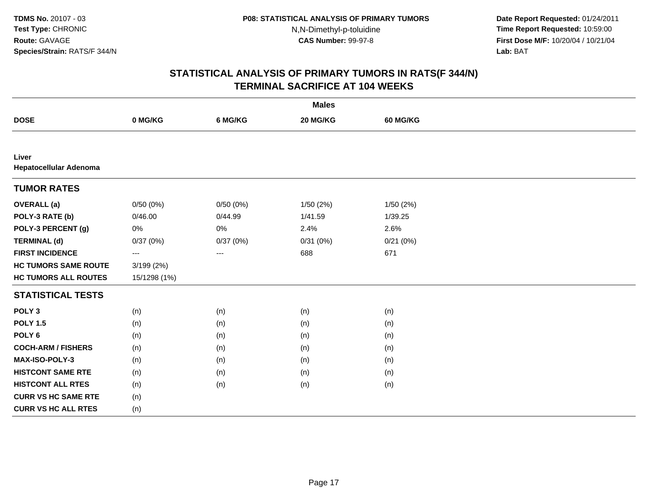**Date Report Requested:** 01/24/2011 **Time Report Requested:** 10:59:00 **First Dose M/F:** 10/20/04 / 10/21/04<br>**Lab:** BAT **Lab:** BAT

|                                 |                   |          | <b>Males</b> |                 |
|---------------------------------|-------------------|----------|--------------|-----------------|
| <b>DOSE</b>                     | 0 MG/KG           | 6 MG/KG  | 20 MG/KG     | <b>60 MG/KG</b> |
|                                 |                   |          |              |                 |
| Liver<br>Hepatocellular Adenoma |                   |          |              |                 |
| <b>TUMOR RATES</b>              |                   |          |              |                 |
| <b>OVERALL</b> (a)              | 0/50(0%)          | 0/50(0%) | 1/50 (2%)    | 1/50(2%)        |
| POLY-3 RATE (b)                 | 0/46.00           | 0/44.99  | 1/41.59      | 1/39.25         |
| POLY-3 PERCENT (g)              | 0%                | $0\%$    | 2.4%         | 2.6%            |
| <b>TERMINAL (d)</b>             | 0/37(0%)          | 0/37(0%) | 0/31(0%)     | 0/21(0%)        |
| <b>FIRST INCIDENCE</b>          | $\qquad \qquad -$ | ---      | 688          | 671             |
| <b>HC TUMORS SAME ROUTE</b>     | 3/199(2%)         |          |              |                 |
| <b>HC TUMORS ALL ROUTES</b>     | 15/1298 (1%)      |          |              |                 |
| <b>STATISTICAL TESTS</b>        |                   |          |              |                 |
| POLY <sub>3</sub>               | (n)               | (n)      | (n)          | (n)             |
| <b>POLY 1.5</b>                 | (n)               | (n)      | (n)          | (n)             |
| POLY <sub>6</sub>               | (n)               | (n)      | (n)          | (n)             |
| <b>COCH-ARM / FISHERS</b>       | (n)               | (n)      | (n)          | (n)             |
| MAX-ISO-POLY-3                  | (n)               | (n)      | (n)          | (n)             |
| <b>HISTCONT SAME RTE</b>        | (n)               | (n)      | (n)          | (n)             |
| <b>HISTCONT ALL RTES</b>        | (n)               | (n)      | (n)          | (n)             |
| <b>CURR VS HC SAME RTE</b>      | (n)               |          |              |                 |
| <b>CURR VS HC ALL RTES</b>      | (n)               |          |              |                 |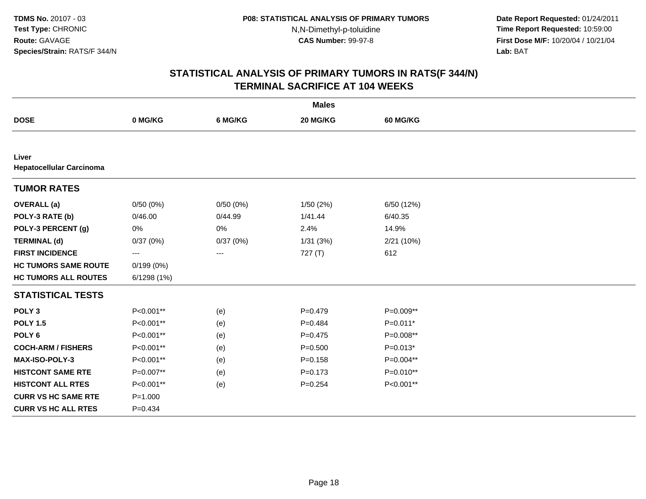**Date Report Requested:** 01/24/2011 **Time Report Requested:** 10:59:00 **First Dose M/F:** 10/20/04 / 10/21/04<br>**Lab:** BAT **Lab:** BAT

|                                          |             |          | <b>Males</b> |             |  |
|------------------------------------------|-------------|----------|--------------|-------------|--|
| <b>DOSE</b>                              | 0 MG/KG     | 6 MG/KG  | 20 MG/KG     | 60 MG/KG    |  |
|                                          |             |          |              |             |  |
| Liver<br><b>Hepatocellular Carcinoma</b> |             |          |              |             |  |
| <b>TUMOR RATES</b>                       |             |          |              |             |  |
| <b>OVERALL</b> (a)                       | 0/50(0%)    | 0/50(0%) | 1/50(2%)     | 6/50 (12%)  |  |
| POLY-3 RATE (b)                          | 0/46.00     | 0/44.99  | 1/41.44      | 6/40.35     |  |
| POLY-3 PERCENT (g)                       | 0%          | 0%       | 2.4%         | 14.9%       |  |
| <b>TERMINAL (d)</b>                      | 0/37(0%)    | 0/37(0%) | 1/31(3%)     | 2/21 (10%)  |  |
| <b>FIRST INCIDENCE</b>                   | ---         | ---      | 727(T)       | 612         |  |
| <b>HC TUMORS SAME ROUTE</b>              | 0/199(0%)   |          |              |             |  |
| <b>HC TUMORS ALL ROUTES</b>              | 6/1298 (1%) |          |              |             |  |
| <b>STATISTICAL TESTS</b>                 |             |          |              |             |  |
| POLY <sub>3</sub>                        | P<0.001**   | (e)      | $P=0.479$    | P=0.009**   |  |
| <b>POLY 1.5</b>                          | P<0.001**   | (e)      | $P=0.484$    | $P=0.011*$  |  |
| POLY <sub>6</sub>                        | P<0.001**   | (e)      | $P = 0.475$  | P=0.008**   |  |
| <b>COCH-ARM / FISHERS</b>                | P<0.001**   | (e)      | $P = 0.500$  | $P=0.013*$  |  |
| <b>MAX-ISO-POLY-3</b>                    | P<0.001**   | (e)      | $P = 0.158$  | P=0.004**   |  |
| <b>HISTCONT SAME RTE</b>                 | P=0.007**   | (e)      | $P = 0.173$  | $P=0.010**$ |  |
| <b>HISTCONT ALL RTES</b>                 | P<0.001**   | (e)      | $P = 0.254$  | P<0.001**   |  |
| <b>CURR VS HC SAME RTE</b>               | $P = 1.000$ |          |              |             |  |
| <b>CURR VS HC ALL RTES</b>               | $P = 0.434$ |          |              |             |  |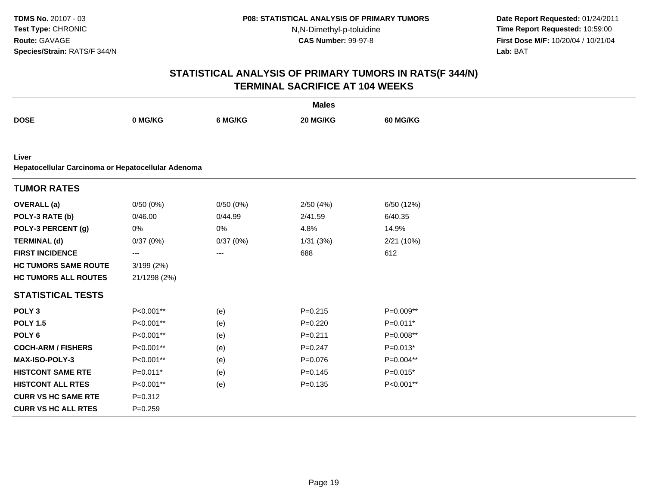**Date Report Requested:** 01/24/2011 **Time Report Requested:** 10:59:00 **First Dose M/F:** 10/20/04 / 10/21/04<br>**Lab:** BAT **Lab:** BAT

|                                                             |              |          | <b>Males</b> |                 |  |
|-------------------------------------------------------------|--------------|----------|--------------|-----------------|--|
| <b>DOSE</b>                                                 | 0 MG/KG      | 6 MG/KG  | 20 MG/KG     | <b>60 MG/KG</b> |  |
|                                                             |              |          |              |                 |  |
| Liver<br>Hepatocellular Carcinoma or Hepatocellular Adenoma |              |          |              |                 |  |
| <b>TUMOR RATES</b>                                          |              |          |              |                 |  |
| <b>OVERALL</b> (a)                                          | 0/50(0%)     | 0/50(0%) | 2/50(4%)     | 6/50 (12%)      |  |
| POLY-3 RATE (b)                                             | 0/46.00      | 0/44.99  | 2/41.59      | 6/40.35         |  |
| POLY-3 PERCENT (g)                                          | 0%           | 0%       | 4.8%         | 14.9%           |  |
| <b>TERMINAL (d)</b>                                         | 0/37(0%)     | 0/37(0%) | 1/31(3%)     | 2/21 (10%)      |  |
| <b>FIRST INCIDENCE</b>                                      | ---          | ---      | 688          | 612             |  |
| <b>HC TUMORS SAME ROUTE</b>                                 | 3/199(2%)    |          |              |                 |  |
| <b>HC TUMORS ALL ROUTES</b>                                 | 21/1298 (2%) |          |              |                 |  |
| <b>STATISTICAL TESTS</b>                                    |              |          |              |                 |  |
| POLY <sub>3</sub>                                           | P<0.001**    | (e)      | $P = 0.215$  | P=0.009**       |  |
| <b>POLY 1.5</b>                                             | P<0.001**    | (e)      | $P=0.220$    | $P=0.011*$      |  |
| POLY <sub>6</sub>                                           | P<0.001**    | (e)      | $P = 0.211$  | P=0.008**       |  |
| <b>COCH-ARM / FISHERS</b>                                   | P<0.001**    | (e)      | $P = 0.247$  | $P=0.013*$      |  |
| <b>MAX-ISO-POLY-3</b>                                       | P<0.001**    | (e)      | $P = 0.076$  | P=0.004**       |  |
| <b>HISTCONT SAME RTE</b>                                    | $P=0.011*$   | (e)      | $P=0.145$    | $P=0.015*$      |  |
| <b>HISTCONT ALL RTES</b>                                    | P<0.001**    | (e)      | $P = 0.135$  | P<0.001**       |  |
| <b>CURR VS HC SAME RTE</b>                                  | $P = 0.312$  |          |              |                 |  |
| <b>CURR VS HC ALL RTES</b>                                  | $P = 0.259$  |          |              |                 |  |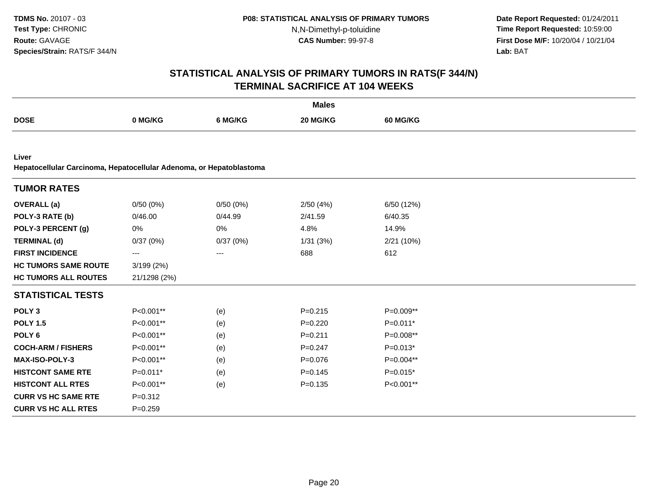**Date Report Requested:** 01/24/2011 **Time Report Requested:** 10:59:00 **First Dose M/F:** 10/20/04 / 10/21/04<br>**Lab:** BAT **Lab:** BAT

|                                                                              |              |          | <b>Males</b> |                 |  |
|------------------------------------------------------------------------------|--------------|----------|--------------|-----------------|--|
| <b>DOSE</b>                                                                  | 0 MG/KG      | 6 MG/KG  | 20 MG/KG     | <b>60 MG/KG</b> |  |
|                                                                              |              |          |              |                 |  |
| Liver<br>Hepatocellular Carcinoma, Hepatocellular Adenoma, or Hepatoblastoma |              |          |              |                 |  |
| <b>TUMOR RATES</b>                                                           |              |          |              |                 |  |
| <b>OVERALL</b> (a)                                                           | 0/50(0%)     | 0/50(0%) | 2/50(4%)     | 6/50 (12%)      |  |
| POLY-3 RATE (b)                                                              | 0/46.00      | 0/44.99  | 2/41.59      | 6/40.35         |  |
| POLY-3 PERCENT (g)                                                           | 0%           | 0%       | 4.8%         | 14.9%           |  |
| <b>TERMINAL (d)</b>                                                          | 0/37(0%)     | 0/37(0%) | 1/31(3%)     | 2/21 (10%)      |  |
| <b>FIRST INCIDENCE</b>                                                       | ---          | ---      | 688          | 612             |  |
| <b>HC TUMORS SAME ROUTE</b>                                                  | 3/199(2%)    |          |              |                 |  |
| <b>HC TUMORS ALL ROUTES</b>                                                  | 21/1298 (2%) |          |              |                 |  |
| <b>STATISTICAL TESTS</b>                                                     |              |          |              |                 |  |
| POLY <sub>3</sub>                                                            | P<0.001**    | (e)      | $P = 0.215$  | P=0.009**       |  |
| <b>POLY 1.5</b>                                                              | P<0.001**    | (e)      | $P=0.220$    | $P=0.011*$      |  |
| POLY <sub>6</sub>                                                            | P<0.001**    | (e)      | $P = 0.211$  | P=0.008**       |  |
| <b>COCH-ARM / FISHERS</b>                                                    | P<0.001**    | (e)      | $P=0.247$    | $P=0.013*$      |  |
| MAX-ISO-POLY-3                                                               | P<0.001**    | (e)      | $P = 0.076$  | P=0.004**       |  |
| <b>HISTCONT SAME RTE</b>                                                     | $P=0.011*$   | (e)      | $P=0.145$    | $P=0.015*$      |  |
| <b>HISTCONT ALL RTES</b>                                                     | P<0.001**    | (e)      | $P=0.135$    | P<0.001**       |  |
| <b>CURR VS HC SAME RTE</b>                                                   | $P = 0.312$  |          |              |                 |  |
| <b>CURR VS HC ALL RTES</b>                                                   | $P = 0.259$  |          |              |                 |  |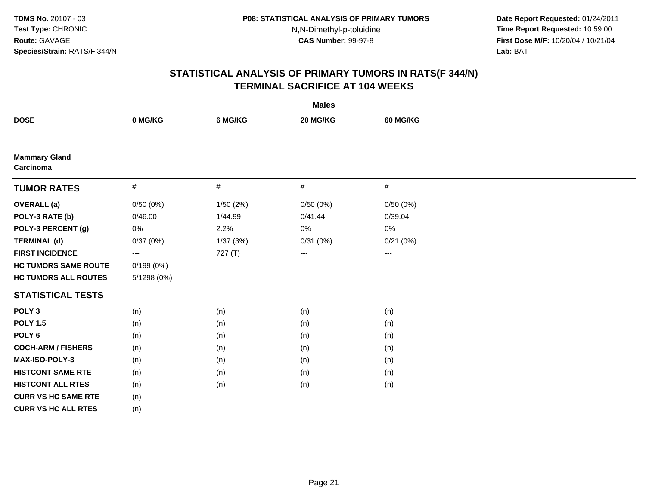**Date Report Requested:** 01/24/2011 **Time Report Requested:** 10:59:00 **First Dose M/F:** 10/20/04 / 10/21/04<br>**Lab:** BAT **Lab:** BAT

|                                   |             |           | <b>Males</b> |                 |  |
|-----------------------------------|-------------|-----------|--------------|-----------------|--|
| <b>DOSE</b>                       | 0 MG/KG     | 6 MG/KG   | 20 MG/KG     | <b>60 MG/KG</b> |  |
|                                   |             |           |              |                 |  |
| <b>Mammary Gland</b><br>Carcinoma |             |           |              |                 |  |
| <b>TUMOR RATES</b>                | $\#$        | $\#$      | #            | #               |  |
| <b>OVERALL</b> (a)                | 0/50(0%)    | 1/50 (2%) | 0/50(0%)     | 0/50(0%)        |  |
| POLY-3 RATE (b)                   | 0/46.00     | 1/44.99   | 0/41.44      | 0/39.04         |  |
| POLY-3 PERCENT (g)                | 0%          | 2.2%      | 0%           | 0%              |  |
| <b>TERMINAL (d)</b>               | 0/37(0%)    | 1/37(3%)  | 0/31(0%)     | 0/21(0%)        |  |
| <b>FIRST INCIDENCE</b>            | ---         | 727(T)    | $\cdots$     | $\cdots$        |  |
| <b>HC TUMORS SAME ROUTE</b>       | 0/199(0%)   |           |              |                 |  |
| <b>HC TUMORS ALL ROUTES</b>       | 5/1298 (0%) |           |              |                 |  |
| <b>STATISTICAL TESTS</b>          |             |           |              |                 |  |
| POLY <sub>3</sub>                 | (n)         | (n)       | (n)          | (n)             |  |
| <b>POLY 1.5</b>                   | (n)         | (n)       | (n)          | (n)             |  |
| POLY <sub>6</sub>                 | (n)         | (n)       | (n)          | (n)             |  |
| <b>COCH-ARM / FISHERS</b>         | (n)         | (n)       | (n)          | (n)             |  |
| MAX-ISO-POLY-3                    | (n)         | (n)       | (n)          | (n)             |  |
| <b>HISTCONT SAME RTE</b>          | (n)         | (n)       | (n)          | (n)             |  |
| <b>HISTCONT ALL RTES</b>          | (n)         | (n)       | (n)          | (n)             |  |
| <b>CURR VS HC SAME RTE</b>        | (n)         |           |              |                 |  |
| <b>CURR VS HC ALL RTES</b>        | (n)         |           |              |                 |  |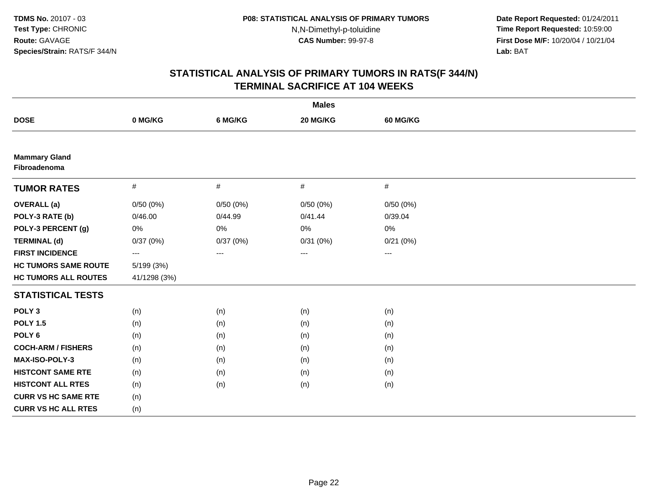**Date Report Requested:** 01/24/2011 **Time Report Requested:** 10:59:00 **First Dose M/F:** 10/20/04 / 10/21/04<br>**Lab:** BAT **Lab:** BAT

|                                      |              |          | <b>Males</b> |          |  |
|--------------------------------------|--------------|----------|--------------|----------|--|
| <b>DOSE</b>                          | 0 MG/KG      | 6 MG/KG  | 20 MG/KG     | 60 MG/KG |  |
|                                      |              |          |              |          |  |
| <b>Mammary Gland</b><br>Fibroadenoma |              |          |              |          |  |
| <b>TUMOR RATES</b>                   | $\#$         | $\#$     | #            | $\#$     |  |
| <b>OVERALL</b> (a)                   | 0/50(0%)     | 0/50(0%) | 0/50(0%)     | 0/50(0%) |  |
| POLY-3 RATE (b)                      | 0/46.00      | 0/44.99  | 0/41.44      | 0/39.04  |  |
| POLY-3 PERCENT (g)                   | 0%           | 0%       | 0%           | 0%       |  |
| <b>TERMINAL (d)</b>                  | 0/37(0%)     | 0/37(0%) | 0/31(0%)     | 0/21(0%) |  |
| <b>FIRST INCIDENCE</b>               | $--$         | ---      | ---          | $--$     |  |
| <b>HC TUMORS SAME ROUTE</b>          | 5/199 (3%)   |          |              |          |  |
| <b>HC TUMORS ALL ROUTES</b>          | 41/1298 (3%) |          |              |          |  |
| <b>STATISTICAL TESTS</b>             |              |          |              |          |  |
| POLY <sub>3</sub>                    | (n)          | (n)      | (n)          | (n)      |  |
| <b>POLY 1.5</b>                      | (n)          | (n)      | (n)          | (n)      |  |
| POLY <sub>6</sub>                    | (n)          | (n)      | (n)          | (n)      |  |
| <b>COCH-ARM / FISHERS</b>            | (n)          | (n)      | (n)          | (n)      |  |
| <b>MAX-ISO-POLY-3</b>                | (n)          | (n)      | (n)          | (n)      |  |
| <b>HISTCONT SAME RTE</b>             | (n)          | (n)      | (n)          | (n)      |  |
| <b>HISTCONT ALL RTES</b>             | (n)          | (n)      | (n)          | (n)      |  |
| <b>CURR VS HC SAME RTE</b>           | (n)          |          |              |          |  |
| <b>CURR VS HC ALL RTES</b>           | (n)          |          |              |          |  |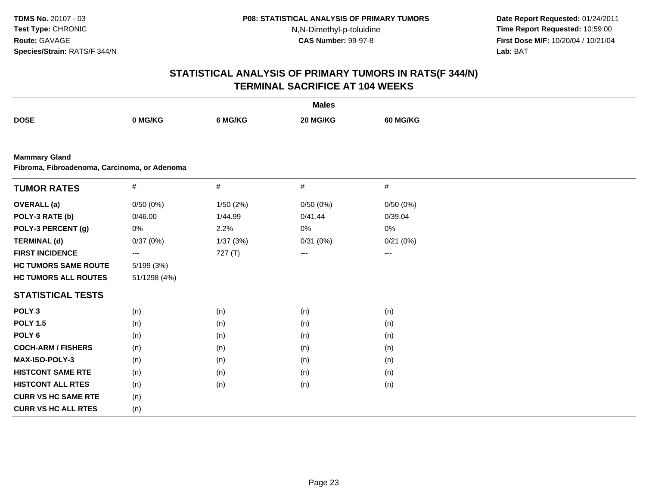**Date Report Requested:** 01/24/2011 **Time Report Requested:** 10:59:00 **First Dose M/F:** 10/20/04 / 10/21/04<br>**Lab:** BAT **Lab:** BAT

|                                                                      |              |          | <b>Males</b>      |                        |  |
|----------------------------------------------------------------------|--------------|----------|-------------------|------------------------|--|
| <b>DOSE</b>                                                          | 0 MG/KG      | 6 MG/KG  | 20 MG/KG          | <b>60 MG/KG</b>        |  |
|                                                                      |              |          |                   |                        |  |
| <b>Mammary Gland</b><br>Fibroma, Fibroadenoma, Carcinoma, or Adenoma |              |          |                   |                        |  |
| <b>TUMOR RATES</b>                                                   | $\#$         | $\#$     | $\#$              | $\#$                   |  |
| <b>OVERALL</b> (a)                                                   | 0/50(0%)     | 1/50(2%) | 0/50(0%)          | 0/50(0%)               |  |
| POLY-3 RATE (b)                                                      | 0/46.00      | 1/44.99  | 0/41.44           | 0/39.04                |  |
| POLY-3 PERCENT (g)                                                   | $0\%$        | 2.2%     | 0%                | 0%                     |  |
| <b>TERMINAL (d)</b>                                                  | 0/37(0%)     | 1/37(3%) | 0/31(0%)          | 0/21(0%)               |  |
| <b>FIRST INCIDENCE</b>                                               | ---          | 727(T)   | $\qquad \qquad -$ | $\qquad \qquad \cdots$ |  |
| <b>HC TUMORS SAME ROUTE</b>                                          | 5/199(3%)    |          |                   |                        |  |
| <b>HC TUMORS ALL ROUTES</b>                                          | 51/1298 (4%) |          |                   |                        |  |
| <b>STATISTICAL TESTS</b>                                             |              |          |                   |                        |  |
| POLY <sub>3</sub>                                                    | (n)          | (n)      | (n)               | (n)                    |  |
| <b>POLY 1.5</b>                                                      | (n)          | (n)      | (n)               | (n)                    |  |
| POLY <sub>6</sub>                                                    | (n)          | (n)      | (n)               | (n)                    |  |
| <b>COCH-ARM / FISHERS</b>                                            | (n)          | (n)      | (n)               | (n)                    |  |
| <b>MAX-ISO-POLY-3</b>                                                | (n)          | (n)      | (n)               | (n)                    |  |
| <b>HISTCONT SAME RTE</b>                                             | (n)          | (n)      | (n)               | (n)                    |  |
| <b>HISTCONT ALL RTES</b>                                             | (n)          | (n)      | (n)               | (n)                    |  |
| <b>CURR VS HC SAME RTE</b>                                           | (n)          |          |                   |                        |  |
| <b>CURR VS HC ALL RTES</b>                                           | (n)          |          |                   |                        |  |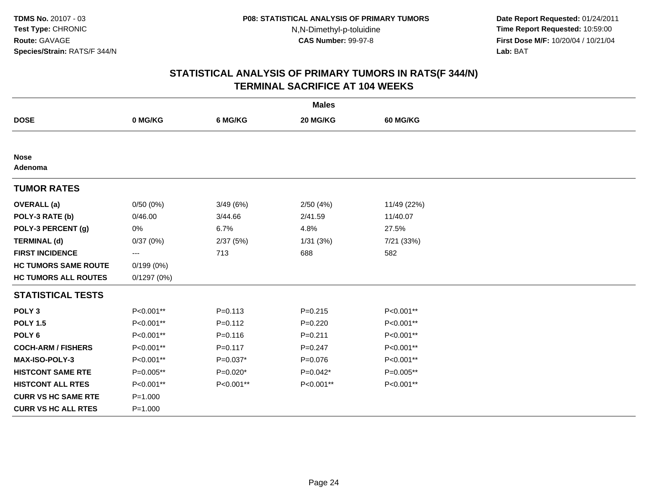**Date Report Requested:** 01/24/2011 **Time Report Requested:** 10:59:00 **First Dose M/F:** 10/20/04 / 10/21/04<br>**Lab:** BAT **Lab:** BAT

|                             |             |             | <b>Males</b> |             |  |
|-----------------------------|-------------|-------------|--------------|-------------|--|
| <b>DOSE</b>                 | 0 MG/KG     | 6 MG/KG     | 20 MG/KG     | 60 MG/KG    |  |
|                             |             |             |              |             |  |
| <b>Nose</b><br>Adenoma      |             |             |              |             |  |
| <b>TUMOR RATES</b>          |             |             |              |             |  |
| <b>OVERALL</b> (a)          | 0/50(0%)    | 3/49(6%)    | 2/50(4%)     | 11/49 (22%) |  |
| POLY-3 RATE (b)             | 0/46.00     | 3/44.66     | 2/41.59      | 11/40.07    |  |
| POLY-3 PERCENT (g)          | 0%          | 6.7%        | 4.8%         | 27.5%       |  |
| <b>TERMINAL (d)</b>         | 0/37(0%)    | 2/37(5%)    | 1/31(3%)     | 7/21 (33%)  |  |
| <b>FIRST INCIDENCE</b>      | ---         | 713         | 688          | 582         |  |
| <b>HC TUMORS SAME ROUTE</b> | 0/199(0%)   |             |              |             |  |
| <b>HC TUMORS ALL ROUTES</b> | 0/1297(0%)  |             |              |             |  |
| <b>STATISTICAL TESTS</b>    |             |             |              |             |  |
| POLY <sub>3</sub>           | P<0.001**   | $P = 0.113$ | $P = 0.215$  | P<0.001**   |  |
| <b>POLY 1.5</b>             | P<0.001**   | $P = 0.112$ | $P=0.220$    | P<0.001**   |  |
| POLY <sub>6</sub>           | P<0.001**   | $P = 0.116$ | $P = 0.211$  | P<0.001**   |  |
| <b>COCH-ARM / FISHERS</b>   | P<0.001**   | $P = 0.117$ | $P=0.247$    | P<0.001**   |  |
| <b>MAX-ISO-POLY-3</b>       | P<0.001**   | $P=0.037*$  | $P = 0.076$  | P<0.001**   |  |
| <b>HISTCONT SAME RTE</b>    | $P=0.005**$ | $P=0.020*$  | $P=0.042*$   | $P=0.005**$ |  |
| <b>HISTCONT ALL RTES</b>    | P<0.001**   | P<0.001**   | P<0.001**    | P<0.001**   |  |
| <b>CURR VS HC SAME RTE</b>  | $P = 1.000$ |             |              |             |  |
| <b>CURR VS HC ALL RTES</b>  | $P = 1.000$ |             |              |             |  |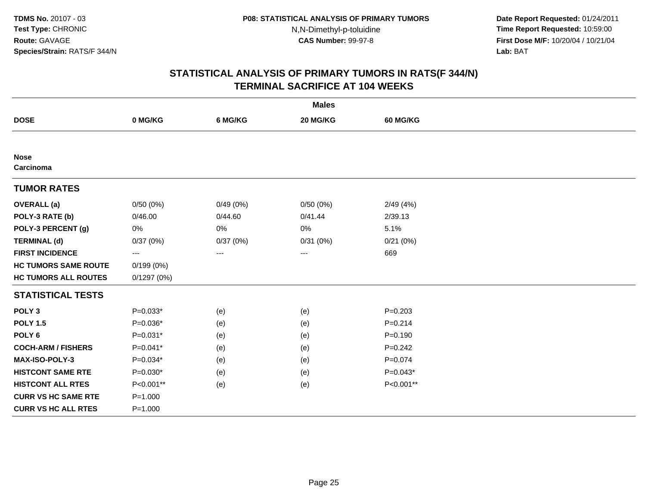**Date Report Requested:** 01/24/2011 **Time Report Requested:** 10:59:00 **First Dose M/F:** 10/20/04 / 10/21/04<br>**Lab:** BAT **Lab:** BAT

|                             |                   |          | <b>Males</b> |                 |  |
|-----------------------------|-------------------|----------|--------------|-----------------|--|
| <b>DOSE</b>                 | 0 MG/KG           | 6 MG/KG  | 20 MG/KG     | <b>60 MG/KG</b> |  |
|                             |                   |          |              |                 |  |
| <b>Nose</b><br>Carcinoma    |                   |          |              |                 |  |
| <b>TUMOR RATES</b>          |                   |          |              |                 |  |
| <b>OVERALL</b> (a)          | 0/50(0%)          | 0/49(0%) | 0/50(0%)     | 2/49(4%)        |  |
| POLY-3 RATE (b)             | 0/46.00           | 0/44.60  | 0/41.44      | 2/39.13         |  |
| POLY-3 PERCENT (g)          | 0%                | $0\%$    | 0%           | 5.1%            |  |
| <b>TERMINAL (d)</b>         | 0/37(0%)          | 0/37(0%) | 0/31(0%)     | 0/21(0%)        |  |
| <b>FIRST INCIDENCE</b>      | $\qquad \qquad -$ | ---      | $---$        | 669             |  |
| <b>HC TUMORS SAME ROUTE</b> | 0/199(0%)         |          |              |                 |  |
| <b>HC TUMORS ALL ROUTES</b> | 0/1297(0%)        |          |              |                 |  |
| <b>STATISTICAL TESTS</b>    |                   |          |              |                 |  |
| POLY <sub>3</sub>           | $P=0.033*$        | (e)      | (e)          | $P = 0.203$     |  |
| <b>POLY 1.5</b>             | $P=0.036*$        | (e)      | (e)          | $P = 0.214$     |  |
| POLY <sub>6</sub>           | $P=0.031*$        | (e)      | (e)          | $P = 0.190$     |  |
| <b>COCH-ARM / FISHERS</b>   | $P=0.041*$        | (e)      | (e)          | $P = 0.242$     |  |
| <b>MAX-ISO-POLY-3</b>       | $P=0.034*$        | (e)      | (e)          | $P = 0.074$     |  |
| <b>HISTCONT SAME RTE</b>    | $P=0.030*$        | (e)      | (e)          | $P=0.043*$      |  |
| <b>HISTCONT ALL RTES</b>    | P<0.001**         | (e)      | (e)          | P<0.001**       |  |
| <b>CURR VS HC SAME RTE</b>  | $P = 1.000$       |          |              |                 |  |
| <b>CURR VS HC ALL RTES</b>  | $P = 1.000$       |          |              |                 |  |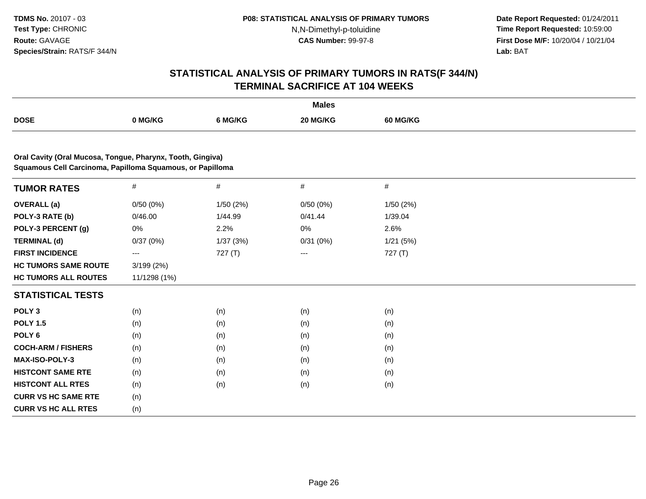**Date Report Requested:** 01/24/2011 **Time Report Requested:** 10:59:00 **First Dose M/F:** 10/20/04 / 10/21/04<br>**Lab:** BAT **Lab:** BAT

|                                                                                                                         |                   |          | <b>Males</b> |          |  |
|-------------------------------------------------------------------------------------------------------------------------|-------------------|----------|--------------|----------|--|
| <b>DOSE</b>                                                                                                             | 0 MG/KG           | 6 MG/KG  | 20 MG/KG     | 60 MG/KG |  |
|                                                                                                                         |                   |          |              |          |  |
| Oral Cavity (Oral Mucosa, Tongue, Pharynx, Tooth, Gingiva)<br>Squamous Cell Carcinoma, Papilloma Squamous, or Papilloma |                   |          |              |          |  |
| <b>TUMOR RATES</b>                                                                                                      | $\#$              | #        | #            | #        |  |
| <b>OVERALL</b> (a)                                                                                                      | 0/50(0%)          | 1/50(2%) | 0/50(0%)     | 1/50(2%) |  |
| POLY-3 RATE (b)                                                                                                         | 0/46.00           | 1/44.99  | 0/41.44      | 1/39.04  |  |
| POLY-3 PERCENT (g)                                                                                                      | 0%                | 2.2%     | 0%           | 2.6%     |  |
| <b>TERMINAL (d)</b>                                                                                                     | 0/37(0%)          | 1/37(3%) | 0/31(0%)     | 1/21(5%) |  |
| <b>FIRST INCIDENCE</b>                                                                                                  | $\qquad \qquad -$ | 727 (T)  | ---          | 727(T)   |  |
| <b>HC TUMORS SAME ROUTE</b>                                                                                             | 3/199(2%)         |          |              |          |  |
| <b>HC TUMORS ALL ROUTES</b>                                                                                             | 11/1298 (1%)      |          |              |          |  |
| <b>STATISTICAL TESTS</b>                                                                                                |                   |          |              |          |  |
| POLY <sub>3</sub>                                                                                                       | (n)               | (n)      | (n)          | (n)      |  |
| <b>POLY 1.5</b>                                                                                                         | (n)               | (n)      | (n)          | (n)      |  |
| POLY <sub>6</sub>                                                                                                       | (n)               | (n)      | (n)          | (n)      |  |
| <b>COCH-ARM / FISHERS</b>                                                                                               | (n)               | (n)      | (n)          | (n)      |  |
| MAX-ISO-POLY-3                                                                                                          | (n)               | (n)      | (n)          | (n)      |  |
| <b>HISTCONT SAME RTE</b>                                                                                                | (n)               | (n)      | (n)          | (n)      |  |
| <b>HISTCONT ALL RTES</b>                                                                                                | (n)               | (n)      | (n)          | (n)      |  |
| <b>CURR VS HC SAME RTE</b>                                                                                              | (n)               |          |              |          |  |
| <b>CURR VS HC ALL RTES</b>                                                                                              | (n)               |          |              |          |  |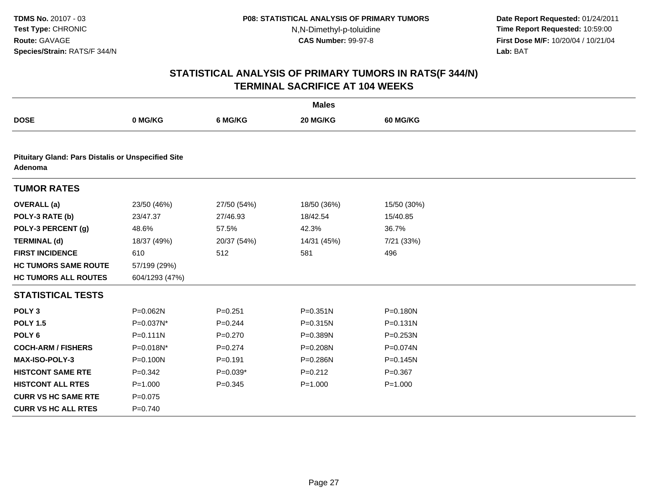**Date Report Requested:** 01/24/2011 **Time Report Requested:** 10:59:00 **First Dose M/F:** 10/20/04 / 10/21/04<br>**Lab:** BAT **Lab:** BAT

|                                                                      |                |             | <b>Males</b> |              |  |
|----------------------------------------------------------------------|----------------|-------------|--------------|--------------|--|
| <b>DOSE</b>                                                          | 0 MG/KG        | 6 MG/KG     | 20 MG/KG     | 60 MG/KG     |  |
|                                                                      |                |             |              |              |  |
| <b>Pituitary Gland: Pars Distalis or Unspecified Site</b><br>Adenoma |                |             |              |              |  |
| <b>TUMOR RATES</b>                                                   |                |             |              |              |  |
| <b>OVERALL</b> (a)                                                   | 23/50 (46%)    | 27/50 (54%) | 18/50 (36%)  | 15/50 (30%)  |  |
| POLY-3 RATE (b)                                                      | 23/47.37       | 27/46.93    | 18/42.54     | 15/40.85     |  |
| POLY-3 PERCENT (g)                                                   | 48.6%          | 57.5%       | 42.3%        | 36.7%        |  |
| <b>TERMINAL (d)</b>                                                  | 18/37 (49%)    | 20/37 (54%) | 14/31 (45%)  | 7/21 (33%)   |  |
| <b>FIRST INCIDENCE</b>                                               | 610            | 512         | 581          | 496          |  |
| <b>HC TUMORS SAME ROUTE</b>                                          | 57/199 (29%)   |             |              |              |  |
| <b>HC TUMORS ALL ROUTES</b>                                          | 604/1293 (47%) |             |              |              |  |
| <b>STATISTICAL TESTS</b>                                             |                |             |              |              |  |
| POLY <sub>3</sub>                                                    | P=0.062N       | $P = 0.251$ | $P = 0.351N$ | P=0.180N     |  |
| <b>POLY 1.5</b>                                                      | P=0.037N*      | $P = 0.244$ | P=0.315N     | $P = 0.131N$ |  |
| POLY <sub>6</sub>                                                    | $P = 0.111N$   | $P = 0.270$ | P=0.389N     | $P = 0.253N$ |  |
| <b>COCH-ARM / FISHERS</b>                                            | P=0.018N*      | $P = 0.274$ | P=0.208N     | P=0.074N     |  |
| <b>MAX-ISO-POLY-3</b>                                                | P=0.100N       | $P=0.191$   | P=0.286N     | $P = 0.145N$ |  |
| <b>HISTCONT SAME RTE</b>                                             | $P=0.342$      | $P=0.039*$  | $P = 0.212$  | $P=0.367$    |  |
| <b>HISTCONT ALL RTES</b>                                             | $P = 1.000$    | $P = 0.345$ | $P = 1.000$  | $P = 1.000$  |  |
| <b>CURR VS HC SAME RTE</b>                                           | $P = 0.075$    |             |              |              |  |
| <b>CURR VS HC ALL RTES</b>                                           | $P = 0.740$    |             |              |              |  |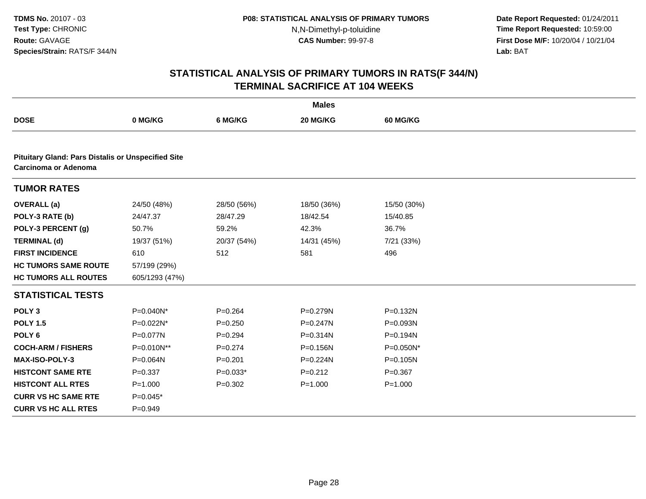**Date Report Requested:** 01/24/2011 **Time Report Requested:** 10:59:00 **First Dose M/F:** 10/20/04 / 10/21/04<br>**Lab:** BAT **Lab:** BAT

|                                                                                   |                |             | <b>Males</b> |                 |  |
|-----------------------------------------------------------------------------------|----------------|-------------|--------------|-----------------|--|
| <b>DOSE</b>                                                                       | 0 MG/KG        | 6 MG/KG     | 20 MG/KG     | <b>60 MG/KG</b> |  |
|                                                                                   |                |             |              |                 |  |
| <b>Pituitary Gland: Pars Distalis or Unspecified Site</b><br>Carcinoma or Adenoma |                |             |              |                 |  |
| <b>TUMOR RATES</b>                                                                |                |             |              |                 |  |
| <b>OVERALL</b> (a)                                                                | 24/50 (48%)    | 28/50 (56%) | 18/50 (36%)  | 15/50 (30%)     |  |
| POLY-3 RATE (b)                                                                   | 24/47.37       | 28/47.29    | 18/42.54     | 15/40.85        |  |
| POLY-3 PERCENT (g)                                                                | 50.7%          | 59.2%       | 42.3%        | 36.7%           |  |
| <b>TERMINAL (d)</b>                                                               | 19/37 (51%)    | 20/37 (54%) | 14/31 (45%)  | 7/21 (33%)      |  |
| <b>FIRST INCIDENCE</b>                                                            | 610            | 512         | 581          | 496             |  |
| <b>HC TUMORS SAME ROUTE</b>                                                       | 57/199 (29%)   |             |              |                 |  |
| <b>HC TUMORS ALL ROUTES</b>                                                       | 605/1293 (47%) |             |              |                 |  |
| <b>STATISTICAL TESTS</b>                                                          |                |             |              |                 |  |
| POLY <sub>3</sub>                                                                 | $P=0.040N^*$   | $P = 0.264$ | P=0.279N     | $P = 0.132N$    |  |
| <b>POLY 1.5</b>                                                                   | P=0.022N*      | $P = 0.250$ | $P = 0.247N$ | P=0.093N        |  |
| POLY <sub>6</sub>                                                                 | P=0.077N       | $P=0.294$   | P=0.314N     | P=0.194N        |  |
| <b>COCH-ARM / FISHERS</b>                                                         | P=0.010N**     | $P = 0.274$ | P=0.156N     | P=0.050N*       |  |
| <b>MAX-ISO-POLY-3</b>                                                             | P=0.064N       | $P = 0.201$ | P=0.224N     | P=0.105N        |  |
| <b>HISTCONT SAME RTE</b>                                                          | $P = 0.337$    | $P=0.033*$  | $P = 0.212$  | $P = 0.367$     |  |
| <b>HISTCONT ALL RTES</b>                                                          | $P = 1.000$    | $P=0.302$   | $P = 1.000$  | $P = 1.000$     |  |
| <b>CURR VS HC SAME RTE</b>                                                        | $P=0.045*$     |             |              |                 |  |
| <b>CURR VS HC ALL RTES</b>                                                        | $P=0.949$      |             |              |                 |  |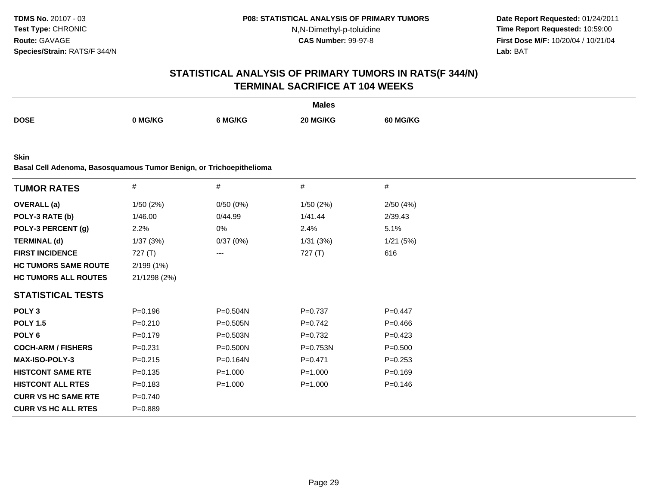**Date Report Requested:** 01/24/2011 **Time Report Requested:** 10:59:00 **First Dose M/F:** 10/20/04 / 10/21/04<br>**Lab:** BAT **Lab:** BAT

|                                                                             |              |              | <b>Males</b> |                 |  |
|-----------------------------------------------------------------------------|--------------|--------------|--------------|-----------------|--|
| <b>DOSE</b>                                                                 | 0 MG/KG      | 6 MG/KG      | 20 MG/KG     | <b>60 MG/KG</b> |  |
|                                                                             |              |              |              |                 |  |
| Skin<br>Basal Cell Adenoma, Basosquamous Tumor Benign, or Trichoepithelioma |              |              |              |                 |  |
| <b>TUMOR RATES</b>                                                          | $\#$         | $\#$         | $\#$         | $\#$            |  |
| <b>OVERALL</b> (a)                                                          | 1/50(2%)     | 0/50(0%)     | 1/50(2%)     | 2/50(4%)        |  |
| POLY-3 RATE (b)                                                             | 1/46.00      | 0/44.99      | 1/41.44      | 2/39.43         |  |
| POLY-3 PERCENT (g)                                                          | 2.2%         | 0%           | 2.4%         | 5.1%            |  |
| <b>TERMINAL (d)</b>                                                         | 1/37(3%)     | 0/37(0%)     | 1/31(3%)     | 1/21(5%)        |  |
| <b>FIRST INCIDENCE</b>                                                      | 727(T)       | ---          | 727 (T)      | 616             |  |
| <b>HC TUMORS SAME ROUTE</b>                                                 | 2/199 (1%)   |              |              |                 |  |
| <b>HC TUMORS ALL ROUTES</b>                                                 | 21/1298 (2%) |              |              |                 |  |
| <b>STATISTICAL TESTS</b>                                                    |              |              |              |                 |  |
| POLY <sub>3</sub>                                                           | $P = 0.196$  | P=0.504N     | $P=0.737$    | $P=0.447$       |  |
| <b>POLY 1.5</b>                                                             | $P = 0.210$  | $P = 0.505N$ | $P=0.742$    | $P=0.466$       |  |
| POLY <sub>6</sub>                                                           | $P = 0.179$  | P=0.503N     | $P=0.732$    | $P=0.423$       |  |
| <b>COCH-ARM / FISHERS</b>                                                   | $P = 0.231$  | P=0.500N     | P=0.753N     | $P = 0.500$     |  |
| MAX-ISO-POLY-3                                                              | $P = 0.215$  | $P = 0.164N$ | $P=0.471$    | $P = 0.253$     |  |
| <b>HISTCONT SAME RTE</b>                                                    | $P = 0.135$  | $P = 1.000$  | $P = 1.000$  | $P = 0.169$     |  |
| <b>HISTCONT ALL RTES</b>                                                    | $P = 0.183$  | $P = 1.000$  | $P = 1.000$  | $P = 0.146$     |  |
| <b>CURR VS HC SAME RTE</b>                                                  | $P = 0.740$  |              |              |                 |  |
| <b>CURR VS HC ALL RTES</b>                                                  | $P = 0.889$  |              |              |                 |  |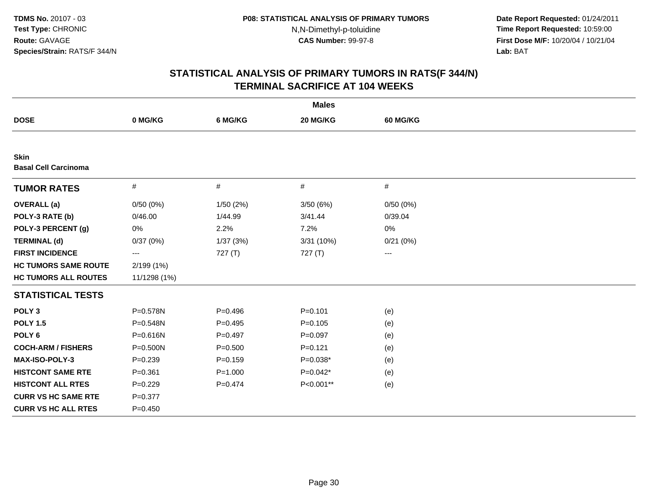**Date Report Requested:** 01/24/2011 **Time Report Requested:** 10:59:00 **First Dose M/F:** 10/20/04 / 10/21/04<br>**Lab:** BAT **Lab:** BAT

| <b>Males</b>                               |              |             |             |                   |  |  |
|--------------------------------------------|--------------|-------------|-------------|-------------------|--|--|
| <b>DOSE</b>                                | 0 MG/KG      | 6 MG/KG     | 20 MG/KG    | 60 MG/KG          |  |  |
|                                            |              |             |             |                   |  |  |
| <b>Skin</b><br><b>Basal Cell Carcinoma</b> |              |             |             |                   |  |  |
| <b>TUMOR RATES</b>                         | $\#$         | $\#$        | $\#$        | #                 |  |  |
| <b>OVERALL</b> (a)                         | 0/50(0%)     | 1/50(2%)    | 3/50(6%)    | 0/50(0%)          |  |  |
| POLY-3 RATE (b)                            | 0/46.00      | 1/44.99     | 3/41.44     | 0/39.04           |  |  |
| POLY-3 PERCENT (g)                         | 0%           | 2.2%        | 7.2%        | 0%                |  |  |
| <b>TERMINAL (d)</b>                        | 0/37(0%)     | 1/37(3%)    | 3/31 (10%)  | 0/21(0%)          |  |  |
| <b>FIRST INCIDENCE</b>                     | ---          | 727(T)      | 727 (T)     | $\qquad \qquad -$ |  |  |
| <b>HC TUMORS SAME ROUTE</b>                | 2/199 (1%)   |             |             |                   |  |  |
| <b>HC TUMORS ALL ROUTES</b>                | 11/1298 (1%) |             |             |                   |  |  |
| <b>STATISTICAL TESTS</b>                   |              |             |             |                   |  |  |
| POLY <sub>3</sub>                          | P=0.578N     | $P = 0.496$ | $P = 0.101$ | (e)               |  |  |
| <b>POLY 1.5</b>                            | P=0.548N     | $P = 0.495$ | $P=0.105$   | (e)               |  |  |
| POLY <sub>6</sub>                          | P=0.616N     | $P=0.497$   | $P = 0.097$ | (e)               |  |  |
| <b>COCH-ARM / FISHERS</b>                  | P=0.500N     | $P = 0.500$ | $P = 0.121$ | (e)               |  |  |
| <b>MAX-ISO-POLY-3</b>                      | $P=0.239$    | $P = 0.159$ | $P=0.038*$  | (e)               |  |  |
| <b>HISTCONT SAME RTE</b>                   | $P = 0.361$  | $P = 1.000$ | $P=0.042*$  | (e)               |  |  |
| <b>HISTCONT ALL RTES</b>                   | $P=0.229$    | $P=0.474$   | P<0.001**   | (e)               |  |  |
| <b>CURR VS HC SAME RTE</b>                 | $P = 0.377$  |             |             |                   |  |  |
| <b>CURR VS HC ALL RTES</b>                 | $P = 0.450$  |             |             |                   |  |  |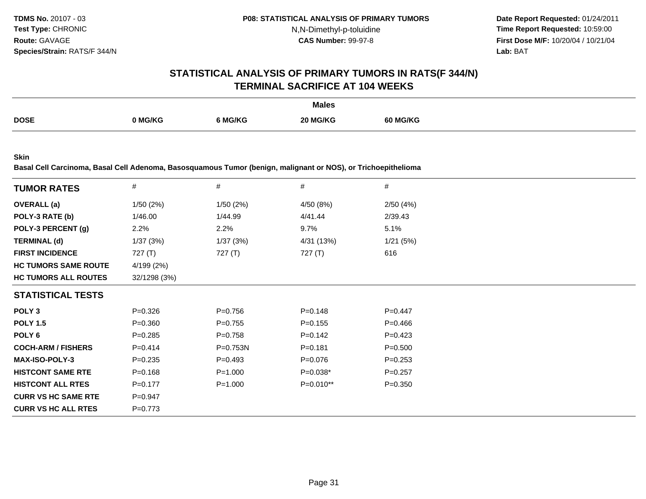**Date Report Requested:** 01/24/2011 **Time Report Requested:** 10:59:00 **First Dose M/F:** 10/20/04 / 10/21/04<br>**Lab:** BAT **Lab:** BAT

#### **STATISTICAL ANALYSIS OF PRIMARY TUMORS IN RATS(F 344/N)TERMINAL SACRIFICE AT 104 WEEKS**

|             |         |        | <b>Males</b> |                 |
|-------------|---------|--------|--------------|-----------------|
| <b>DOSE</b> | ) MG/KG | `MG/KG | 20 MG/KG     | <b>50 MG/KG</b> |

**Skin**

**Basal Cell Carcinoma, Basal Cell Adenoma, Basosquamous Tumor (benign, malignant or NOS), or Trichoepithelioma**

| <b>TUMOR RATES</b>          | $\#$         | $\#$        | #           | #           |
|-----------------------------|--------------|-------------|-------------|-------------|
| <b>OVERALL</b> (a)          | 1/50(2%)     | 1/50(2%)    | 4/50 (8%)   | 2/50(4%)    |
| POLY-3 RATE (b)             | 1/46.00      | 1/44.99     | 4/41.44     | 2/39.43     |
| POLY-3 PERCENT (g)          | 2.2%         | 2.2%        | 9.7%        | 5.1%        |
| <b>TERMINAL (d)</b>         | 1/37(3%)     | 1/37(3%)    | 4/31 (13%)  | 1/21(5%)    |
| <b>FIRST INCIDENCE</b>      | 727 $(T)$    | 727 (T)     | 727 $(T)$   | 616         |
| <b>HC TUMORS SAME ROUTE</b> | 4/199 (2%)   |             |             |             |
| <b>HC TUMORS ALL ROUTES</b> | 32/1298 (3%) |             |             |             |
| <b>STATISTICAL TESTS</b>    |              |             |             |             |
| POLY <sub>3</sub>           | $P = 0.326$  | $P = 0.756$ | $P = 0.148$ | $P = 0.447$ |
| <b>POLY 1.5</b>             | $P = 0.360$  | $P=0.755$   | $P = 0.155$ | $P = 0.466$ |
| POLY 6                      | $P = 0.285$  | $P=0.758$   | $P = 0.142$ | $P = 0.423$ |
| <b>COCH-ARM / FISHERS</b>   | $P = 0.414$  | P=0.753N    | $P = 0.181$ | $P = 0.500$ |
| <b>MAX-ISO-POLY-3</b>       | $P = 0.235$  | $P = 0.493$ | $P = 0.076$ | $P = 0.253$ |
| <b>HISTCONT SAME RTE</b>    | $P = 0.168$  | $P = 1.000$ | $P=0.038*$  | $P = 0.257$ |
| <b>HISTCONT ALL RTES</b>    | $P=0.177$    | $P = 1.000$ | $P=0.010**$ | $P = 0.350$ |
| <b>CURR VS HC SAME RTE</b>  | $P = 0.947$  |             |             |             |
| <b>CURR VS HC ALL RTES</b>  | $P=0.773$    |             |             |             |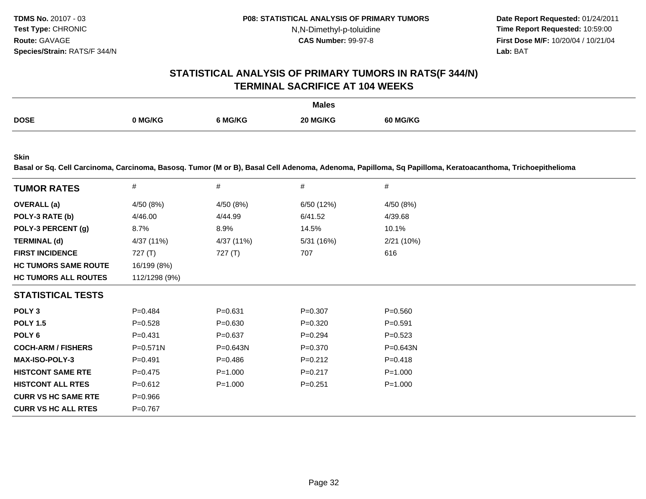**Date Report Requested:** 01/24/2011 **Time Report Requested:** 10:59:00 **First Dose M/F:** 10/20/04 / 10/21/04 Lab: BAT **Lab:** BAT

#### **STATISTICAL ANALYSIS OF PRIMARY TUMORS IN RATS(F 344/N)TERMINAL SACRIFICE AT 104 WEEKS**

|             |         |         | <b>Males</b> |                 |
|-------------|---------|---------|--------------|-----------------|
| <b>DOSE</b> |         |         |              |                 |
|             | 0 MG/KG | 6 MG/KG | 20 MG/KG     | <b>60 MG/KG</b> |
|             |         |         |              |                 |

**Skin**

**Basal or Sq. Cell Carcinoma, Carcinoma, Basosq. Tumor (M or B), Basal Cell Adenoma, Adenoma, Papilloma, Sq Papilloma, Keratoacanthoma, Trichoepithelioma**

| <b>TUMOR RATES</b>          | #             | #            | #           | #            |
|-----------------------------|---------------|--------------|-------------|--------------|
| <b>OVERALL</b> (a)          | 4/50 (8%)     | 4/50 (8%)    | 6/50 (12%)  | 4/50 (8%)    |
| POLY-3 RATE (b)             | 4/46.00       | 4/44.99      | 6/41.52     | 4/39.68      |
| POLY-3 PERCENT (g)          | 8.7%          | 8.9%         | 14.5%       | 10.1%        |
| <b>TERMINAL (d)</b>         | 4/37 (11%)    | 4/37 (11%)   | 5/31(16%)   | 2/21(10%)    |
| <b>FIRST INCIDENCE</b>      | 727 (T)       | 727(T)       | 707         | 616          |
| <b>HC TUMORS SAME ROUTE</b> | 16/199 (8%)   |              |             |              |
| <b>HC TUMORS ALL ROUTES</b> | 112/1298 (9%) |              |             |              |
| <b>STATISTICAL TESTS</b>    |               |              |             |              |
| POLY <sub>3</sub>           | $P=0.484$     | $P = 0.631$  | $P=0.307$   | $P = 0.560$  |
| <b>POLY 1.5</b>             | $P = 0.528$   | $P = 0.630$  | $P = 0.320$ | $P = 0.591$  |
| POLY 6                      | $P=0.431$     | $P=0.637$    | $P=0.294$   | $P=0.523$    |
| <b>COCH-ARM / FISHERS</b>   | $P = 0.571N$  | $P = 0.643N$ | $P=0.370$   | $P = 0.643N$ |
| <b>MAX-ISO-POLY-3</b>       | $P = 0.491$   | $P=0.486$    | $P = 0.212$ | $P = 0.418$  |
| <b>HISTCONT SAME RTE</b>    | $P=0.475$     | $P = 1.000$  | $P = 0.217$ | $P = 1.000$  |
| <b>HISTCONT ALL RTES</b>    | $P = 0.612$   | $P = 1.000$  | $P = 0.251$ | $P = 1.000$  |
| <b>CURR VS HC SAME RTE</b>  | $P=0.966$     |              |             |              |
| <b>CURR VS HC ALL RTES</b>  | $P = 0.767$   |              |             |              |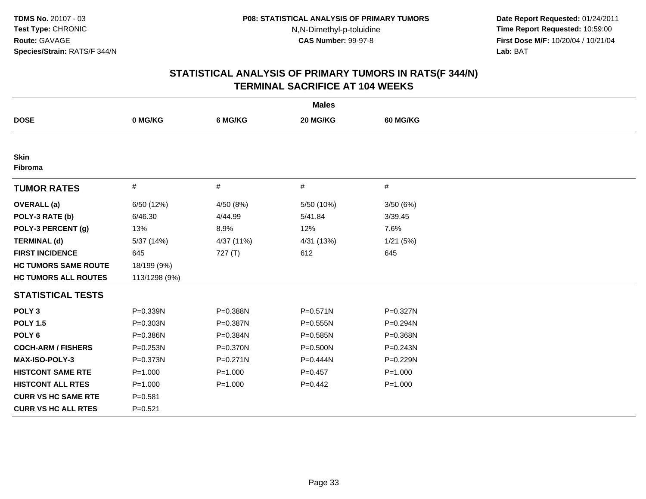**Date Report Requested:** 01/24/2011 **Time Report Requested:** 10:59:00 **First Dose M/F:** 10/20/04 / 10/21/04<br>**Lab:** BAT **Lab:** BAT

| <b>Males</b>                  |               |              |              |              |  |  |  |
|-------------------------------|---------------|--------------|--------------|--------------|--|--|--|
| <b>DOSE</b>                   | 0 MG/KG       | 6 MG/KG      | 20 MG/KG     | 60 MG/KG     |  |  |  |
|                               |               |              |              |              |  |  |  |
| <b>Skin</b><br><b>Fibroma</b> |               |              |              |              |  |  |  |
| <b>TUMOR RATES</b>            | $\#$          | $\#$         | #            | #            |  |  |  |
| <b>OVERALL</b> (a)            | 6/50 (12%)    | 4/50 (8%)    | 5/50 (10%)   | 3/50(6%)     |  |  |  |
| POLY-3 RATE (b)               | 6/46.30       | 4/44.99      | 5/41.84      | 3/39.45      |  |  |  |
| POLY-3 PERCENT (g)            | 13%           | 8.9%         | 12%          | 7.6%         |  |  |  |
| <b>TERMINAL (d)</b>           | 5/37 (14%)    | 4/37 (11%)   | 4/31 (13%)   | 1/21 (5%)    |  |  |  |
| <b>FIRST INCIDENCE</b>        | 645           | 727(T)       | 612          | 645          |  |  |  |
| <b>HC TUMORS SAME ROUTE</b>   | 18/199 (9%)   |              |              |              |  |  |  |
| <b>HC TUMORS ALL ROUTES</b>   | 113/1298 (9%) |              |              |              |  |  |  |
| <b>STATISTICAL TESTS</b>      |               |              |              |              |  |  |  |
| POLY <sub>3</sub>             | P=0.339N      | P=0.388N     | P=0.571N     | P=0.327N     |  |  |  |
| <b>POLY 1.5</b>               | $P = 0.303N$  | P=0.387N     | $P = 0.555N$ | P=0.294N     |  |  |  |
| POLY <sub>6</sub>             | P=0.386N      | P=0.384N     | P=0.585N     | P=0.368N     |  |  |  |
| <b>COCH-ARM / FISHERS</b>     | $P = 0.253N$  | $P = 0.370N$ | P=0.500N     | $P = 0.243N$ |  |  |  |
| <b>MAX-ISO-POLY-3</b>         | $P = 0.373N$  | $P = 0.271N$ | $P = 0.444N$ | P=0.229N     |  |  |  |
| <b>HISTCONT SAME RTE</b>      | $P = 1.000$   | $P = 1.000$  | $P=0.457$    | $P = 1.000$  |  |  |  |
| <b>HISTCONT ALL RTES</b>      | $P = 1.000$   | $P = 1.000$  | $P=0.442$    | $P = 1.000$  |  |  |  |
| <b>CURR VS HC SAME RTE</b>    | $P = 0.581$   |              |              |              |  |  |  |
| <b>CURR VS HC ALL RTES</b>    | $P = 0.521$   |              |              |              |  |  |  |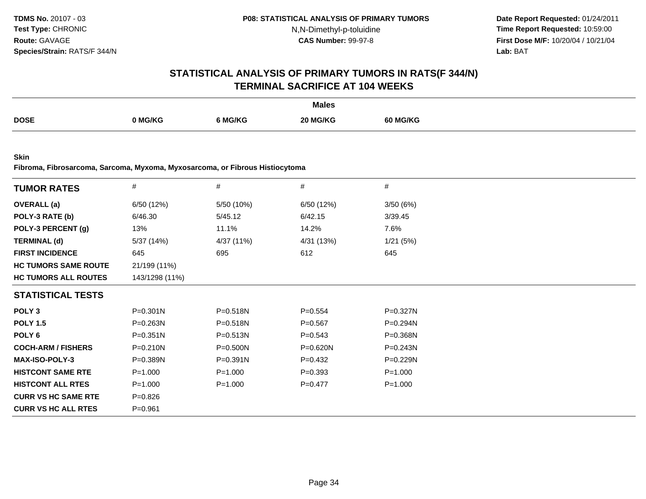**Date Report Requested:** 01/24/2011 **Time Report Requested:** 10:59:00 **First Dose M/F:** 10/20/04 / 10/21/04<br>**Lab:** BAT **Lab:** BAT

#### **STATISTICAL ANALYSIS OF PRIMARY TUMORS IN RATS(F 344/N)TERMINAL SACRIFICE AT 104 WEEKS**

|             |         |         | <b>Males</b> |                 |
|-------------|---------|---------|--------------|-----------------|
| <b>DOSE</b> | 0 MG/KG | ን MG/KG | 20 MG/KG     | <b>60 MG/KG</b> |
|             |         |         |              |                 |

**Skin**

**Fibroma, Fibrosarcoma, Sarcoma, Myxoma, Myxosarcoma, or Fibrous Histiocytoma**

| <b>TUMOR RATES</b>          | #              | #            | #           | #            |
|-----------------------------|----------------|--------------|-------------|--------------|
| <b>OVERALL (a)</b>          | 6/50 (12%)     | 5/50 (10%)   | 6/50 (12%)  | 3/50(6%)     |
| POLY-3 RATE (b)             | 6/46.30        | 5/45.12      | 6/42.15     | 3/39.45      |
| POLY-3 PERCENT (g)          | 13%            | 11.1%        | 14.2%       | 7.6%         |
| <b>TERMINAL (d)</b>         | 5/37 (14%)     | 4/37 (11%)   | 4/31 (13%)  | 1/21(5%)     |
| <b>FIRST INCIDENCE</b>      | 645            | 695          | 612         | 645          |
| <b>HC TUMORS SAME ROUTE</b> | 21/199 (11%)   |              |             |              |
| <b>HC TUMORS ALL ROUTES</b> | 143/1298 (11%) |              |             |              |
| <b>STATISTICAL TESTS</b>    |                |              |             |              |
| POLY <sub>3</sub>           | $P = 0.301N$   | P=0.518N     | $P = 0.554$ | P=0.327N     |
| <b>POLY 1.5</b>             | P=0.263N       | P=0.518N     | $P = 0.567$ | P=0.294N     |
| POLY 6                      | $P = 0.351N$   | $P = 0.513N$ | $P = 0.543$ | $P = 0.368N$ |
| <b>COCH-ARM / FISHERS</b>   | P=0.210N       | P=0.500N     | P=0.620N    | $P = 0.243N$ |
| <b>MAX-ISO-POLY-3</b>       | $P = 0.389N$   | $P = 0.391N$ | $P=0.432$   | $P = 0.229N$ |
| <b>HISTCONT SAME RTE</b>    | $P = 1.000$    | $P = 1.000$  | $P = 0.393$ | $P = 1.000$  |
| <b>HISTCONT ALL RTES</b>    | $P = 1.000$    | $P = 1.000$  | $P=0.477$   | $P = 1.000$  |
| <b>CURR VS HC SAME RTE</b>  | $P = 0.826$    |              |             |              |
| <b>CURR VS HC ALL RTES</b>  | $P = 0.961$    |              |             |              |
|                             |                |              |             |              |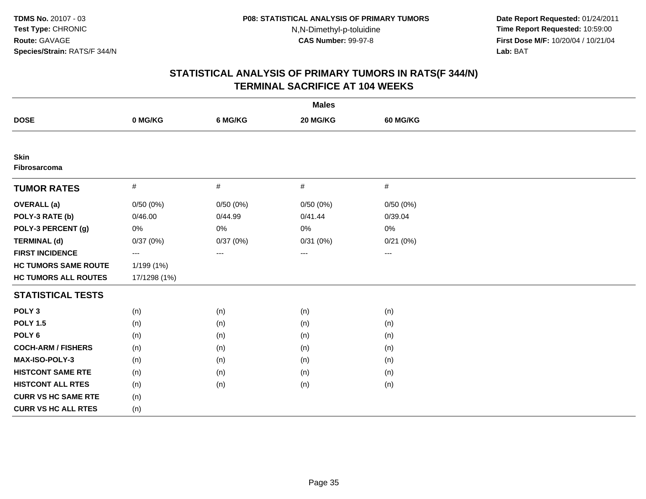**Date Report Requested:** 01/24/2011 **Time Report Requested:** 10:59:00 **First Dose M/F:** 10/20/04 / 10/21/04<br>**Lab:** BAT **Lab:** BAT

| <b>Males</b>                |                          |          |          |                 |  |  |  |
|-----------------------------|--------------------------|----------|----------|-----------------|--|--|--|
| <b>DOSE</b>                 | 0 MG/KG                  | 6 MG/KG  | 20 MG/KG | <b>60 MG/KG</b> |  |  |  |
|                             |                          |          |          |                 |  |  |  |
| <b>Skin</b><br>Fibrosarcoma |                          |          |          |                 |  |  |  |
| <b>TUMOR RATES</b>          | $\#$                     | $\#$     | $\#$     | $\#$            |  |  |  |
| <b>OVERALL</b> (a)          | 0/50(0%)                 | 0/50(0%) | 0/50(0%) | 0/50(0%)        |  |  |  |
| POLY-3 RATE (b)             | 0/46.00                  | 0/44.99  | 0/41.44  | 0/39.04         |  |  |  |
| POLY-3 PERCENT (g)          | 0%                       | $0\%$    | $0\%$    | 0%              |  |  |  |
| <b>TERMINAL (d)</b>         | 0/37(0%)                 | 0/37(0%) | 0/31(0%) | 0/21(0%)        |  |  |  |
| <b>FIRST INCIDENCE</b>      | $\hspace{0.05cm} \ldots$ | $---$    | $---$    | $--$            |  |  |  |
| <b>HC TUMORS SAME ROUTE</b> | 1/199 (1%)               |          |          |                 |  |  |  |
| <b>HC TUMORS ALL ROUTES</b> | 17/1298 (1%)             |          |          |                 |  |  |  |
| <b>STATISTICAL TESTS</b>    |                          |          |          |                 |  |  |  |
| POLY <sub>3</sub>           | (n)                      | (n)      | (n)      | (n)             |  |  |  |
| <b>POLY 1.5</b>             | (n)                      | (n)      | (n)      | (n)             |  |  |  |
| POLY <sub>6</sub>           | (n)                      | (n)      | (n)      | (n)             |  |  |  |
| <b>COCH-ARM / FISHERS</b>   | (n)                      | (n)      | (n)      | (n)             |  |  |  |
| <b>MAX-ISO-POLY-3</b>       | (n)                      | (n)      | (n)      | (n)             |  |  |  |
| <b>HISTCONT SAME RTE</b>    | (n)                      | (n)      | (n)      | (n)             |  |  |  |
| <b>HISTCONT ALL RTES</b>    | (n)                      | (n)      | (n)      | (n)             |  |  |  |
| <b>CURR VS HC SAME RTE</b>  | (n)                      |          |          |                 |  |  |  |
| <b>CURR VS HC ALL RTES</b>  | (n)                      |          |          |                 |  |  |  |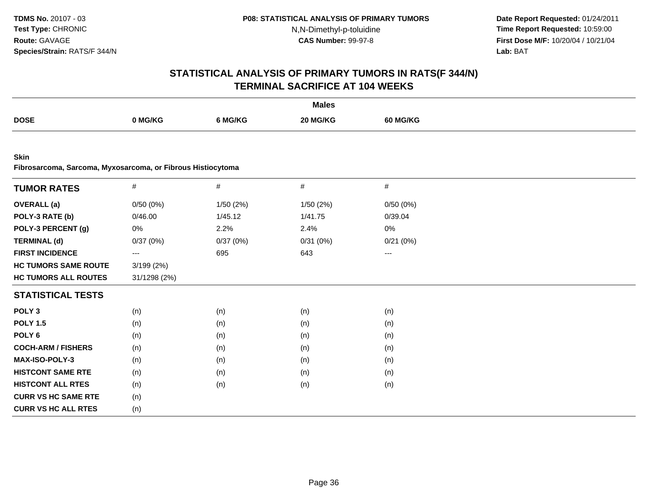**Date Report Requested:** 01/24/2011 **Time Report Requested:** 10:59:00 **First Dose M/F:** 10/20/04 / 10/21/04<br>**Lab:** BAT **Lab:** BAT

| <b>Males</b>                                                               |                         |           |           |                 |  |  |  |
|----------------------------------------------------------------------------|-------------------------|-----------|-----------|-----------------|--|--|--|
| <b>DOSE</b>                                                                | 0 MG/KG                 | 6 MG/KG   | 20 MG/KG  | <b>60 MG/KG</b> |  |  |  |
|                                                                            |                         |           |           |                 |  |  |  |
| <b>Skin</b><br>Fibrosarcoma, Sarcoma, Myxosarcoma, or Fibrous Histiocytoma |                         |           |           |                 |  |  |  |
| <b>TUMOR RATES</b>                                                         | $\#$                    | $\#$      | $\#$      | $\#$            |  |  |  |
| <b>OVERALL</b> (a)                                                         | 0/50(0%)                | 1/50 (2%) | 1/50 (2%) | 0/50(0%)        |  |  |  |
| POLY-3 RATE (b)                                                            | 0/46.00                 | 1/45.12   | 1/41.75   | 0/39.04         |  |  |  |
| POLY-3 PERCENT (g)                                                         | 0%                      | 2.2%      | 2.4%      | 0%              |  |  |  |
| <b>TERMINAL (d)</b>                                                        | 0/37(0%)                | 0/37(0%)  | 0/31(0%)  | 0/21(0%)        |  |  |  |
| <b>FIRST INCIDENCE</b>                                                     | $\qquad \qquad -\qquad$ | 695       | 643       | ---             |  |  |  |
| <b>HC TUMORS SAME ROUTE</b>                                                | 3/199(2%)               |           |           |                 |  |  |  |
| <b>HC TUMORS ALL ROUTES</b>                                                | 31/1298 (2%)            |           |           |                 |  |  |  |
| <b>STATISTICAL TESTS</b>                                                   |                         |           |           |                 |  |  |  |
| POLY <sub>3</sub>                                                          | (n)                     | (n)       | (n)       | (n)             |  |  |  |
| <b>POLY 1.5</b>                                                            | (n)                     | (n)       | (n)       | (n)             |  |  |  |
| POLY <sub>6</sub>                                                          | (n)                     | (n)       | (n)       | (n)             |  |  |  |
| <b>COCH-ARM / FISHERS</b>                                                  | (n)                     | (n)       | (n)       | (n)             |  |  |  |
| MAX-ISO-POLY-3                                                             | (n)                     | (n)       | (n)       | (n)             |  |  |  |
| <b>HISTCONT SAME RTE</b>                                                   | (n)                     | (n)       | (n)       | (n)             |  |  |  |
| <b>HISTCONT ALL RTES</b>                                                   | (n)                     | (n)       | (n)       | (n)             |  |  |  |
| <b>CURR VS HC SAME RTE</b>                                                 | (n)                     |           |           |                 |  |  |  |
| <b>CURR VS HC ALL RTES</b>                                                 | (n)                     |           |           |                 |  |  |  |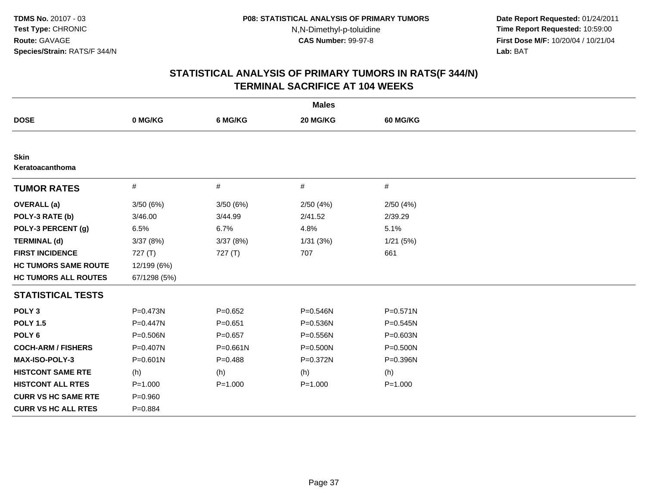**Date Report Requested:** 01/24/2011 **Time Report Requested:** 10:59:00 **First Dose M/F:** 10/20/04 / 10/21/04<br>**Lab:** BAT **Lab:** BAT

|                                |              |              | <b>Males</b> |                 |
|--------------------------------|--------------|--------------|--------------|-----------------|
| <b>DOSE</b>                    | 0 MG/KG      | 6 MG/KG      | 20 MG/KG     | <b>60 MG/KG</b> |
|                                |              |              |              |                 |
| <b>Skin</b><br>Keratoacanthoma |              |              |              |                 |
| <b>TUMOR RATES</b>             | $\#$         | $\#$         | $\#$         | #               |
| <b>OVERALL</b> (a)             | 3/50(6%)     | 3/50(6%)     | 2/50(4%)     | 2/50(4%)        |
| POLY-3 RATE (b)                | 3/46.00      | 3/44.99      | 2/41.52      | 2/39.29         |
| POLY-3 PERCENT (g)             | 6.5%         | 6.7%         | 4.8%         | 5.1%            |
| <b>TERMINAL (d)</b>            | 3/37(8%)     | 3/37(8%)     | 1/31(3%)     | 1/21(5%)        |
| <b>FIRST INCIDENCE</b>         | 727(T)       | 727(T)       | 707          | 661             |
| <b>HC TUMORS SAME ROUTE</b>    | 12/199 (6%)  |              |              |                 |
| <b>HC TUMORS ALL ROUTES</b>    | 67/1298 (5%) |              |              |                 |
| <b>STATISTICAL TESTS</b>       |              |              |              |                 |
| POLY <sub>3</sub>              | P=0.473N     | $P = 0.652$  | P=0.546N     | $P = 0.571N$    |
| <b>POLY 1.5</b>                | P=0.447N     | $P = 0.651$  | P=0.536N     | P=0.545N        |
| POLY <sub>6</sub>              | P=0.506N     | $P = 0.657$  | P=0.556N     | P=0.603N        |
| <b>COCH-ARM / FISHERS</b>      | P=0.407N     | $P = 0.661N$ | P=0.500N     | $P = 0.500N$    |
| <b>MAX-ISO-POLY-3</b>          | $P = 0.601N$ | $P = 0.488$  | P=0.372N     | P=0.396N        |
| <b>HISTCONT SAME RTE</b>       | (h)          | (h)          | (h)          | (h)             |
| <b>HISTCONT ALL RTES</b>       | $P = 1.000$  | $P = 1.000$  | $P = 1.000$  | $P = 1.000$     |
| <b>CURR VS HC SAME RTE</b>     | $P = 0.960$  |              |              |                 |
| <b>CURR VS HC ALL RTES</b>     | $P=0.884$    |              |              |                 |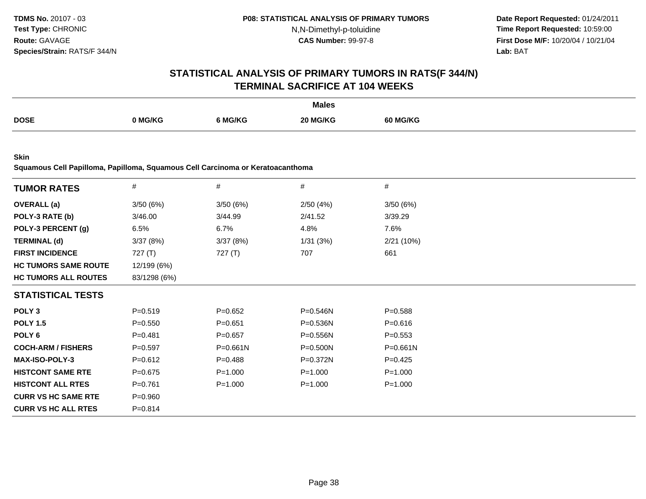**Date Report Requested:** 01/24/2011 **Time Report Requested:** 10:59:00 **First Dose M/F:** 10/20/04 / 10/21/04<br>**Lab:** BAT **Lab:** BAT

### **STATISTICAL ANALYSIS OF PRIMARY TUMORS IN RATS(F 344/N)TERMINAL SACRIFICE AT 104 WEEKS**

|             |         |         | <b>Males</b> |                 |
|-------------|---------|---------|--------------|-----------------|
| <b>DOSE</b> | 0 MG/KG | ን MG/KG | 20 MG/KG     | <b>60 MG/KG</b> |
|             |         |         |              |                 |

**Skin**

**Squamous Cell Papilloma, Papilloma, Squamous Cell Carcinoma or Keratoacanthoma**

| <b>TUMOR RATES</b>          | $\#$         | #            | #            | $\#$         |  |
|-----------------------------|--------------|--------------|--------------|--------------|--|
| <b>OVERALL</b> (a)          | 3/50(6%)     | 3/50(6%)     | 2/50(4%)     | 3/50(6%)     |  |
| POLY-3 RATE (b)             | 3/46.00      | 3/44.99      | 2/41.52      | 3/39.29      |  |
| POLY-3 PERCENT (g)          | 6.5%         | 6.7%         | 4.8%         | 7.6%         |  |
| <b>TERMINAL (d)</b>         | 3/37(8%)     | 3/37(8%)     | 1/31(3%)     | 2/21 (10%)   |  |
| <b>FIRST INCIDENCE</b>      | 727 $(T)$    | 727 (T)      | 707          | 661          |  |
| <b>HC TUMORS SAME ROUTE</b> | 12/199 (6%)  |              |              |              |  |
| <b>HC TUMORS ALL ROUTES</b> | 83/1298 (6%) |              |              |              |  |
| <b>STATISTICAL TESTS</b>    |              |              |              |              |  |
| POLY <sub>3</sub>           | $P = 0.519$  | $P = 0.652$  | P=0.546N     | $P = 0.588$  |  |
| <b>POLY 1.5</b>             | $P = 0.550$  | $P = 0.651$  | P=0.536N     | $P = 0.616$  |  |
| POLY 6                      | $P = 0.481$  | $P = 0.657$  | $P = 0.556N$ | $P = 0.553$  |  |
| <b>COCH-ARM / FISHERS</b>   | $P = 0.597$  | $P = 0.661N$ | P=0.500N     | $P = 0.661N$ |  |
| <b>MAX-ISO-POLY-3</b>       | $P = 0.612$  | $P = 0.488$  | P=0.372N     | $P=0.425$    |  |
| <b>HISTCONT SAME RTE</b>    | $P = 0.675$  | $P = 1.000$  | $P = 1.000$  | $P = 1.000$  |  |
| <b>HISTCONT ALL RTES</b>    | $P = 0.761$  | $P = 1.000$  | $P = 1.000$  | $P = 1.000$  |  |
| <b>CURR VS HC SAME RTE</b>  | $P = 0.960$  |              |              |              |  |
| <b>CURR VS HC ALL RTES</b>  | $P = 0.814$  |              |              |              |  |
|                             |              |              |              |              |  |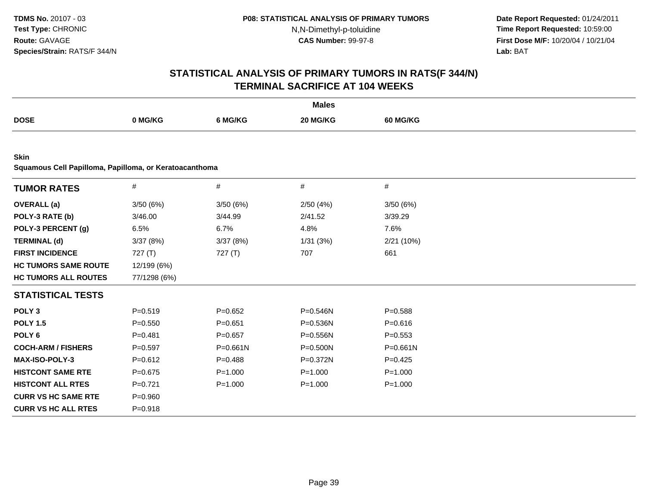**Date Report Requested:** 01/24/2011 **Time Report Requested:** 10:59:00 **First Dose M/F:** 10/20/04 / 10/21/04<br>**Lab:** BAT **Lab:** BAT

|                                                        |              |              | <b>Males</b> |              |  |
|--------------------------------------------------------|--------------|--------------|--------------|--------------|--|
| <b>DOSE</b>                                            | 0 MG/KG      | 6 MG/KG      | 20 MG/KG     | 60 MG/KG     |  |
|                                                        |              |              |              |              |  |
| <b>Skin</b>                                            |              |              |              |              |  |
| Squamous Cell Papilloma, Papilloma, or Keratoacanthoma |              |              |              |              |  |
| <b>TUMOR RATES</b>                                     | $\#$         | $\#$         | $\#$         | #            |  |
| <b>OVERALL</b> (a)                                     | 3/50(6%)     | 3/50(6%)     | 2/50(4%)     | 3/50(6%)     |  |
| POLY-3 RATE (b)                                        | 3/46.00      | 3/44.99      | 2/41.52      | 3/39.29      |  |
| POLY-3 PERCENT (g)                                     | 6.5%         | 6.7%         | 4.8%         | 7.6%         |  |
| <b>TERMINAL (d)</b>                                    | 3/37(8%)     | 3/37(8%)     | 1/31(3%)     | 2/21 (10%)   |  |
| <b>FIRST INCIDENCE</b>                                 | 727(T)       | 727(T)       | 707          | 661          |  |
| <b>HC TUMORS SAME ROUTE</b>                            | 12/199 (6%)  |              |              |              |  |
| <b>HC TUMORS ALL ROUTES</b>                            | 77/1298 (6%) |              |              |              |  |
| <b>STATISTICAL TESTS</b>                               |              |              |              |              |  |
| POLY <sub>3</sub>                                      | $P = 0.519$  | $P=0.652$    | P=0.546N     | $P = 0.588$  |  |
| <b>POLY 1.5</b>                                        | $P = 0.550$  | $P = 0.651$  | $P = 0.536N$ | $P = 0.616$  |  |
| POLY <sub>6</sub>                                      | $P = 0.481$  | $P = 0.657$  | $P = 0.556N$ | $P = 0.553$  |  |
| <b>COCH-ARM / FISHERS</b>                              | $P = 0.597$  | $P = 0.661N$ | $P = 0.500N$ | $P = 0.661N$ |  |
| <b>MAX-ISO-POLY-3</b>                                  | $P = 0.612$  | $P = 0.488$  | P=0.372N     | $P=0.425$    |  |
| <b>HISTCONT SAME RTE</b>                               | $P = 0.675$  | $P = 1.000$  | $P = 1.000$  | $P = 1.000$  |  |
| <b>HISTCONT ALL RTES</b>                               | $P = 0.721$  | $P = 1.000$  | $P = 1.000$  | $P = 1.000$  |  |
| <b>CURR VS HC SAME RTE</b>                             | $P = 0.960$  |              |              |              |  |
| <b>CURR VS HC ALL RTES</b>                             | $P = 0.918$  |              |              |              |  |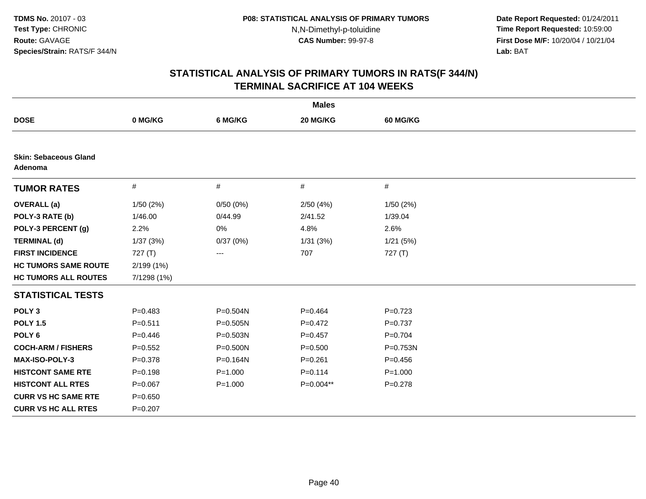**Date Report Requested:** 01/24/2011 **Time Report Requested:** 10:59:00 **First Dose M/F:** 10/20/04 / 10/21/04<br>**Lab:** BAT **Lab:** BAT

|                                         |             |              | <b>Males</b> |             |  |
|-----------------------------------------|-------------|--------------|--------------|-------------|--|
| <b>DOSE</b>                             | 0 MG/KG     | 6 MG/KG      | 20 MG/KG     | 60 MG/KG    |  |
|                                         |             |              |              |             |  |
| <b>Skin: Sebaceous Gland</b><br>Adenoma |             |              |              |             |  |
| <b>TUMOR RATES</b>                      | $\#$        | $\#$         | #            | #           |  |
| <b>OVERALL</b> (a)                      | 1/50(2%)    | 0/50(0%)     | 2/50(4%)     | 1/50(2%)    |  |
| POLY-3 RATE (b)                         | 1/46.00     | 0/44.99      | 2/41.52      | 1/39.04     |  |
| POLY-3 PERCENT (g)                      | 2.2%        | 0%           | 4.8%         | 2.6%        |  |
| <b>TERMINAL (d)</b>                     | 1/37(3%)    | 0/37(0%)     | 1/31(3%)     | 1/21(5%)    |  |
| <b>FIRST INCIDENCE</b>                  | 727(T)      | ---          | 707          | 727(T)      |  |
| <b>HC TUMORS SAME ROUTE</b>             | 2/199 (1%)  |              |              |             |  |
| <b>HC TUMORS ALL ROUTES</b>             | 7/1298 (1%) |              |              |             |  |
| <b>STATISTICAL TESTS</b>                |             |              |              |             |  |
| POLY <sub>3</sub>                       | $P = 0.483$ | P=0.504N     | $P=0.464$    | $P=0.723$   |  |
| <b>POLY 1.5</b>                         | $P = 0.511$ | $P = 0.505N$ | $P=0.472$    | $P = 0.737$ |  |
| POLY <sub>6</sub>                       | $P = 0.446$ | P=0.503N     | $P=0.457$    | $P = 0.704$ |  |
| <b>COCH-ARM / FISHERS</b>               | $P = 0.552$ | $P = 0.500N$ | $P = 0.500$  | P=0.753N    |  |
| MAX-ISO-POLY-3                          | $P = 0.378$ | P=0.164N     | $P = 0.261$  | $P = 0.456$ |  |
| <b>HISTCONT SAME RTE</b>                | $P = 0.198$ | $P = 1.000$  | $P = 0.114$  | $P = 1.000$ |  |
| <b>HISTCONT ALL RTES</b>                | $P = 0.067$ | $P = 1.000$  | P=0.004**    | $P = 0.278$ |  |
| <b>CURR VS HC SAME RTE</b>              | $P = 0.650$ |              |              |             |  |
| <b>CURR VS HC ALL RTES</b>              | $P = 0.207$ |              |              |             |  |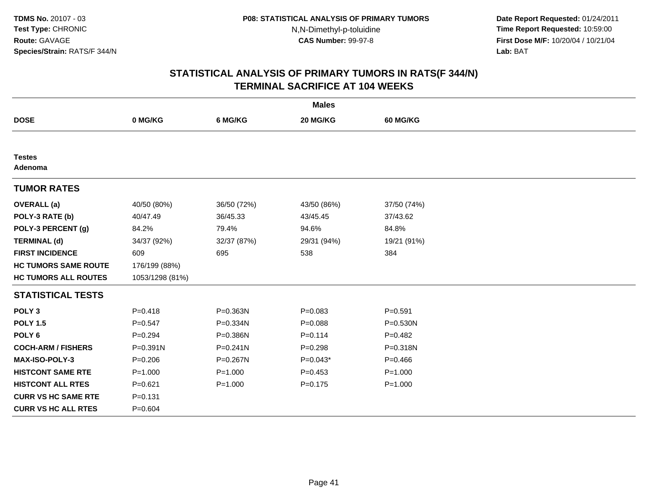**Date Report Requested:** 01/24/2011 **Time Report Requested:** 10:59:00 **First Dose M/F:** 10/20/04 / 10/21/04<br>**Lab:** BAT **Lab:** BAT

| <b>Males</b>                |                 |              |             |                 |  |  |
|-----------------------------|-----------------|--------------|-------------|-----------------|--|--|
| <b>DOSE</b>                 | 0 MG/KG         | 6 MG/KG      | 20 MG/KG    | <b>60 MG/KG</b> |  |  |
|                             |                 |              |             |                 |  |  |
| <b>Testes</b><br>Adenoma    |                 |              |             |                 |  |  |
| <b>TUMOR RATES</b>          |                 |              |             |                 |  |  |
| <b>OVERALL</b> (a)          | 40/50 (80%)     | 36/50 (72%)  | 43/50 (86%) | 37/50 (74%)     |  |  |
| POLY-3 RATE (b)             | 40/47.49        | 36/45.33     | 43/45.45    | 37/43.62        |  |  |
| POLY-3 PERCENT (g)          | 84.2%           | 79.4%        | 94.6%       | 84.8%           |  |  |
| <b>TERMINAL (d)</b>         | 34/37 (92%)     | 32/37 (87%)  | 29/31 (94%) | 19/21 (91%)     |  |  |
| <b>FIRST INCIDENCE</b>      | 609             | 695          | 538         | 384             |  |  |
| <b>HC TUMORS SAME ROUTE</b> | 176/199 (88%)   |              |             |                 |  |  |
| <b>HC TUMORS ALL ROUTES</b> | 1053/1298 (81%) |              |             |                 |  |  |
| <b>STATISTICAL TESTS</b>    |                 |              |             |                 |  |  |
| POLY <sub>3</sub>           | $P = 0.418$     | P=0.363N     | $P = 0.083$ | $P = 0.591$     |  |  |
| <b>POLY 1.5</b>             | $P = 0.547$     | P=0.334N     | $P = 0.088$ | P=0.530N        |  |  |
| POLY <sub>6</sub>           | $P = 0.294$     | P=0.386N     | $P=0.114$   | $P=0.482$       |  |  |
| <b>COCH-ARM / FISHERS</b>   | P=0.391N        | $P = 0.241N$ | $P=0.298$   | P=0.318N        |  |  |
| <b>MAX-ISO-POLY-3</b>       | $P = 0.206$     | P=0.267N     | $P=0.043*$  | $P=0.466$       |  |  |
| <b>HISTCONT SAME RTE</b>    | $P = 1.000$     | $P = 1.000$  | $P=0.453$   | $P = 1.000$     |  |  |
| <b>HISTCONT ALL RTES</b>    | $P=0.621$       | $P = 1.000$  | $P=0.175$   | $P = 1.000$     |  |  |
| <b>CURR VS HC SAME RTE</b>  | $P = 0.131$     |              |             |                 |  |  |
| <b>CURR VS HC ALL RTES</b>  | $P = 0.604$     |              |             |                 |  |  |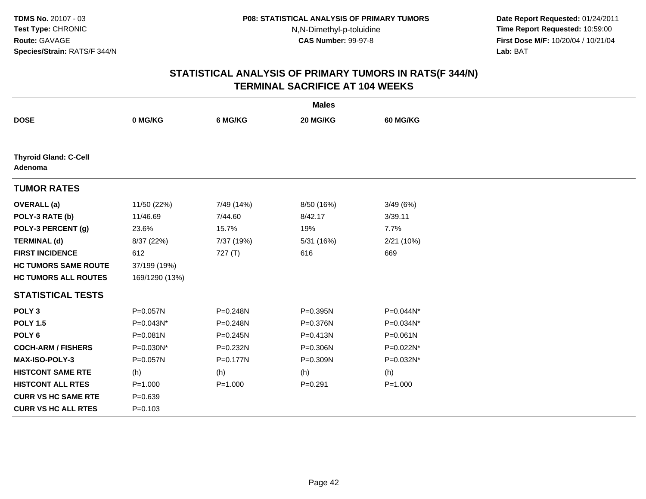**Date Report Requested:** 01/24/2011 **Time Report Requested:** 10:59:00 **First Dose M/F:** 10/20/04 / 10/21/04<br>**Lab:** BAT **Lab:** BAT

| <b>Males</b>                            |                |              |              |                 |  |  |  |
|-----------------------------------------|----------------|--------------|--------------|-----------------|--|--|--|
| <b>DOSE</b>                             | 0 MG/KG        | 6 MG/KG      | 20 MG/KG     | <b>60 MG/KG</b> |  |  |  |
|                                         |                |              |              |                 |  |  |  |
| <b>Thyroid Gland: C-Cell</b><br>Adenoma |                |              |              |                 |  |  |  |
| <b>TUMOR RATES</b>                      |                |              |              |                 |  |  |  |
| <b>OVERALL</b> (a)                      | 11/50 (22%)    | 7/49 (14%)   | 8/50 (16%)   | 3/49(6%)        |  |  |  |
| POLY-3 RATE (b)                         | 11/46.69       | 7/44.60      | 8/42.17      | 3/39.11         |  |  |  |
| POLY-3 PERCENT (g)                      | 23.6%          | 15.7%        | 19%          | 7.7%            |  |  |  |
| <b>TERMINAL (d)</b>                     | 8/37 (22%)     | 7/37 (19%)   | 5/31 (16%)   | 2/21 (10%)      |  |  |  |
| <b>FIRST INCIDENCE</b>                  | 612            | 727(T)       | 616          | 669             |  |  |  |
| <b>HC TUMORS SAME ROUTE</b>             | 37/199 (19%)   |              |              |                 |  |  |  |
| <b>HC TUMORS ALL ROUTES</b>             | 169/1290 (13%) |              |              |                 |  |  |  |
| <b>STATISTICAL TESTS</b>                |                |              |              |                 |  |  |  |
| POLY <sub>3</sub>                       | P=0.057N       | P=0.248N     | P=0.395N     | P=0.044N*       |  |  |  |
| <b>POLY 1.5</b>                         | P=0.043N*      | P=0.248N     | P=0.376N     | P=0.034N*       |  |  |  |
| POLY <sub>6</sub>                       | P=0.081N       | $P = 0.245N$ | $P = 0.413N$ | P=0.061N        |  |  |  |
| <b>COCH-ARM / FISHERS</b>               | P=0.030N*      | $P = 0.232N$ | P=0.306N     | P=0.022N*       |  |  |  |
| MAX-ISO-POLY-3                          | P=0.057N       | P=0.177N     | P=0.309N     | P=0.032N*       |  |  |  |
| <b>HISTCONT SAME RTE</b>                | (h)            | (h)          | (h)          | (h)             |  |  |  |
| <b>HISTCONT ALL RTES</b>                | $P = 1.000$    | $P = 1.000$  | $P=0.291$    | $P = 1.000$     |  |  |  |
| <b>CURR VS HC SAME RTE</b>              | $P = 0.639$    |              |              |                 |  |  |  |
| <b>CURR VS HC ALL RTES</b>              | $P = 0.103$    |              |              |                 |  |  |  |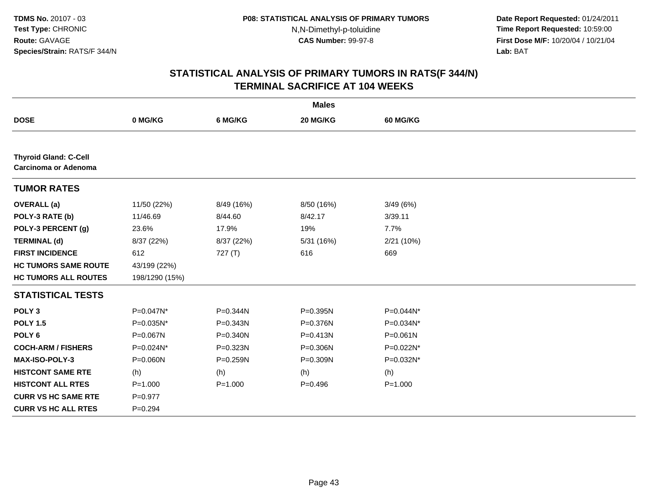**Date Report Requested:** 01/24/2011 **Time Report Requested:** 10:59:00 **First Dose M/F:** 10/20/04 / 10/21/04<br>**Lab:** BAT **Lab:** BAT

|                                                      |                |              | <b>Males</b> |                 |
|------------------------------------------------------|----------------|--------------|--------------|-----------------|
| <b>DOSE</b>                                          | 0 MG/KG        | 6 MG/KG      | 20 MG/KG     | <b>60 MG/KG</b> |
|                                                      |                |              |              |                 |
| <b>Thyroid Gland: C-Cell</b><br>Carcinoma or Adenoma |                |              |              |                 |
| <b>TUMOR RATES</b>                                   |                |              |              |                 |
| <b>OVERALL</b> (a)                                   | 11/50 (22%)    | 8/49 (16%)   | 8/50 (16%)   | 3/49(6%)        |
| POLY-3 RATE (b)                                      | 11/46.69       | 8/44.60      | 8/42.17      | 3/39.11         |
| POLY-3 PERCENT (g)                                   | 23.6%          | 17.9%        | 19%          | 7.7%            |
| <b>TERMINAL (d)</b>                                  | 8/37 (22%)     | 8/37 (22%)   | 5/31(16%)    | 2/21 (10%)      |
| <b>FIRST INCIDENCE</b>                               | 612            | 727(T)       | 616          | 669             |
| <b>HC TUMORS SAME ROUTE</b>                          | 43/199 (22%)   |              |              |                 |
| <b>HC TUMORS ALL ROUTES</b>                          | 198/1290 (15%) |              |              |                 |
| <b>STATISTICAL TESTS</b>                             |                |              |              |                 |
| POLY <sub>3</sub>                                    | P=0.047N*      | P=0.344N     | P=0.395N     | P=0.044N*       |
| <b>POLY 1.5</b>                                      | P=0.035N*      | $P = 0.343N$ | P=0.376N     | P=0.034N*       |
| POLY <sub>6</sub>                                    | P=0.067N       | P=0.340N     | $P = 0.413N$ | $P = 0.061N$    |
| <b>COCH-ARM / FISHERS</b>                            | P=0.024N*      | P=0.323N     | P=0.306N     | P=0.022N*       |
| <b>MAX-ISO-POLY-3</b>                                | $P = 0.060N$   | P=0.259N     | P=0.309N     | P=0.032N*       |
| <b>HISTCONT SAME RTE</b>                             | (h)            | (h)          | (h)          | (h)             |
| <b>HISTCONT ALL RTES</b>                             | $P = 1.000$    | $P = 1.000$  | $P=0.496$    | $P = 1.000$     |
| <b>CURR VS HC SAME RTE</b>                           | $P=0.977$      |              |              |                 |
| <b>CURR VS HC ALL RTES</b>                           | $P = 0.294$    |              |              |                 |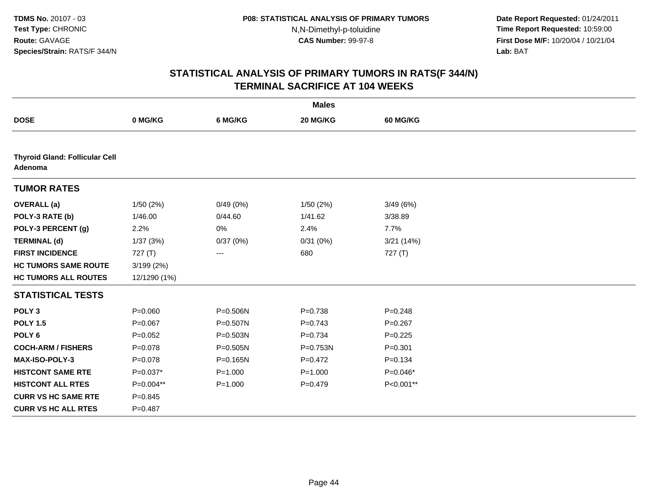**Date Report Requested:** 01/24/2011 **Time Report Requested:** 10:59:00 **First Dose M/F:** 10/20/04 / 10/21/04<br>**Lab:** BAT **Lab:** BAT

|                                                  |              |              | <b>Males</b> |             |  |
|--------------------------------------------------|--------------|--------------|--------------|-------------|--|
| <b>DOSE</b>                                      | 0 MG/KG      | 6 MG/KG      | 20 MG/KG     | 60 MG/KG    |  |
|                                                  |              |              |              |             |  |
| <b>Thyroid Gland: Follicular Cell</b><br>Adenoma |              |              |              |             |  |
| <b>TUMOR RATES</b>                               |              |              |              |             |  |
| <b>OVERALL</b> (a)                               | 1/50(2%)     | 0/49(0%)     | 1/50(2%)     | 3/49(6%)    |  |
| POLY-3 RATE (b)                                  | 1/46.00      | 0/44.60      | 1/41.62      | 3/38.89     |  |
| POLY-3 PERCENT (g)                               | 2.2%         | 0%           | 2.4%         | 7.7%        |  |
| <b>TERMINAL (d)</b>                              | 1/37(3%)     | 0/37(0%)     | 0/31(0%)     | 3/21(14%)   |  |
| <b>FIRST INCIDENCE</b>                           | 727(T)       | ---          | 680          | 727(T)      |  |
| <b>HC TUMORS SAME ROUTE</b>                      | 3/199(2%)    |              |              |             |  |
| <b>HC TUMORS ALL ROUTES</b>                      | 12/1290 (1%) |              |              |             |  |
| <b>STATISTICAL TESTS</b>                         |              |              |              |             |  |
| POLY <sub>3</sub>                                | $P = 0.060$  | P=0.506N     | $P = 0.738$  | $P = 0.248$ |  |
| <b>POLY 1.5</b>                                  | $P = 0.067$  | P=0.507N     | $P=0.743$    | $P = 0.267$ |  |
| POLY <sub>6</sub>                                | $P=0.052$    | P=0.503N     | $P = 0.734$  | $P=0.225$   |  |
| <b>COCH-ARM / FISHERS</b>                        | $P = 0.078$  | $P = 0.505N$ | P=0.753N     | $P = 0.301$ |  |
| <b>MAX-ISO-POLY-3</b>                            | $P = 0.078$  | $P = 0.165N$ | $P=0.472$    | $P = 0.134$ |  |
| <b>HISTCONT SAME RTE</b>                         | $P=0.037*$   | $P = 1.000$  | $P = 1.000$  | $P=0.046*$  |  |
| <b>HISTCONT ALL RTES</b>                         | P=0.004**    | $P = 1.000$  | $P=0.479$    | P<0.001**   |  |
| <b>CURR VS HC SAME RTE</b>                       | $P = 0.845$  |              |              |             |  |
| <b>CURR VS HC ALL RTES</b>                       | $P = 0.487$  |              |              |             |  |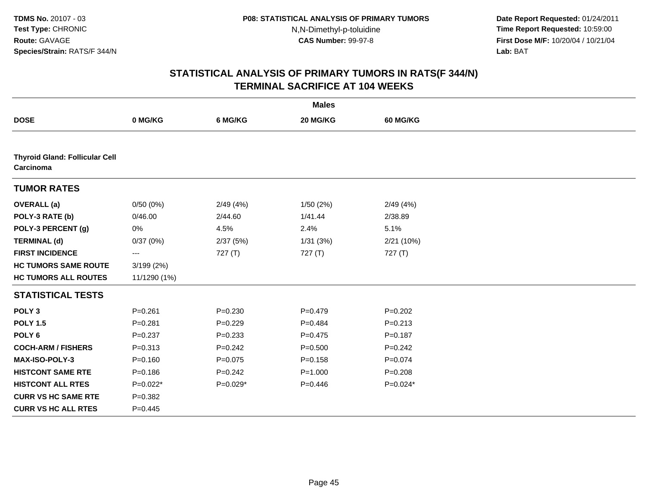**Date Report Requested:** 01/24/2011 **Time Report Requested:** 10:59:00 **First Dose M/F:** 10/20/04 / 10/21/04<br>**Lab:** BAT **Lab:** BAT

|                                                    |                   |             | <b>Males</b> |             |
|----------------------------------------------------|-------------------|-------------|--------------|-------------|
| <b>DOSE</b>                                        | 0 MG/KG           | 6 MG/KG     | 20 MG/KG     | 60 MG/KG    |
|                                                    |                   |             |              |             |
| <b>Thyroid Gland: Follicular Cell</b><br>Carcinoma |                   |             |              |             |
| <b>TUMOR RATES</b>                                 |                   |             |              |             |
| <b>OVERALL</b> (a)                                 | 0/50(0%)          | 2/49(4%)    | 1/50(2%)     | 2/49(4%)    |
| POLY-3 RATE (b)                                    | 0/46.00           | 2/44.60     | 1/41.44      | 2/38.89     |
| POLY-3 PERCENT (g)                                 | 0%                | 4.5%        | 2.4%         | 5.1%        |
| <b>TERMINAL (d)</b>                                | 0/37(0%)          | 2/37(5%)    | 1/31(3%)     | 2/21 (10%)  |
| <b>FIRST INCIDENCE</b>                             | $\qquad \qquad -$ | 727(T)      | 727(T)       | 727 (T)     |
| <b>HC TUMORS SAME ROUTE</b>                        | 3/199(2%)         |             |              |             |
| <b>HC TUMORS ALL ROUTES</b>                        | 11/1290 (1%)      |             |              |             |
| <b>STATISTICAL TESTS</b>                           |                   |             |              |             |
| POLY <sub>3</sub>                                  | $P = 0.261$       | $P = 0.230$ | $P=0.479$    | $P = 0.202$ |
| <b>POLY 1.5</b>                                    | $P = 0.281$       | $P=0.229$   | $P=0.484$    | $P = 0.213$ |
| POLY <sub>6</sub>                                  | $P = 0.237$       | $P = 0.233$ | $P = 0.475$  | $P = 0.187$ |
| <b>COCH-ARM / FISHERS</b>                          | $P = 0.313$       | $P=0.242$   | $P = 0.500$  | $P=0.242$   |
| <b>MAX-ISO-POLY-3</b>                              | $P = 0.160$       | $P=0.075$   | $P = 0.158$  | $P = 0.074$ |
| <b>HISTCONT SAME RTE</b>                           | $P = 0.186$       | $P=0.242$   | $P = 1.000$  | $P = 0.208$ |
| <b>HISTCONT ALL RTES</b>                           | $P=0.022*$        | $P=0.029*$  | $P=0.446$    | $P=0.024*$  |
| <b>CURR VS HC SAME RTE</b>                         | $P = 0.382$       |             |              |             |
| <b>CURR VS HC ALL RTES</b>                         | $P=0.445$         |             |              |             |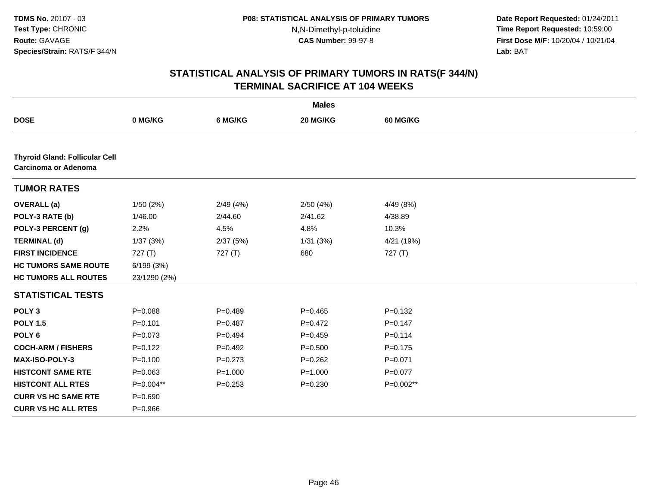**Date Report Requested:** 01/24/2011 **Time Report Requested:** 10:59:00 **First Dose M/F:** 10/20/04 / 10/21/04<br>**Lab:** BAT **Lab:** BAT

|                                                                      |              |             | <b>Males</b> |             |
|----------------------------------------------------------------------|--------------|-------------|--------------|-------------|
| <b>DOSE</b>                                                          | 0 MG/KG      | 6 MG/KG     | 20 MG/KG     | 60 MG/KG    |
|                                                                      |              |             |              |             |
| <b>Thyroid Gland: Follicular Cell</b><br><b>Carcinoma or Adenoma</b> |              |             |              |             |
| <b>TUMOR RATES</b>                                                   |              |             |              |             |
| <b>OVERALL</b> (a)                                                   | 1/50(2%)     | 2/49(4%)    | 2/50(4%)     | 4/49 (8%)   |
| POLY-3 RATE (b)                                                      | 1/46.00      | 2/44.60     | 2/41.62      | 4/38.89     |
| POLY-3 PERCENT (g)                                                   | 2.2%         | 4.5%        | 4.8%         | 10.3%       |
| <b>TERMINAL (d)</b>                                                  | 1/37(3%)     | 2/37(5%)    | 1/31(3%)     | 4/21 (19%)  |
| <b>FIRST INCIDENCE</b>                                               | 727(T)       | 727(T)      | 680          | 727(T)      |
| <b>HC TUMORS SAME ROUTE</b>                                          | 6/199(3%)    |             |              |             |
| <b>HC TUMORS ALL ROUTES</b>                                          | 23/1290 (2%) |             |              |             |
| <b>STATISTICAL TESTS</b>                                             |              |             |              |             |
| POLY <sub>3</sub>                                                    | $P = 0.088$  | $P=0.489$   | $P=0.465$    | $P = 0.132$ |
| <b>POLY 1.5</b>                                                      | $P = 0.101$  | $P = 0.487$ | $P=0.472$    | $P = 0.147$ |
| POLY <sub>6</sub>                                                    | $P = 0.073$  | $P = 0.494$ | $P=0.459$    | $P = 0.114$ |
| <b>COCH-ARM / FISHERS</b>                                            | $P=0.122$    | $P=0.492$   | $P = 0.500$  | $P = 0.175$ |
| <b>MAX-ISO-POLY-3</b>                                                | $P = 0.100$  | $P = 0.273$ | $P=0.262$    | $P = 0.071$ |
| <b>HISTCONT SAME RTE</b>                                             | $P=0.063$    | $P = 1.000$ | $P = 1.000$  | $P=0.077$   |
| <b>HISTCONT ALL RTES</b>                                             | P=0.004**    | $P=0.253$   | $P = 0.230$  | P=0.002**   |
| <b>CURR VS HC SAME RTE</b>                                           | $P = 0.690$  |             |              |             |
| <b>CURR VS HC ALL RTES</b>                                           | $P = 0.966$  |             |              |             |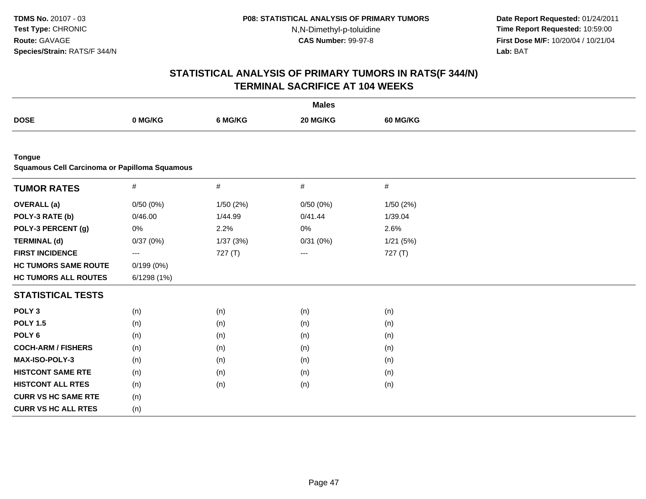**Date Report Requested:** 01/24/2011 **Time Report Requested:** 10:59:00 **First Dose M/F:** 10/20/04 / 10/21/04<br>**Lab:** BAT **Lab:** BAT

|                                                                |                   |          | <b>Males</b> |          |  |
|----------------------------------------------------------------|-------------------|----------|--------------|----------|--|
| <b>DOSE</b>                                                    | 0 MG/KG           | 6 MG/KG  | 20 MG/KG     | 60 MG/KG |  |
|                                                                |                   |          |              |          |  |
| <b>Tongue</b><br>Squamous Cell Carcinoma or Papilloma Squamous |                   |          |              |          |  |
| <b>TUMOR RATES</b>                                             | $\#$              | $\#$     | $\#$         | #        |  |
| <b>OVERALL</b> (a)                                             | 0/50(0%)          | 1/50(2%) | 0/50(0%)     | 1/50(2%) |  |
| POLY-3 RATE (b)                                                | 0/46.00           | 1/44.99  | 0/41.44      | 1/39.04  |  |
| POLY-3 PERCENT (g)                                             | 0%                | 2.2%     | 0%           | 2.6%     |  |
| <b>TERMINAL (d)</b>                                            | 0/37(0%)          | 1/37(3%) | 0/31(0%)     | 1/21(5%) |  |
| <b>FIRST INCIDENCE</b>                                         | $\qquad \qquad -$ | 727(T)   | ---          | 727(T)   |  |
| <b>HC TUMORS SAME ROUTE</b>                                    | 0/199(0%)         |          |              |          |  |
| <b>HC TUMORS ALL ROUTES</b>                                    | 6/1298(1%)        |          |              |          |  |
| <b>STATISTICAL TESTS</b>                                       |                   |          |              |          |  |
| POLY <sub>3</sub>                                              | (n)               | (n)      | (n)          | (n)      |  |
| <b>POLY 1.5</b>                                                | (n)               | (n)      | (n)          | (n)      |  |
| POLY <sub>6</sub>                                              | (n)               | (n)      | (n)          | (n)      |  |
| <b>COCH-ARM / FISHERS</b>                                      | (n)               | (n)      | (n)          | (n)      |  |
| MAX-ISO-POLY-3                                                 | (n)               | (n)      | (n)          | (n)      |  |
| <b>HISTCONT SAME RTE</b>                                       | (n)               | (n)      | (n)          | (n)      |  |
| <b>HISTCONT ALL RTES</b>                                       | (n)               | (n)      | (n)          | (n)      |  |
| <b>CURR VS HC SAME RTE</b>                                     | (n)               |          |              |          |  |
| <b>CURR VS HC ALL RTES</b>                                     | (n)               |          |              |          |  |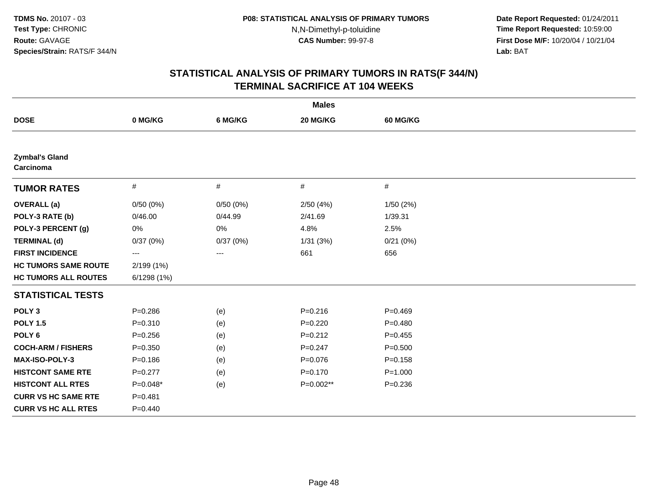**Date Report Requested:** 01/24/2011 **Time Report Requested:** 10:59:00 **First Dose M/F:** 10/20/04 / 10/21/04<br>**Lab:** BAT **Lab:** BAT

|                                    |             |          | <b>Males</b> |                 |  |
|------------------------------------|-------------|----------|--------------|-----------------|--|
| <b>DOSE</b>                        | 0 MG/KG     | 6 MG/KG  | 20 MG/KG     | <b>60 MG/KG</b> |  |
|                                    |             |          |              |                 |  |
| <b>Zymbal's Gland</b><br>Carcinoma |             |          |              |                 |  |
| <b>TUMOR RATES</b>                 | $\#$        | $\#$     | $\#$         | $\#$            |  |
| <b>OVERALL</b> (a)                 | 0/50(0%)    | 0/50(0%) | 2/50(4%)     | 1/50(2%)        |  |
| POLY-3 RATE (b)                    | 0/46.00     | 0/44.99  | 2/41.69      | 1/39.31         |  |
| POLY-3 PERCENT (g)                 | 0%          | 0%       | 4.8%         | 2.5%            |  |
| <b>TERMINAL (d)</b>                | 0/37(0%)    | 0/37(0%) | 1/31(3%)     | 0/21(0%)        |  |
| <b>FIRST INCIDENCE</b>             | ---         | ---      | 661          | 656             |  |
| <b>HC TUMORS SAME ROUTE</b>        | 2/199 (1%)  |          |              |                 |  |
| <b>HC TUMORS ALL ROUTES</b>        | 6/1298 (1%) |          |              |                 |  |
| <b>STATISTICAL TESTS</b>           |             |          |              |                 |  |
| POLY <sub>3</sub>                  | $P = 0.286$ | (e)      | $P = 0.216$  | $P=0.469$       |  |
| <b>POLY 1.5</b>                    | $P = 0.310$ | (e)      | $P=0.220$    | $P=0.480$       |  |
| POLY <sub>6</sub>                  | $P = 0.256$ | (e)      | $P=0.212$    | $P=0.455$       |  |
| <b>COCH-ARM / FISHERS</b>          | $P = 0.350$ | (e)      | $P = 0.247$  | $P = 0.500$     |  |
| <b>MAX-ISO-POLY-3</b>              | $P = 0.186$ | (e)      | $P = 0.076$  | $P = 0.158$     |  |
| <b>HISTCONT SAME RTE</b>           | $P=0.277$   | (e)      | $P = 0.170$  | $P = 1.000$     |  |
| <b>HISTCONT ALL RTES</b>           | $P=0.048*$  | (e)      | P=0.002**    | $P = 0.236$     |  |
| <b>CURR VS HC SAME RTE</b>         | $P = 0.481$ |          |              |                 |  |
| <b>CURR VS HC ALL RTES</b>         | $P=0.440$   |          |              |                 |  |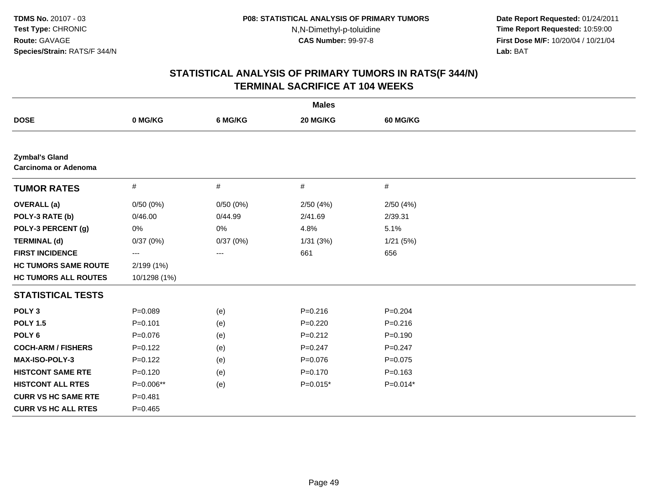**Date Report Requested:** 01/24/2011 **Time Report Requested:** 10:59:00 **First Dose M/F:** 10/20/04 / 10/21/04<br>**Lab:** BAT **Lab:** BAT

|                                                      |                   |          | <b>Males</b> |             |
|------------------------------------------------------|-------------------|----------|--------------|-------------|
| <b>DOSE</b>                                          | 0 MG/KG           | 6 MG/KG  | 20 MG/KG     | 60 MG/KG    |
|                                                      |                   |          |              |             |
| <b>Zymbal's Gland</b><br><b>Carcinoma or Adenoma</b> |                   |          |              |             |
| <b>TUMOR RATES</b>                                   | $\#$              | $\#$     | $\#$         | $\#$        |
| <b>OVERALL</b> (a)                                   | 0/50(0%)          | 0/50(0%) | 2/50(4%)     | 2/50(4%)    |
| POLY-3 RATE (b)                                      | 0/46.00           | 0/44.99  | 2/41.69      | 2/39.31     |
| POLY-3 PERCENT (g)                                   | 0%                | 0%       | 4.8%         | 5.1%        |
| <b>TERMINAL (d)</b>                                  | 0/37(0%)          | 0/37(0%) | 1/31(3%)     | 1/21(5%)    |
| <b>FIRST INCIDENCE</b>                               | $\qquad \qquad -$ | ---      | 661          | 656         |
| <b>HC TUMORS SAME ROUTE</b>                          | 2/199 (1%)        |          |              |             |
| <b>HC TUMORS ALL ROUTES</b>                          | 10/1298 (1%)      |          |              |             |
| <b>STATISTICAL TESTS</b>                             |                   |          |              |             |
| POLY <sub>3</sub>                                    | $P = 0.089$       | (e)      | $P = 0.216$  | $P = 0.204$ |
| <b>POLY 1.5</b>                                      | $P = 0.101$       | (e)      | $P=0.220$    | $P = 0.216$ |
| POLY <sub>6</sub>                                    | $P = 0.076$       | (e)      | $P = 0.212$  | $P = 0.190$ |
| <b>COCH-ARM / FISHERS</b>                            | $P=0.122$         | (e)      | $P = 0.247$  | $P = 0.247$ |
| MAX-ISO-POLY-3                                       | $P = 0.122$       | (e)      | $P = 0.076$  | $P = 0.075$ |
| <b>HISTCONT SAME RTE</b>                             | $P=0.120$         | (e)      | $P = 0.170$  | $P = 0.163$ |
| <b>HISTCONT ALL RTES</b>                             | P=0.006**         | (e)      | $P=0.015*$   | $P=0.014*$  |
| <b>CURR VS HC SAME RTE</b>                           | $P = 0.481$       |          |              |             |
| <b>CURR VS HC ALL RTES</b>                           | $P=0.465$         |          |              |             |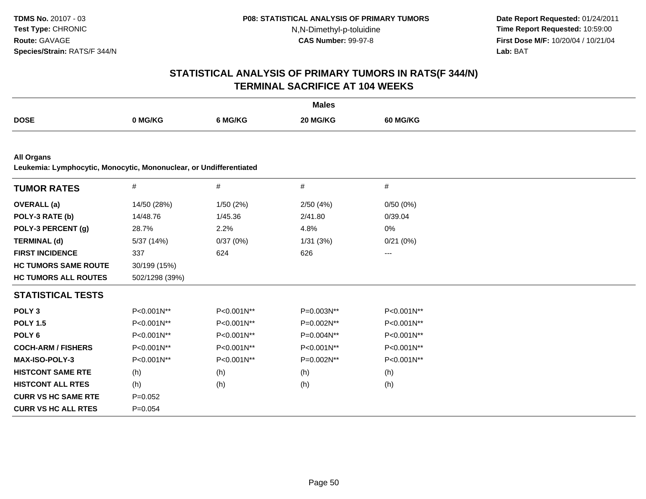**Date Report Requested:** 01/24/2011 **Time Report Requested:** 10:59:00 **First Dose M/F:** 10/20/04 / 10/21/04<br>**Lab:** BAT **Lab:** BAT

|                                                                    |                |            | <b>Males</b> |            |  |
|--------------------------------------------------------------------|----------------|------------|--------------|------------|--|
| <b>DOSE</b>                                                        | 0 MG/KG        | 6 MG/KG    | 20 MG/KG     | 60 MG/KG   |  |
|                                                                    |                |            |              |            |  |
| <b>All Organs</b>                                                  |                |            |              |            |  |
| Leukemia: Lymphocytic, Monocytic, Mononuclear, or Undifferentiated |                |            |              |            |  |
| <b>TUMOR RATES</b>                                                 | $\#$           | $\#$       | $\#$         | $\#$       |  |
| <b>OVERALL</b> (a)                                                 | 14/50 (28%)    | 1/50(2%)   | 2/50(4%)     | 0/50(0%)   |  |
| POLY-3 RATE (b)                                                    | 14/48.76       | 1/45.36    | 2/41.80      | 0/39.04    |  |
| POLY-3 PERCENT (g)                                                 | 28.7%          | 2.2%       | 4.8%         | 0%         |  |
| <b>TERMINAL (d)</b>                                                | 5/37 (14%)     | 0/37(0%)   | 1/31(3%)     | 0/21(0%)   |  |
| <b>FIRST INCIDENCE</b>                                             | 337            | 624        | 626          | $--$       |  |
| <b>HC TUMORS SAME ROUTE</b>                                        | 30/199 (15%)   |            |              |            |  |
| <b>HC TUMORS ALL ROUTES</b>                                        | 502/1298 (39%) |            |              |            |  |
| <b>STATISTICAL TESTS</b>                                           |                |            |              |            |  |
| POLY <sub>3</sub>                                                  | P<0.001N**     | P<0.001N** | P=0.003N**   | P<0.001N** |  |
| <b>POLY 1.5</b>                                                    | P<0.001N**     | P<0.001N** | P=0.002N**   | P<0.001N** |  |
| POLY <sub>6</sub>                                                  | P<0.001N**     | P<0.001N** | P=0.004N**   | P<0.001N** |  |
| <b>COCH-ARM / FISHERS</b>                                          | P<0.001N**     | P<0.001N** | P<0.001N**   | P<0.001N** |  |
| <b>MAX-ISO-POLY-3</b>                                              | P<0.001N**     | P<0.001N** | P=0.002N**   | P<0.001N** |  |
| <b>HISTCONT SAME RTE</b>                                           | (h)            | (h)        | (h)          | (h)        |  |
| <b>HISTCONT ALL RTES</b>                                           | (h)            | (h)        | (h)          | (h)        |  |
| <b>CURR VS HC SAME RTE</b>                                         | $P=0.052$      |            |              |            |  |
| <b>CURR VS HC ALL RTES</b>                                         | $P = 0.054$    |            |              |            |  |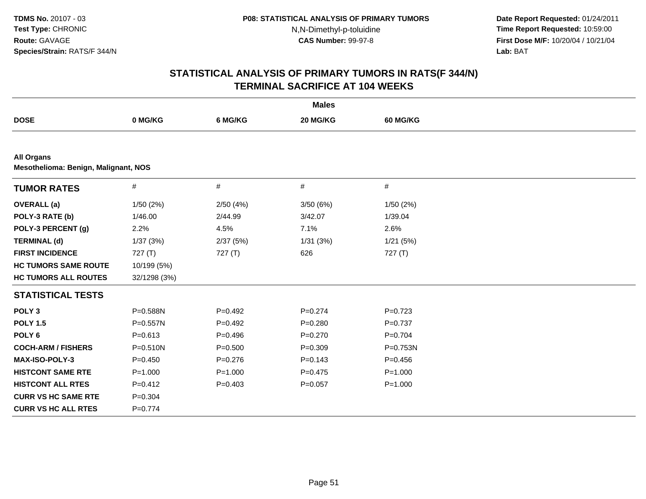**Date Report Requested:** 01/24/2011 **Time Report Requested:** 10:59:00 **First Dose M/F:** 10/20/04 / 10/21/04<br>**Lab:** BAT **Lab:** BAT

|                                                           |              |             | <b>Males</b> |             |  |
|-----------------------------------------------------------|--------------|-------------|--------------|-------------|--|
| <b>DOSE</b>                                               | 0 MG/KG      | 6 MG/KG     | 20 MG/KG     | 60 MG/KG    |  |
|                                                           |              |             |              |             |  |
| <b>All Organs</b><br>Mesothelioma: Benign, Malignant, NOS |              |             |              |             |  |
| <b>TUMOR RATES</b>                                        | $\#$         | $\#$        | $\#$         | #           |  |
| <b>OVERALL</b> (a)                                        | 1/50(2%)     | 2/50(4%)    | 3/50(6%)     | 1/50(2%)    |  |
| POLY-3 RATE (b)                                           | 1/46.00      | 2/44.99     | 3/42.07      | 1/39.04     |  |
| POLY-3 PERCENT (g)                                        | 2.2%         | 4.5%        | 7.1%         | 2.6%        |  |
| <b>TERMINAL (d)</b>                                       | 1/37(3%)     | 2/37(5%)    | 1/31(3%)     | 1/21(5%)    |  |
| <b>FIRST INCIDENCE</b>                                    | 727(T)       | 727(T)      | 626          | 727(T)      |  |
| <b>HC TUMORS SAME ROUTE</b>                               | 10/199 (5%)  |             |              |             |  |
| <b>HC TUMORS ALL ROUTES</b>                               | 32/1298 (3%) |             |              |             |  |
| <b>STATISTICAL TESTS</b>                                  |              |             |              |             |  |
| POLY <sub>3</sub>                                         | P=0.588N     | $P=0.492$   | $P = 0.274$  | $P=0.723$   |  |
| <b>POLY 1.5</b>                                           | $P = 0.557N$ | $P=0.492$   | $P = 0.280$  | $P = 0.737$ |  |
| POLY <sub>6</sub>                                         | $P = 0.613$  | $P = 0.496$ | $P=0.270$    | $P=0.704$   |  |
| <b>COCH-ARM / FISHERS</b>                                 | $P = 0.510N$ | $P = 0.500$ | $P = 0.309$  | P=0.753N    |  |
| MAX-ISO-POLY-3                                            | $P = 0.450$  | $P=0.276$   | $P = 0.143$  | $P = 0.456$ |  |
| <b>HISTCONT SAME RTE</b>                                  | $P = 1.000$  | $P = 1.000$ | $P=0.475$    | $P = 1.000$ |  |
| <b>HISTCONT ALL RTES</b>                                  | $P=0.412$    | $P=0.403$   | $P = 0.057$  | $P = 1.000$ |  |
| <b>CURR VS HC SAME RTE</b>                                | $P = 0.304$  |             |              |             |  |
| <b>CURR VS HC ALL RTES</b>                                | $P=0.774$    |             |              |             |  |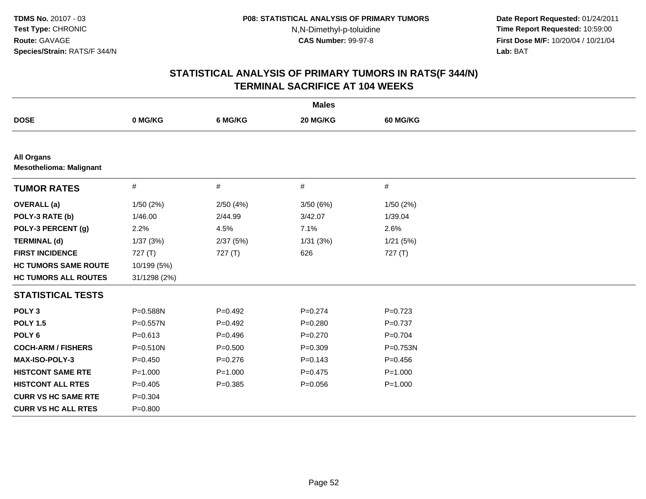**Date Report Requested:** 01/24/2011 **Time Report Requested:** 10:59:00 **First Dose M/F:** 10/20/04 / 10/21/04<br>**Lab:** BAT **Lab:** BAT

|                                                     |              |             | <b>Males</b> |             |  |
|-----------------------------------------------------|--------------|-------------|--------------|-------------|--|
| <b>DOSE</b>                                         | 0 MG/KG      | 6 MG/KG     | 20 MG/KG     | 60 MG/KG    |  |
|                                                     |              |             |              |             |  |
| <b>All Organs</b><br><b>Mesothelioma: Malignant</b> |              |             |              |             |  |
| <b>TUMOR RATES</b>                                  | $\#$         | #           | $\#$         | $\#$        |  |
| <b>OVERALL</b> (a)                                  | 1/50(2%)     | 2/50(4%)    | 3/50 (6%)    | 1/50(2%)    |  |
| POLY-3 RATE (b)                                     | 1/46.00      | 2/44.99     | 3/42.07      | 1/39.04     |  |
| POLY-3 PERCENT (g)                                  | 2.2%         | 4.5%        | 7.1%         | 2.6%        |  |
| <b>TERMINAL (d)</b>                                 | 1/37(3%)     | 2/37(5%)    | 1/31(3%)     | 1/21(5%)    |  |
| <b>FIRST INCIDENCE</b>                              | 727(T)       | 727(T)      | 626          | 727(T)      |  |
| <b>HC TUMORS SAME ROUTE</b>                         | 10/199 (5%)  |             |              |             |  |
| <b>HC TUMORS ALL ROUTES</b>                         | 31/1298 (2%) |             |              |             |  |
| <b>STATISTICAL TESTS</b>                            |              |             |              |             |  |
| POLY <sub>3</sub>                                   | P=0.588N     | $P=0.492$   | $P=0.274$    | $P=0.723$   |  |
| <b>POLY 1.5</b>                                     | $P = 0.557N$ | $P=0.492$   | $P=0.280$    | $P = 0.737$ |  |
| POLY <sub>6</sub>                                   | $P = 0.613$  | $P = 0.496$ | $P = 0.270$  | $P = 0.704$ |  |
| <b>COCH-ARM / FISHERS</b>                           | $P = 0.510N$ | $P = 0.500$ | $P = 0.309$  | P=0.753N    |  |
| <b>MAX-ISO-POLY-3</b>                               | $P=0.450$    | $P = 0.276$ | $P = 0.143$  | $P = 0.456$ |  |
| <b>HISTCONT SAME RTE</b>                            | $P = 1.000$  | $P = 1.000$ | $P=0.475$    | $P = 1.000$ |  |
| <b>HISTCONT ALL RTES</b>                            | $P = 0.405$  | $P = 0.385$ | $P = 0.056$  | $P = 1.000$ |  |
| <b>CURR VS HC SAME RTE</b>                          | $P = 0.304$  |             |              |             |  |
| <b>CURR VS HC ALL RTES</b>                          | $P = 0.800$  |             |              |             |  |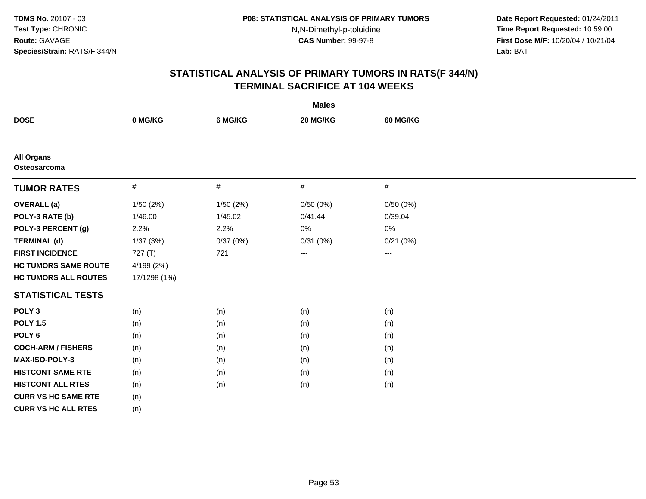**Date Report Requested:** 01/24/2011 **Time Report Requested:** 10:59:00 **First Dose M/F:** 10/20/04 / 10/21/04<br>**Lab:** BAT **Lab:** BAT

|                                   |              |           | <b>Males</b> |                   |  |
|-----------------------------------|--------------|-----------|--------------|-------------------|--|
| <b>DOSE</b>                       | 0 MG/KG      | 6 MG/KG   | 20 MG/KG     | <b>60 MG/KG</b>   |  |
|                                   |              |           |              |                   |  |
| <b>All Organs</b><br>Osteosarcoma |              |           |              |                   |  |
| <b>TUMOR RATES</b>                | $\#$         | $\#$      | $\#$         | $\#$              |  |
| <b>OVERALL</b> (a)                | 1/50 (2%)    | 1/50 (2%) | 0/50(0%)     | 0/50(0%)          |  |
| POLY-3 RATE (b)                   | 1/46.00      | 1/45.02   | 0/41.44      | 0/39.04           |  |
| POLY-3 PERCENT (g)                | 2.2%         | 2.2%      | $0\%$        | $0\%$             |  |
| <b>TERMINAL (d)</b>               | 1/37(3%)     | 0/37(0%)  | 0/31(0%)     | 0/21(0%)          |  |
| <b>FIRST INCIDENCE</b>            | 727(T)       | 721       | $\cdots$     | $\qquad \qquad -$ |  |
| <b>HC TUMORS SAME ROUTE</b>       | 4/199 (2%)   |           |              |                   |  |
| <b>HC TUMORS ALL ROUTES</b>       | 17/1298 (1%) |           |              |                   |  |
| <b>STATISTICAL TESTS</b>          |              |           |              |                   |  |
| POLY <sub>3</sub>                 | (n)          | (n)       | (n)          | (n)               |  |
| <b>POLY 1.5</b>                   | (n)          | (n)       | (n)          | (n)               |  |
| POLY <sub>6</sub>                 | (n)          | (n)       | (n)          | (n)               |  |
| <b>COCH-ARM / FISHERS</b>         | (n)          | (n)       | (n)          | (n)               |  |
| <b>MAX-ISO-POLY-3</b>             | (n)          | (n)       | (n)          | (n)               |  |
| <b>HISTCONT SAME RTE</b>          | (n)          | (n)       | (n)          | (n)               |  |
| <b>HISTCONT ALL RTES</b>          | (n)          | (n)       | (n)          | (n)               |  |
| <b>CURR VS HC SAME RTE</b>        | (n)          |           |              |                   |  |
| <b>CURR VS HC ALL RTES</b>        | (n)          |           |              |                   |  |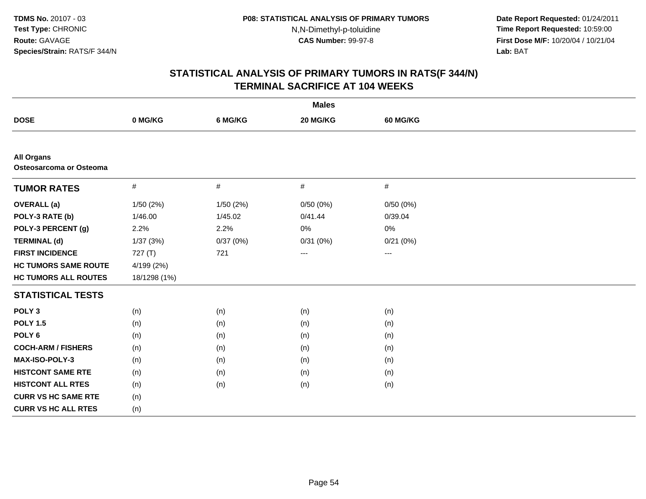**Date Report Requested:** 01/24/2011 **Time Report Requested:** 10:59:00 **First Dose M/F:** 10/20/04 / 10/21/04<br>**Lab:** BAT **Lab:** BAT

|                                              |              |           | <b>Males</b> |                 |  |
|----------------------------------------------|--------------|-----------|--------------|-----------------|--|
| <b>DOSE</b>                                  | 0 MG/KG      | 6 MG/KG   | 20 MG/KG     | <b>60 MG/KG</b> |  |
|                                              |              |           |              |                 |  |
| <b>All Organs</b><br>Osteosarcoma or Osteoma |              |           |              |                 |  |
| <b>TUMOR RATES</b>                           | $\#$         | $\#$      | #            | $\#$            |  |
| <b>OVERALL</b> (a)                           | 1/50(2%)     | 1/50 (2%) | 0/50(0%)     | 0/50(0%)        |  |
| POLY-3 RATE (b)                              | 1/46.00      | 1/45.02   | 0/41.44      | 0/39.04         |  |
| POLY-3 PERCENT (g)                           | 2.2%         | 2.2%      | $0\%$        | 0%              |  |
| <b>TERMINAL (d)</b>                          | 1/37(3%)     | 0/37(0%)  | 0/31(0%)     | 0/21(0%)        |  |
| <b>FIRST INCIDENCE</b>                       | 727(T)       | 721       | $---$        | ---             |  |
| <b>HC TUMORS SAME ROUTE</b>                  | 4/199 (2%)   |           |              |                 |  |
| <b>HC TUMORS ALL ROUTES</b>                  | 18/1298 (1%) |           |              |                 |  |
| <b>STATISTICAL TESTS</b>                     |              |           |              |                 |  |
| POLY <sub>3</sub>                            | (n)          | (n)       | (n)          | (n)             |  |
| <b>POLY 1.5</b>                              | (n)          | (n)       | (n)          | (n)             |  |
| POLY <sub>6</sub>                            | (n)          | (n)       | (n)          | (n)             |  |
| <b>COCH-ARM / FISHERS</b>                    | (n)          | (n)       | (n)          | (n)             |  |
| MAX-ISO-POLY-3                               | (n)          | (n)       | (n)          | (n)             |  |
| <b>HISTCONT SAME RTE</b>                     | (n)          | (n)       | (n)          | (n)             |  |
| <b>HISTCONT ALL RTES</b>                     | (n)          | (n)       | (n)          | (n)             |  |
| <b>CURR VS HC SAME RTE</b>                   | (n)          |           |              |                 |  |
| <b>CURR VS HC ALL RTES</b>                   | (n)          |           |              |                 |  |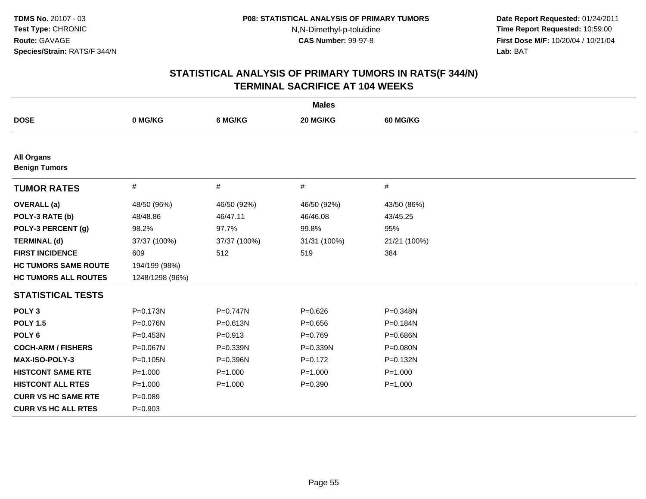**Date Report Requested:** 01/24/2011 **Time Report Requested:** 10:59:00 **First Dose M/F:** 10/20/04 / 10/21/04<br>**Lab:** BAT **Lab:** BAT

| <b>Males</b>                              |                 |              |              |              |  |  |
|-------------------------------------------|-----------------|--------------|--------------|--------------|--|--|
| <b>DOSE</b>                               | 0 MG/KG         | 6 MG/KG      | 20 MG/KG     | 60 MG/KG     |  |  |
|                                           |                 |              |              |              |  |  |
| <b>All Organs</b><br><b>Benign Tumors</b> |                 |              |              |              |  |  |
| <b>TUMOR RATES</b>                        | $\#$            | $\#$         | #            | #            |  |  |
| <b>OVERALL</b> (a)                        | 48/50 (96%)     | 46/50 (92%)  | 46/50 (92%)  | 43/50 (86%)  |  |  |
| POLY-3 RATE (b)                           | 48/48.86        | 46/47.11     | 46/46.08     | 43/45.25     |  |  |
| POLY-3 PERCENT (g)                        | 98.2%           | 97.7%        | 99.8%        | 95%          |  |  |
| <b>TERMINAL (d)</b>                       | 37/37 (100%)    | 37/37 (100%) | 31/31 (100%) | 21/21 (100%) |  |  |
| <b>FIRST INCIDENCE</b>                    | 609             | 512          | 519          | 384          |  |  |
| <b>HC TUMORS SAME ROUTE</b>               | 194/199 (98%)   |              |              |              |  |  |
| <b>HC TUMORS ALL ROUTES</b>               | 1248/1298 (96%) |              |              |              |  |  |
| <b>STATISTICAL TESTS</b>                  |                 |              |              |              |  |  |
| POLY <sub>3</sub>                         | P=0.173N        | P=0.747N     | $P = 0.626$  | P=0.348N     |  |  |
| <b>POLY 1.5</b>                           | P=0.076N        | P=0.613N     | $P = 0.656$  | P=0.184N     |  |  |
| POLY <sub>6</sub>                         | $P = 0.453N$    | $P = 0.913$  | $P=0.769$    | P=0.686N     |  |  |
| <b>COCH-ARM / FISHERS</b>                 | P=0.067N        | P=0.339N     | P=0.339N     | P=0.080N     |  |  |
| <b>MAX-ISO-POLY-3</b>                     | $P = 0.105N$    | P=0.396N     | $P=0.172$    | P=0.132N     |  |  |
| <b>HISTCONT SAME RTE</b>                  | $P = 1.000$     | $P = 1.000$  | $P = 1.000$  | $P = 1.000$  |  |  |
| <b>HISTCONT ALL RTES</b>                  | $P = 1.000$     | $P = 1.000$  | $P = 0.390$  | $P = 1.000$  |  |  |
| <b>CURR VS HC SAME RTE</b>                | $P = 0.089$     |              |              |              |  |  |
| <b>CURR VS HC ALL RTES</b>                | $P = 0.903$     |              |              |              |  |  |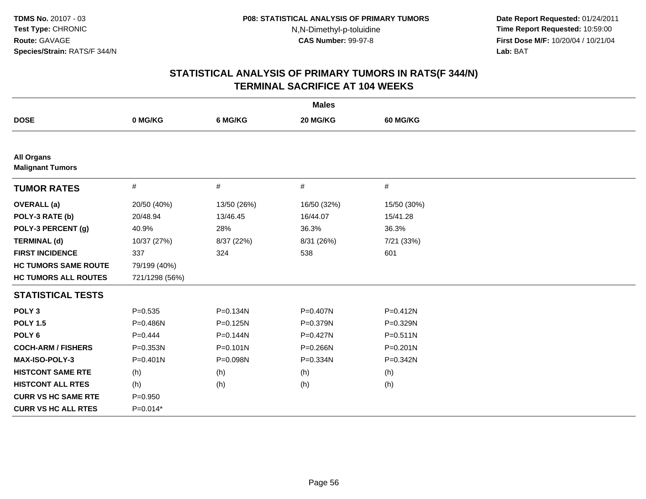**Date Report Requested:** 01/24/2011 **Time Report Requested:** 10:59:00 **First Dose M/F:** 10/20/04 / 10/21/04<br>**Lab:** BAT **Lab:** BAT

| <b>Males</b>                                 |                |              |              |              |  |  |
|----------------------------------------------|----------------|--------------|--------------|--------------|--|--|
| <b>DOSE</b>                                  | 0 MG/KG        | 6 MG/KG      | 20 MG/KG     | 60 MG/KG     |  |  |
|                                              |                |              |              |              |  |  |
| <b>All Organs</b><br><b>Malignant Tumors</b> |                |              |              |              |  |  |
| <b>TUMOR RATES</b>                           | $\#$           | #            | $\#$         | #            |  |  |
| <b>OVERALL</b> (a)                           | 20/50 (40%)    | 13/50 (26%)  | 16/50 (32%)  | 15/50 (30%)  |  |  |
| POLY-3 RATE (b)                              | 20/48.94       | 13/46.45     | 16/44.07     | 15/41.28     |  |  |
| POLY-3 PERCENT (g)                           | 40.9%          | 28%          | 36.3%        | 36.3%        |  |  |
| <b>TERMINAL (d)</b>                          | 10/37 (27%)    | 8/37 (22%)   | 8/31 (26%)   | 7/21 (33%)   |  |  |
| <b>FIRST INCIDENCE</b>                       | 337            | 324          | 538          | 601          |  |  |
| <b>HC TUMORS SAME ROUTE</b>                  | 79/199 (40%)   |              |              |              |  |  |
| <b>HC TUMORS ALL ROUTES</b>                  | 721/1298 (56%) |              |              |              |  |  |
| <b>STATISTICAL TESTS</b>                     |                |              |              |              |  |  |
| POLY <sub>3</sub>                            | $P = 0.535$    | P=0.134N     | P=0.407N     | $P = 0.412N$ |  |  |
| <b>POLY 1.5</b>                              | $P = 0.486N$   | $P = 0.125N$ | $P = 0.379N$ | P=0.329N     |  |  |
| POLY <sub>6</sub>                            | $P=0.444$      | P=0.144N     | P=0.427N     | $P = 0.511N$ |  |  |
| <b>COCH-ARM / FISHERS</b>                    | $P = 0.353N$   | $P = 0.101N$ | $P = 0.266N$ | $P = 0.201N$ |  |  |
| <b>MAX-ISO-POLY-3</b>                        | $P = 0.401N$   | P=0.098N     | P=0.334N     | $P = 0.342N$ |  |  |
| <b>HISTCONT SAME RTE</b>                     | (h)            | (h)          | (h)          | (h)          |  |  |
| <b>HISTCONT ALL RTES</b>                     | (h)            | (h)          | (h)          | (h)          |  |  |
| <b>CURR VS HC SAME RTE</b>                   | $P = 0.950$    |              |              |              |  |  |
| <b>CURR VS HC ALL RTES</b>                   | $P=0.014*$     |              |              |              |  |  |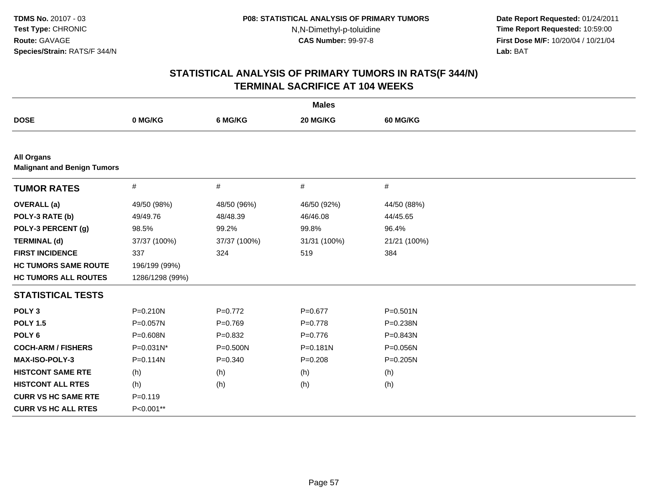**Date Report Requested:** 01/24/2011 **Time Report Requested:** 10:59:00 **First Dose M/F:** 10/20/04 / 10/21/04<br>**Lab:** BAT **Lab:** BAT

| <b>Males</b>                                            |                 |              |              |              |  |  |
|---------------------------------------------------------|-----------------|--------------|--------------|--------------|--|--|
| <b>DOSE</b>                                             | 0 MG/KG         | 6 MG/KG      | 20 MG/KG     | 60 MG/KG     |  |  |
|                                                         |                 |              |              |              |  |  |
| <b>All Organs</b><br><b>Malignant and Benign Tumors</b> |                 |              |              |              |  |  |
| <b>TUMOR RATES</b>                                      | $\#$            | $\#$         | #            | #            |  |  |
| <b>OVERALL</b> (a)                                      | 49/50 (98%)     | 48/50 (96%)  | 46/50 (92%)  | 44/50 (88%)  |  |  |
| POLY-3 RATE (b)                                         | 49/49.76        | 48/48.39     | 46/46.08     | 44/45.65     |  |  |
| POLY-3 PERCENT (g)                                      | 98.5%           | 99.2%        | 99.8%        | 96.4%        |  |  |
| <b>TERMINAL (d)</b>                                     | 37/37 (100%)    | 37/37 (100%) | 31/31 (100%) | 21/21 (100%) |  |  |
| <b>FIRST INCIDENCE</b>                                  | 337             | 324          | 519          | 384          |  |  |
| <b>HC TUMORS SAME ROUTE</b>                             | 196/199 (99%)   |              |              |              |  |  |
| <b>HC TUMORS ALL ROUTES</b>                             | 1286/1298 (99%) |              |              |              |  |  |
| <b>STATISTICAL TESTS</b>                                |                 |              |              |              |  |  |
| POLY <sub>3</sub>                                       | $P = 0.210N$    | $P=0.772$    | $P = 0.677$  | $P = 0.501N$ |  |  |
| <b>POLY 1.5</b>                                         | P=0.057N        | $P=0.769$    | $P=0.778$    | P=0.238N     |  |  |
| POLY <sub>6</sub>                                       | P=0.608N        | $P=0.832$    | $P=0.776$    | P=0.843N     |  |  |
| <b>COCH-ARM / FISHERS</b>                               | P=0.031N*       | P=0.500N     | $P = 0.181N$ | $P = 0.056N$ |  |  |
| MAX-ISO-POLY-3                                          | $P = 0.114N$    | $P = 0.340$  | $P=0.208$    | $P = 0.205N$ |  |  |
| <b>HISTCONT SAME RTE</b>                                | (h)             | (h)          | (h)          | (h)          |  |  |
| <b>HISTCONT ALL RTES</b>                                | (h)             | (h)          | (h)          | (h)          |  |  |
| <b>CURR VS HC SAME RTE</b>                              | $P=0.119$       |              |              |              |  |  |
| <b>CURR VS HC ALL RTES</b>                              | P<0.001**       |              |              |              |  |  |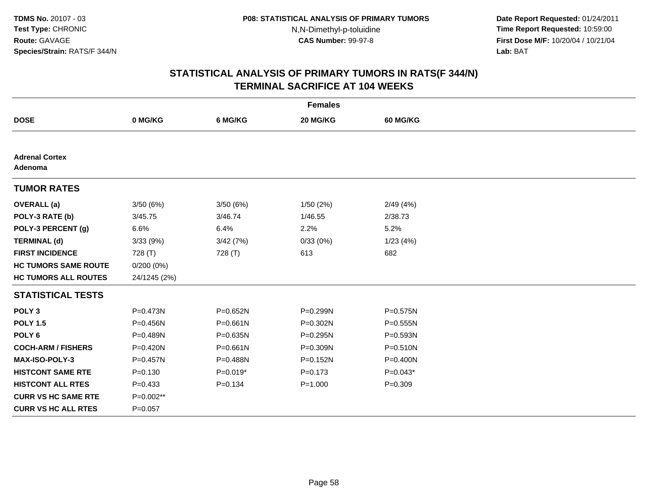**Date Report Requested:** 01/24/2011 **Time Report Requested:** 10:59:00 **First Dose M/F:** 10/20/04 / 10/21/04<br>**Lab:** BAT **Lab:** BAT

| <b>Females</b>                   |              |              |              |                 |  |  |
|----------------------------------|--------------|--------------|--------------|-----------------|--|--|
| <b>DOSE</b>                      | 0 MG/KG      | 6 MG/KG      | 20 MG/KG     | <b>60 MG/KG</b> |  |  |
|                                  |              |              |              |                 |  |  |
| <b>Adrenal Cortex</b><br>Adenoma |              |              |              |                 |  |  |
| <b>TUMOR RATES</b>               |              |              |              |                 |  |  |
| <b>OVERALL</b> (a)               | 3/50(6%)     | 3/50(6%)     | 1/50(2%)     | 2/49(4%)        |  |  |
| POLY-3 RATE (b)                  | 3/45.75      | 3/46.74      | 1/46.55      | 2/38.73         |  |  |
| POLY-3 PERCENT (g)               | 6.6%         | 6.4%         | 2.2%         | 5.2%            |  |  |
| <b>TERMINAL (d)</b>              | 3/33(9%)     | 3/42(7%)     | 0/33(0%)     | 1/23(4%)        |  |  |
| <b>FIRST INCIDENCE</b>           | 728 (T)      | 728 (T)      | 613          | 682             |  |  |
| <b>HC TUMORS SAME ROUTE</b>      | $0/200(0\%)$ |              |              |                 |  |  |
| <b>HC TUMORS ALL ROUTES</b>      | 24/1245 (2%) |              |              |                 |  |  |
| <b>STATISTICAL TESTS</b>         |              |              |              |                 |  |  |
| POLY <sub>3</sub>                | P=0.473N     | P=0.652N     | P=0.299N     | P=0.575N        |  |  |
| <b>POLY 1.5</b>                  | P=0.456N     | $P = 0.661N$ | P=0.302N     | $P = 0.555N$    |  |  |
| POLY <sub>6</sub>                | P=0.489N     | $P = 0.635N$ | $P = 0.295N$ | P=0.593N        |  |  |
| <b>COCH-ARM / FISHERS</b>        | P=0.420N     | $P = 0.661N$ | P=0.309N     | $P = 0.510N$    |  |  |
| <b>MAX-ISO-POLY-3</b>            | P=0.457N     | P=0.488N     | P=0.152N     | P=0.400N        |  |  |
| <b>HISTCONT SAME RTE</b>         | $P = 0.130$  | $P=0.019*$   | $P = 0.173$  | $P=0.043*$      |  |  |
| <b>HISTCONT ALL RTES</b>         | $P=0.433$    | $P = 0.134$  | $P = 1.000$  | $P=0.309$       |  |  |
| <b>CURR VS HC SAME RTE</b>       | P=0.002**    |              |              |                 |  |  |
| <b>CURR VS HC ALL RTES</b>       | $P = 0.057$  |              |              |                 |  |  |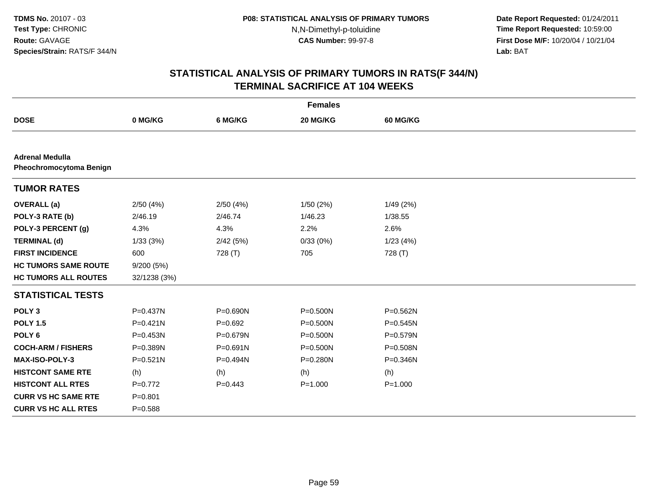**Date Report Requested:** 01/24/2011 **Time Report Requested:** 10:59:00 **First Dose M/F:** 10/20/04 / 10/21/04<br>**Lab:** BAT **Lab:** BAT

| <b>Females</b>                                           |              |              |              |                 |  |
|----------------------------------------------------------|--------------|--------------|--------------|-----------------|--|
| <b>DOSE</b>                                              | 0 MG/KG      | 6 MG/KG      | 20 MG/KG     | <b>60 MG/KG</b> |  |
|                                                          |              |              |              |                 |  |
| <b>Adrenal Medulla</b><br><b>Pheochromocytoma Benign</b> |              |              |              |                 |  |
| <b>TUMOR RATES</b>                                       |              |              |              |                 |  |
| <b>OVERALL</b> (a)                                       | 2/50(4%)     | 2/50(4%)     | 1/50 (2%)    | 1/49(2%)        |  |
| POLY-3 RATE (b)                                          | 2/46.19      | 2/46.74      | 1/46.23      | 1/38.55         |  |
| POLY-3 PERCENT (g)                                       | 4.3%         | 4.3%         | 2.2%         | 2.6%            |  |
| <b>TERMINAL (d)</b>                                      | 1/33(3%)     | 2/42(5%)     | 0/33(0%)     | 1/23(4%)        |  |
| <b>FIRST INCIDENCE</b>                                   | 600          | 728 (T)      | 705          | 728 (T)         |  |
| <b>HC TUMORS SAME ROUTE</b>                              | 9/200(5%)    |              |              |                 |  |
| <b>HC TUMORS ALL ROUTES</b>                              | 32/1238 (3%) |              |              |                 |  |
| <b>STATISTICAL TESTS</b>                                 |              |              |              |                 |  |
| POLY <sub>3</sub>                                        | P=0.437N     | P=0.690N     | $P = 0.500N$ | P=0.562N        |  |
| <b>POLY 1.5</b>                                          | $P = 0.421N$ | $P=0.692$    | $P = 0.500N$ | $P = 0.545N$    |  |
| POLY <sub>6</sub>                                        | $P = 0.453N$ | P=0.679N     | $P = 0.500N$ | P=0.579N        |  |
| <b>COCH-ARM / FISHERS</b>                                | P=0.389N     | P=0.691N     | $P = 0.500N$ | P=0.508N        |  |
| <b>MAX-ISO-POLY-3</b>                                    | $P = 0.521N$ | $P = 0.494N$ | P=0.280N     | P=0.346N        |  |
| <b>HISTCONT SAME RTE</b>                                 | (h)          | (h)          | (h)          | (h)             |  |
| <b>HISTCONT ALL RTES</b>                                 | $P=0.772$    | $P=0.443$    | $P = 1.000$  | $P = 1.000$     |  |
| <b>CURR VS HC SAME RTE</b>                               | $P = 0.801$  |              |              |                 |  |
| <b>CURR VS HC ALL RTES</b>                               | $P = 0.588$  |              |              |                 |  |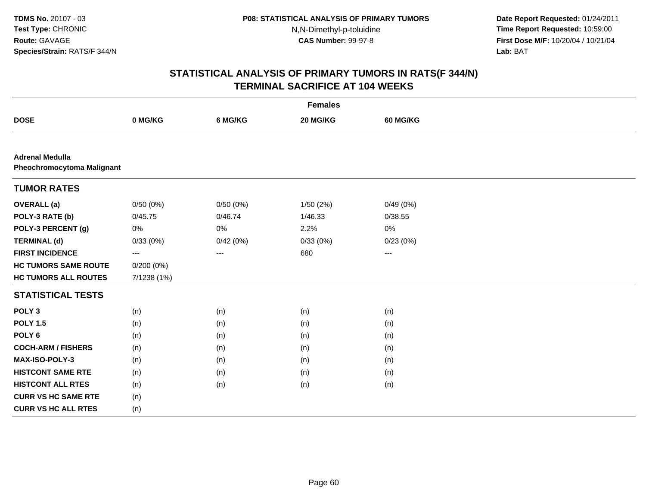**Date Report Requested:** 01/24/2011 **Time Report Requested:** 10:59:00 **First Dose M/F:** 10/20/04 / 10/21/04<br>**Lab:** BAT **Lab:** BAT

|                                                             | <b>Females</b> |          |          |                         |  |  |  |  |
|-------------------------------------------------------------|----------------|----------|----------|-------------------------|--|--|--|--|
| <b>DOSE</b>                                                 | 0 MG/KG        | 6 MG/KG  | 20 MG/KG | 60 MG/KG                |  |  |  |  |
|                                                             |                |          |          |                         |  |  |  |  |
| <b>Adrenal Medulla</b><br><b>Pheochromocytoma Malignant</b> |                |          |          |                         |  |  |  |  |
| <b>TUMOR RATES</b>                                          |                |          |          |                         |  |  |  |  |
| <b>OVERALL</b> (a)                                          | 0/50(0%)       | 0/50(0%) | 1/50(2%) | 0/49(0%)                |  |  |  |  |
| POLY-3 RATE (b)                                             | 0/45.75        | 0/46.74  | 1/46.33  | 0/38.55                 |  |  |  |  |
| POLY-3 PERCENT (g)                                          | 0%             | 0%       | 2.2%     | 0%                      |  |  |  |  |
| <b>TERMINAL (d)</b>                                         | 0/33(0%)       | 0/42(0%) | 0/33(0%) | 0/23(0%)                |  |  |  |  |
| <b>FIRST INCIDENCE</b>                                      | ---            | ---      | 680      | $\qquad \qquad -\qquad$ |  |  |  |  |
| <b>HC TUMORS SAME ROUTE</b>                                 | $0/200(0\%)$   |          |          |                         |  |  |  |  |
| <b>HC TUMORS ALL ROUTES</b>                                 | 7/1238 (1%)    |          |          |                         |  |  |  |  |
| <b>STATISTICAL TESTS</b>                                    |                |          |          |                         |  |  |  |  |
| POLY <sub>3</sub>                                           | (n)            | (n)      | (n)      | (n)                     |  |  |  |  |
| <b>POLY 1.5</b>                                             | (n)            | (n)      | (n)      | (n)                     |  |  |  |  |
| POLY <sub>6</sub>                                           | (n)            | (n)      | (n)      | (n)                     |  |  |  |  |
| <b>COCH-ARM / FISHERS</b>                                   | (n)            | (n)      | (n)      | (n)                     |  |  |  |  |
| <b>MAX-ISO-POLY-3</b>                                       | (n)            | (n)      | (n)      | (n)                     |  |  |  |  |
| <b>HISTCONT SAME RTE</b>                                    | (n)            | (n)      | (n)      | (n)                     |  |  |  |  |
| <b>HISTCONT ALL RTES</b>                                    | (n)            | (n)      | (n)      | (n)                     |  |  |  |  |
| <b>CURR VS HC SAME RTE</b>                                  | (n)            |          |          |                         |  |  |  |  |
| <b>CURR VS HC ALL RTES</b>                                  | (n)            |          |          |                         |  |  |  |  |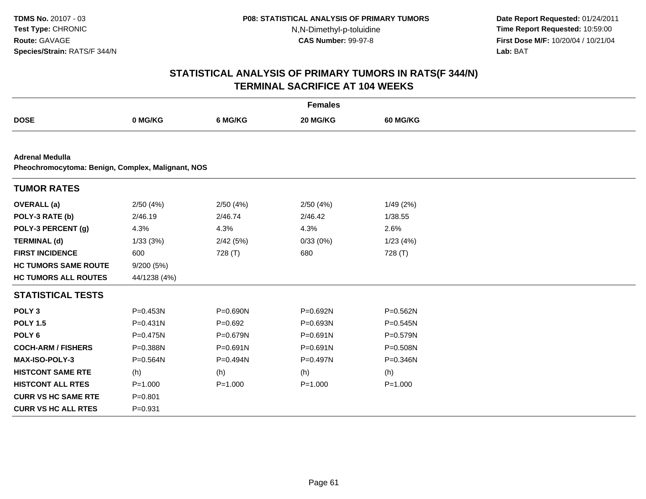**Date Report Requested:** 01/24/2011 **Time Report Requested:** 10:59:00 **First Dose M/F:** 10/20/04 / 10/21/04<br>**Lab:** BAT **Lab:** BAT

|                                                                             | <b>Females</b> |              |              |                 |  |  |  |  |
|-----------------------------------------------------------------------------|----------------|--------------|--------------|-----------------|--|--|--|--|
| <b>DOSE</b>                                                                 | 0 MG/KG        | 6 MG/KG      | 20 MG/KG     | <b>60 MG/KG</b> |  |  |  |  |
|                                                                             |                |              |              |                 |  |  |  |  |
| <b>Adrenal Medulla</b><br>Pheochromocytoma: Benign, Complex, Malignant, NOS |                |              |              |                 |  |  |  |  |
| <b>TUMOR RATES</b>                                                          |                |              |              |                 |  |  |  |  |
| <b>OVERALL</b> (a)                                                          | 2/50(4%)       | 2/50(4%)     | 2/50(4%)     | 1/49 (2%)       |  |  |  |  |
| POLY-3 RATE (b)                                                             | 2/46.19        | 2/46.74      | 2/46.42      | 1/38.55         |  |  |  |  |
| POLY-3 PERCENT (g)                                                          | 4.3%           | 4.3%         | 4.3%         | 2.6%            |  |  |  |  |
| <b>TERMINAL (d)</b>                                                         | 1/33(3%)       | 2/42(5%)     | 0/33(0%)     | 1/23(4%)        |  |  |  |  |
| <b>FIRST INCIDENCE</b>                                                      | 600            | 728 (T)      | 680          | 728 (T)         |  |  |  |  |
| <b>HC TUMORS SAME ROUTE</b>                                                 | 9/200(5%)      |              |              |                 |  |  |  |  |
| <b>HC TUMORS ALL ROUTES</b>                                                 | 44/1238 (4%)   |              |              |                 |  |  |  |  |
| <b>STATISTICAL TESTS</b>                                                    |                |              |              |                 |  |  |  |  |
| POLY <sub>3</sub>                                                           | P=0.453N       | $P = 0.690N$ | $P = 0.692N$ | $P = 0.562N$    |  |  |  |  |
| <b>POLY 1.5</b>                                                             | $P = 0.431N$   | $P=0.692$    | P=0.693N     | $P = 0.545N$    |  |  |  |  |
| POLY <sub>6</sub>                                                           | P=0.475N       | P=0.679N     | P=0.691N     | P=0.579N        |  |  |  |  |
| <b>COCH-ARM / FISHERS</b>                                                   | P=0.388N       | P=0.691N     | $P = 0.691N$ | P=0.508N        |  |  |  |  |
| <b>MAX-ISO-POLY-3</b>                                                       | P=0.564N       | P=0.494N     | P=0.497N     | $P = 0.346N$    |  |  |  |  |
| <b>HISTCONT SAME RTE</b>                                                    | (h)            | (h)          | (h)          | (h)             |  |  |  |  |
| <b>HISTCONT ALL RTES</b>                                                    | $P = 1.000$    | $P = 1.000$  | $P = 1.000$  | $P = 1.000$     |  |  |  |  |
| <b>CURR VS HC SAME RTE</b>                                                  | $P = 0.801$    |              |              |                 |  |  |  |  |
| <b>CURR VS HC ALL RTES</b>                                                  | $P = 0.931$    |              |              |                 |  |  |  |  |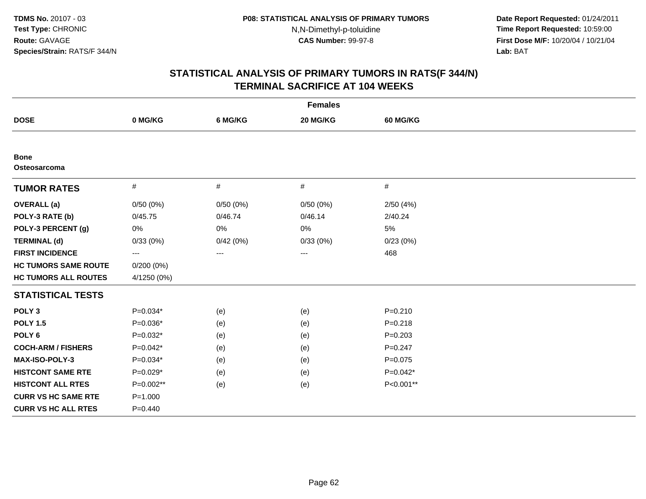**Date Report Requested:** 01/24/2011 **Time Report Requested:** 10:59:00 **First Dose M/F:** 10/20/04 / 10/21/04<br>**Lab:** BAT **Lab:** BAT

| <b>Females</b>              |              |          |          |                 |  |  |  |
|-----------------------------|--------------|----------|----------|-----------------|--|--|--|
| <b>DOSE</b>                 | 0 MG/KG      | 6 MG/KG  | 20 MG/KG | <b>60 MG/KG</b> |  |  |  |
|                             |              |          |          |                 |  |  |  |
| <b>Bone</b><br>Osteosarcoma |              |          |          |                 |  |  |  |
| <b>TUMOR RATES</b>          | $\#$         | $\#$     | $\#$     | $\#$            |  |  |  |
| <b>OVERALL</b> (a)          | 0/50(0%)     | 0/50(0%) | 0/50(0%) | 2/50(4%)        |  |  |  |
| POLY-3 RATE (b)             | 0/45.75      | 0/46.74  | 0/46.14  | 2/40.24         |  |  |  |
| POLY-3 PERCENT (g)          | $0\%$        | $0\%$    | 0%       | 5%              |  |  |  |
| <b>TERMINAL (d)</b>         | 0/33(0%)     | 0/42(0%) | 0/33(0%) | 0/23(0%)        |  |  |  |
| <b>FIRST INCIDENCE</b>      | ---          | ---      | ---      | 468             |  |  |  |
| <b>HC TUMORS SAME ROUTE</b> | $0/200(0\%)$ |          |          |                 |  |  |  |
| <b>HC TUMORS ALL ROUTES</b> | 4/1250 (0%)  |          |          |                 |  |  |  |
| <b>STATISTICAL TESTS</b>    |              |          |          |                 |  |  |  |
| POLY <sub>3</sub>           | $P=0.034*$   | (e)      | (e)      | $P = 0.210$     |  |  |  |
| <b>POLY 1.5</b>             | $P=0.036*$   | (e)      | (e)      | $P = 0.218$     |  |  |  |
| POLY <sub>6</sub>           | $P=0.032*$   | (e)      | (e)      | $P = 0.203$     |  |  |  |
| <b>COCH-ARM / FISHERS</b>   | P=0.042*     | (e)      | (e)      | $P = 0.247$     |  |  |  |
| <b>MAX-ISO-POLY-3</b>       | $P=0.034*$   | (e)      | (e)      | $P=0.075$       |  |  |  |
| <b>HISTCONT SAME RTE</b>    | $P=0.029*$   | (e)      | (e)      | $P=0.042*$      |  |  |  |
| <b>HISTCONT ALL RTES</b>    | P=0.002**    | (e)      | (e)      | P<0.001**       |  |  |  |
| <b>CURR VS HC SAME RTE</b>  | $P = 1.000$  |          |          |                 |  |  |  |
| <b>CURR VS HC ALL RTES</b>  | $P=0.440$    |          |          |                 |  |  |  |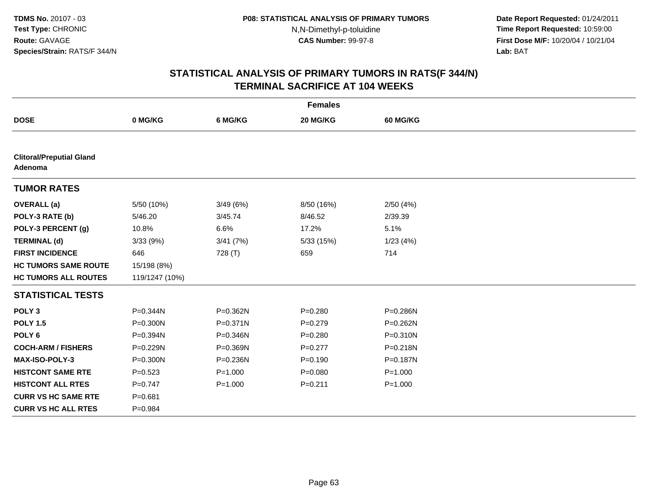**Date Report Requested:** 01/24/2011 **Time Report Requested:** 10:59:00 **First Dose M/F:** 10/20/04 / 10/21/04<br>**Lab:** BAT **Lab:** BAT

|                                            | <b>Females</b> |             |             |                 |  |  |  |  |
|--------------------------------------------|----------------|-------------|-------------|-----------------|--|--|--|--|
| <b>DOSE</b>                                | 0 MG/KG        | 6 MG/KG     | 20 MG/KG    | <b>60 MG/KG</b> |  |  |  |  |
|                                            |                |             |             |                 |  |  |  |  |
| <b>Clitoral/Preputial Gland</b><br>Adenoma |                |             |             |                 |  |  |  |  |
| <b>TUMOR RATES</b>                         |                |             |             |                 |  |  |  |  |
| <b>OVERALL</b> (a)                         | 5/50 (10%)     | 3/49(6%)    | 8/50 (16%)  | 2/50(4%)        |  |  |  |  |
| POLY-3 RATE (b)                            | 5/46.20        | 3/45.74     | 8/46.52     | 2/39.39         |  |  |  |  |
| POLY-3 PERCENT (g)                         | 10.8%          | 6.6%        | 17.2%       | 5.1%            |  |  |  |  |
| <b>TERMINAL (d)</b>                        | 3/33(9%)       | 3/41(7%)    | 5/33 (15%)  | 1/23(4%)        |  |  |  |  |
| <b>FIRST INCIDENCE</b>                     | 646            | 728 (T)     | 659         | 714             |  |  |  |  |
| <b>HC TUMORS SAME ROUTE</b>                | 15/198 (8%)    |             |             |                 |  |  |  |  |
| <b>HC TUMORS ALL ROUTES</b>                | 119/1247 (10%) |             |             |                 |  |  |  |  |
| <b>STATISTICAL TESTS</b>                   |                |             |             |                 |  |  |  |  |
| POLY <sub>3</sub>                          | P=0.344N       | P=0.362N    | $P = 0.280$ | P=0.286N        |  |  |  |  |
| <b>POLY 1.5</b>                            | $P = 0.300N$   | P=0.371N    | $P=0.279$   | $P = 0.262N$    |  |  |  |  |
| POLY <sub>6</sub>                          | P=0.394N       | P=0.346N    | $P = 0.280$ | P=0.310N        |  |  |  |  |
| <b>COCH-ARM / FISHERS</b>                  | P=0.229N       | P=0.369N    | $P = 0.277$ | P=0.218N        |  |  |  |  |
| MAX-ISO-POLY-3                             | $P = 0.300N$   | P=0.236N    | $P=0.190$   | P=0.187N        |  |  |  |  |
| <b>HISTCONT SAME RTE</b>                   | $P=0.523$      | $P = 1.000$ | $P = 0.080$ | $P = 1.000$     |  |  |  |  |
| <b>HISTCONT ALL RTES</b>                   | $P=0.747$      | $P = 1.000$ | $P = 0.211$ | $P = 1.000$     |  |  |  |  |
| <b>CURR VS HC SAME RTE</b>                 | $P = 0.681$    |             |             |                 |  |  |  |  |
| <b>CURR VS HC ALL RTES</b>                 | $P = 0.984$    |             |             |                 |  |  |  |  |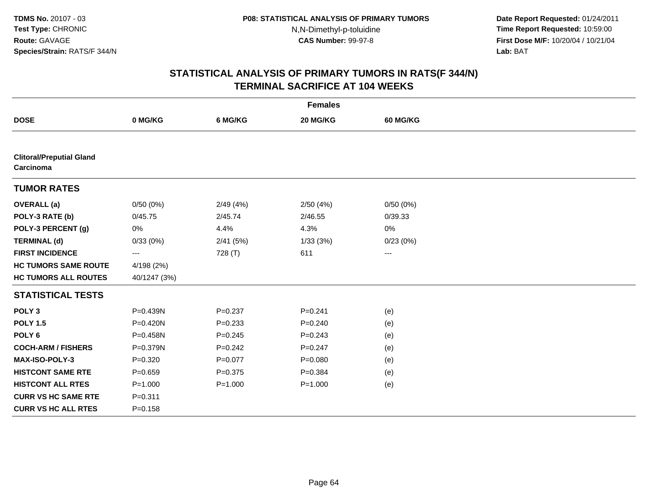**Date Report Requested:** 01/24/2011 **Time Report Requested:** 10:59:00 **First Dose M/F:** 10/20/04 / 10/21/04<br>**Lab:** BAT **Lab:** BAT

| <b>Females</b>                               |              |             |             |                 |  |  |  |
|----------------------------------------------|--------------|-------------|-------------|-----------------|--|--|--|
| <b>DOSE</b>                                  | 0 MG/KG      | 6 MG/KG     | 20 MG/KG    | <b>60 MG/KG</b> |  |  |  |
|                                              |              |             |             |                 |  |  |  |
| <b>Clitoral/Preputial Gland</b><br>Carcinoma |              |             |             |                 |  |  |  |
| <b>TUMOR RATES</b>                           |              |             |             |                 |  |  |  |
| <b>OVERALL</b> (a)                           | 0/50(0%)     | 2/49(4%)    | 2/50(4%)    | 0/50(0%)        |  |  |  |
| POLY-3 RATE (b)                              | 0/45.75      | 2/45.74     | 2/46.55     | 0/39.33         |  |  |  |
| POLY-3 PERCENT (g)                           | 0%           | 4.4%        | 4.3%        | 0%              |  |  |  |
| <b>TERMINAL (d)</b>                          | 0/33(0%)     | 2/41(5%)    | 1/33(3%)    | 0/23(0%)        |  |  |  |
| <b>FIRST INCIDENCE</b>                       | ---          | 728 (T)     | 611         | $\cdots$        |  |  |  |
| <b>HC TUMORS SAME ROUTE</b>                  | 4/198 (2%)   |             |             |                 |  |  |  |
| <b>HC TUMORS ALL ROUTES</b>                  | 40/1247 (3%) |             |             |                 |  |  |  |
| <b>STATISTICAL TESTS</b>                     |              |             |             |                 |  |  |  |
| POLY <sub>3</sub>                            | P=0.439N     | $P = 0.237$ | $P = 0.241$ | (e)             |  |  |  |
| <b>POLY 1.5</b>                              | P=0.420N     | $P = 0.233$ | $P = 0.240$ | (e)             |  |  |  |
| POLY <sub>6</sub>                            | P=0.458N     | $P = 0.245$ | $P = 0.243$ | (e)             |  |  |  |
| <b>COCH-ARM / FISHERS</b>                    | P=0.379N     | $P=0.242$   | $P = 0.247$ | (e)             |  |  |  |
| MAX-ISO-POLY-3                               | $P=0.320$    | $P = 0.077$ | $P = 0.080$ | (e)             |  |  |  |
| <b>HISTCONT SAME RTE</b>                     | $P = 0.659$  | $P = 0.375$ | $P = 0.384$ | (e)             |  |  |  |
| <b>HISTCONT ALL RTES</b>                     | $P = 1.000$  | $P = 1.000$ | $P = 1.000$ | (e)             |  |  |  |
| <b>CURR VS HC SAME RTE</b>                   | $P = 0.311$  |             |             |                 |  |  |  |
| <b>CURR VS HC ALL RTES</b>                   | $P = 0.158$  |             |             |                 |  |  |  |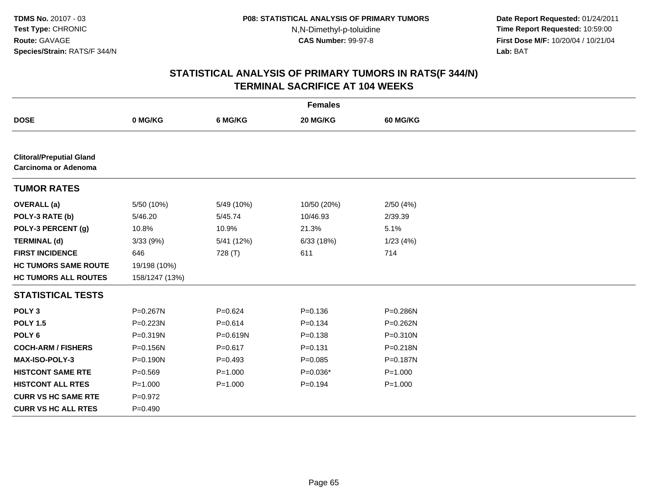**Date Report Requested:** 01/24/2011 **Time Report Requested:** 10:59:00 **First Dose M/F:** 10/20/04 / 10/21/04<br>**Lab:** BAT **Lab:** BAT

| <b>Females</b>                                          |                |             |             |                 |  |  |  |
|---------------------------------------------------------|----------------|-------------|-------------|-----------------|--|--|--|
| <b>DOSE</b>                                             | 0 MG/KG        | 6 MG/KG     | 20 MG/KG    | <b>60 MG/KG</b> |  |  |  |
|                                                         |                |             |             |                 |  |  |  |
| <b>Clitoral/Preputial Gland</b><br>Carcinoma or Adenoma |                |             |             |                 |  |  |  |
| <b>TUMOR RATES</b>                                      |                |             |             |                 |  |  |  |
| <b>OVERALL</b> (a)                                      | 5/50 (10%)     | 5/49 (10%)  | 10/50 (20%) | 2/50(4%)        |  |  |  |
| POLY-3 RATE (b)                                         | 5/46.20        | 5/45.74     | 10/46.93    | 2/39.39         |  |  |  |
| POLY-3 PERCENT (g)                                      | 10.8%          | 10.9%       | 21.3%       | 5.1%            |  |  |  |
| <b>TERMINAL (d)</b>                                     | 3/33(9%)       | 5/41(12%)   | 6/33 (18%)  | 1/23(4%)        |  |  |  |
| <b>FIRST INCIDENCE</b>                                  | 646            | 728 (T)     | 611         | 714             |  |  |  |
| <b>HC TUMORS SAME ROUTE</b>                             | 19/198 (10%)   |             |             |                 |  |  |  |
| <b>HC TUMORS ALL ROUTES</b>                             | 158/1247 (13%) |             |             |                 |  |  |  |
| <b>STATISTICAL TESTS</b>                                |                |             |             |                 |  |  |  |
| POLY <sub>3</sub>                                       | P=0.267N       | $P=0.624$   | $P = 0.136$ | P=0.286N        |  |  |  |
| <b>POLY 1.5</b>                                         | $P = 0.223N$   | $P = 0.614$ | $P = 0.134$ | $P = 0.262N$    |  |  |  |
| POLY <sub>6</sub>                                       | P=0.319N       | P=0.619N    | $P = 0.138$ | P=0.310N        |  |  |  |
| <b>COCH-ARM / FISHERS</b>                               | P=0.156N       | $P = 0.617$ | $P = 0.131$ | $P = 0.218N$    |  |  |  |
| <b>MAX-ISO-POLY-3</b>                                   | $P = 0.190N$   | $P=0.493$   | $P = 0.085$ | P=0.187N        |  |  |  |
| <b>HISTCONT SAME RTE</b>                                | $P = 0.569$    | $P = 1.000$ | $P=0.036*$  | $P = 1.000$     |  |  |  |
| <b>HISTCONT ALL RTES</b>                                | $P = 1.000$    | $P = 1.000$ | $P=0.194$   | $P = 1.000$     |  |  |  |
| <b>CURR VS HC SAME RTE</b>                              | $P=0.972$      |             |             |                 |  |  |  |
| <b>CURR VS HC ALL RTES</b>                              | $P=0.490$      |             |             |                 |  |  |  |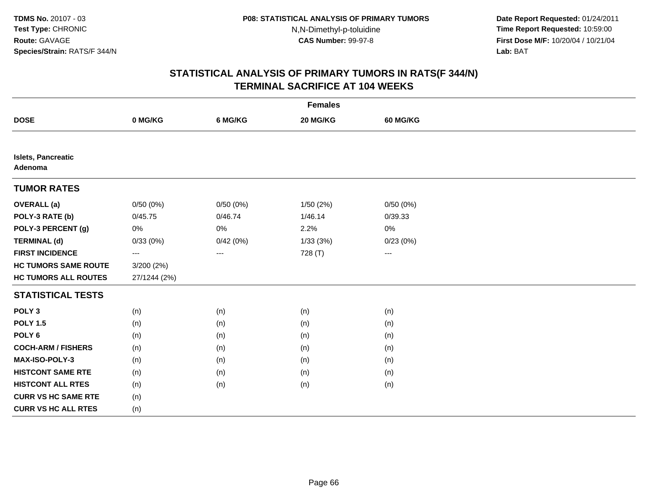**Date Report Requested:** 01/24/2011 **Time Report Requested:** 10:59:00 **First Dose M/F:** 10/20/04 / 10/21/04<br>**Lab:** BAT **Lab:** BAT

|                                      | <b>Females</b>       |          |          |                     |  |  |  |  |
|--------------------------------------|----------------------|----------|----------|---------------------|--|--|--|--|
| <b>DOSE</b>                          | 0 MG/KG              | 6 MG/KG  | 20 MG/KG | <b>60 MG/KG</b>     |  |  |  |  |
|                                      |                      |          |          |                     |  |  |  |  |
| <b>Islets, Pancreatic</b><br>Adenoma |                      |          |          |                     |  |  |  |  |
| <b>TUMOR RATES</b>                   |                      |          |          |                     |  |  |  |  |
| <b>OVERALL</b> (a)                   | 0/50(0%)             | 0/50(0%) | 1/50(2%) | 0/50(0%)            |  |  |  |  |
| POLY-3 RATE (b)                      | 0/45.75              | 0/46.74  | 1/46.14  | 0/39.33             |  |  |  |  |
| POLY-3 PERCENT (g)                   | 0%                   | $0\%$    | 2.2%     | 0%                  |  |  |  |  |
| <b>TERMINAL (d)</b>                  | 0/33(0%)             | 0/42(0%) | 1/33(3%) | 0/23(0%)            |  |  |  |  |
| <b>FIRST INCIDENCE</b>               | $\scriptstyle\cdots$ | $--$     | 728 (T)  | $\qquad \qquad - -$ |  |  |  |  |
| <b>HC TUMORS SAME ROUTE</b>          | 3/200(2%)            |          |          |                     |  |  |  |  |
| <b>HC TUMORS ALL ROUTES</b>          | 27/1244 (2%)         |          |          |                     |  |  |  |  |
| <b>STATISTICAL TESTS</b>             |                      |          |          |                     |  |  |  |  |
| POLY <sub>3</sub>                    | (n)                  | (n)      | (n)      | (n)                 |  |  |  |  |
| <b>POLY 1.5</b>                      | (n)                  | (n)      | (n)      | (n)                 |  |  |  |  |
| POLY <sub>6</sub>                    | (n)                  | (n)      | (n)      | (n)                 |  |  |  |  |
| <b>COCH-ARM / FISHERS</b>            | (n)                  | (n)      | (n)      | (n)                 |  |  |  |  |
| MAX-ISO-POLY-3                       | (n)                  | (n)      | (n)      | (n)                 |  |  |  |  |
| <b>HISTCONT SAME RTE</b>             | (n)                  | (n)      | (n)      | (n)                 |  |  |  |  |
| <b>HISTCONT ALL RTES</b>             | (n)                  | (n)      | (n)      | (n)                 |  |  |  |  |
| <b>CURR VS HC SAME RTE</b>           | (n)                  |          |          |                     |  |  |  |  |
| <b>CURR VS HC ALL RTES</b>           | (n)                  |          |          |                     |  |  |  |  |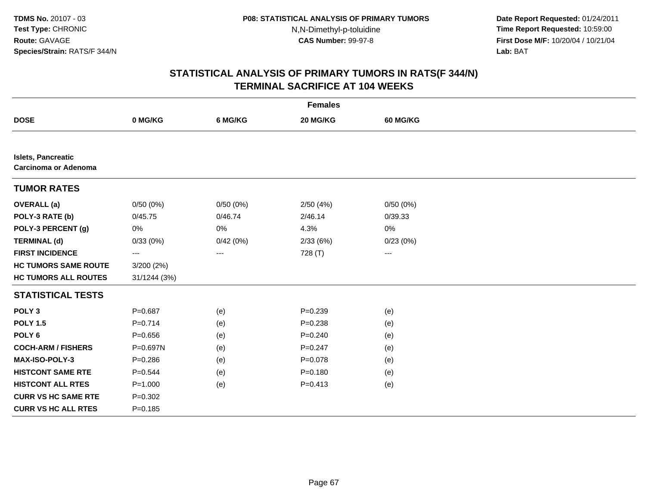**Date Report Requested:** 01/24/2011 **Time Report Requested:** 10:59:00 **First Dose M/F:** 10/20/04 / 10/21/04<br>**Lab:** BAT **Lab:** BAT

|                                                          | <b>Females</b> |          |             |          |  |  |  |  |
|----------------------------------------------------------|----------------|----------|-------------|----------|--|--|--|--|
| <b>DOSE</b>                                              | 0 MG/KG        | 6 MG/KG  | 20 MG/KG    | 60 MG/KG |  |  |  |  |
|                                                          |                |          |             |          |  |  |  |  |
| <b>Islets, Pancreatic</b><br><b>Carcinoma or Adenoma</b> |                |          |             |          |  |  |  |  |
| <b>TUMOR RATES</b>                                       |                |          |             |          |  |  |  |  |
| <b>OVERALL</b> (a)                                       | 0/50(0%)       | 0/50(0%) | 2/50(4%)    | 0/50(0%) |  |  |  |  |
| POLY-3 RATE (b)                                          | 0/45.75        | 0/46.74  | 2/46.14     | 0/39.33  |  |  |  |  |
| POLY-3 PERCENT (g)                                       | 0%             | 0%       | 4.3%        | 0%       |  |  |  |  |
| <b>TERMINAL (d)</b>                                      | 0/33(0%)       | 0/42(0%) | 2/33(6%)    | 0/23(0%) |  |  |  |  |
| <b>FIRST INCIDENCE</b>                                   | ---            | $--$     | 728 (T)     | ---      |  |  |  |  |
| <b>HC TUMORS SAME ROUTE</b>                              | 3/200 (2%)     |          |             |          |  |  |  |  |
| <b>HC TUMORS ALL ROUTES</b>                              | 31/1244 (3%)   |          |             |          |  |  |  |  |
| <b>STATISTICAL TESTS</b>                                 |                |          |             |          |  |  |  |  |
| POLY <sub>3</sub>                                        | $P = 0.687$    | (e)      | $P = 0.239$ | (e)      |  |  |  |  |
| <b>POLY 1.5</b>                                          | $P=0.714$      | (e)      | $P = 0.238$ | (e)      |  |  |  |  |
| POLY <sub>6</sub>                                        | $P = 0.656$    | (e)      | $P = 0.240$ | (e)      |  |  |  |  |
| <b>COCH-ARM / FISHERS</b>                                | P=0.697N       | (e)      | $P = 0.247$ | (e)      |  |  |  |  |
| <b>MAX-ISO-POLY-3</b>                                    | $P = 0.286$    | (e)      | $P = 0.078$ | (e)      |  |  |  |  |
| <b>HISTCONT SAME RTE</b>                                 | $P=0.544$      | (e)      | $P = 0.180$ | (e)      |  |  |  |  |
| <b>HISTCONT ALL RTES</b>                                 | $P = 1.000$    | (e)      | $P = 0.413$ | (e)      |  |  |  |  |
| <b>CURR VS HC SAME RTE</b>                               | $P = 0.302$    |          |             |          |  |  |  |  |
| <b>CURR VS HC ALL RTES</b>                               | $P = 0.185$    |          |             |          |  |  |  |  |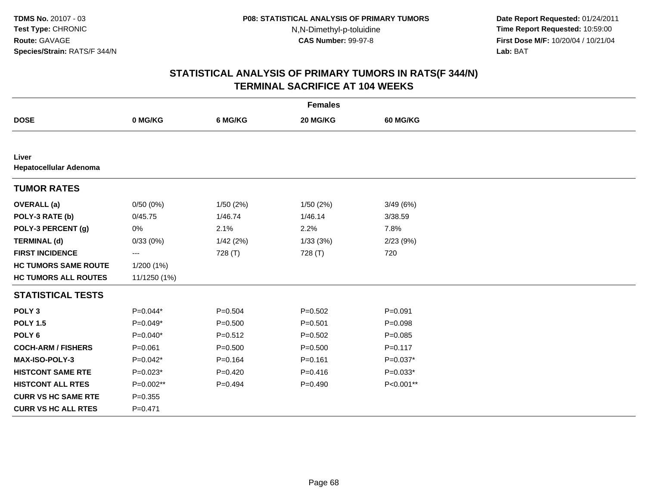**Date Report Requested:** 01/24/2011 **Time Report Requested:** 10:59:00 **First Dose M/F:** 10/20/04 / 10/21/04<br>**Lab:** BAT **Lab:** BAT

| <b>Females</b>                  |              |             |             |                 |  |  |  |
|---------------------------------|--------------|-------------|-------------|-----------------|--|--|--|
| <b>DOSE</b>                     | 0 MG/KG      | 6 MG/KG     | 20 MG/KG    | <b>60 MG/KG</b> |  |  |  |
|                                 |              |             |             |                 |  |  |  |
| Liver<br>Hepatocellular Adenoma |              |             |             |                 |  |  |  |
| <b>TUMOR RATES</b>              |              |             |             |                 |  |  |  |
| <b>OVERALL</b> (a)              | 0/50(0%)     | 1/50(2%)    | 1/50(2%)    | 3/49(6%)        |  |  |  |
| POLY-3 RATE (b)                 | 0/45.75      | 1/46.74     | 1/46.14     | 3/38.59         |  |  |  |
| POLY-3 PERCENT (g)              | 0%           | 2.1%        | 2.2%        | 7.8%            |  |  |  |
| <b>TERMINAL (d)</b>             | 0/33(0%)     | 1/42(2%)    | 1/33(3%)    | 2/23(9%)        |  |  |  |
| <b>FIRST INCIDENCE</b>          | ---          | 728 (T)     | 728 (T)     | 720             |  |  |  |
| <b>HC TUMORS SAME ROUTE</b>     | 1/200 (1%)   |             |             |                 |  |  |  |
| <b>HC TUMORS ALL ROUTES</b>     | 11/1250 (1%) |             |             |                 |  |  |  |
| <b>STATISTICAL TESTS</b>        |              |             |             |                 |  |  |  |
| POLY <sub>3</sub>               | $P=0.044*$   | $P = 0.504$ | $P = 0.502$ | $P = 0.091$     |  |  |  |
| <b>POLY 1.5</b>                 | $P=0.049*$   | $P = 0.500$ | $P = 0.501$ | $P = 0.098$     |  |  |  |
| POLY <sub>6</sub>               | $P=0.040*$   | $P = 0.512$ | $P = 0.502$ | $P = 0.085$     |  |  |  |
| <b>COCH-ARM / FISHERS</b>       | $P = 0.061$  | $P = 0.500$ | $P = 0.500$ | $P = 0.117$     |  |  |  |
| MAX-ISO-POLY-3                  | $P=0.042*$   | $P = 0.164$ | $P = 0.161$ | $P=0.037*$      |  |  |  |
| <b>HISTCONT SAME RTE</b>        | $P=0.023*$   | $P=0.420$   | $P = 0.416$ | $P=0.033*$      |  |  |  |
| <b>HISTCONT ALL RTES</b>        | P=0.002**    | $P=0.494$   | $P=0.490$   | P<0.001**       |  |  |  |
| <b>CURR VS HC SAME RTE</b>      | $P = 0.355$  |             |             |                 |  |  |  |
| <b>CURR VS HC ALL RTES</b>      | $P=0.471$    |             |             |                 |  |  |  |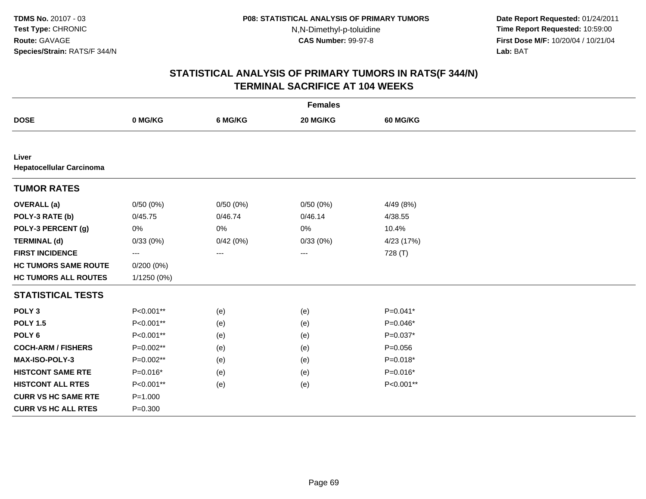**Date Report Requested:** 01/24/2011 **Time Report Requested:** 10:59:00 **First Dose M/F:** 10/20/04 / 10/21/04<br>**Lab:** BAT **Lab:** BAT

| <b>Females</b>                           |              |          |          |             |  |  |  |
|------------------------------------------|--------------|----------|----------|-------------|--|--|--|
| <b>DOSE</b>                              | 0 MG/KG      | 6 MG/KG  | 20 MG/KG | 60 MG/KG    |  |  |  |
|                                          |              |          |          |             |  |  |  |
| Liver<br><b>Hepatocellular Carcinoma</b> |              |          |          |             |  |  |  |
| <b>TUMOR RATES</b>                       |              |          |          |             |  |  |  |
| <b>OVERALL</b> (a)                       | 0/50(0%)     | 0/50(0%) | 0/50(0%) | 4/49 (8%)   |  |  |  |
| POLY-3 RATE (b)                          | 0/45.75      | 0/46.74  | 0/46.14  | 4/38.55     |  |  |  |
| POLY-3 PERCENT (g)                       | 0%           | $0\%$    | 0%       | 10.4%       |  |  |  |
| <b>TERMINAL (d)</b>                      | 0/33(0%)     | 0/42(0%) | 0/33(0%) | 4/23 (17%)  |  |  |  |
| <b>FIRST INCIDENCE</b>                   | ---          | ---      | $---$    | 728 (T)     |  |  |  |
| <b>HC TUMORS SAME ROUTE</b>              | $0/200(0\%)$ |          |          |             |  |  |  |
| <b>HC TUMORS ALL ROUTES</b>              | 1/1250 (0%)  |          |          |             |  |  |  |
| <b>STATISTICAL TESTS</b>                 |              |          |          |             |  |  |  |
| POLY <sub>3</sub>                        | P<0.001**    | (e)      | (e)      | $P=0.041*$  |  |  |  |
| <b>POLY 1.5</b>                          | P<0.001**    | (e)      | (e)      | $P=0.046*$  |  |  |  |
| POLY <sub>6</sub>                        | P<0.001**    | (e)      | (e)      | $P=0.037*$  |  |  |  |
| <b>COCH-ARM / FISHERS</b>                | P=0.002**    | (e)      | (e)      | $P = 0.056$ |  |  |  |
| MAX-ISO-POLY-3                           | P=0.002**    | (e)      | (e)      | $P=0.018*$  |  |  |  |
| <b>HISTCONT SAME RTE</b>                 | $P=0.016*$   | (e)      | (e)      | $P=0.016*$  |  |  |  |
| <b>HISTCONT ALL RTES</b>                 | P<0.001**    | (e)      | (e)      | P<0.001**   |  |  |  |
| <b>CURR VS HC SAME RTE</b>               | $P = 1.000$  |          |          |             |  |  |  |
| <b>CURR VS HC ALL RTES</b>               | $P = 0.300$  |          |          |             |  |  |  |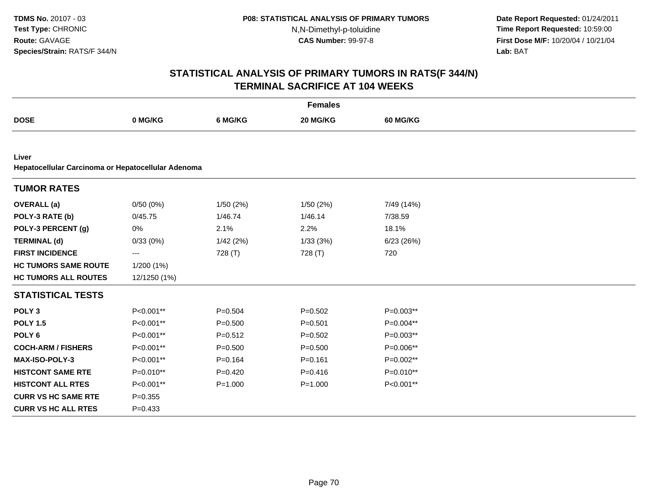**Date Report Requested:** 01/24/2011 **Time Report Requested:** 10:59:00 **First Dose M/F:** 10/20/04 / 10/21/04<br>**Lab:** BAT **Lab:** BAT

|                                                             | <b>Females</b> |             |             |                 |  |  |  |  |
|-------------------------------------------------------------|----------------|-------------|-------------|-----------------|--|--|--|--|
| <b>DOSE</b>                                                 | 0 MG/KG        | 6 MG/KG     | 20 MG/KG    | <b>60 MG/KG</b> |  |  |  |  |
|                                                             |                |             |             |                 |  |  |  |  |
| Liver<br>Hepatocellular Carcinoma or Hepatocellular Adenoma |                |             |             |                 |  |  |  |  |
|                                                             |                |             |             |                 |  |  |  |  |
| <b>TUMOR RATES</b>                                          |                |             |             |                 |  |  |  |  |
| <b>OVERALL</b> (a)                                          | 0/50(0%)       | 1/50(2%)    | 1/50(2%)    | 7/49 (14%)      |  |  |  |  |
| POLY-3 RATE (b)                                             | 0/45.75        | 1/46.74     | 1/46.14     | 7/38.59         |  |  |  |  |
| POLY-3 PERCENT (g)                                          | 0%             | 2.1%        | 2.2%        | 18.1%           |  |  |  |  |
| <b>TERMINAL (d)</b>                                         | 0/33(0%)       | 1/42(2%)    | 1/33(3%)    | 6/23(26%)       |  |  |  |  |
| <b>FIRST INCIDENCE</b>                                      | $---$          | 728 (T)     | 728 (T)     | 720             |  |  |  |  |
| <b>HC TUMORS SAME ROUTE</b>                                 | 1/200(1%)      |             |             |                 |  |  |  |  |
| <b>HC TUMORS ALL ROUTES</b>                                 | 12/1250 (1%)   |             |             |                 |  |  |  |  |
| <b>STATISTICAL TESTS</b>                                    |                |             |             |                 |  |  |  |  |
| POLY <sub>3</sub>                                           | P<0.001**      | $P = 0.504$ | $P=0.502$   | $P=0.003**$     |  |  |  |  |
| <b>POLY 1.5</b>                                             | P<0.001**      | $P = 0.500$ | $P = 0.501$ | P=0.004**       |  |  |  |  |
| POLY <sub>6</sub>                                           | P<0.001**      | $P = 0.512$ | $P=0.502$   | $P=0.003**$     |  |  |  |  |
| <b>COCH-ARM / FISHERS</b>                                   | P<0.001**      | $P = 0.500$ | $P = 0.500$ | P=0.006**       |  |  |  |  |
| MAX-ISO-POLY-3                                              | P<0.001**      | $P = 0.164$ | $P = 0.161$ | P=0.002**       |  |  |  |  |
| <b>HISTCONT SAME RTE</b>                                    | $P=0.010**$    | $P=0.420$   | $P = 0.416$ | $P=0.010**$     |  |  |  |  |
| <b>HISTCONT ALL RTES</b>                                    | P<0.001**      | $P = 1.000$ | $P = 1.000$ | P<0.001**       |  |  |  |  |
| <b>CURR VS HC SAME RTE</b>                                  | $P = 0.355$    |             |             |                 |  |  |  |  |
| <b>CURR VS HC ALL RTES</b>                                  | $P = 0.433$    |             |             |                 |  |  |  |  |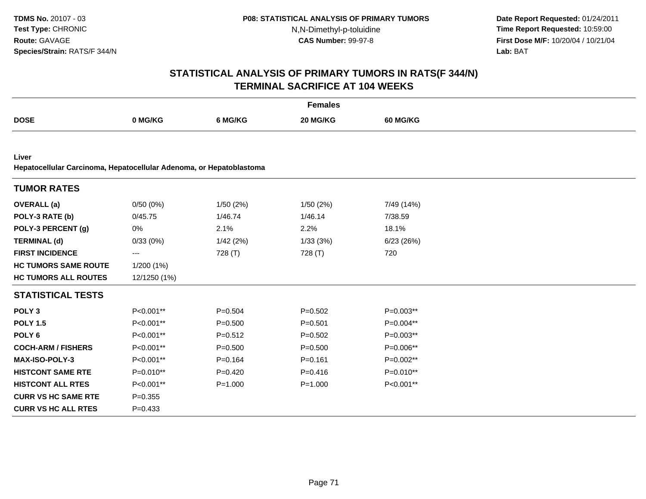**Date Report Requested:** 01/24/2011 **Time Report Requested:** 10:59:00 **First Dose M/F:** 10/20/04 / 10/21/04<br>**Lab:** BAT **Lab:** BAT

|                                                                              | <b>Females</b> |             |             |                 |  |  |  |  |
|------------------------------------------------------------------------------|----------------|-------------|-------------|-----------------|--|--|--|--|
| <b>DOSE</b>                                                                  | 0 MG/KG        | 6 MG/KG     | 20 MG/KG    | <b>60 MG/KG</b> |  |  |  |  |
|                                                                              |                |             |             |                 |  |  |  |  |
| Liver<br>Hepatocellular Carcinoma, Hepatocellular Adenoma, or Hepatoblastoma |                |             |             |                 |  |  |  |  |
| <b>TUMOR RATES</b>                                                           |                |             |             |                 |  |  |  |  |
| <b>OVERALL</b> (a)                                                           | 0/50(0%)       | 1/50 (2%)   | 1/50(2%)    | 7/49 (14%)      |  |  |  |  |
| POLY-3 RATE (b)                                                              | 0/45.75        | 1/46.74     | 1/46.14     | 7/38.59         |  |  |  |  |
| POLY-3 PERCENT (g)                                                           | 0%             | 2.1%        | 2.2%        | 18.1%           |  |  |  |  |
| <b>TERMINAL (d)</b>                                                          | 0/33(0%)       | 1/42(2%)    | 1/33(3%)    | 6/23(26%)       |  |  |  |  |
| <b>FIRST INCIDENCE</b>                                                       | ---            | 728 (T)     | 728 (T)     | 720             |  |  |  |  |
| <b>HC TUMORS SAME ROUTE</b>                                                  | 1/200(1%)      |             |             |                 |  |  |  |  |
| <b>HC TUMORS ALL ROUTES</b>                                                  | 12/1250 (1%)   |             |             |                 |  |  |  |  |
| <b>STATISTICAL TESTS</b>                                                     |                |             |             |                 |  |  |  |  |
| POLY <sub>3</sub>                                                            | P<0.001**      | $P = 0.504$ | $P = 0.502$ | P=0.003**       |  |  |  |  |
| <b>POLY 1.5</b>                                                              | P<0.001**      | $P = 0.500$ | $P = 0.501$ | P=0.004**       |  |  |  |  |
| POLY <sub>6</sub>                                                            | P<0.001**      | $P = 0.512$ | $P = 0.502$ | $P=0.003**$     |  |  |  |  |
| <b>COCH-ARM / FISHERS</b>                                                    | P<0.001**      | $P = 0.500$ | $P = 0.500$ | P=0.006**       |  |  |  |  |
| MAX-ISO-POLY-3                                                               | P<0.001**      | $P = 0.164$ | $P = 0.161$ | P=0.002**       |  |  |  |  |
| <b>HISTCONT SAME RTE</b>                                                     | P=0.010**      | $P=0.420$   | $P = 0.416$ | P=0.010**       |  |  |  |  |
| <b>HISTCONT ALL RTES</b>                                                     | P<0.001**      | $P = 1.000$ | $P = 1.000$ | P<0.001**       |  |  |  |  |
| <b>CURR VS HC SAME RTE</b>                                                   | $P = 0.355$    |             |             |                 |  |  |  |  |
| <b>CURR VS HC ALL RTES</b>                                                   | $P = 0.433$    |             |             |                 |  |  |  |  |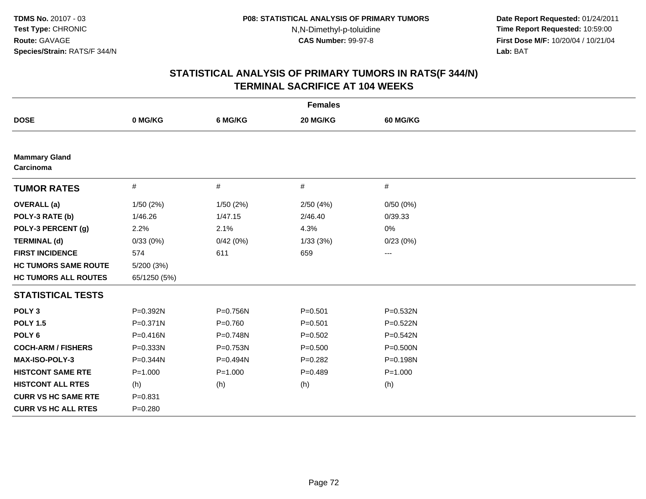**Date Report Requested:** 01/24/2011 **Time Report Requested:** 10:59:00 **First Dose M/F:** 10/20/04 / 10/21/04<br>**Lab:** BAT **Lab:** BAT

| <b>Females</b>                    |              |             |             |              |
|-----------------------------------|--------------|-------------|-------------|--------------|
| <b>DOSE</b>                       | 0 MG/KG      | 6 MG/KG     | 20 MG/KG    | 60 MG/KG     |
|                                   |              |             |             |              |
| <b>Mammary Gland</b><br>Carcinoma |              |             |             |              |
| <b>TUMOR RATES</b>                | $\#$         | $\#$        | #           | #            |
| <b>OVERALL</b> (a)                | 1/50(2%)     | 1/50(2%)    | 2/50(4%)    | 0/50(0%)     |
| POLY-3 RATE (b)                   | 1/46.26      | 1/47.15     | 2/46.40     | 0/39.33      |
| POLY-3 PERCENT (g)                | 2.2%         | 2.1%        | 4.3%        | 0%           |
| <b>TERMINAL (d)</b>               | 0/33(0%)     | 0/42(0%)    | 1/33(3%)    | 0/23(0%)     |
| <b>FIRST INCIDENCE</b>            | 574          | 611         | 659         | ---          |
| <b>HC TUMORS SAME ROUTE</b>       | 5/200 (3%)   |             |             |              |
| <b>HC TUMORS ALL ROUTES</b>       | 65/1250 (5%) |             |             |              |
| <b>STATISTICAL TESTS</b>          |              |             |             |              |
| POLY <sub>3</sub>                 | P=0.392N     | P=0.756N    | $P = 0.501$ | P=0.532N     |
| <b>POLY 1.5</b>                   | $P = 0.371N$ | $P = 0.760$ | $P = 0.501$ | $P = 0.522N$ |
| POLY <sub>6</sub>                 | P=0.416N     | P=0.748N    | $P=0.502$   | $P = 0.542N$ |
| <b>COCH-ARM / FISHERS</b>         | P=0.333N     | P=0.753N    | $P = 0.500$ | P=0.500N     |
| <b>MAX-ISO-POLY-3</b>             | P=0.344N     | P=0.494N    | $P=0.282$   | P=0.198N     |
| <b>HISTCONT SAME RTE</b>          | $P = 1.000$  | $P = 1.000$ | $P=0.489$   | $P = 1.000$  |
| <b>HISTCONT ALL RTES</b>          | (h)          | (h)         | (h)         | (h)          |
| <b>CURR VS HC SAME RTE</b>        | $P = 0.831$  |             |             |              |
| <b>CURR VS HC ALL RTES</b>        | $P = 0.280$  |             |             |              |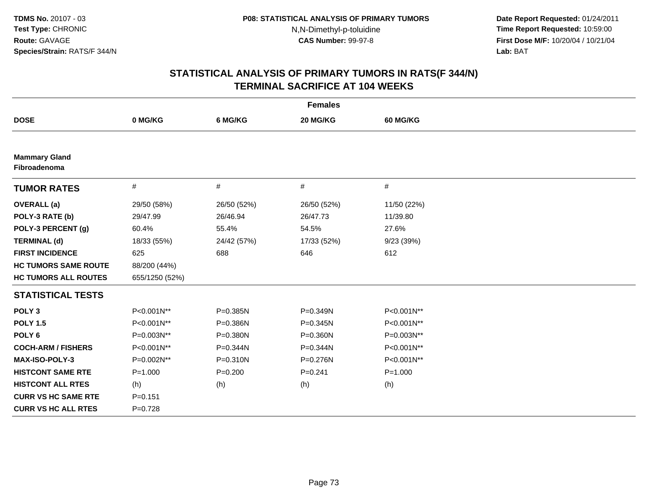**Date Report Requested:** 01/24/2011 **Time Report Requested:** 10:59:00 **First Dose M/F:** 10/20/04 / 10/21/04<br>**Lab:** BAT **Lab:** BAT

|                                      |                |             | <b>Females</b> |             |  |
|--------------------------------------|----------------|-------------|----------------|-------------|--|
| <b>DOSE</b>                          | 0 MG/KG        | 6 MG/KG     | 20 MG/KG       | 60 MG/KG    |  |
|                                      |                |             |                |             |  |
| <b>Mammary Gland</b><br>Fibroadenoma |                |             |                |             |  |
| <b>TUMOR RATES</b>                   | #              | #           | $\#$           | $\#$        |  |
| <b>OVERALL</b> (a)                   | 29/50 (58%)    | 26/50 (52%) | 26/50 (52%)    | 11/50 (22%) |  |
| POLY-3 RATE (b)                      | 29/47.99       | 26/46.94    | 26/47.73       | 11/39.80    |  |
| POLY-3 PERCENT (g)                   | 60.4%          | 55.4%       | 54.5%          | 27.6%       |  |
| <b>TERMINAL (d)</b>                  | 18/33 (55%)    | 24/42 (57%) | 17/33 (52%)    | 9/23 (39%)  |  |
| <b>FIRST INCIDENCE</b>               | 625            | 688         | 646            | 612         |  |
| <b>HC TUMORS SAME ROUTE</b>          | 88/200 (44%)   |             |                |             |  |
| <b>HC TUMORS ALL ROUTES</b>          | 655/1250 (52%) |             |                |             |  |
| <b>STATISTICAL TESTS</b>             |                |             |                |             |  |
| POLY <sub>3</sub>                    | P<0.001N**     | P=0.385N    | P=0.349N       | P<0.001N**  |  |
| <b>POLY 1.5</b>                      | P<0.001N**     | P=0.386N    | P=0.345N       | P<0.001N**  |  |
| POLY <sub>6</sub>                    | P=0.003N**     | P=0.380N    | P=0.360N       | P=0.003N**  |  |
| <b>COCH-ARM / FISHERS</b>            | P<0.001N**     | P=0.344N    | P=0.344N       | P<0.001N**  |  |
| MAX-ISO-POLY-3                       | P=0.002N**     | P=0.310N    | P=0.276N       | P<0.001N**  |  |
| <b>HISTCONT SAME RTE</b>             | $P = 1.000$    | $P=0.200$   | $P=0.241$      | $P = 1.000$ |  |
| <b>HISTCONT ALL RTES</b>             | (h)            | (h)         | (h)            | (h)         |  |
| <b>CURR VS HC SAME RTE</b>           | $P = 0.151$    |             |                |             |  |
| <b>CURR VS HC ALL RTES</b>           | $P=0.728$      |             |                |             |  |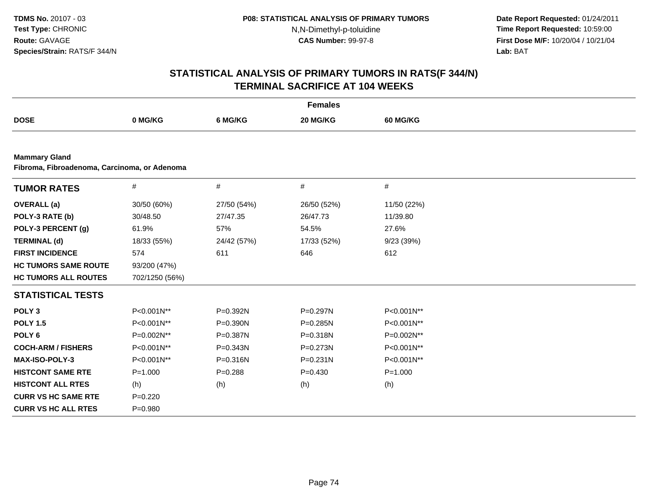**Date Report Requested:** 01/24/2011 **Time Report Requested:** 10:59:00 **First Dose M/F:** 10/20/04 / 10/21/04<br>**Lab:** BAT **Lab:** BAT

|                                                                      |                |              | <b>Females</b> |                 |  |
|----------------------------------------------------------------------|----------------|--------------|----------------|-----------------|--|
| <b>DOSE</b>                                                          | 0 MG/KG        | 6 MG/KG      | 20 MG/KG       | <b>60 MG/KG</b> |  |
|                                                                      |                |              |                |                 |  |
| <b>Mammary Gland</b><br>Fibroma, Fibroadenoma, Carcinoma, or Adenoma |                |              |                |                 |  |
| <b>TUMOR RATES</b>                                                   | $\#$           | $\#$         | $\#$           | $\#$            |  |
| <b>OVERALL</b> (a)                                                   | 30/50 (60%)    | 27/50 (54%)  | 26/50 (52%)    | 11/50 (22%)     |  |
| POLY-3 RATE (b)                                                      | 30/48.50       | 27/47.35     | 26/47.73       | 11/39.80        |  |
| POLY-3 PERCENT (g)                                                   | 61.9%          | 57%          | 54.5%          | 27.6%           |  |
| <b>TERMINAL (d)</b>                                                  | 18/33 (55%)    | 24/42 (57%)  | 17/33 (52%)    | 9/23 (39%)      |  |
| <b>FIRST INCIDENCE</b>                                               | 574            | 611          | 646            | 612             |  |
| <b>HC TUMORS SAME ROUTE</b>                                          | 93/200 (47%)   |              |                |                 |  |
| <b>HC TUMORS ALL ROUTES</b>                                          | 702/1250 (56%) |              |                |                 |  |
| <b>STATISTICAL TESTS</b>                                             |                |              |                |                 |  |
| POLY <sub>3</sub>                                                    | P<0.001N**     | P=0.392N     | P=0.297N       | P<0.001N**      |  |
| <b>POLY 1.5</b>                                                      | P<0.001N**     | $P = 0.390N$ | $P = 0.285N$   | P<0.001N**      |  |
| POLY <sub>6</sub>                                                    | P=0.002N**     | $P = 0.387N$ | P=0.318N       | P=0.002N**      |  |
| <b>COCH-ARM / FISHERS</b>                                            | P<0.001N**     | P=0.343N     | $P = 0.273N$   | P<0.001N**      |  |
| <b>MAX-ISO-POLY-3</b>                                                | P<0.001N**     | P=0.316N     | $P = 0.231N$   | P<0.001N**      |  |
| <b>HISTCONT SAME RTE</b>                                             | $P = 1.000$    | $P = 0.288$  | $P = 0.430$    | $P = 1.000$     |  |
| <b>HISTCONT ALL RTES</b>                                             | (h)            | (h)          | (h)            | (h)             |  |
| <b>CURR VS HC SAME RTE</b>                                           | $P=0.220$      |              |                |                 |  |
| <b>CURR VS HC ALL RTES</b>                                           | $P = 0.980$    |              |                |                 |  |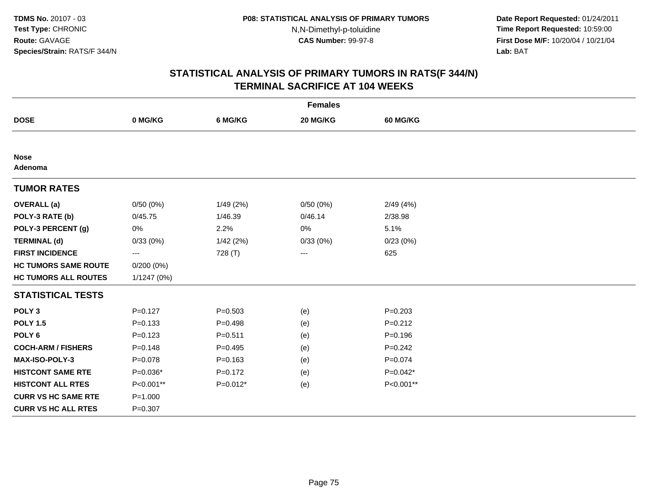**Date Report Requested:** 01/24/2011 **Time Report Requested:** 10:59:00 **First Dose M/F:** 10/20/04 / 10/21/04<br>**Lab:** BAT **Lab:** BAT

|                             |              |             | <b>Females</b> |                 |
|-----------------------------|--------------|-------------|----------------|-----------------|
| <b>DOSE</b>                 | 0 MG/KG      | 6 MG/KG     | 20 MG/KG       | <b>60 MG/KG</b> |
|                             |              |             |                |                 |
| <b>Nose</b><br>Adenoma      |              |             |                |                 |
| <b>TUMOR RATES</b>          |              |             |                |                 |
| <b>OVERALL</b> (a)          | 0/50(0%)     | 1/49(2%)    | 0/50(0%)       | 2/49 (4%)       |
| POLY-3 RATE (b)             | 0/45.75      | 1/46.39     | 0/46.14        | 2/38.98         |
| POLY-3 PERCENT (g)          | 0%           | 2.2%        | 0%             | 5.1%            |
| <b>TERMINAL (d)</b>         | 0/33(0%)     | 1/42(2%)    | 0/33(0%)       | 0/23(0%)        |
| <b>FIRST INCIDENCE</b>      | ---          | 728 (T)     | ---            | 625             |
| <b>HC TUMORS SAME ROUTE</b> | $0/200(0\%)$ |             |                |                 |
| <b>HC TUMORS ALL ROUTES</b> | 1/1247(0%)   |             |                |                 |
| <b>STATISTICAL TESTS</b>    |              |             |                |                 |
| POLY <sub>3</sub>           | $P=0.127$    | $P = 0.503$ | (e)            | $P = 0.203$     |
| <b>POLY 1.5</b>             | $P = 0.133$  | $P=0.498$   | (e)            | $P = 0.212$     |
| POLY <sub>6</sub>           | $P = 0.123$  | $P = 0.511$ | (e)            | $P = 0.196$     |
| <b>COCH-ARM / FISHERS</b>   | $P = 0.148$  | $P=0.495$   | (e)            | $P=0.242$       |
| MAX-ISO-POLY-3              | $P = 0.078$  | $P = 0.163$ | (e)            | $P = 0.074$     |
| <b>HISTCONT SAME RTE</b>    | $P=0.036*$   | $P = 0.172$ | (e)            | $P=0.042*$      |
| <b>HISTCONT ALL RTES</b>    | P<0.001**    | P=0.012*    | (e)            | P<0.001**       |
| <b>CURR VS HC SAME RTE</b>  | $P = 1.000$  |             |                |                 |
| <b>CURR VS HC ALL RTES</b>  | $P = 0.307$  |             |                |                 |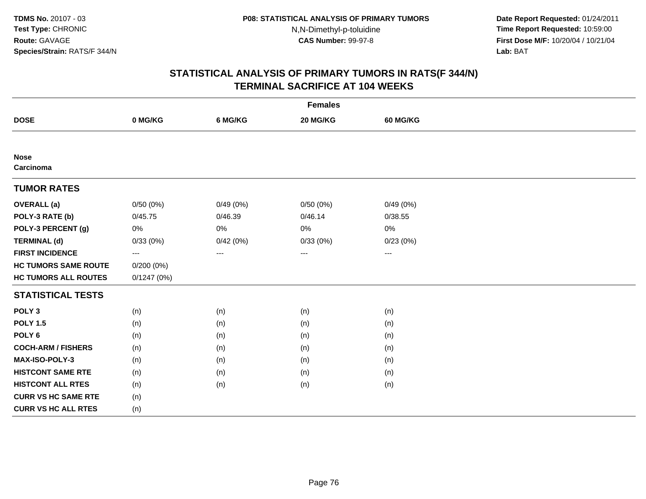**Date Report Requested:** 01/24/2011 **Time Report Requested:** 10:59:00 **First Dose M/F:** 10/20/04 / 10/21/04<br>**Lab:** BAT **Lab:** BAT

|                             |                          |          | <b>Females</b> |                 |  |
|-----------------------------|--------------------------|----------|----------------|-----------------|--|
| <b>DOSE</b>                 | 0 MG/KG                  | 6 MG/KG  | 20 MG/KG       | <b>60 MG/KG</b> |  |
|                             |                          |          |                |                 |  |
| <b>Nose</b><br>Carcinoma    |                          |          |                |                 |  |
| <b>TUMOR RATES</b>          |                          |          |                |                 |  |
| <b>OVERALL</b> (a)          | 0/50(0%)                 | 0/49(0%) | 0/50(0%)       | 0/49(0%)        |  |
| POLY-3 RATE (b)             | 0/45.75                  | 0/46.39  | 0/46.14        | 0/38.55         |  |
| POLY-3 PERCENT (g)          | 0%                       | 0%       | 0%             | 0%              |  |
| <b>TERMINAL (d)</b>         | 0/33(0%)                 | 0/42(0%) | 0/33(0%)       | 0/23(0%)        |  |
| <b>FIRST INCIDENCE</b>      | $\hspace{0.05cm} \ldots$ | $---$    | ---            | $---$           |  |
| <b>HC TUMORS SAME ROUTE</b> | $0/200(0\%)$             |          |                |                 |  |
| <b>HC TUMORS ALL ROUTES</b> | 0/1247(0%)               |          |                |                 |  |
| <b>STATISTICAL TESTS</b>    |                          |          |                |                 |  |
| POLY <sub>3</sub>           | (n)                      | (n)      | (n)            | (n)             |  |
| <b>POLY 1.5</b>             | (n)                      | (n)      | (n)            | (n)             |  |
| POLY <sub>6</sub>           | (n)                      | (n)      | (n)            | (n)             |  |
| <b>COCH-ARM / FISHERS</b>   | (n)                      | (n)      | (n)            | (n)             |  |
| MAX-ISO-POLY-3              | (n)                      | (n)      | (n)            | (n)             |  |
| <b>HISTCONT SAME RTE</b>    | (n)                      | (n)      | (n)            | (n)             |  |
| <b>HISTCONT ALL RTES</b>    | (n)                      | (n)      | (n)            | (n)             |  |
| <b>CURR VS HC SAME RTE</b>  | (n)                      |          |                |                 |  |
| <b>CURR VS HC ALL RTES</b>  | (n)                      |          |                |                 |  |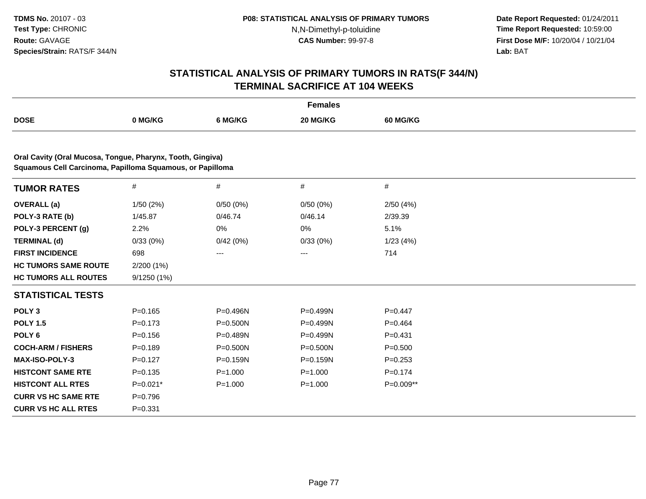**Date Report Requested:** 01/24/2011 **Time Report Requested:** 10:59:00 **First Dose M/F:** 10/20/04 / 10/21/04<br>**Lab:** BAT **Lab:** BAT

|                                                                                                                         |             |              | <b>Females</b> |             |  |
|-------------------------------------------------------------------------------------------------------------------------|-------------|--------------|----------------|-------------|--|
| <b>DOSE</b>                                                                                                             | 0 MG/KG     | 6 MG/KG      | 20 MG/KG       | 60 MG/KG    |  |
|                                                                                                                         |             |              |                |             |  |
| Oral Cavity (Oral Mucosa, Tongue, Pharynx, Tooth, Gingiva)<br>Squamous Cell Carcinoma, Papilloma Squamous, or Papilloma |             |              |                |             |  |
| <b>TUMOR RATES</b>                                                                                                      | #           | #            | #              | #           |  |
| <b>OVERALL</b> (a)                                                                                                      | 1/50(2%)    | 0/50(0%)     | 0/50(0%)       | 2/50(4%)    |  |
| POLY-3 RATE (b)                                                                                                         | 1/45.87     | 0/46.74      | 0/46.14        | 2/39.39     |  |
| POLY-3 PERCENT (g)                                                                                                      | 2.2%        | 0%           | 0%             | 5.1%        |  |
| <b>TERMINAL (d)</b>                                                                                                     | 0/33(0%)    | 0/42(0%)     | 0/33(0%)       | 1/23(4%)    |  |
| <b>FIRST INCIDENCE</b>                                                                                                  | 698         | ---          | ---            | 714         |  |
| <b>HC TUMORS SAME ROUTE</b>                                                                                             | 2/200 (1%)  |              |                |             |  |
| <b>HC TUMORS ALL ROUTES</b>                                                                                             | 9/1250 (1%) |              |                |             |  |
| <b>STATISTICAL TESTS</b>                                                                                                |             |              |                |             |  |
| POLY <sub>3</sub>                                                                                                       | $P = 0.165$ | $P = 0.496N$ | P=0.499N       | $P=0.447$   |  |
| <b>POLY 1.5</b>                                                                                                         | $P = 0.173$ | P=0.500N     | P=0.499N       | $P = 0.464$ |  |
| POLY <sub>6</sub>                                                                                                       | $P = 0.156$ | P=0.489N     | P=0.499N       | $P = 0.431$ |  |
| <b>COCH-ARM / FISHERS</b>                                                                                               | $P = 0.189$ | P=0.500N     | P=0.500N       | $P = 0.500$ |  |
| MAX-ISO-POLY-3                                                                                                          | $P=0.127$   | P=0.159N     | $P = 0.159N$   | $P = 0.253$ |  |
| <b>HISTCONT SAME RTE</b>                                                                                                | $P = 0.135$ | $P = 1.000$  | $P = 1.000$    | $P=0.174$   |  |
| <b>HISTCONT ALL RTES</b>                                                                                                | $P=0.021*$  | $P = 1.000$  | $P = 1.000$    | $P=0.009**$ |  |
| <b>CURR VS HC SAME RTE</b>                                                                                              | $P=0.796$   |              |                |             |  |
| <b>CURR VS HC ALL RTES</b>                                                                                              | $P = 0.331$ |              |                |             |  |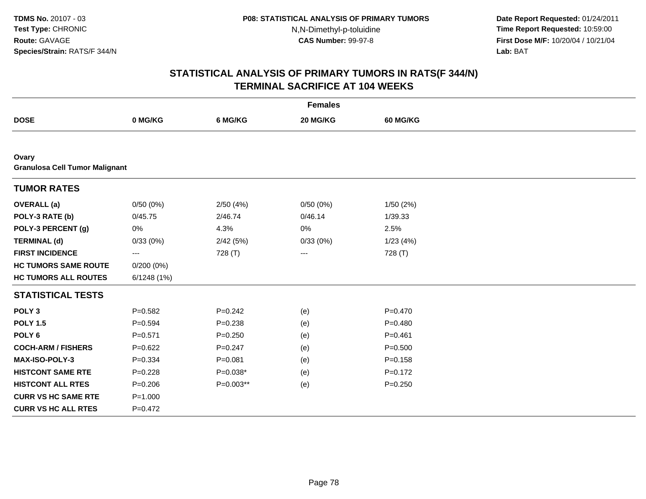**Date Report Requested:** 01/24/2011 **Time Report Requested:** 10:59:00 **First Dose M/F:** 10/20/04 / 10/21/04<br>**Lab:** BAT **Lab:** BAT

|                                                |                   |             | <b>Females</b>    |                 |  |
|------------------------------------------------|-------------------|-------------|-------------------|-----------------|--|
| <b>DOSE</b>                                    | 0 MG/KG           | 6 MG/KG     | 20 MG/KG          | <b>60 MG/KG</b> |  |
|                                                |                   |             |                   |                 |  |
| Ovary<br><b>Granulosa Cell Tumor Malignant</b> |                   |             |                   |                 |  |
| <b>TUMOR RATES</b>                             |                   |             |                   |                 |  |
| <b>OVERALL</b> (a)                             | 0/50(0%)          | 2/50(4%)    | 0/50(0%)          | 1/50(2%)        |  |
| POLY-3 RATE (b)                                | 0/45.75           | 2/46.74     | 0/46.14           | 1/39.33         |  |
| POLY-3 PERCENT (g)                             | 0%                | 4.3%        | 0%                | 2.5%            |  |
| <b>TERMINAL (d)</b>                            | 0/33(0%)          | 2/42(5%)    | 0/33(0%)          | 1/23(4%)        |  |
| <b>FIRST INCIDENCE</b>                         | $\qquad \qquad -$ | 728 (T)     | $\qquad \qquad -$ | 728 (T)         |  |
| <b>HC TUMORS SAME ROUTE</b>                    | $0/200(0\%)$      |             |                   |                 |  |
| <b>HC TUMORS ALL ROUTES</b>                    | 6/1248(1%)        |             |                   |                 |  |
| <b>STATISTICAL TESTS</b>                       |                   |             |                   |                 |  |
| POLY <sub>3</sub>                              | $P = 0.582$       | $P=0.242$   | (e)               | $P=0.470$       |  |
| <b>POLY 1.5</b>                                | $P = 0.594$       | $P = 0.238$ | (e)               | $P = 0.480$     |  |
| POLY <sub>6</sub>                              | $P = 0.571$       | $P = 0.250$ | (e)               | $P = 0.461$     |  |
| <b>COCH-ARM / FISHERS</b>                      | $P=0.622$         | $P=0.247$   | (e)               | $P = 0.500$     |  |
| <b>MAX-ISO-POLY-3</b>                          | $P = 0.334$       | $P = 0.081$ | (e)               | $P = 0.158$     |  |
| <b>HISTCONT SAME RTE</b>                       | $P=0.228$         | $P=0.038*$  | (e)               | $P=0.172$       |  |
| <b>HISTCONT ALL RTES</b>                       | $P = 0.206$       | $P=0.003**$ | (e)               | $P = 0.250$     |  |
| <b>CURR VS HC SAME RTE</b>                     | $P = 1.000$       |             |                   |                 |  |
| <b>CURR VS HC ALL RTES</b>                     | $P = 0.472$       |             |                   |                 |  |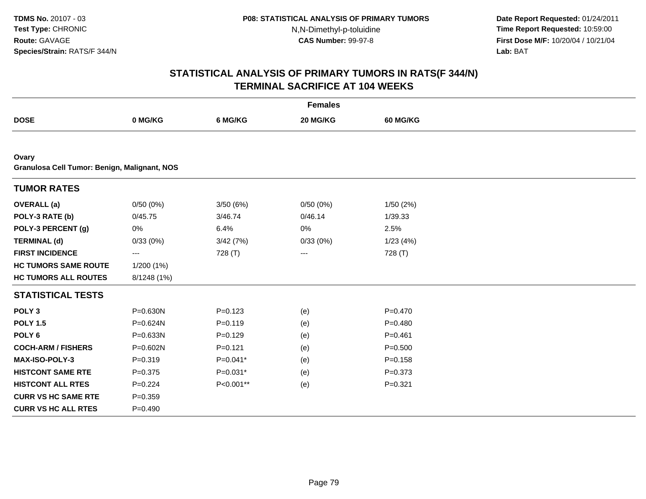**Date Report Requested:** 01/24/2011 **Time Report Requested:** 10:59:00 **First Dose M/F:** 10/20/04 / 10/21/04<br>**Lab:** BAT **Lab:** BAT

|                                                       |                   |             | <b>Females</b> |                 |  |
|-------------------------------------------------------|-------------------|-------------|----------------|-----------------|--|
| <b>DOSE</b>                                           | 0 MG/KG           | 6 MG/KG     | 20 MG/KG       | <b>60 MG/KG</b> |  |
|                                                       |                   |             |                |                 |  |
| Ovary<br>Granulosa Cell Tumor: Benign, Malignant, NOS |                   |             |                |                 |  |
| <b>TUMOR RATES</b>                                    |                   |             |                |                 |  |
| <b>OVERALL</b> (a)                                    | 0/50(0%)          | 3/50(6%)    | 0/50(0%)       | 1/50 (2%)       |  |
| POLY-3 RATE (b)                                       | 0/45.75           | 3/46.74     | 0/46.14        | 1/39.33         |  |
| POLY-3 PERCENT (g)                                    | 0%                | 6.4%        | 0%             | 2.5%            |  |
| <b>TERMINAL (d)</b>                                   | 0/33(0%)          | 3/42(7%)    | 0/33(0%)       | 1/23(4%)        |  |
| <b>FIRST INCIDENCE</b>                                | $\qquad \qquad -$ | 728 (T)     | $---$          | 728 (T)         |  |
| <b>HC TUMORS SAME ROUTE</b>                           | 1/200 (1%)        |             |                |                 |  |
| <b>HC TUMORS ALL ROUTES</b>                           | 8/1248 (1%)       |             |                |                 |  |
| <b>STATISTICAL TESTS</b>                              |                   |             |                |                 |  |
| POLY <sub>3</sub>                                     | $P = 0.630N$      | $P = 0.123$ | (e)            | $P=0.470$       |  |
| <b>POLY 1.5</b>                                       | P=0.624N          | $P = 0.119$ | (e)            | $P=0.480$       |  |
| POLY <sub>6</sub>                                     | $P = 0.633N$      | $P = 0.129$ | (e)            | $P = 0.461$     |  |
| <b>COCH-ARM / FISHERS</b>                             | $P = 0.602N$      | $P = 0.121$ | (e)            | $P = 0.500$     |  |
| MAX-ISO-POLY-3                                        | $P = 0.319$       | P=0.041*    | (e)            | $P = 0.158$     |  |
| <b>HISTCONT SAME RTE</b>                              | $P = 0.375$       | $P=0.031*$  | (e)            | $P = 0.373$     |  |
| <b>HISTCONT ALL RTES</b>                              | $P = 0.224$       | P<0.001**   | (e)            | $P = 0.321$     |  |
| <b>CURR VS HC SAME RTE</b>                            | $P = 0.359$       |             |                |                 |  |
| <b>CURR VS HC ALL RTES</b>                            | $P = 0.490$       |             |                |                 |  |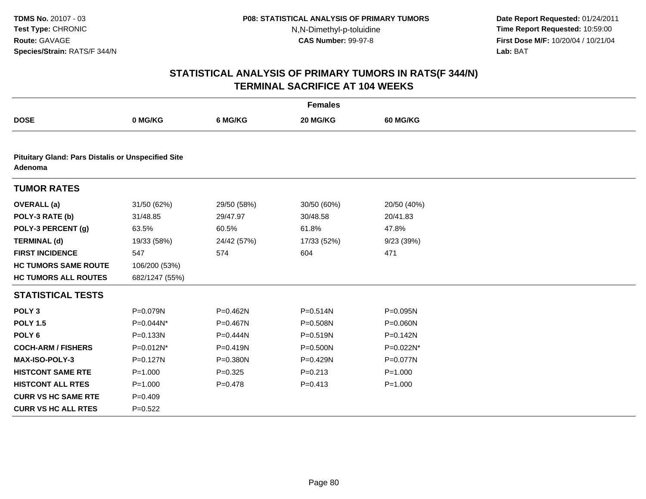**Date Report Requested:** 01/24/2011 **Time Report Requested:** 10:59:00 **First Dose M/F:** 10/20/04 / 10/21/04<br>**Lab:** BAT **Lab:** BAT

|                                                                      |                |              | <b>Females</b> |             |  |
|----------------------------------------------------------------------|----------------|--------------|----------------|-------------|--|
| <b>DOSE</b>                                                          | 0 MG/KG        | 6 MG/KG      | 20 MG/KG       | 60 MG/KG    |  |
|                                                                      |                |              |                |             |  |
| <b>Pituitary Gland: Pars Distalis or Unspecified Site</b><br>Adenoma |                |              |                |             |  |
| <b>TUMOR RATES</b>                                                   |                |              |                |             |  |
| <b>OVERALL</b> (a)                                                   | 31/50 (62%)    | 29/50 (58%)  | 30/50 (60%)    | 20/50 (40%) |  |
| POLY-3 RATE (b)                                                      | 31/48.85       | 29/47.97     | 30/48.58       | 20/41.83    |  |
| POLY-3 PERCENT (g)                                                   | 63.5%          | 60.5%        | 61.8%          | 47.8%       |  |
| <b>TERMINAL (d)</b>                                                  | 19/33 (58%)    | 24/42 (57%)  | 17/33 (52%)    | 9/23 (39%)  |  |
| <b>FIRST INCIDENCE</b>                                               | 547            | 574          | 604            | 471         |  |
| <b>HC TUMORS SAME ROUTE</b>                                          | 106/200 (53%)  |              |                |             |  |
| <b>HC TUMORS ALL ROUTES</b>                                          | 682/1247 (55%) |              |                |             |  |
| <b>STATISTICAL TESTS</b>                                             |                |              |                |             |  |
| POLY <sub>3</sub>                                                    | P=0.079N       | P=0.462N     | $P = 0.514N$   | P=0.095N    |  |
| <b>POLY 1.5</b>                                                      | P=0.044N*      | P=0.467N     | P=0.508N       | P=0.060N    |  |
| POLY <sub>6</sub>                                                    | $P = 0.133N$   | P=0.444N     | $P = 0.519N$   | P=0.142N    |  |
| <b>COCH-ARM / FISHERS</b>                                            | P=0.012N*      | $P = 0.419N$ | $P = 0.500N$   | P=0.022N*   |  |
| <b>MAX-ISO-POLY-3</b>                                                | $P = 0.127N$   | P=0.380N     | P=0.429N       | P=0.077N    |  |
| <b>HISTCONT SAME RTE</b>                                             | $P = 1.000$    | $P=0.325$    | $P = 0.213$    | $P = 1.000$ |  |
| <b>HISTCONT ALL RTES</b>                                             | $P = 1.000$    | $P=0.478$    | $P = 0.413$    | $P = 1.000$ |  |
| <b>CURR VS HC SAME RTE</b>                                           | $P=0.409$      |              |                |             |  |
| <b>CURR VS HC ALL RTES</b>                                           | $P=0.522$      |              |                |             |  |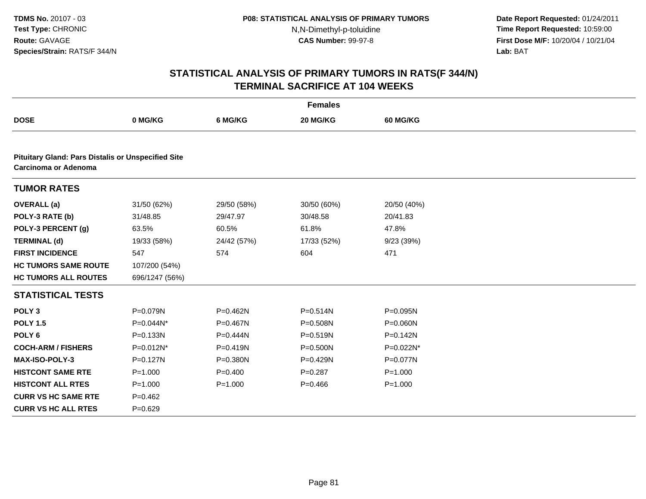**Date Report Requested:** 01/24/2011 **Time Report Requested:** 10:59:00 **First Dose M/F:** 10/20/04 / 10/21/04<br>**Lab:** BAT **Lab:** BAT

|                                                                                          |                |              | <b>Females</b> |              |  |
|------------------------------------------------------------------------------------------|----------------|--------------|----------------|--------------|--|
| <b>DOSE</b>                                                                              | 0 MG/KG        | 6 MG/KG      | 20 MG/KG       | 60 MG/KG     |  |
|                                                                                          |                |              |                |              |  |
| <b>Pituitary Gland: Pars Distalis or Unspecified Site</b><br><b>Carcinoma or Adenoma</b> |                |              |                |              |  |
| <b>TUMOR RATES</b>                                                                       |                |              |                |              |  |
| <b>OVERALL</b> (a)                                                                       | 31/50 (62%)    | 29/50 (58%)  | 30/50 (60%)    | 20/50 (40%)  |  |
| POLY-3 RATE (b)                                                                          | 31/48.85       | 29/47.97     | 30/48.58       | 20/41.83     |  |
| POLY-3 PERCENT (g)                                                                       | 63.5%          | 60.5%        | 61.8%          | 47.8%        |  |
| <b>TERMINAL (d)</b>                                                                      | 19/33 (58%)    | 24/42 (57%)  | 17/33 (52%)    | 9/23 (39%)   |  |
| <b>FIRST INCIDENCE</b>                                                                   | 547            | 574          | 604            | 471          |  |
| <b>HC TUMORS SAME ROUTE</b>                                                              | 107/200 (54%)  |              |                |              |  |
| <b>HC TUMORS ALL ROUTES</b>                                                              | 696/1247 (56%) |              |                |              |  |
| <b>STATISTICAL TESTS</b>                                                                 |                |              |                |              |  |
| POLY <sub>3</sub>                                                                        | P=0.079N       | P=0.462N     | $P = 0.514N$   | P=0.095N     |  |
| <b>POLY 1.5</b>                                                                          | P=0.044N*      | P=0.467N     | P=0.508N       | P=0.060N     |  |
| POLY <sub>6</sub>                                                                        | P=0.133N       | P=0.444N     | $P = 0.519N$   | $P = 0.142N$ |  |
| <b>COCH-ARM / FISHERS</b>                                                                | P=0.012N*      | $P = 0.419N$ | $P = 0.500N$   | P=0.022N*    |  |
| <b>MAX-ISO-POLY-3</b>                                                                    | P=0.127N       | P=0.380N     | P=0.429N       | P=0.077N     |  |
| <b>HISTCONT SAME RTE</b>                                                                 | $P = 1.000$    | $P = 0.400$  | $P=0.287$      | $P = 1.000$  |  |
| <b>HISTCONT ALL RTES</b>                                                                 | $P = 1.000$    | $P = 1.000$  | $P=0.466$      | $P = 1.000$  |  |
| <b>CURR VS HC SAME RTE</b>                                                               | $P=0.462$      |              |                |              |  |
| <b>CURR VS HC ALL RTES</b>                                                               | $P=0.629$      |              |                |              |  |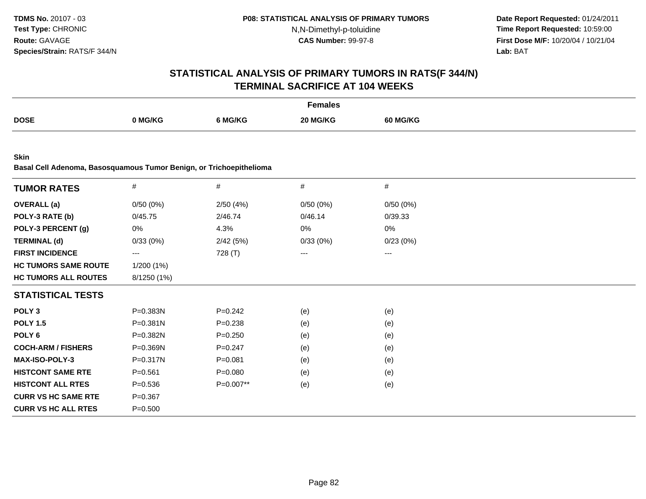**Date Report Requested:** 01/24/2011 **Time Report Requested:** 10:59:00 **First Dose M/F:** 10/20/04 / 10/21/04<br>**Lab:** BAT **Lab:** BAT

|                                                                     |                        |             | <b>Females</b> |          |  |
|---------------------------------------------------------------------|------------------------|-------------|----------------|----------|--|
| <b>DOSE</b>                                                         | 0 MG/KG                | 6 MG/KG     | 20 MG/KG       | 60 MG/KG |  |
|                                                                     |                        |             |                |          |  |
| <b>Skin</b>                                                         |                        |             |                |          |  |
| Basal Cell Adenoma, Basosquamous Tumor Benign, or Trichoepithelioma |                        |             |                |          |  |
| <b>TUMOR RATES</b>                                                  | $\#$                   | $\#$        | $\#$           | $\#$     |  |
| <b>OVERALL</b> (a)                                                  | 0/50(0%)               | 2/50(4%)    | 0/50(0%)       | 0/50(0%) |  |
| POLY-3 RATE (b)                                                     | 0/45.75                | 2/46.74     | 0/46.14        | 0/39.33  |  |
| POLY-3 PERCENT (g)                                                  | 0%                     | 4.3%        | 0%             | 0%       |  |
| <b>TERMINAL (d)</b>                                                 | 0/33(0%)               | 2/42(5%)    | 0/33(0%)       | 0/23(0%) |  |
| <b>FIRST INCIDENCE</b>                                              | $\qquad \qquad \cdots$ | 728 (T)     | $---$          | $---$    |  |
| <b>HC TUMORS SAME ROUTE</b>                                         | 1/200 (1%)             |             |                |          |  |
| <b>HC TUMORS ALL ROUTES</b>                                         | 8/1250 (1%)            |             |                |          |  |
| <b>STATISTICAL TESTS</b>                                            |                        |             |                |          |  |
| POLY <sub>3</sub>                                                   | P=0.383N               | $P = 0.242$ | (e)            | (e)      |  |
| <b>POLY 1.5</b>                                                     | $P = 0.381N$           | $P = 0.238$ | (e)            | (e)      |  |
| POLY <sub>6</sub>                                                   | P=0.382N               | $P = 0.250$ | (e)            | (e)      |  |
| <b>COCH-ARM / FISHERS</b>                                           | P=0.369N               | $P=0.247$   | (e)            | (e)      |  |
| <b>MAX-ISO-POLY-3</b>                                               | P=0.317N               | $P = 0.081$ | (e)            | (e)      |  |
| <b>HISTCONT SAME RTE</b>                                            | $P = 0.561$            | $P = 0.080$ | (e)            | (e)      |  |
| <b>HISTCONT ALL RTES</b>                                            | $P = 0.536$            | P=0.007**   | (e)            | (e)      |  |
| <b>CURR VS HC SAME RTE</b>                                          | $P = 0.367$            |             |                |          |  |
| <b>CURR VS HC ALL RTES</b>                                          | $P = 0.500$            |             |                |          |  |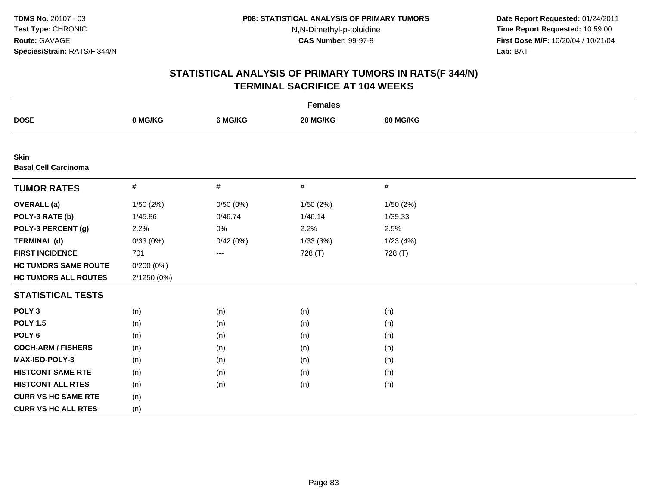**Date Report Requested:** 01/24/2011 **Time Report Requested:** 10:59:00 **First Dose M/F:** 10/20/04 / 10/21/04<br>**Lab:** BAT **Lab:** BAT

|                                            |              |          | <b>Females</b> |                 |  |
|--------------------------------------------|--------------|----------|----------------|-----------------|--|
| <b>DOSE</b>                                | 0 MG/KG      | 6 MG/KG  | 20 MG/KG       | <b>60 MG/KG</b> |  |
|                                            |              |          |                |                 |  |
| <b>Skin</b><br><b>Basal Cell Carcinoma</b> |              |          |                |                 |  |
| <b>TUMOR RATES</b>                         | $\#$         | $\#$     | $\#$           | $\#$            |  |
| <b>OVERALL</b> (a)                         | 1/50 (2%)    | 0/50(0%) | 1/50 (2%)      | 1/50 (2%)       |  |
| POLY-3 RATE (b)                            | 1/45.86      | 0/46.74  | 1/46.14        | 1/39.33         |  |
| POLY-3 PERCENT (g)                         | 2.2%         | $0\%$    | 2.2%           | 2.5%            |  |
| <b>TERMINAL (d)</b>                        | 0/33(0%)     | 0/42(0%) | 1/33(3%)       | 1/23(4%)        |  |
| <b>FIRST INCIDENCE</b>                     | 701          | ---      | 728 (T)        | 728 (T)         |  |
| <b>HC TUMORS SAME ROUTE</b>                | $0/200(0\%)$ |          |                |                 |  |
| <b>HC TUMORS ALL ROUTES</b>                | 2/1250 (0%)  |          |                |                 |  |
| <b>STATISTICAL TESTS</b>                   |              |          |                |                 |  |
| POLY <sub>3</sub>                          | (n)          | (n)      | (n)            | (n)             |  |
| <b>POLY 1.5</b>                            | (n)          | (n)      | (n)            | (n)             |  |
| POLY <sub>6</sub>                          | (n)          | (n)      | (n)            | (n)             |  |
| <b>COCH-ARM / FISHERS</b>                  | (n)          | (n)      | (n)            | (n)             |  |
| MAX-ISO-POLY-3                             | (n)          | (n)      | (n)            | (n)             |  |
| <b>HISTCONT SAME RTE</b>                   | (n)          | (n)      | (n)            | (n)             |  |
| <b>HISTCONT ALL RTES</b>                   | (n)          | (n)      | (n)            | (n)             |  |
| <b>CURR VS HC SAME RTE</b>                 | (n)          |          |                |                 |  |
| <b>CURR VS HC ALL RTES</b>                 | (n)          |          |                |                 |  |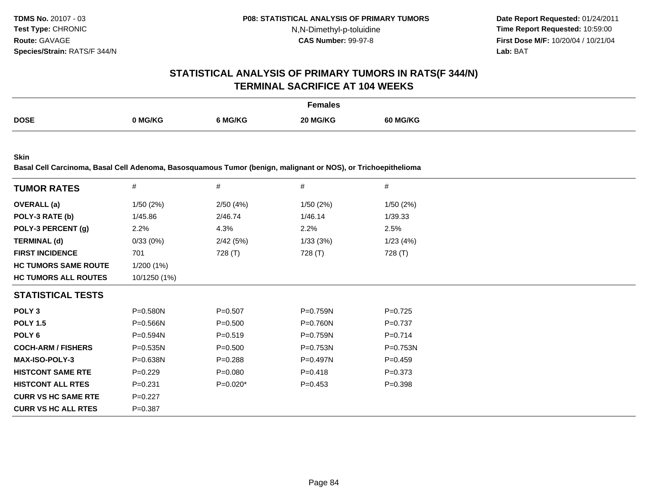**Date Report Requested:** 01/24/2011 **Time Report Requested:** 10:59:00 **First Dose M/F:** 10/20/04 / 10/21/04<br>**Lab:** BAT **Lab:** BAT

### **STATISTICAL ANALYSIS OF PRIMARY TUMORS IN RATS(F 344/N)TERMINAL SACRIFICE AT 104 WEEKS**

|             |         |         | <sup>≂</sup> emales |          |
|-------------|---------|---------|---------------------|----------|
| <b>DOSE</b> |         |         |                     |          |
|             | າ MG/KG | 6 MG/KG | 20 MG/KG            | 60 MG/KG |

**Skin**

**Basal Cell Carcinoma, Basal Cell Adenoma, Basosquamous Tumor (benign, malignant or NOS), or Trichoepithelioma**

|                             | $\#$         | #           | #            | #            |  |
|-----------------------------|--------------|-------------|--------------|--------------|--|
| <b>TUMOR RATES</b>          |              |             |              |              |  |
| <b>OVERALL</b> (a)          | 1/50(2%)     | 2/50(4%)    | 1/50(2%)     | 1/50(2%)     |  |
| POLY-3 RATE (b)             | 1/45.86      | 2/46.74     | 1/46.14      | 1/39.33      |  |
| POLY-3 PERCENT (g)          | 2.2%         | 4.3%        | 2.2%         | 2.5%         |  |
| <b>TERMINAL (d)</b>         | 0/33(0%)     | 2/42(5%)    | 1/33(3%)     | 1/23(4%)     |  |
| <b>FIRST INCIDENCE</b>      | 701          | 728 (T)     | 728 (T)      | 728 (T)      |  |
| <b>HC TUMORS SAME ROUTE</b> | 1/200(1%)    |             |              |              |  |
| <b>HC TUMORS ALL ROUTES</b> | 10/1250 (1%) |             |              |              |  |
| <b>STATISTICAL TESTS</b>    |              |             |              |              |  |
| POLY <sub>3</sub>           | P=0.580N     | $P = 0.507$ | P=0.759N     | $P=0.725$    |  |
| <b>POLY 1.5</b>             | $P = 0.566N$ | $P = 0.500$ | $P = 0.760N$ | $P=0.737$    |  |
| POLY <sub>6</sub>           | $P = 0.594N$ | $P = 0.519$ | $P = 0.759N$ | $P = 0.714$  |  |
| <b>COCH-ARM / FISHERS</b>   | $P = 0.535N$ | $P = 0.500$ | $P = 0.753N$ | $P = 0.753N$ |  |
| <b>MAX-ISO-POLY-3</b>       | P=0.638N     | $P = 0.288$ | P=0.497N     | $P=0.459$    |  |
| <b>HISTCONT SAME RTE</b>    | $P=0.229$    | $P = 0.080$ | $P = 0.418$  | $P = 0.373$  |  |
| <b>HISTCONT ALL RTES</b>    | $P = 0.231$  | $P=0.020*$  | $P = 0.453$  | $P = 0.398$  |  |
| <b>CURR VS HC SAME RTE</b>  | $P=0.227$    |             |              |              |  |
| <b>CURR VS HC ALL RTES</b>  | $P = 0.387$  |             |              |              |  |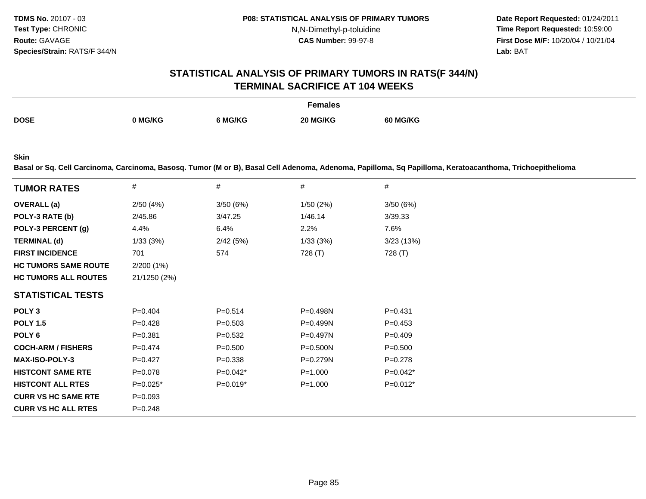**Date Report Requested:** 01/24/2011 **Time Report Requested:** 10:59:00 **First Dose M/F:** 10/20/04 / 10/21/04<br>**Lab:** BAT **Lab:** BAT

#### **STATISTICAL ANALYSIS OF PRIMARY TUMORS IN RATS(F 344/N)TERMINAL SACRIFICE AT 104 WEEKS**

|             |                           | Females                     |
|-------------|---------------------------|-----------------------------|
| <b>DOSE</b> | 0 MG/KG<br><b>ና MG/KG</b> | <b>60 MG/KG</b><br>20 MG/KG |

**Skin**

**Basal or Sq. Cell Carcinoma, Carcinoma, Basosq. Tumor (M or B), Basal Cell Adenoma, Adenoma, Papilloma, Sq Papilloma, Keratoacanthoma, Trichoepithelioma**

| <b>TUMOR RATES</b>          | #            | #           | #            | #           |
|-----------------------------|--------------|-------------|--------------|-------------|
| <b>OVERALL</b> (a)          | 2/50(4%)     | 3/50(6%)    | 1/50(2%)     | 3/50(6%)    |
| POLY-3 RATE (b)             | 2/45.86      | 3/47.25     | 1/46.14      | 3/39.33     |
| POLY-3 PERCENT (g)          | 4.4%         | 6.4%        | 2.2%         | 7.6%        |
| <b>TERMINAL (d)</b>         | 1/33(3%)     | 2/42(5%)    | 1/33(3%)     | 3/23(13%)   |
| <b>FIRST INCIDENCE</b>      | 701          | 574         | 728 (T)      | 728 (T)     |
| <b>HC TUMORS SAME ROUTE</b> | 2/200(1%)    |             |              |             |
| <b>HC TUMORS ALL ROUTES</b> | 21/1250 (2%) |             |              |             |
| <b>STATISTICAL TESTS</b>    |              |             |              |             |
| POLY <sub>3</sub>           | $P=0.404$    | $P = 0.514$ | $P = 0.498N$ | $P = 0.431$ |
| <b>POLY 1.5</b>             | $P = 0.428$  | $P = 0.503$ | P=0.499N     | $P = 0.453$ |
| POLY 6                      | $P = 0.381$  | $P=0.532$   | P=0.497N     | $P=0.409$   |
| <b>COCH-ARM / FISHERS</b>   | $P=0.474$    | $P = 0.500$ | $P = 0.500N$ | $P = 0.500$ |
| <b>MAX-ISO-POLY-3</b>       | $P=0.427$    | $P = 0.338$ | P=0.279N     | $P = 0.278$ |
| <b>HISTCONT SAME RTE</b>    | $P = 0.078$  | $P=0.042*$  | $P = 1.000$  | $P=0.042*$  |
| <b>HISTCONT ALL RTES</b>    | $P=0.025*$   | $P=0.019*$  | $P = 1.000$  | $P=0.012*$  |
| <b>CURR VS HC SAME RTE</b>  | $P = 0.093$  |             |              |             |
| <b>CURR VS HC ALL RTES</b>  | $P = 0.248$  |             |              |             |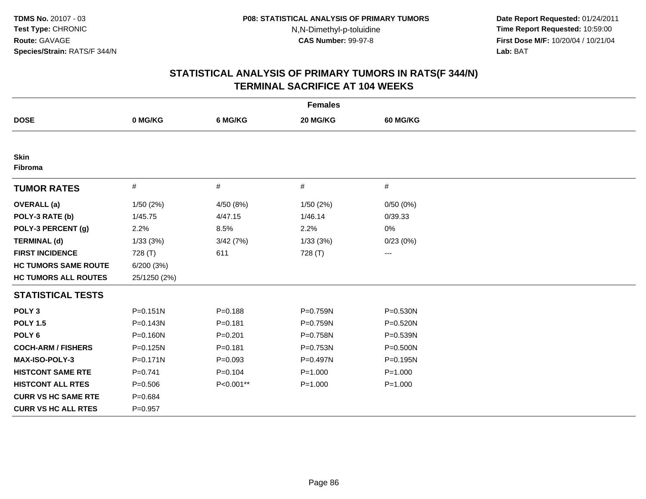**Date Report Requested:** 01/24/2011 **Time Report Requested:** 10:59:00 **First Dose M/F:** 10/20/04 / 10/21/04<br>**Lab:** BAT **Lab:** BAT

| <b>Females</b>              |              |             |             |              |  |  |
|-----------------------------|--------------|-------------|-------------|--------------|--|--|
| <b>DOSE</b>                 | 0 MG/KG      | 6 MG/KG     | 20 MG/KG    | 60 MG/KG     |  |  |
|                             |              |             |             |              |  |  |
| <b>Skin</b><br>Fibroma      |              |             |             |              |  |  |
| <b>TUMOR RATES</b>          | $\#$         | $\#$        | $\#$        | $\#$         |  |  |
| <b>OVERALL</b> (a)          | 1/50(2%)     | 4/50 (8%)   | 1/50(2%)    | 0/50(0%)     |  |  |
| POLY-3 RATE (b)             | 1/45.75      | 4/47.15     | 1/46.14     | 0/39.33      |  |  |
| POLY-3 PERCENT (g)          | 2.2%         | 8.5%        | 2.2%        | 0%           |  |  |
| <b>TERMINAL (d)</b>         | 1/33(3%)     | 3/42(7%)    | 1/33(3%)    | 0/23(0%)     |  |  |
| <b>FIRST INCIDENCE</b>      | 728 (T)      | 611         | 728 (T)     | ---          |  |  |
| <b>HC TUMORS SAME ROUTE</b> | 6/200(3%)    |             |             |              |  |  |
| <b>HC TUMORS ALL ROUTES</b> | 25/1250 (2%) |             |             |              |  |  |
| <b>STATISTICAL TESTS</b>    |              |             |             |              |  |  |
| POLY <sub>3</sub>           | $P = 0.151N$ | $P = 0.188$ | P=0.759N    | P=0.530N     |  |  |
| <b>POLY 1.5</b>             | $P = 0.143N$ | $P = 0.181$ | P=0.759N    | P=0.520N     |  |  |
| POLY <sub>6</sub>           | $P = 0.160N$ | $P = 0.201$ | P=0.758N    | P=0.539N     |  |  |
| <b>COCH-ARM / FISHERS</b>   | $P = 0.125N$ | $P = 0.181$ | P=0.753N    | $P = 0.500N$ |  |  |
| <b>MAX-ISO-POLY-3</b>       | $P = 0.171N$ | $P=0.093$   | P=0.497N    | $P = 0.195N$ |  |  |
| <b>HISTCONT SAME RTE</b>    | $P = 0.741$  | $P = 0.104$ | $P = 1.000$ | $P = 1.000$  |  |  |
| <b>HISTCONT ALL RTES</b>    | $P = 0.506$  | P<0.001**   | $P = 1.000$ | $P = 1.000$  |  |  |
| <b>CURR VS HC SAME RTE</b>  | $P = 0.684$  |             |             |              |  |  |
| <b>CURR VS HC ALL RTES</b>  | $P = 0.957$  |             |             |              |  |  |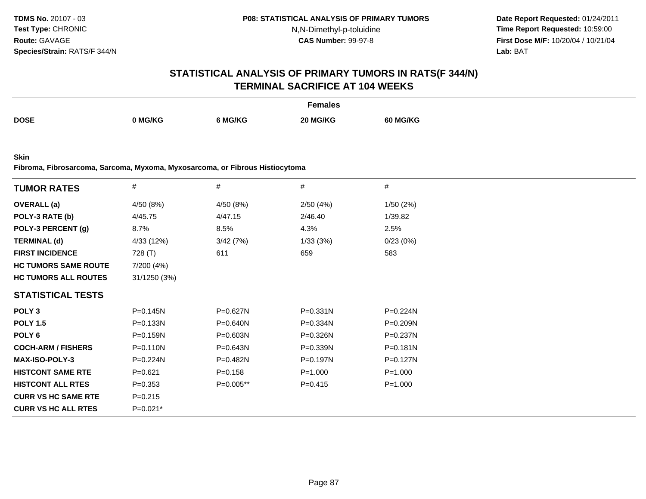**Date Report Requested:** 01/24/2011 **Time Report Requested:** 10:59:00 **First Dose M/F:** 10/20/04 / 10/21/04<br>**Lab:** BAT **Lab:** BAT

### **STATISTICAL ANALYSIS OF PRIMARY TUMORS IN RATS(F 344/N)TERMINAL SACRIFICE AT 104 WEEKS**

|             |              |              | Females      |              |
|-------------|--------------|--------------|--------------|--------------|
| <b>DOSE</b> |              |              |              |              |
|             | <b>MG/KG</b> | <b>MG/KG</b> | <b>"G/KG</b> | <b>MG/KG</b> |
|             |              |              |              |              |

**Skin**

**Fibroma, Fibrosarcoma, Sarcoma, Myxoma, Myxosarcoma, or Fibrous Histiocytoma**

| <b>TUMOR RATES</b>          | $\#$         | $\#$         | #            | #            |
|-----------------------------|--------------|--------------|--------------|--------------|
| <b>OVERALL</b> (a)          | 4/50 (8%)    | 4/50 (8%)    | 2/50(4%)     | 1/50 (2%)    |
| POLY-3 RATE (b)             | 4/45.75      | 4/47.15      | 2/46.40      | 1/39.82      |
| POLY-3 PERCENT (g)          | $8.7\%$      | 8.5%         | 4.3%         | 2.5%         |
| <b>TERMINAL (d)</b>         | 4/33 (12%)   | 3/42(7%)     | 1/33(3%)     | 0/23(0%)     |
| <b>FIRST INCIDENCE</b>      | 728 (T)      | 611          | 659          | 583          |
| <b>HC TUMORS SAME ROUTE</b> | 7/200 (4%)   |              |              |              |
| <b>HC TUMORS ALL ROUTES</b> | 31/1250 (3%) |              |              |              |
| <b>STATISTICAL TESTS</b>    |              |              |              |              |
| POLY <sub>3</sub>           | P=0.145N     | P=0.627N     | P=0.331N     | P=0.224N     |
| <b>POLY 1.5</b>             | P=0.133N     | P=0.640N     | P=0.334N     | P=0.209N     |
| POLY <sub>6</sub>           | $P = 0.159N$ | $P = 0.603N$ | $P = 0.326N$ | $P = 0.237N$ |
| <b>COCH-ARM / FISHERS</b>   | $P = 0.110N$ | P=0.643N     | P=0.339N     | $P = 0.181N$ |
| <b>MAX-ISO-POLY-3</b>       | $P=0.224N$   | P=0.482N     | $P = 0.197N$ | $P=0.127N$   |
| <b>HISTCONT SAME RTE</b>    | $P = 0.621$  | $P = 0.158$  | $P = 1.000$  | $P = 1.000$  |
| <b>HISTCONT ALL RTES</b>    | $P = 0.353$  | P=0.005**    | $P=0.415$    | $P = 1.000$  |
| <b>CURR VS HC SAME RTE</b>  | $P = 0.215$  |              |              |              |
| <b>CURR VS HC ALL RTES</b>  | P=0.021*     |              |              |              |
|                             |              |              |              |              |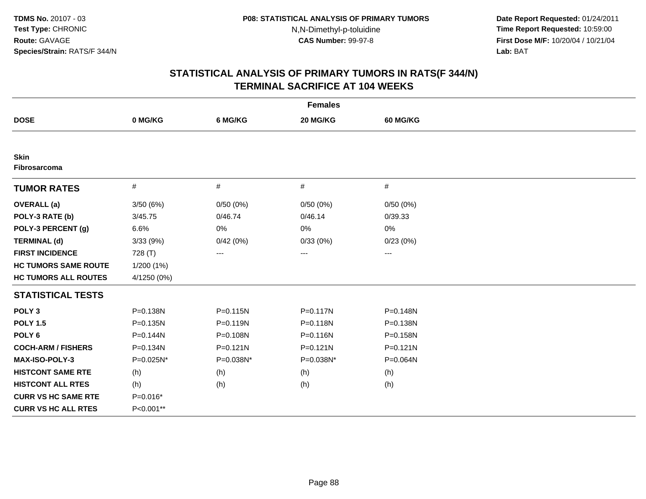**Date Report Requested:** 01/24/2011 **Time Report Requested:** 10:59:00 **First Dose M/F:** 10/20/04 / 10/21/04<br>**Lab:** BAT **Lab:** BAT

| <b>Females</b>              |              |              |              |              |  |  |
|-----------------------------|--------------|--------------|--------------|--------------|--|--|
| <b>DOSE</b>                 | 0 MG/KG      | 6 MG/KG      | 20 MG/KG     | 60 MG/KG     |  |  |
|                             |              |              |              |              |  |  |
| <b>Skin</b><br>Fibrosarcoma |              |              |              |              |  |  |
| <b>TUMOR RATES</b>          | $\#$         | #            | #            | #            |  |  |
| <b>OVERALL</b> (a)          | 3/50(6%)     | 0/50(0%)     | 0/50(0%)     | 0/50(0%)     |  |  |
| POLY-3 RATE (b)             | 3/45.75      | 0/46.74      | 0/46.14      | 0/39.33      |  |  |
| POLY-3 PERCENT (g)          | 6.6%         | 0%           | $0\%$        | 0%           |  |  |
| <b>TERMINAL (d)</b>         | 3/33(9%)     | 0/42(0%)     | 0/33(0%)     | 0/23(0%)     |  |  |
| <b>FIRST INCIDENCE</b>      | 728 (T)      | ---          | ---          | ---          |  |  |
| <b>HC TUMORS SAME ROUTE</b> | 1/200 (1%)   |              |              |              |  |  |
| <b>HC TUMORS ALL ROUTES</b> | 4/1250 (0%)  |              |              |              |  |  |
| <b>STATISTICAL TESTS</b>    |              |              |              |              |  |  |
| POLY <sub>3</sub>           | P=0.138N     | $P = 0.115N$ | $P = 0.117N$ | P=0.148N     |  |  |
| <b>POLY 1.5</b>             | $P = 0.135N$ | $P = 0.119N$ | P=0.118N     | P=0.138N     |  |  |
| POLY <sub>6</sub>           | $P = 0.144N$ | P=0.108N     | P=0.116N     | P=0.158N     |  |  |
| <b>COCH-ARM / FISHERS</b>   | P=0.134N     | P=0.121N     | $P = 0.121N$ | $P = 0.121N$ |  |  |
| <b>MAX-ISO-POLY-3</b>       | P=0.025N*    | P=0.038N*    | P=0.038N*    | P=0.064N     |  |  |
| <b>HISTCONT SAME RTE</b>    | (h)          | (h)          | (h)          | (h)          |  |  |
| <b>HISTCONT ALL RTES</b>    | (h)          | (h)          | (h)          | (h)          |  |  |
| <b>CURR VS HC SAME RTE</b>  | $P=0.016*$   |              |              |              |  |  |
| <b>CURR VS HC ALL RTES</b>  | P<0.001**    |              |              |              |  |  |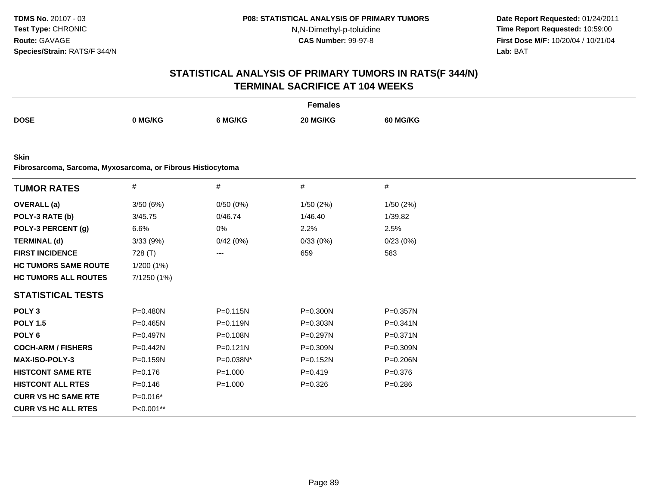**Date Report Requested:** 01/24/2011 **Time Report Requested:** 10:59:00 **First Dose M/F:** 10/20/04 / 10/21/04<br>**Lab:** BAT **Lab:** BAT

| <b>Females</b>                                                             |              |              |              |                 |  |  |
|----------------------------------------------------------------------------|--------------|--------------|--------------|-----------------|--|--|
| <b>DOSE</b>                                                                | 0 MG/KG      | 6 MG/KG      | 20 MG/KG     | <b>60 MG/KG</b> |  |  |
|                                                                            |              |              |              |                 |  |  |
| <b>Skin</b><br>Fibrosarcoma, Sarcoma, Myxosarcoma, or Fibrous Histiocytoma |              |              |              |                 |  |  |
| <b>TUMOR RATES</b>                                                         | $\#$         | $\#$         | $\#$         | $\#$            |  |  |
| <b>OVERALL</b> (a)                                                         | 3/50(6%)     | 0/50(0%)     | 1/50(2%)     | 1/50(2%)        |  |  |
| POLY-3 RATE (b)                                                            | 3/45.75      | 0/46.74      | 1/46.40      | 1/39.82         |  |  |
| POLY-3 PERCENT (g)                                                         | 6.6%         | 0%           | 2.2%         | 2.5%            |  |  |
| <b>TERMINAL (d)</b>                                                        | 3/33(9%)     | 0/42(0%)     | 0/33(0%)     | 0/23(0%)        |  |  |
| <b>FIRST INCIDENCE</b>                                                     | 728 (T)      | ---          | 659          | 583             |  |  |
| <b>HC TUMORS SAME ROUTE</b>                                                | 1/200 (1%)   |              |              |                 |  |  |
| <b>HC TUMORS ALL ROUTES</b>                                                | 7/1250 (1%)  |              |              |                 |  |  |
| <b>STATISTICAL TESTS</b>                                                   |              |              |              |                 |  |  |
| POLY <sub>3</sub>                                                          | P=0.480N     | $P = 0.115N$ | $P = 0.300N$ | P=0.357N        |  |  |
| <b>POLY 1.5</b>                                                            | $P = 0.465N$ | P=0.119N     | P=0.303N     | $P = 0.341N$    |  |  |
| POLY <sub>6</sub>                                                          | P=0.497N     | P=0.108N     | P=0.297N     | $P = 0.371N$    |  |  |
| <b>COCH-ARM / FISHERS</b>                                                  | $P = 0.442N$ | $P = 0.121N$ | P=0.309N     | P=0.309N        |  |  |
| MAX-ISO-POLY-3                                                             | P=0.159N     | P=0.038N*    | P=0.152N     | P=0.206N        |  |  |
| <b>HISTCONT SAME RTE</b>                                                   | $P = 0.176$  | $P = 1.000$  | $P = 0.419$  | $P = 0.376$     |  |  |
| <b>HISTCONT ALL RTES</b>                                                   | $P = 0.146$  | $P = 1.000$  | $P = 0.326$  | $P = 0.286$     |  |  |
| <b>CURR VS HC SAME RTE</b>                                                 | $P=0.016*$   |              |              |                 |  |  |
| <b>CURR VS HC ALL RTES</b>                                                 | P<0.001**    |              |              |                 |  |  |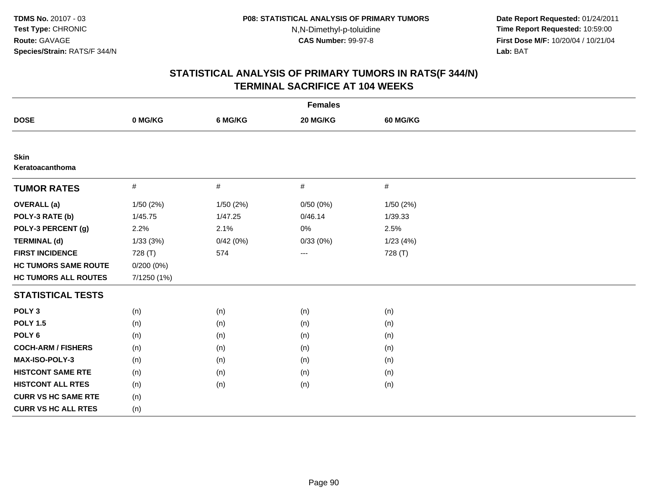**Date Report Requested:** 01/24/2011 **Time Report Requested:** 10:59:00 **First Dose M/F:** 10/20/04 / 10/21/04<br>**Lab:** BAT **Lab:** BAT

| <b>Females</b>                 |             |          |                   |           |  |  |
|--------------------------------|-------------|----------|-------------------|-----------|--|--|
| <b>DOSE</b>                    | 0 MG/KG     | 6 MG/KG  | 20 MG/KG          | 60 MG/KG  |  |  |
|                                |             |          |                   |           |  |  |
| <b>Skin</b><br>Keratoacanthoma |             |          |                   |           |  |  |
| <b>TUMOR RATES</b>             | $\#$        | $\#$     | $\#$              | $\#$      |  |  |
| <b>OVERALL</b> (a)             | 1/50 (2%)   | 1/50(2%) | 0/50(0%)          | 1/50 (2%) |  |  |
| POLY-3 RATE (b)                | 1/45.75     | 1/47.25  | 0/46.14           | 1/39.33   |  |  |
| POLY-3 PERCENT (g)             | 2.2%        | 2.1%     | $0\%$             | 2.5%      |  |  |
| <b>TERMINAL (d)</b>            | 1/33(3%)    | 0/42(0%) | 0/33(0%)          | 1/23(4%)  |  |  |
| <b>FIRST INCIDENCE</b>         | 728 (T)     | 574      | $\qquad \qquad -$ | 728 (T)   |  |  |
| <b>HC TUMORS SAME ROUTE</b>    | 0/200(0%)   |          |                   |           |  |  |
| <b>HC TUMORS ALL ROUTES</b>    | 7/1250 (1%) |          |                   |           |  |  |
| <b>STATISTICAL TESTS</b>       |             |          |                   |           |  |  |
| POLY <sub>3</sub>              | (n)         | (n)      | (n)               | (n)       |  |  |
| <b>POLY 1.5</b>                | (n)         | (n)      | (n)               | (n)       |  |  |
| POLY <sub>6</sub>              | (n)         | (n)      | (n)               | (n)       |  |  |
| <b>COCH-ARM / FISHERS</b>      | (n)         | (n)      | (n)               | (n)       |  |  |
| MAX-ISO-POLY-3                 | (n)         | (n)      | (n)               | (n)       |  |  |
| <b>HISTCONT SAME RTE</b>       | (n)         | (n)      | (n)               | (n)       |  |  |
| <b>HISTCONT ALL RTES</b>       | (n)         | (n)      | (n)               | (n)       |  |  |
| <b>CURR VS HC SAME RTE</b>     | (n)         |          |                   |           |  |  |
| <b>CURR VS HC ALL RTES</b>     | (n)         |          |                   |           |  |  |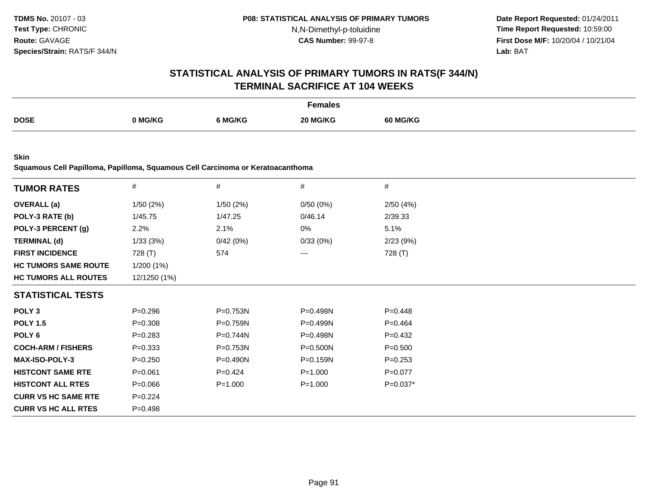**Date Report Requested:** 01/24/2011 **Time Report Requested:** 10:59:00 **First Dose M/F:** 10/20/04 / 10/21/04<br>**Lab:** BAT **Lab:** BAT

## **STATISTICAL ANALYSIS OF PRIMARY TUMORS IN RATS(F 344/N)TERMINAL SACRIFICE AT 104 WEEKS**

|             |         |         | Females  |                 |
|-------------|---------|---------|----------|-----------------|
| <b>DOSE</b> |         |         |          |                 |
|             | 0 MG/KG | ን MG/KG | 20 MG/KG | <b>60 MG/KG</b> |

**Skin**

**Squamous Cell Papilloma, Papilloma, Squamous Cell Carcinoma or Keratoacanthoma**

| <b>TUMOR RATES</b>          | $\#$         | $\#$        | #           | $\#$        |  |
|-----------------------------|--------------|-------------|-------------|-------------|--|
| <b>OVERALL</b> (a)          | 1/50(2%)     | 1/50(2%)    | 0/50(0%)    | 2/50(4%)    |  |
| POLY-3 RATE (b)             | 1/45.75      | 1/47.25     | 0/46.14     | 2/39.33     |  |
| POLY-3 PERCENT (g)          | 2.2%         | 2.1%        | 0%          | 5.1%        |  |
| <b>TERMINAL (d)</b>         | 1/33(3%)     | 0/42(0%)    | 0/33(0%)    | 2/23(9%)    |  |
| <b>FIRST INCIDENCE</b>      | 728 (T)      | 574         | ---         | 728 (T)     |  |
| <b>HC TUMORS SAME ROUTE</b> | 1/200 (1%)   |             |             |             |  |
| <b>HC TUMORS ALL ROUTES</b> | 12/1250 (1%) |             |             |             |  |
| <b>STATISTICAL TESTS</b>    |              |             |             |             |  |
| POLY <sub>3</sub>           | $P = 0.296$  | P=0.753N    | P=0.498N    | $P=0.448$   |  |
| <b>POLY 1.5</b>             | $P = 0.308$  | P=0.759N    | P=0.499N    | $P = 0.464$ |  |
| POLY 6                      | $P = 0.283$  | P=0.744N    | P=0.498N    | $P=0.432$   |  |
| <b>COCH-ARM / FISHERS</b>   | $P = 0.333$  | P=0.753N    | P=0.500N    | $P = 0.500$ |  |
| <b>MAX-ISO-POLY-3</b>       | $P = 0.250$  | P=0.490N    | P=0.159N    | $P = 0.253$ |  |
| <b>HISTCONT SAME RTE</b>    | $P = 0.061$  | $P=0.424$   | $P = 1.000$ | $P=0.077$   |  |
| <b>HISTCONT ALL RTES</b>    | $P = 0.066$  | $P = 1.000$ | $P = 1.000$ | $P=0.037*$  |  |
| <b>CURR VS HC SAME RTE</b>  | $P=0.224$    |             |             |             |  |
| <b>CURR VS HC ALL RTES</b>  | $P = 0.498$  |             |             |             |  |
|                             |              |             |             |             |  |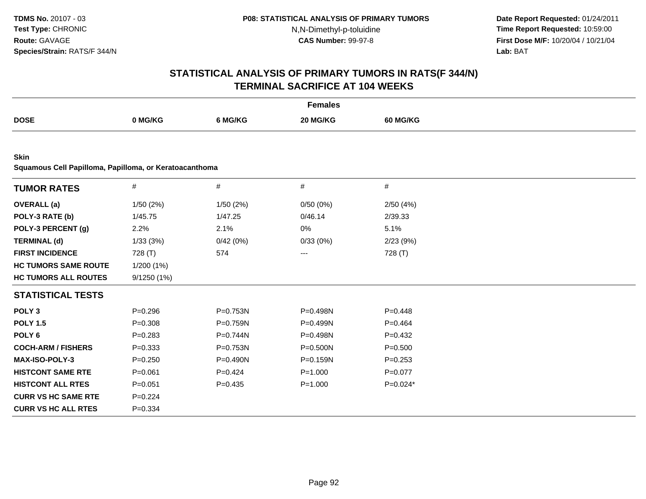**Date Report Requested:** 01/24/2011 **Time Report Requested:** 10:59:00 **First Dose M/F:** 10/20/04 / 10/21/04<br>**Lab:** BAT **Lab:** BAT

| <b>Females</b>                                         |             |             |              |             |  |  |
|--------------------------------------------------------|-------------|-------------|--------------|-------------|--|--|
| <b>DOSE</b>                                            | 0 MG/KG     | 6 MG/KG     | 20 MG/KG     | 60 MG/KG    |  |  |
|                                                        |             |             |              |             |  |  |
| <b>Skin</b>                                            |             |             |              |             |  |  |
| Squamous Cell Papilloma, Papilloma, or Keratoacanthoma |             |             |              |             |  |  |
| <b>TUMOR RATES</b>                                     | #           | $\#$        | #            | #           |  |  |
| <b>OVERALL</b> (a)                                     | 1/50(2%)    | 1/50(2%)    | 0/50(0%)     | 2/50(4%)    |  |  |
| POLY-3 RATE (b)                                        | 1/45.75     | 1/47.25     | 0/46.14      | 2/39.33     |  |  |
| POLY-3 PERCENT (g)                                     | 2.2%        | 2.1%        | 0%           | 5.1%        |  |  |
| <b>TERMINAL (d)</b>                                    | 1/33(3%)    | 0/42(0%)    | 0/33(0%)     | 2/23(9%)    |  |  |
| <b>FIRST INCIDENCE</b>                                 | 728 (T)     | 574         | ---          | 728 (T)     |  |  |
| <b>HC TUMORS SAME ROUTE</b>                            | 1/200 (1%)  |             |              |             |  |  |
| <b>HC TUMORS ALL ROUTES</b>                            | 9/1250 (1%) |             |              |             |  |  |
| <b>STATISTICAL TESTS</b>                               |             |             |              |             |  |  |
| POLY <sub>3</sub>                                      | $P = 0.296$ | P=0.753N    | P=0.498N     | $P = 0.448$ |  |  |
| <b>POLY 1.5</b>                                        | $P = 0.308$ | P=0.759N    | P=0.499N     | $P=0.464$   |  |  |
| POLY <sub>6</sub>                                      | $P = 0.283$ | P=0.744N    | P=0.498N     | $P=0.432$   |  |  |
| <b>COCH-ARM / FISHERS</b>                              | $P = 0.333$ | P=0.753N    | $P = 0.500N$ | $P = 0.500$ |  |  |
| <b>MAX-ISO-POLY-3</b>                                  | $P = 0.250$ | P=0.490N    | $P = 0.159N$ | $P = 0.253$ |  |  |
| <b>HISTCONT SAME RTE</b>                               | $P = 0.061$ | $P=0.424$   | $P = 1.000$  | $P=0.077$   |  |  |
| <b>HISTCONT ALL RTES</b>                               | $P = 0.051$ | $P = 0.435$ | $P = 1.000$  | $P=0.024*$  |  |  |
| <b>CURR VS HC SAME RTE</b>                             | $P = 0.224$ |             |              |             |  |  |
| <b>CURR VS HC ALL RTES</b>                             | $P = 0.334$ |             |              |             |  |  |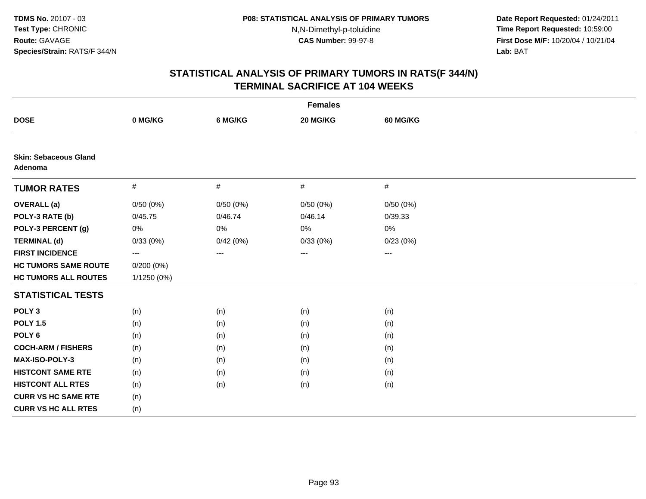**Date Report Requested:** 01/24/2011 **Time Report Requested:** 10:59:00 **First Dose M/F:** 10/20/04 / 10/21/04<br>**Lab:** BAT **Lab:** BAT

| <b>Females</b>                          |             |                   |          |                 |  |  |  |
|-----------------------------------------|-------------|-------------------|----------|-----------------|--|--|--|
| <b>DOSE</b>                             | 0 MG/KG     | 6 MG/KG           | 20 MG/KG | <b>60 MG/KG</b> |  |  |  |
|                                         |             |                   |          |                 |  |  |  |
| <b>Skin: Sebaceous Gland</b><br>Adenoma |             |                   |          |                 |  |  |  |
| <b>TUMOR RATES</b>                      | $\#$        | $\#$              | $\#$     | #               |  |  |  |
| <b>OVERALL</b> (a)                      | 0/50(0%)    | 0/50(0%)          | 0/50(0%) | 0/50(0%)        |  |  |  |
| POLY-3 RATE (b)                         | 0/45.75     | 0/46.74           | 0/46.14  | 0/39.33         |  |  |  |
| POLY-3 PERCENT (g)                      | 0%          | 0%                | $0\%$    | 0%              |  |  |  |
| <b>TERMINAL (d)</b>                     | 0/33(0%)    | 0/42(0%)          | 0/33(0%) | 0/23(0%)        |  |  |  |
| <b>FIRST INCIDENCE</b>                  | ---         | $\qquad \qquad -$ | $--$     | ---             |  |  |  |
| <b>HC TUMORS SAME ROUTE</b>             | 0/200(0%)   |                   |          |                 |  |  |  |
| <b>HC TUMORS ALL ROUTES</b>             | 1/1250 (0%) |                   |          |                 |  |  |  |
| <b>STATISTICAL TESTS</b>                |             |                   |          |                 |  |  |  |
| POLY <sub>3</sub>                       | (n)         | (n)               | (n)      | (n)             |  |  |  |
| <b>POLY 1.5</b>                         | (n)         | (n)               | (n)      | (n)             |  |  |  |
| POLY <sub>6</sub>                       | (n)         | (n)               | (n)      | (n)             |  |  |  |
| <b>COCH-ARM / FISHERS</b>               | (n)         | (n)               | (n)      | (n)             |  |  |  |
| MAX-ISO-POLY-3                          | (n)         | (n)               | (n)      | (n)             |  |  |  |
| <b>HISTCONT SAME RTE</b>                | (n)         | (n)               | (n)      | (n)             |  |  |  |
| <b>HISTCONT ALL RTES</b>                | (n)         | (n)               | (n)      | (n)             |  |  |  |
| <b>CURR VS HC SAME RTE</b>              | (n)         |                   |          |                 |  |  |  |
| <b>CURR VS HC ALL RTES</b>              | (n)         |                   |          |                 |  |  |  |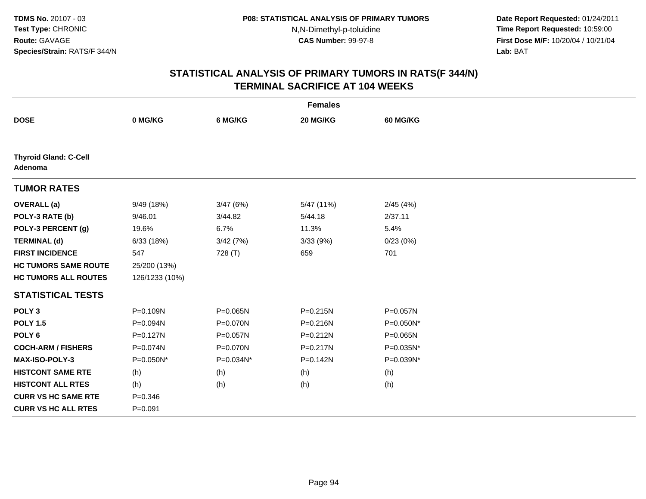**Date Report Requested:** 01/24/2011 **Time Report Requested:** 10:59:00 **First Dose M/F:** 10/20/04 / 10/21/04<br>**Lab:** BAT **Lab:** BAT

| <b>Females</b>                          |                |           |              |                 |  |  |  |
|-----------------------------------------|----------------|-----------|--------------|-----------------|--|--|--|
| <b>DOSE</b>                             | 0 MG/KG        | 6 MG/KG   | 20 MG/KG     | <b>60 MG/KG</b> |  |  |  |
|                                         |                |           |              |                 |  |  |  |
| <b>Thyroid Gland: C-Cell</b><br>Adenoma |                |           |              |                 |  |  |  |
| <b>TUMOR RATES</b>                      |                |           |              |                 |  |  |  |
| <b>OVERALL</b> (a)                      | 9/49 (18%)     | 3/47(6%)  | 5/47 (11%)   | 2/45(4%)        |  |  |  |
| POLY-3 RATE (b)                         | 9/46.01        | 3/44.82   | 5/44.18      | 2/37.11         |  |  |  |
| POLY-3 PERCENT (g)                      | 19.6%          | 6.7%      | 11.3%        | 5.4%            |  |  |  |
| <b>TERMINAL (d)</b>                     | 6/33(18%)      | 3/42(7%)  | 3/33(9%)     | 0/23(0%)        |  |  |  |
| <b>FIRST INCIDENCE</b>                  | 547            | 728 (T)   | 659          | 701             |  |  |  |
| <b>HC TUMORS SAME ROUTE</b>             | 25/200 (13%)   |           |              |                 |  |  |  |
| <b>HC TUMORS ALL ROUTES</b>             | 126/1233 (10%) |           |              |                 |  |  |  |
| <b>STATISTICAL TESTS</b>                |                |           |              |                 |  |  |  |
| POLY <sub>3</sub>                       | P=0.109N       | P=0.065N  | P=0.215N     | P=0.057N        |  |  |  |
| <b>POLY 1.5</b>                         | P=0.094N       | P=0.070N  | P=0.216N     | P=0.050N*       |  |  |  |
| POLY <sub>6</sub>                       | $P = 0.127N$   | P=0.057N  | P=0.212N     | P=0.065N        |  |  |  |
| <b>COCH-ARM / FISHERS</b>               | P=0.074N       | P=0.070N  | $P = 0.217N$ | P=0.035N*       |  |  |  |
| MAX-ISO-POLY-3                          | P=0.050N*      | P=0.034N* | $P = 0.142N$ | P=0.039N*       |  |  |  |
| <b>HISTCONT SAME RTE</b>                | (h)            | (h)       | (h)          | (h)             |  |  |  |
| <b>HISTCONT ALL RTES</b>                | (h)            | (h)       | (h)          | (h)             |  |  |  |
| <b>CURR VS HC SAME RTE</b>              | $P = 0.346$    |           |              |                 |  |  |  |
| <b>CURR VS HC ALL RTES</b>              | $P = 0.091$    |           |              |                 |  |  |  |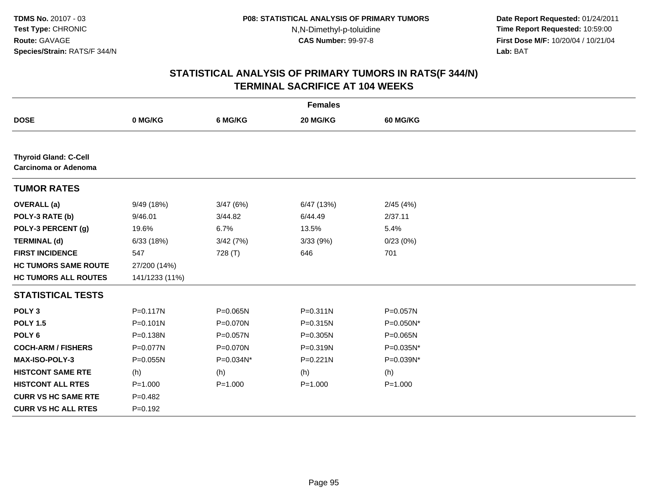**Date Report Requested:** 01/24/2011 **Time Report Requested:** 10:59:00 **First Dose M/F:** 10/20/04 / 10/21/04<br>**Lab:** BAT **Lab:** BAT

| <b>Females</b>                                              |                |              |              |             |  |  |  |
|-------------------------------------------------------------|----------------|--------------|--------------|-------------|--|--|--|
| <b>DOSE</b>                                                 | 0 MG/KG        | 6 MG/KG      | 20 MG/KG     | 60 MG/KG    |  |  |  |
|                                                             |                |              |              |             |  |  |  |
| <b>Thyroid Gland: C-Cell</b><br><b>Carcinoma or Adenoma</b> |                |              |              |             |  |  |  |
| <b>TUMOR RATES</b>                                          |                |              |              |             |  |  |  |
| <b>OVERALL</b> (a)                                          | 9/49 (18%)     | 3/47(6%)     | 6/47 (13%)   | 2/45(4%)    |  |  |  |
| POLY-3 RATE (b)                                             | 9/46.01        | 3/44.82      | 6/44.49      | 2/37.11     |  |  |  |
| POLY-3 PERCENT (g)                                          | 19.6%          | 6.7%         | 13.5%        | 5.4%        |  |  |  |
| <b>TERMINAL (d)</b>                                         | 6/33(18%)      | 3/42(7%)     | 3/33(9%)     | 0/23(0%)    |  |  |  |
| <b>FIRST INCIDENCE</b>                                      | 547            | 728 (T)      | 646          | 701         |  |  |  |
| <b>HC TUMORS SAME ROUTE</b>                                 | 27/200 (14%)   |              |              |             |  |  |  |
| <b>HC TUMORS ALL ROUTES</b>                                 | 141/1233 (11%) |              |              |             |  |  |  |
| <b>STATISTICAL TESTS</b>                                    |                |              |              |             |  |  |  |
| POLY <sub>3</sub>                                           | $P = 0.117N$   | $P = 0.065N$ | $P = 0.311N$ | P=0.057N    |  |  |  |
| <b>POLY 1.5</b>                                             | $P = 0.101N$   | P=0.070N     | $P = 0.315N$ | P=0.050N*   |  |  |  |
| POLY <sub>6</sub>                                           | P=0.138N       | P=0.057N     | P=0.305N     | P=0.065N    |  |  |  |
| <b>COCH-ARM / FISHERS</b>                                   | P=0.077N       | P=0.070N     | P=0.319N     | P=0.035N*   |  |  |  |
| MAX-ISO-POLY-3                                              | P=0.055N       | P=0.034N*    | $P = 0.221N$ | P=0.039N*   |  |  |  |
| <b>HISTCONT SAME RTE</b>                                    | (h)            | (h)          | (h)          | (h)         |  |  |  |
| <b>HISTCONT ALL RTES</b>                                    | $P = 1.000$    | $P = 1.000$  | $P = 1.000$  | $P = 1.000$ |  |  |  |
| <b>CURR VS HC SAME RTE</b>                                  | $P=0.482$      |              |              |             |  |  |  |
| <b>CURR VS HC ALL RTES</b>                                  | $P=0.192$      |              |              |             |  |  |  |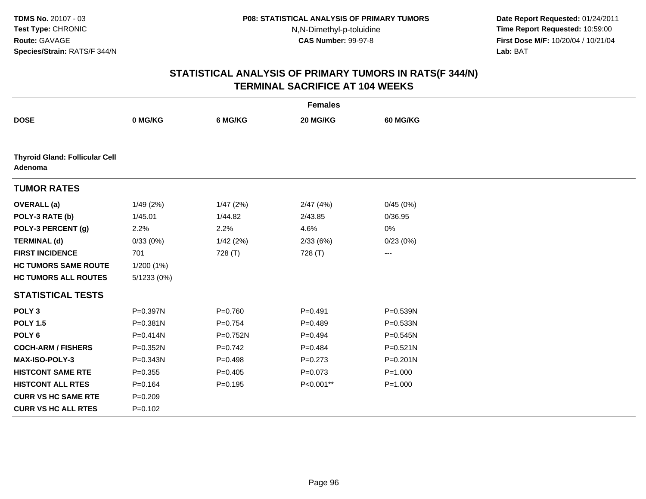**Date Report Requested:** 01/24/2011 **Time Report Requested:** 10:59:00 **First Dose M/F:** 10/20/04 / 10/21/04<br>**Lab:** BAT **Lab:** BAT

| <b>Females</b>                                   |              |             |             |                 |  |  |  |
|--------------------------------------------------|--------------|-------------|-------------|-----------------|--|--|--|
| <b>DOSE</b>                                      | 0 MG/KG      | 6 MG/KG     | 20 MG/KG    | <b>60 MG/KG</b> |  |  |  |
|                                                  |              |             |             |                 |  |  |  |
| <b>Thyroid Gland: Follicular Cell</b><br>Adenoma |              |             |             |                 |  |  |  |
| <b>TUMOR RATES</b>                               |              |             |             |                 |  |  |  |
| <b>OVERALL</b> (a)                               | 1/49(2%)     | 1/47(2%)    | 2/47(4%)    | 0/45(0%)        |  |  |  |
| POLY-3 RATE (b)                                  | 1/45.01      | 1/44.82     | 2/43.85     | 0/36.95         |  |  |  |
| POLY-3 PERCENT (g)                               | 2.2%         | 2.2%        | 4.6%        | 0%              |  |  |  |
| <b>TERMINAL (d)</b>                              | 0/33(0%)     | 1/42(2%)    | 2/33(6%)    | 0/23(0%)        |  |  |  |
| <b>FIRST INCIDENCE</b>                           | 701          | 728 (T)     | 728 (T)     | $---$           |  |  |  |
| <b>HC TUMORS SAME ROUTE</b>                      | 1/200 (1%)   |             |             |                 |  |  |  |
| <b>HC TUMORS ALL ROUTES</b>                      | 5/1233(0%)   |             |             |                 |  |  |  |
| <b>STATISTICAL TESTS</b>                         |              |             |             |                 |  |  |  |
| POLY <sub>3</sub>                                | P=0.397N     | $P = 0.760$ | $P = 0.491$ | P=0.539N        |  |  |  |
| <b>POLY 1.5</b>                                  | P=0.381N     | $P=0.754$   | $P=0.489$   | P=0.533N        |  |  |  |
| POLY <sub>6</sub>                                | $P = 0.414N$ | P=0.752N    | $P = 0.494$ | $P = 0.545N$    |  |  |  |
| <b>COCH-ARM / FISHERS</b>                        | P=0.352N     | $P=0.742$   | $P = 0.484$ | $P = 0.521N$    |  |  |  |
| <b>MAX-ISO-POLY-3</b>                            | $P = 0.343N$ | $P=0.498$   | $P = 0.273$ | $P = 0.201N$    |  |  |  |
| <b>HISTCONT SAME RTE</b>                         | $P = 0.355$  | $P=0.405$   | $P = 0.073$ | $P = 1.000$     |  |  |  |
| <b>HISTCONT ALL RTES</b>                         | $P = 0.164$  | $P = 0.195$ | P<0.001**   | $P = 1.000$     |  |  |  |
| <b>CURR VS HC SAME RTE</b>                       | $P = 0.209$  |             |             |                 |  |  |  |
| <b>CURR VS HC ALL RTES</b>                       | $P=0.102$    |             |             |                 |  |  |  |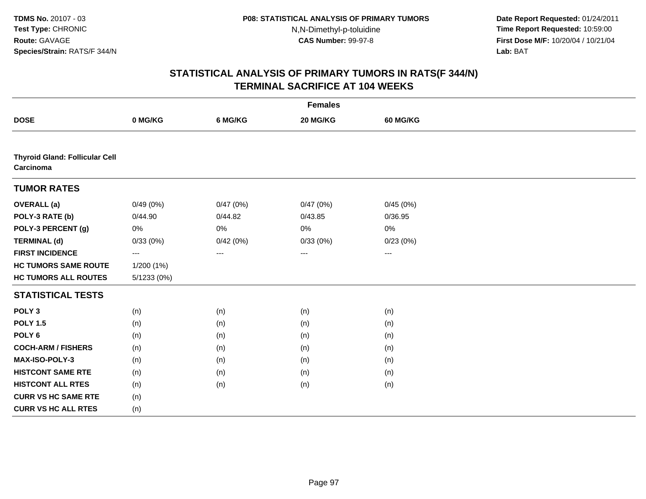**Date Report Requested:** 01/24/2011 **Time Report Requested:** 10:59:00 **First Dose M/F:** 10/20/04 / 10/21/04<br>**Lab:** BAT **Lab:** BAT

| <b>Females</b>                                     |            |          |          |                   |  |  |  |
|----------------------------------------------------|------------|----------|----------|-------------------|--|--|--|
| <b>DOSE</b>                                        | 0 MG/KG    | 6 MG/KG  | 20 MG/KG | <b>60 MG/KG</b>   |  |  |  |
|                                                    |            |          |          |                   |  |  |  |
| <b>Thyroid Gland: Follicular Cell</b><br>Carcinoma |            |          |          |                   |  |  |  |
| <b>TUMOR RATES</b>                                 |            |          |          |                   |  |  |  |
| <b>OVERALL</b> (a)                                 | 0/49(0%)   | 0/47(0%) | 0/47(0%) | 0/45(0%)          |  |  |  |
| POLY-3 RATE (b)                                    | 0/44.90    | 0/44.82  | 0/43.85  | 0/36.95           |  |  |  |
| POLY-3 PERCENT (g)                                 | 0%         | 0%       | 0%       | 0%                |  |  |  |
| <b>TERMINAL (d)</b>                                | 0/33(0%)   | 0/42(0%) | 0/33(0%) | 0/23(0%)          |  |  |  |
| <b>FIRST INCIDENCE</b>                             | $---$      | ---      | $---$    | $\qquad \qquad -$ |  |  |  |
| <b>HC TUMORS SAME ROUTE</b>                        | 1/200 (1%) |          |          |                   |  |  |  |
| <b>HC TUMORS ALL ROUTES</b>                        | 5/1233(0%) |          |          |                   |  |  |  |
| <b>STATISTICAL TESTS</b>                           |            |          |          |                   |  |  |  |
| POLY <sub>3</sub>                                  | (n)        | (n)      | (n)      | (n)               |  |  |  |
| <b>POLY 1.5</b>                                    | (n)        | (n)      | (n)      | (n)               |  |  |  |
| POLY <sub>6</sub>                                  | (n)        | (n)      | (n)      | (n)               |  |  |  |
| <b>COCH-ARM / FISHERS</b>                          | (n)        | (n)      | (n)      | (n)               |  |  |  |
| MAX-ISO-POLY-3                                     | (n)        | (n)      | (n)      | (n)               |  |  |  |
| <b>HISTCONT SAME RTE</b>                           | (n)        | (n)      | (n)      | (n)               |  |  |  |
| <b>HISTCONT ALL RTES</b>                           | (n)        | (n)      | (n)      | (n)               |  |  |  |
| <b>CURR VS HC SAME RTE</b>                         | (n)        |          |          |                   |  |  |  |
| <b>CURR VS HC ALL RTES</b>                         | (n)        |          |          |                   |  |  |  |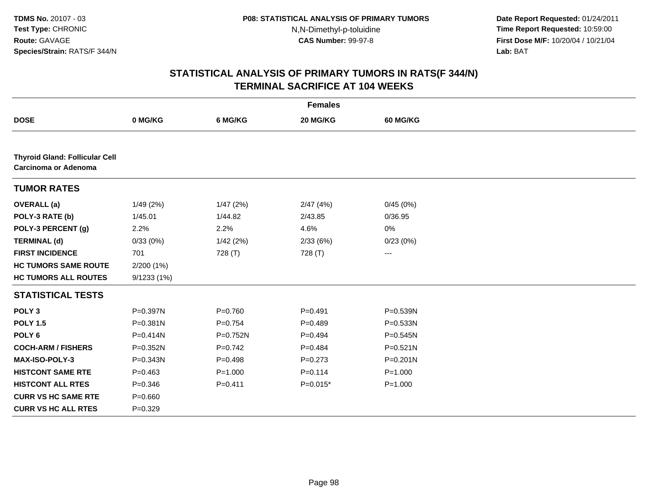**Date Report Requested:** 01/24/2011 **Time Report Requested:** 10:59:00 **First Dose M/F:** 10/20/04 / 10/21/04<br>**Lab:** BAT **Lab:** BAT

| <b>Females</b>                                                |              |             |             |                 |  |  |
|---------------------------------------------------------------|--------------|-------------|-------------|-----------------|--|--|
| <b>DOSE</b>                                                   | 0 MG/KG      | 6 MG/KG     | 20 MG/KG    | <b>60 MG/KG</b> |  |  |
|                                                               |              |             |             |                 |  |  |
| <b>Thyroid Gland: Follicular Cell</b><br>Carcinoma or Adenoma |              |             |             |                 |  |  |
| <b>TUMOR RATES</b>                                            |              |             |             |                 |  |  |
| <b>OVERALL</b> (a)                                            | 1/49(2%)     | 1/47(2%)    | 2/47(4%)    | 0/45(0%)        |  |  |
| POLY-3 RATE (b)                                               | 1/45.01      | 1/44.82     | 2/43.85     | 0/36.95         |  |  |
| POLY-3 PERCENT (g)                                            | 2.2%         | 2.2%        | 4.6%        | 0%              |  |  |
| <b>TERMINAL (d)</b>                                           | 0/33(0%)     | 1/42(2%)    | 2/33(6%)    | 0/23(0%)        |  |  |
| <b>FIRST INCIDENCE</b>                                        | 701          | 728 (T)     | 728 (T)     | $---$           |  |  |
| <b>HC TUMORS SAME ROUTE</b>                                   | 2/200 (1%)   |             |             |                 |  |  |
| <b>HC TUMORS ALL ROUTES</b>                                   | 9/1233(1%)   |             |             |                 |  |  |
| <b>STATISTICAL TESTS</b>                                      |              |             |             |                 |  |  |
| POLY <sub>3</sub>                                             | P=0.397N     | $P = 0.760$ | $P = 0.491$ | P=0.539N        |  |  |
| <b>POLY 1.5</b>                                               | $P = 0.381N$ | $P=0.754$   | $P=0.489$   | P=0.533N        |  |  |
| POLY <sub>6</sub>                                             | $P = 0.414N$ | P=0.752N    | $P=0.494$   | P=0.545N        |  |  |
| <b>COCH-ARM / FISHERS</b>                                     | $P = 0.352N$ | $P=0.742$   | $P=0.484$   | $P = 0.521N$    |  |  |
| <b>MAX-ISO-POLY-3</b>                                         | $P = 0.343N$ | $P = 0.498$ | $P=0.273$   | $P = 0.201N$    |  |  |
| <b>HISTCONT SAME RTE</b>                                      | $P = 0.463$  | $P = 1.000$ | $P=0.114$   | $P = 1.000$     |  |  |
| <b>HISTCONT ALL RTES</b>                                      | $P = 0.346$  | $P = 0.411$ | $P=0.015*$  | $P = 1.000$     |  |  |
| <b>CURR VS HC SAME RTE</b>                                    | $P = 0.660$  |             |             |                 |  |  |
| <b>CURR VS HC ALL RTES</b>                                    | $P=0.329$    |             |             |                 |  |  |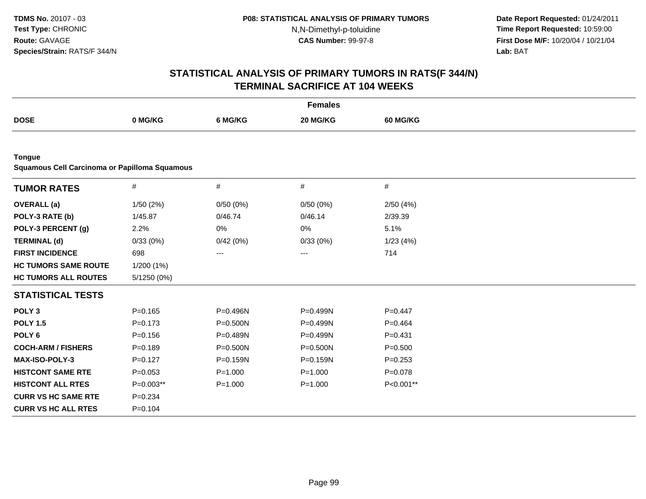**Date Report Requested:** 01/24/2011 **Time Report Requested:** 10:59:00 **First Dose M/F:** 10/20/04 / 10/21/04<br>**Lab:** BAT **Lab:** BAT

| <b>Females</b>                                |             |              |              |             |  |  |
|-----------------------------------------------|-------------|--------------|--------------|-------------|--|--|
| <b>DOSE</b>                                   | 0 MG/KG     | 6 MG/KG      | 20 MG/KG     | 60 MG/KG    |  |  |
|                                               |             |              |              |             |  |  |
| <b>Tongue</b>                                 |             |              |              |             |  |  |
| Squamous Cell Carcinoma or Papilloma Squamous |             |              |              |             |  |  |
| <b>TUMOR RATES</b>                            | $\#$        | $\#$         | #            | #           |  |  |
| <b>OVERALL</b> (a)                            | 1/50(2%)    | 0/50(0%)     | 0/50(0%)     | 2/50(4%)    |  |  |
| POLY-3 RATE (b)                               | 1/45.87     | 0/46.74      | 0/46.14      | 2/39.39     |  |  |
| POLY-3 PERCENT (g)                            | 2.2%        | 0%           | 0%           | 5.1%        |  |  |
| <b>TERMINAL (d)</b>                           | 0/33(0%)    | 0/42(0%)     | 0/33(0%)     | 1/23(4%)    |  |  |
| <b>FIRST INCIDENCE</b>                        | 698         | ---          | ---          | 714         |  |  |
| <b>HC TUMORS SAME ROUTE</b>                   | 1/200 (1%)  |              |              |             |  |  |
| <b>HC TUMORS ALL ROUTES</b>                   | 5/1250 (0%) |              |              |             |  |  |
| <b>STATISTICAL TESTS</b>                      |             |              |              |             |  |  |
| POLY <sub>3</sub>                             | $P = 0.165$ | P=0.496N     | P=0.499N     | $P = 0.447$ |  |  |
| <b>POLY 1.5</b>                               | $P = 0.173$ | $P = 0.500N$ | P=0.499N     | $P = 0.464$ |  |  |
| POLY <sub>6</sub>                             | $P = 0.156$ | P=0.489N     | P=0.499N     | $P = 0.431$ |  |  |
| <b>COCH-ARM / FISHERS</b>                     | $P = 0.189$ | $P = 0.500N$ | $P = 0.500N$ | $P = 0.500$ |  |  |
| MAX-ISO-POLY-3                                | $P=0.127$   | P=0.159N     | P=0.159N     | $P = 0.253$ |  |  |
| <b>HISTCONT SAME RTE</b>                      | $P=0.053$   | $P = 1.000$  | $P = 1.000$  | $P = 0.078$ |  |  |
| <b>HISTCONT ALL RTES</b>                      | $P=0.003**$ | $P = 1.000$  | $P = 1.000$  | P<0.001**   |  |  |
| <b>CURR VS HC SAME RTE</b>                    | $P = 0.234$ |              |              |             |  |  |
| <b>CURR VS HC ALL RTES</b>                    | $P = 0.104$ |              |              |             |  |  |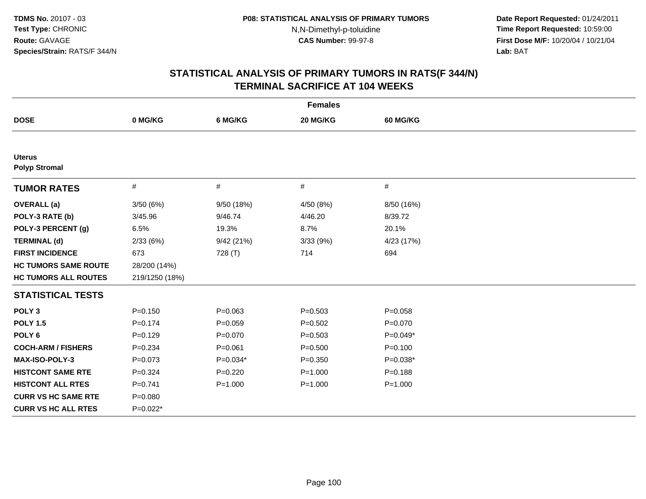**Date Report Requested:** 01/24/2011 **Time Report Requested:** 10:59:00 **First Dose M/F:** 10/20/04 / 10/21/04<br>**Lab:** BAT **Lab:** BAT

| <b>Females</b>                        |                |             |             |             |  |  |  |
|---------------------------------------|----------------|-------------|-------------|-------------|--|--|--|
| <b>DOSE</b>                           | 0 MG/KG        | 6 MG/KG     | 20 MG/KG    | 60 MG/KG    |  |  |  |
|                                       |                |             |             |             |  |  |  |
| <b>Uterus</b><br><b>Polyp Stromal</b> |                |             |             |             |  |  |  |
| <b>TUMOR RATES</b>                    | $\#$           | $\#$        | #           | #           |  |  |  |
| <b>OVERALL</b> (a)                    | 3/50(6%)       | 9/50 (18%)  | 4/50 (8%)   | 8/50 (16%)  |  |  |  |
| POLY-3 RATE (b)                       | 3/45.96        | 9/46.74     | 4/46.20     | 8/39.72     |  |  |  |
| POLY-3 PERCENT (g)                    | 6.5%           | 19.3%       | 8.7%        | 20.1%       |  |  |  |
| <b>TERMINAL (d)</b>                   | 2/33(6%)       | 9/42(21%)   | 3/33 (9%)   | 4/23 (17%)  |  |  |  |
| <b>FIRST INCIDENCE</b>                | 673            | 728 (T)     | 714         | 694         |  |  |  |
| <b>HC TUMORS SAME ROUTE</b>           | 28/200 (14%)   |             |             |             |  |  |  |
| <b>HC TUMORS ALL ROUTES</b>           | 219/1250 (18%) |             |             |             |  |  |  |
| <b>STATISTICAL TESTS</b>              |                |             |             |             |  |  |  |
| POLY <sub>3</sub>                     | $P = 0.150$    | $P = 0.063$ | $P = 0.503$ | $P = 0.058$ |  |  |  |
| <b>POLY 1.5</b>                       | $P=0.174$      | $P = 0.059$ | $P = 0.502$ | $P = 0.070$ |  |  |  |
| POLY <sub>6</sub>                     | $P=0.129$      | $P = 0.070$ | $P = 0.503$ | $P=0.049*$  |  |  |  |
| <b>COCH-ARM / FISHERS</b>             | $P=0.234$      | $P = 0.061$ | $P = 0.500$ | $P=0.100$   |  |  |  |
| MAX-ISO-POLY-3                        | $P = 0.073$    | $P=0.034*$  | $P = 0.350$ | $P=0.038*$  |  |  |  |
| <b>HISTCONT SAME RTE</b>              | $P=0.324$      | $P = 0.220$ | $P = 1.000$ | $P = 0.188$ |  |  |  |
| <b>HISTCONT ALL RTES</b>              | $P = 0.741$    | $P = 1.000$ | $P = 1.000$ | $P = 1.000$ |  |  |  |
| <b>CURR VS HC SAME RTE</b>            | $P = 0.080$    |             |             |             |  |  |  |
| <b>CURR VS HC ALL RTES</b>            | $P=0.022*$     |             |             |             |  |  |  |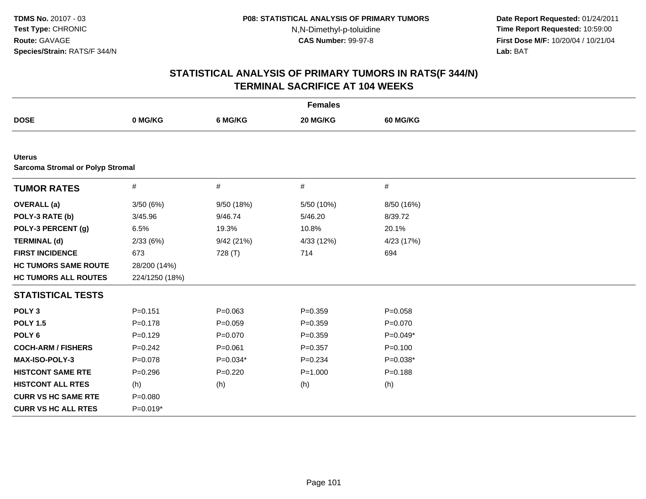**Date Report Requested:** 01/24/2011 **Time Report Requested:** 10:59:00 **First Dose M/F:** 10/20/04 / 10/21/04<br>**Lab:** BAT **Lab:** BAT

| <b>Females</b>                                           |                |             |             |             |  |  |  |
|----------------------------------------------------------|----------------|-------------|-------------|-------------|--|--|--|
| <b>DOSE</b>                                              | 0 MG/KG        | 6 MG/KG     | 20 MG/KG    | 60 MG/KG    |  |  |  |
|                                                          |                |             |             |             |  |  |  |
| <b>Uterus</b><br><b>Sarcoma Stromal or Polyp Stromal</b> |                |             |             |             |  |  |  |
| <b>TUMOR RATES</b>                                       | $\#$           | $\#$        | $\#$        | $\#$        |  |  |  |
| <b>OVERALL</b> (a)                                       | 3/50(6%)       | 9/50 (18%)  | 5/50 (10%)  | 8/50 (16%)  |  |  |  |
| POLY-3 RATE (b)                                          | 3/45.96        | 9/46.74     | 5/46.20     | 8/39.72     |  |  |  |
| POLY-3 PERCENT (g)                                       | 6.5%           | 19.3%       | 10.8%       | 20.1%       |  |  |  |
| <b>TERMINAL (d)</b>                                      | 2/33(6%)       | 9/42(21%)   | 4/33 (12%)  | 4/23 (17%)  |  |  |  |
| <b>FIRST INCIDENCE</b>                                   | 673            | 728 (T)     | 714         | 694         |  |  |  |
| <b>HC TUMORS SAME ROUTE</b>                              | 28/200 (14%)   |             |             |             |  |  |  |
| <b>HC TUMORS ALL ROUTES</b>                              | 224/1250 (18%) |             |             |             |  |  |  |
| <b>STATISTICAL TESTS</b>                                 |                |             |             |             |  |  |  |
| POLY <sub>3</sub>                                        | $P = 0.151$    | $P = 0.063$ | $P = 0.359$ | $P = 0.058$ |  |  |  |
| <b>POLY 1.5</b>                                          | $P = 0.178$    | $P = 0.059$ | $P=0.359$   | $P = 0.070$ |  |  |  |
| POLY <sub>6</sub>                                        | $P=0.129$      | $P = 0.070$ | $P=0.359$   | $P=0.049*$  |  |  |  |
| <b>COCH-ARM / FISHERS</b>                                | $P=0.242$      | $P = 0.061$ | $P = 0.357$ | $P = 0.100$ |  |  |  |
| <b>MAX-ISO-POLY-3</b>                                    | $P = 0.078$    | $P=0.034*$  | $P=0.234$   | $P=0.038*$  |  |  |  |
| <b>HISTCONT SAME RTE</b>                                 | $P = 0.296$    | $P=0.220$   | $P = 1.000$ | $P = 0.188$ |  |  |  |
| <b>HISTCONT ALL RTES</b>                                 | (h)            | (h)         | (h)         | (h)         |  |  |  |
| <b>CURR VS HC SAME RTE</b>                               | $P = 0.080$    |             |             |             |  |  |  |
| <b>CURR VS HC ALL RTES</b>                               | $P=0.019*$     |             |             |             |  |  |  |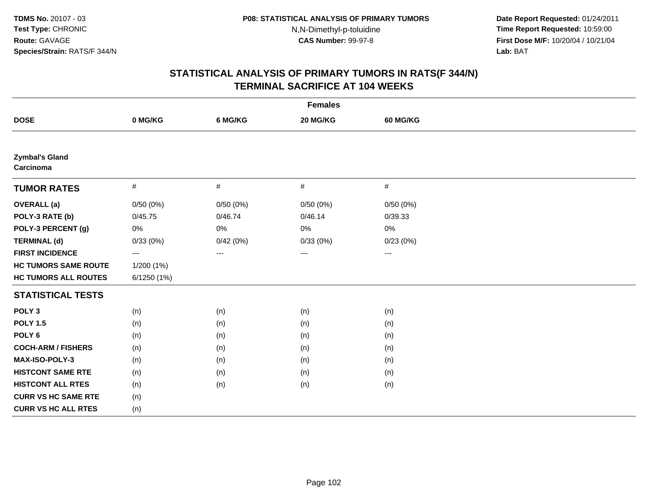**Date Report Requested:** 01/24/2011 **Time Report Requested:** 10:59:00 **First Dose M/F:** 10/20/04 / 10/21/04<br>**Lab:** BAT **Lab:** BAT

| <b>Females</b>                     |                   |          |          |                 |  |  |  |
|------------------------------------|-------------------|----------|----------|-----------------|--|--|--|
| <b>DOSE</b>                        | 0 MG/KG           | 6 MG/KG  | 20 MG/KG | <b>60 MG/KG</b> |  |  |  |
|                                    |                   |          |          |                 |  |  |  |
| <b>Zymbal's Gland</b><br>Carcinoma |                   |          |          |                 |  |  |  |
| <b>TUMOR RATES</b>                 | $\#$              | $\#$     | $\#$     | $\#$            |  |  |  |
| <b>OVERALL</b> (a)                 | 0/50(0%)          | 0/50(0%) | 0/50(0%) | 0/50(0%)        |  |  |  |
| POLY-3 RATE (b)                    | 0/45.75           | 0/46.74  | 0/46.14  | 0/39.33         |  |  |  |
| POLY-3 PERCENT (g)                 | 0%                | 0%       | 0%       | 0%              |  |  |  |
| <b>TERMINAL (d)</b>                | 0/33(0%)          | 0/42(0%) | 0/33(0%) | 0/23(0%)        |  |  |  |
| <b>FIRST INCIDENCE</b>             | $\qquad \qquad -$ | ---      | ---      | ---             |  |  |  |
| <b>HC TUMORS SAME ROUTE</b>        | 1/200 (1%)        |          |          |                 |  |  |  |
| <b>HC TUMORS ALL ROUTES</b>        | 6/1250 (1%)       |          |          |                 |  |  |  |
| <b>STATISTICAL TESTS</b>           |                   |          |          |                 |  |  |  |
| POLY <sub>3</sub>                  | (n)               | (n)      | (n)      | (n)             |  |  |  |
| <b>POLY 1.5</b>                    | (n)               | (n)      | (n)      | (n)             |  |  |  |
| POLY <sub>6</sub>                  | (n)               | (n)      | (n)      | (n)             |  |  |  |
| <b>COCH-ARM / FISHERS</b>          | (n)               | (n)      | (n)      | (n)             |  |  |  |
| MAX-ISO-POLY-3                     | (n)               | (n)      | (n)      | (n)             |  |  |  |
| <b>HISTCONT SAME RTE</b>           | (n)               | (n)      | (n)      | (n)             |  |  |  |
| <b>HISTCONT ALL RTES</b>           | (n)               | (n)      | (n)      | (n)             |  |  |  |
| <b>CURR VS HC SAME RTE</b>         | (n)               |          |          |                 |  |  |  |
| <b>CURR VS HC ALL RTES</b>         | (n)               |          |          |                 |  |  |  |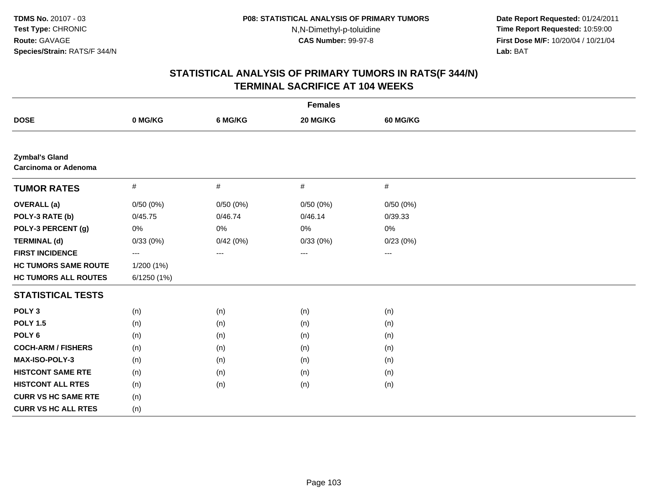**Date Report Requested:** 01/24/2011 **Time Report Requested:** 10:59:00 **First Dose M/F:** 10/20/04 / 10/21/04<br>**Lab:** BAT **Lab:** BAT

| <b>Females</b>                                       |            |          |          |                 |  |  |  |
|------------------------------------------------------|------------|----------|----------|-----------------|--|--|--|
| <b>DOSE</b>                                          | 0 MG/KG    | 6 MG/KG  | 20 MG/KG | <b>60 MG/KG</b> |  |  |  |
|                                                      |            |          |          |                 |  |  |  |
| <b>Zymbal's Gland</b><br><b>Carcinoma or Adenoma</b> |            |          |          |                 |  |  |  |
| <b>TUMOR RATES</b>                                   | $\#$       | $\#$     | $\#$     | $\#$            |  |  |  |
| <b>OVERALL</b> (a)                                   | 0/50(0%)   | 0/50(0%) | 0/50(0%) | 0/50(0%)        |  |  |  |
| POLY-3 RATE (b)                                      | 0/45.75    | 0/46.74  | 0/46.14  | 0/39.33         |  |  |  |
| POLY-3 PERCENT (g)                                   | $0\%$      | 0%       | $0\%$    | 0%              |  |  |  |
| <b>TERMINAL (d)</b>                                  | 0/33(0%)   | 0/42(0%) | 0/33(0%) | 0/23(0%)        |  |  |  |
| <b>FIRST INCIDENCE</b>                               | ---        | ---      | ---      | ---             |  |  |  |
| <b>HC TUMORS SAME ROUTE</b>                          | 1/200 (1%) |          |          |                 |  |  |  |
| <b>HC TUMORS ALL ROUTES</b>                          | 6/1250(1%) |          |          |                 |  |  |  |
| <b>STATISTICAL TESTS</b>                             |            |          |          |                 |  |  |  |
| POLY <sub>3</sub>                                    | (n)        | (n)      | (n)      | (n)             |  |  |  |
| <b>POLY 1.5</b>                                      | (n)        | (n)      | (n)      | (n)             |  |  |  |
| POLY <sub>6</sub>                                    | (n)        | (n)      | (n)      | (n)             |  |  |  |
| <b>COCH-ARM / FISHERS</b>                            | (n)        | (n)      | (n)      | (n)             |  |  |  |
| MAX-ISO-POLY-3                                       | (n)        | (n)      | (n)      | (n)             |  |  |  |
| <b>HISTCONT SAME RTE</b>                             | (n)        | (n)      | (n)      | (n)             |  |  |  |
| <b>HISTCONT ALL RTES</b>                             | (n)        | (n)      | (n)      | (n)             |  |  |  |
| <b>CURR VS HC SAME RTE</b>                           | (n)        |          |          |                 |  |  |  |
| <b>CURR VS HC ALL RTES</b>                           | (n)        |          |          |                 |  |  |  |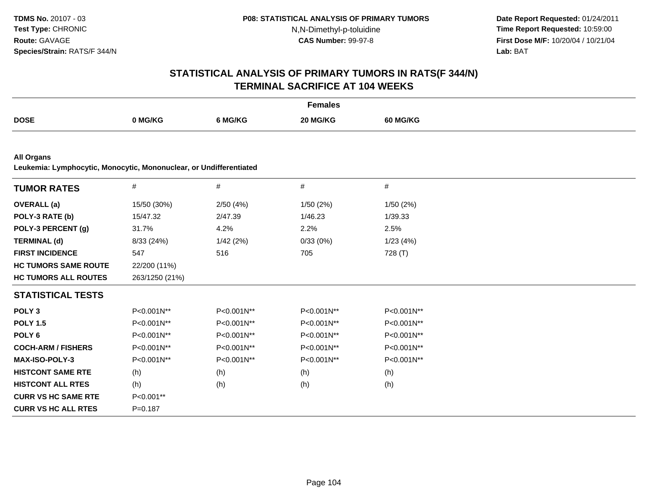**Date Report Requested:** 01/24/2011 **Time Report Requested:** 10:59:00 **First Dose M/F:** 10/20/04 / 10/21/04<br>**Lab:** BAT **Lab:** BAT

|                                                                                         | <b>Females</b> |            |            |            |  |  |  |  |
|-----------------------------------------------------------------------------------------|----------------|------------|------------|------------|--|--|--|--|
| <b>DOSE</b>                                                                             | 0 MG/KG        | 6 MG/KG    | 20 MG/KG   | 60 MG/KG   |  |  |  |  |
|                                                                                         |                |            |            |            |  |  |  |  |
| <b>All Organs</b><br>Leukemia: Lymphocytic, Monocytic, Mononuclear, or Undifferentiated |                |            |            |            |  |  |  |  |
| <b>TUMOR RATES</b>                                                                      | $\#$           | #          | #          | $\#$       |  |  |  |  |
| <b>OVERALL</b> (a)                                                                      | 15/50 (30%)    | 2/50(4%)   | 1/50 (2%)  | 1/50 (2%)  |  |  |  |  |
| POLY-3 RATE (b)                                                                         | 15/47.32       | 2/47.39    | 1/46.23    | 1/39.33    |  |  |  |  |
| POLY-3 PERCENT (g)                                                                      | 31.7%          | 4.2%       | 2.2%       | 2.5%       |  |  |  |  |
| <b>TERMINAL (d)</b>                                                                     | 8/33 (24%)     | 1/42(2%)   | 0/33(0%)   | 1/23(4%)   |  |  |  |  |
| <b>FIRST INCIDENCE</b>                                                                  | 547            | 516        | 705        | 728 (T)    |  |  |  |  |
| <b>HC TUMORS SAME ROUTE</b>                                                             | 22/200 (11%)   |            |            |            |  |  |  |  |
| <b>HC TUMORS ALL ROUTES</b>                                                             | 263/1250 (21%) |            |            |            |  |  |  |  |
| <b>STATISTICAL TESTS</b>                                                                |                |            |            |            |  |  |  |  |
| POLY <sub>3</sub>                                                                       | P<0.001N**     | P<0.001N** | P<0.001N** | P<0.001N** |  |  |  |  |
| <b>POLY 1.5</b>                                                                         | P<0.001N**     | P<0.001N** | P<0.001N** | P<0.001N** |  |  |  |  |
| POLY <sub>6</sub>                                                                       | P<0.001N**     | P<0.001N** | P<0.001N** | P<0.001N** |  |  |  |  |
| <b>COCH-ARM / FISHERS</b>                                                               | P<0.001N**     | P<0.001N** | P<0.001N** | P<0.001N** |  |  |  |  |
| <b>MAX-ISO-POLY-3</b>                                                                   | P<0.001N**     | P<0.001N** | P<0.001N** | P<0.001N** |  |  |  |  |
| <b>HISTCONT SAME RTE</b>                                                                | (h)            | (h)        | (h)        | (h)        |  |  |  |  |
| <b>HISTCONT ALL RTES</b>                                                                | (h)            | (h)        | (h)        | (h)        |  |  |  |  |
| <b>CURR VS HC SAME RTE</b>                                                              | P<0.001**      |            |            |            |  |  |  |  |
| <b>CURR VS HC ALL RTES</b>                                                              | $P = 0.187$    |            |            |            |  |  |  |  |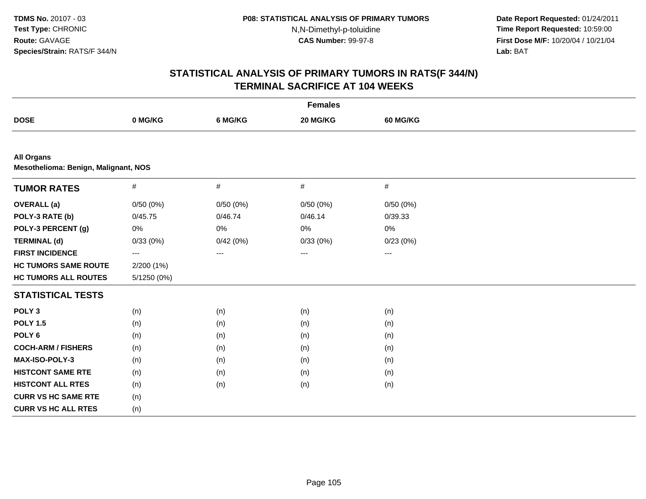**Date Report Requested:** 01/24/2011 **Time Report Requested:** 10:59:00 **First Dose M/F:** 10/20/04 / 10/21/04<br>**Lab:** BAT **Lab:** BAT

| <b>Females</b>                                            |             |          |          |          |  |  |
|-----------------------------------------------------------|-------------|----------|----------|----------|--|--|
| <b>DOSE</b>                                               | 0 MG/KG     | 6 MG/KG  | 20 MG/KG | 60 MG/KG |  |  |
|                                                           |             |          |          |          |  |  |
| <b>All Organs</b><br>Mesothelioma: Benign, Malignant, NOS |             |          |          |          |  |  |
| <b>TUMOR RATES</b>                                        | $\#$        | $\#$     | $\#$     | $\#$     |  |  |
| <b>OVERALL</b> (a)                                        | 0/50(0%)    | 0/50(0%) | 0/50(0%) | 0/50(0%) |  |  |
| POLY-3 RATE (b)                                           | 0/45.75     | 0/46.74  | 0/46.14  | 0/39.33  |  |  |
| POLY-3 PERCENT (g)                                        | 0%          | 0%       | 0%       | 0%       |  |  |
| <b>TERMINAL (d)</b>                                       | 0/33(0%)    | 0/42(0%) | 0/33(0%) | 0/23(0%) |  |  |
| <b>FIRST INCIDENCE</b>                                    | ---         | ---      | ---      | ---      |  |  |
| <b>HC TUMORS SAME ROUTE</b>                               | 2/200 (1%)  |          |          |          |  |  |
| <b>HC TUMORS ALL ROUTES</b>                               | 5/1250 (0%) |          |          |          |  |  |
| <b>STATISTICAL TESTS</b>                                  |             |          |          |          |  |  |
| POLY <sub>3</sub>                                         | (n)         | (n)      | (n)      | (n)      |  |  |
| <b>POLY 1.5</b>                                           | (n)         | (n)      | (n)      | (n)      |  |  |
| POLY <sub>6</sub>                                         | (n)         | (n)      | (n)      | (n)      |  |  |
| <b>COCH-ARM / FISHERS</b>                                 | (n)         | (n)      | (n)      | (n)      |  |  |
| MAX-ISO-POLY-3                                            | (n)         | (n)      | (n)      | (n)      |  |  |
| <b>HISTCONT SAME RTE</b>                                  | (n)         | (n)      | (n)      | (n)      |  |  |
| <b>HISTCONT ALL RTES</b>                                  | (n)         | (n)      | (n)      | (n)      |  |  |
| <b>CURR VS HC SAME RTE</b>                                | (n)         |          |          |          |  |  |
| <b>CURR VS HC ALL RTES</b>                                | (n)         |          |          |          |  |  |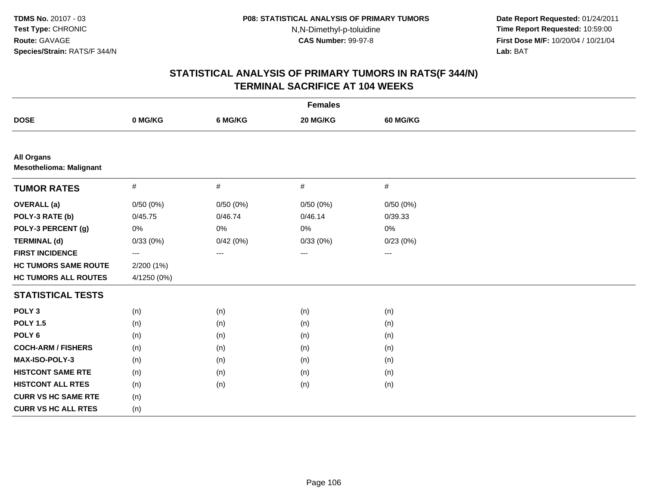**Date Report Requested:** 01/24/2011 **Time Report Requested:** 10:59:00 **First Dose M/F:** 10/20/04 / 10/21/04<br>**Lab:** BAT **Lab:** BAT

| <b>Females</b>                                      |                   |          |          |          |  |  |
|-----------------------------------------------------|-------------------|----------|----------|----------|--|--|
| <b>DOSE</b>                                         | 0 MG/KG           | 6 MG/KG  | 20 MG/KG | 60 MG/KG |  |  |
|                                                     |                   |          |          |          |  |  |
| <b>All Organs</b><br><b>Mesothelioma: Malignant</b> |                   |          |          |          |  |  |
| <b>TUMOR RATES</b>                                  | $\#$              | $\#$     | $\#$     | $\#$     |  |  |
| <b>OVERALL</b> (a)                                  | 0/50(0%)          | 0/50(0%) | 0/50(0%) | 0/50(0%) |  |  |
| POLY-3 RATE (b)                                     | 0/45.75           | 0/46.74  | 0/46.14  | 0/39.33  |  |  |
| POLY-3 PERCENT (g)                                  | 0%                | 0%       | $0\%$    | 0%       |  |  |
| <b>TERMINAL (d)</b>                                 | 0/33(0%)          | 0/42(0%) | 0/33(0%) | 0/23(0%) |  |  |
| <b>FIRST INCIDENCE</b>                              | $\qquad \qquad -$ | $\cdots$ | $---$    | ---      |  |  |
| <b>HC TUMORS SAME ROUTE</b>                         | 2/200 (1%)        |          |          |          |  |  |
| <b>HC TUMORS ALL ROUTES</b>                         | 4/1250 (0%)       |          |          |          |  |  |
| <b>STATISTICAL TESTS</b>                            |                   |          |          |          |  |  |
| POLY <sub>3</sub>                                   | (n)               | (n)      | (n)      | (n)      |  |  |
| <b>POLY 1.5</b>                                     | (n)               | (n)      | (n)      | (n)      |  |  |
| POLY <sub>6</sub>                                   | (n)               | (n)      | (n)      | (n)      |  |  |
| <b>COCH-ARM / FISHERS</b>                           | (n)               | (n)      | (n)      | (n)      |  |  |
| MAX-ISO-POLY-3                                      | (n)               | (n)      | (n)      | (n)      |  |  |
| <b>HISTCONT SAME RTE</b>                            | (n)               | (n)      | (n)      | (n)      |  |  |
| <b>HISTCONT ALL RTES</b>                            | (n)               | (n)      | (n)      | (n)      |  |  |
| <b>CURR VS HC SAME RTE</b>                          | (n)               |          |          |          |  |  |
| <b>CURR VS HC ALL RTES</b>                          | (n)               |          |          |          |  |  |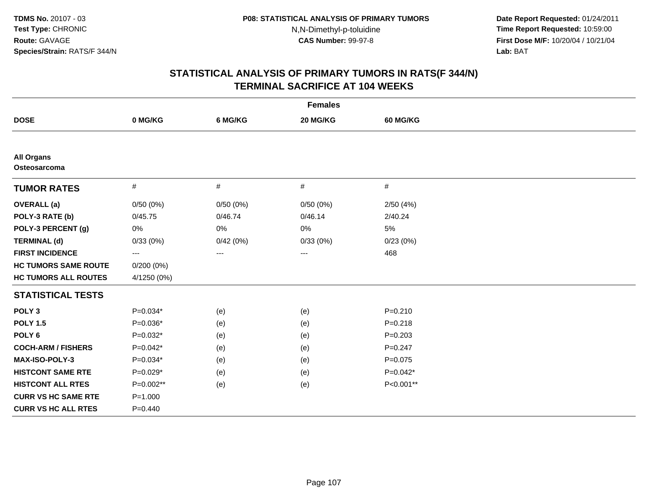**Date Report Requested:** 01/24/2011 **Time Report Requested:** 10:59:00 **First Dose M/F:** 10/20/04 / 10/21/04<br>**Lab:** BAT **Lab:** BAT

| <b>Females</b>                           |             |          |          |             |  |  |
|------------------------------------------|-------------|----------|----------|-------------|--|--|
| <b>DOSE</b>                              | 0 MG/KG     | 6 MG/KG  | 20 MG/KG | 60 MG/KG    |  |  |
|                                          |             |          |          |             |  |  |
| <b>All Organs</b><br><b>Osteosarcoma</b> |             |          |          |             |  |  |
| <b>TUMOR RATES</b>                       | $\#$        | $\#$     | $\#$     | $\#$        |  |  |
| <b>OVERALL</b> (a)                       | 0/50(0%)    | 0/50(0%) | 0/50(0%) | 2/50(4%)    |  |  |
| POLY-3 RATE (b)                          | 0/45.75     | 0/46.74  | 0/46.14  | 2/40.24     |  |  |
| POLY-3 PERCENT (g)                       | $0\%$       | $0\%$    | 0%       | 5%          |  |  |
| <b>TERMINAL (d)</b>                      | 0/33(0%)    | 0/42(0%) | 0/33(0%) | 0/23(0%)    |  |  |
| <b>FIRST INCIDENCE</b>                   | $--$        | ---      | ---      | 468         |  |  |
| <b>HC TUMORS SAME ROUTE</b>              | 0/200(0%)   |          |          |             |  |  |
| <b>HC TUMORS ALL ROUTES</b>              | 4/1250 (0%) |          |          |             |  |  |
| <b>STATISTICAL TESTS</b>                 |             |          |          |             |  |  |
| POLY <sub>3</sub>                        | $P=0.034*$  | (e)      | (e)      | $P = 0.210$ |  |  |
| <b>POLY 1.5</b>                          | $P=0.036*$  | (e)      | (e)      | $P = 0.218$ |  |  |
| POLY <sub>6</sub>                        | $P=0.032*$  | (e)      | (e)      | $P = 0.203$ |  |  |
| <b>COCH-ARM / FISHERS</b>                | $P=0.042*$  | (e)      | (e)      | $P = 0.247$ |  |  |
| <b>MAX-ISO-POLY-3</b>                    | $P=0.034*$  | (e)      | (e)      | $P=0.075$   |  |  |
| <b>HISTCONT SAME RTE</b>                 | $P=0.029*$  | (e)      | (e)      | $P=0.042*$  |  |  |
| <b>HISTCONT ALL RTES</b>                 | P=0.002**   | (e)      | (e)      | P<0.001**   |  |  |
| <b>CURR VS HC SAME RTE</b>               | $P = 1.000$ |          |          |             |  |  |
| <b>CURR VS HC ALL RTES</b>               | $P=0.440$   |          |          |             |  |  |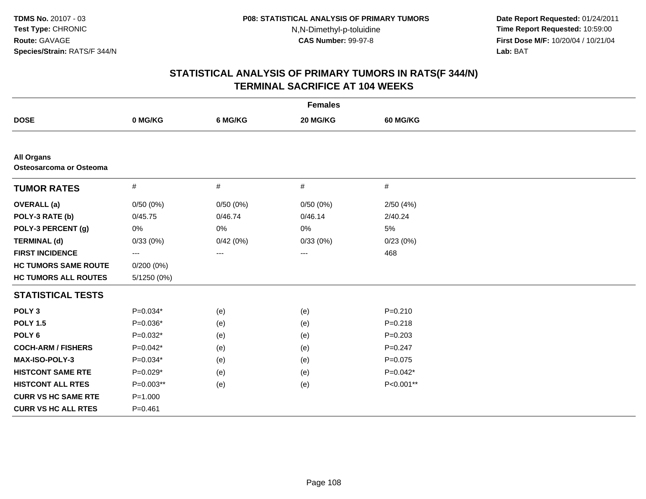**Date Report Requested:** 01/24/2011 **Time Report Requested:** 10:59:00 **First Dose M/F:** 10/20/04 / 10/21/04<br>**Lab:** BAT **Lab:** BAT

| <b>Females</b>                               |                   |          |          |             |  |  |
|----------------------------------------------|-------------------|----------|----------|-------------|--|--|
| <b>DOSE</b>                                  | 0 MG/KG           | 6 MG/KG  | 20 MG/KG | 60 MG/KG    |  |  |
|                                              |                   |          |          |             |  |  |
| <b>All Organs</b><br>Osteosarcoma or Osteoma |                   |          |          |             |  |  |
| <b>TUMOR RATES</b>                           | $\#$              | $\#$     | $\#$     | #           |  |  |
| <b>OVERALL</b> (a)                           | 0/50(0%)          | 0/50(0%) | 0/50(0%) | 2/50(4%)    |  |  |
| POLY-3 RATE (b)                              | 0/45.75           | 0/46.74  | 0/46.14  | 2/40.24     |  |  |
| POLY-3 PERCENT (g)                           | 0%                | 0%       | $0\%$    | 5%          |  |  |
| <b>TERMINAL (d)</b>                          | 0/33(0%)          | 0/42(0%) | 0/33(0%) | 0/23(0%)    |  |  |
| <b>FIRST INCIDENCE</b>                       | $\qquad \qquad -$ | ---      | $---$    | 468         |  |  |
| <b>HC TUMORS SAME ROUTE</b>                  | $0/200(0\%)$      |          |          |             |  |  |
| <b>HC TUMORS ALL ROUTES</b>                  | 5/1250 (0%)       |          |          |             |  |  |
| <b>STATISTICAL TESTS</b>                     |                   |          |          |             |  |  |
| POLY <sub>3</sub>                            | $P=0.034*$        | (e)      | (e)      | $P = 0.210$ |  |  |
| <b>POLY 1.5</b>                              | $P=0.036*$        | (e)      | (e)      | $P = 0.218$ |  |  |
| POLY <sub>6</sub>                            | $P=0.032*$        | (e)      | (e)      | $P = 0.203$ |  |  |
| <b>COCH-ARM / FISHERS</b>                    | $P=0.042*$        | (e)      | (e)      | $P = 0.247$ |  |  |
| <b>MAX-ISO-POLY-3</b>                        | $P=0.034*$        | (e)      | (e)      | $P=0.075$   |  |  |
| <b>HISTCONT SAME RTE</b>                     | $P=0.029*$        | (e)      | (e)      | $P=0.042*$  |  |  |
| <b>HISTCONT ALL RTES</b>                     | $P=0.003**$       | (e)      | (e)      | P<0.001**   |  |  |
| <b>CURR VS HC SAME RTE</b>                   | $P = 1.000$       |          |          |             |  |  |
| <b>CURR VS HC ALL RTES</b>                   | $P = 0.461$       |          |          |             |  |  |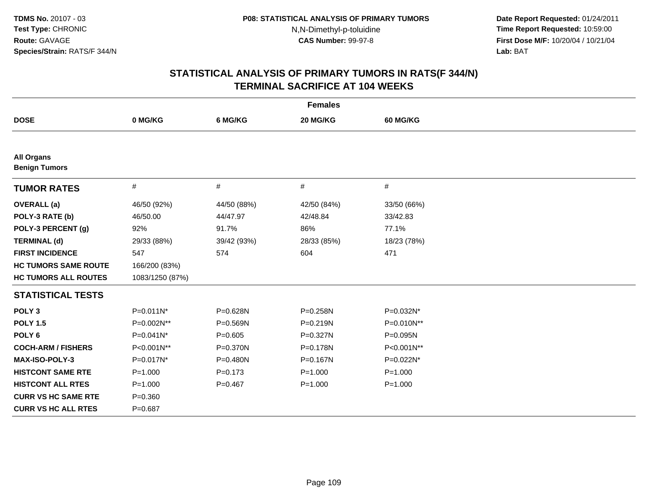N,N-Dimethyl-p-toluidine

 **Date Report Requested:** 01/24/2011 **Time Report Requested:** 10:59:00 **First Dose M/F:** 10/20/04 / 10/21/04<br>**Lab:** BAT **Lab:** BAT

# **STATISTICAL ANALYSIS OF PRIMARY TUMORS IN RATS(F 344/N)TERMINAL SACRIFICE AT 104 WEEKS**

| <b>Females</b>                            |                 |              |              |             |  |
|-------------------------------------------|-----------------|--------------|--------------|-------------|--|
| <b>DOSE</b>                               | 0 MG/KG         | 6 MG/KG      | 20 MG/KG     | 60 MG/KG    |  |
|                                           |                 |              |              |             |  |
| <b>All Organs</b><br><b>Benign Tumors</b> |                 |              |              |             |  |
| <b>TUMOR RATES</b>                        | $\#$            | #            | $\#$         | $\#$        |  |
| <b>OVERALL</b> (a)                        | 46/50 (92%)     | 44/50 (88%)  | 42/50 (84%)  | 33/50 (66%) |  |
| POLY-3 RATE (b)                           | 46/50.00        | 44/47.97     | 42/48.84     | 33/42.83    |  |
| POLY-3 PERCENT (g)                        | 92%             | 91.7%        | 86%          | 77.1%       |  |
| <b>TERMINAL (d)</b>                       | 29/33 (88%)     | 39/42 (93%)  | 28/33 (85%)  | 18/23 (78%) |  |
| <b>FIRST INCIDENCE</b>                    | 547             | 574          | 604          | 471         |  |
| <b>HC TUMORS SAME ROUTE</b>               | 166/200 (83%)   |              |              |             |  |
| <b>HC TUMORS ALL ROUTES</b>               | 1083/1250 (87%) |              |              |             |  |
| <b>STATISTICAL TESTS</b>                  |                 |              |              |             |  |
| POLY <sub>3</sub>                         | P=0.011N*       | P=0.628N     | P=0.258N     | P=0.032N*   |  |
| <b>POLY 1.5</b>                           | P=0.002N**      | $P = 0.569N$ | $P = 0.219N$ | P=0.010N**  |  |
| POLY <sub>6</sub>                         | P=0.041N*       | $P=0.605$    | P=0.327N     | P=0.095N    |  |
| <b>COCH-ARM / FISHERS</b>                 | P<0.001N**      | P=0.370N     | P=0.178N     | P<0.001N**  |  |
| <b>MAX-ISO-POLY-3</b>                     | P=0.017N*       | P=0.480N     | P=0.167N     | P=0.022N*   |  |
| <b>HISTCONT SAME RTE</b>                  | $P = 1.000$     | $P = 0.173$  | $P = 1.000$  | $P = 1.000$ |  |
| <b>HISTCONT ALL RTES</b>                  | $P = 1.000$     | $P=0.467$    | $P = 1.000$  | $P = 1.000$ |  |
| <b>CURR VS HC SAME RTE</b>                | $P = 0.360$     |              |              |             |  |
| <b>CURR VS HC ALL RTES</b>                | $P = 0.687$     |              |              |             |  |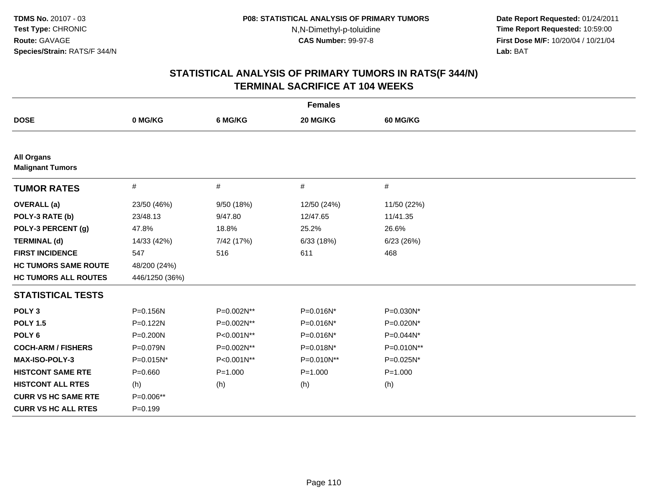N,N-Dimethyl-p-toluidine

 **Date Report Requested:** 01/24/2011 **Time Report Requested:** 10:59:00 **First Dose M/F:** 10/20/04 / 10/21/04<br>**Lab:** BAT **Lab:** BAT

# **STATISTICAL ANALYSIS OF PRIMARY TUMORS IN RATS(F 344/N)TERMINAL SACRIFICE AT 104 WEEKS**

| <b>Females</b>                               |                |             |             |                 |  |
|----------------------------------------------|----------------|-------------|-------------|-----------------|--|
| <b>DOSE</b>                                  | 0 MG/KG        | 6 MG/KG     | 20 MG/KG    | <b>60 MG/KG</b> |  |
|                                              |                |             |             |                 |  |
| <b>All Organs</b><br><b>Malignant Tumors</b> |                |             |             |                 |  |
| <b>TUMOR RATES</b>                           | $\#$           | #           | #           | #               |  |
| <b>OVERALL</b> (a)                           | 23/50 (46%)    | 9/50 (18%)  | 12/50 (24%) | 11/50 (22%)     |  |
| POLY-3 RATE (b)                              | 23/48.13       | 9/47.80     | 12/47.65    | 11/41.35        |  |
| POLY-3 PERCENT (g)                           | 47.8%          | 18.8%       | 25.2%       | 26.6%           |  |
| <b>TERMINAL (d)</b>                          | 14/33 (42%)    | 7/42 (17%)  | 6/33(18%)   | 6/23(26%)       |  |
| <b>FIRST INCIDENCE</b>                       | 547            | 516         | 611         | 468             |  |
| <b>HC TUMORS SAME ROUTE</b>                  | 48/200 (24%)   |             |             |                 |  |
| <b>HC TUMORS ALL ROUTES</b>                  | 446/1250 (36%) |             |             |                 |  |
| <b>STATISTICAL TESTS</b>                     |                |             |             |                 |  |
| POLY <sub>3</sub>                            | $P = 0.156N$   | P=0.002N**  | P=0.016N*   | P=0.030N*       |  |
| <b>POLY 1.5</b>                              | $P = 0.122N$   | P=0.002N**  | P=0.016N*   | P=0.020N*       |  |
| POLY <sub>6</sub>                            | P=0.200N       | P<0.001N**  | P=0.016N*   | P=0.044N*       |  |
| <b>COCH-ARM / FISHERS</b>                    | P=0.079N       | P=0.002N**  | P=0.018N*   | P=0.010N**      |  |
| <b>MAX-ISO-POLY-3</b>                        | P=0.015N*      | P<0.001N**  | P=0.010N**  | P=0.025N*       |  |
| <b>HISTCONT SAME RTE</b>                     | $P = 0.660$    | $P = 1.000$ | $P = 1.000$ | $P = 1.000$     |  |
| <b>HISTCONT ALL RTES</b>                     | (h)            | (h)         | (h)         | (h)             |  |
| <b>CURR VS HC SAME RTE</b>                   | P=0.006**      |             |             |                 |  |
| <b>CURR VS HC ALL RTES</b>                   | $P=0.199$      |             |             |                 |  |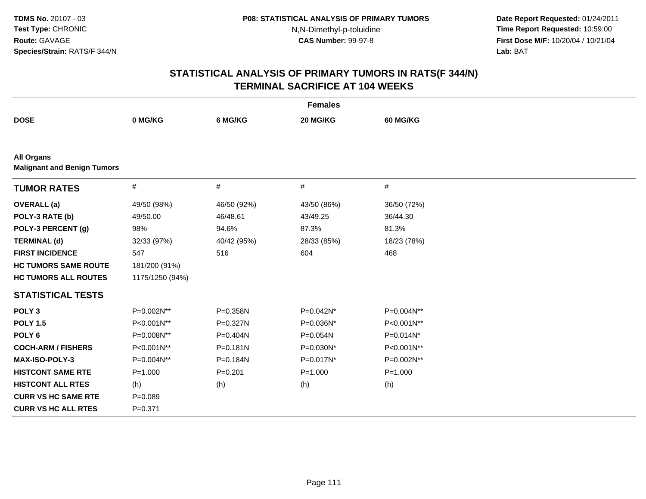N,N-Dimethyl-p-toluidine

 **Date Report Requested:** 01/24/2011 **Time Report Requested:** 10:59:00 **First Dose M/F:** 10/20/04 / 10/21/04<br>**Lab:** BAT **Lab:** BAT

# **STATISTICAL ANALYSIS OF PRIMARY TUMORS IN RATS(F 344/N)TERMINAL SACRIFICE AT 104 WEEKS**

| <b>Females</b>                                          |                 |              |             |             |
|---------------------------------------------------------|-----------------|--------------|-------------|-------------|
| <b>DOSE</b>                                             | 0 MG/KG         | 6 MG/KG      | 20 MG/KG    | 60 MG/KG    |
|                                                         |                 |              |             |             |
| <b>All Organs</b><br><b>Malignant and Benign Tumors</b> |                 |              |             |             |
| <b>TUMOR RATES</b>                                      | $\#$            | $\#$         | $\#$        | $\#$        |
| <b>OVERALL</b> (a)                                      | 49/50 (98%)     | 46/50 (92%)  | 43/50 (86%) | 36/50 (72%) |
| POLY-3 RATE (b)                                         | 49/50.00        | 46/48.61     | 43/49.25    | 36/44.30    |
| POLY-3 PERCENT (g)                                      | 98%             | 94.6%        | 87.3%       | 81.3%       |
| <b>TERMINAL (d)</b>                                     | 32/33 (97%)     | 40/42 (95%)  | 28/33 (85%) | 18/23 (78%) |
| <b>FIRST INCIDENCE</b>                                  | 547             | 516          | 604         | 468         |
| <b>HC TUMORS SAME ROUTE</b>                             | 181/200 (91%)   |              |             |             |
| <b>HC TUMORS ALL ROUTES</b>                             | 1175/1250 (94%) |              |             |             |
| <b>STATISTICAL TESTS</b>                                |                 |              |             |             |
| POLY <sub>3</sub>                                       | P=0.002N**      | P=0.358N     | P=0.042N*   | P=0.004N**  |
| <b>POLY 1.5</b>                                         | P<0.001N**      | P=0.327N     | P=0.036N*   | P<0.001N**  |
| POLY <sub>6</sub>                                       | P=0.008N**      | P=0.404N     | P=0.054N    | P=0.014N*   |
| <b>COCH-ARM / FISHERS</b>                               | P<0.001N**      | $P = 0.181N$ | P=0.030N*   | P<0.001N**  |
| MAX-ISO-POLY-3                                          | P=0.004N**      | P=0.184N     | P=0.017N*   | P=0.002N**  |
| <b>HISTCONT SAME RTE</b>                                | $P = 1.000$     | $P = 0.201$  | $P = 1.000$ | $P = 1.000$ |
| <b>HISTCONT ALL RTES</b>                                | (h)             | (h)          | (h)         | (h)         |
| <b>CURR VS HC SAME RTE</b>                              | $P = 0.089$     |              |             |             |
| <b>CURR VS HC ALL RTES</b>                              | $P = 0.371$     |              |             |             |